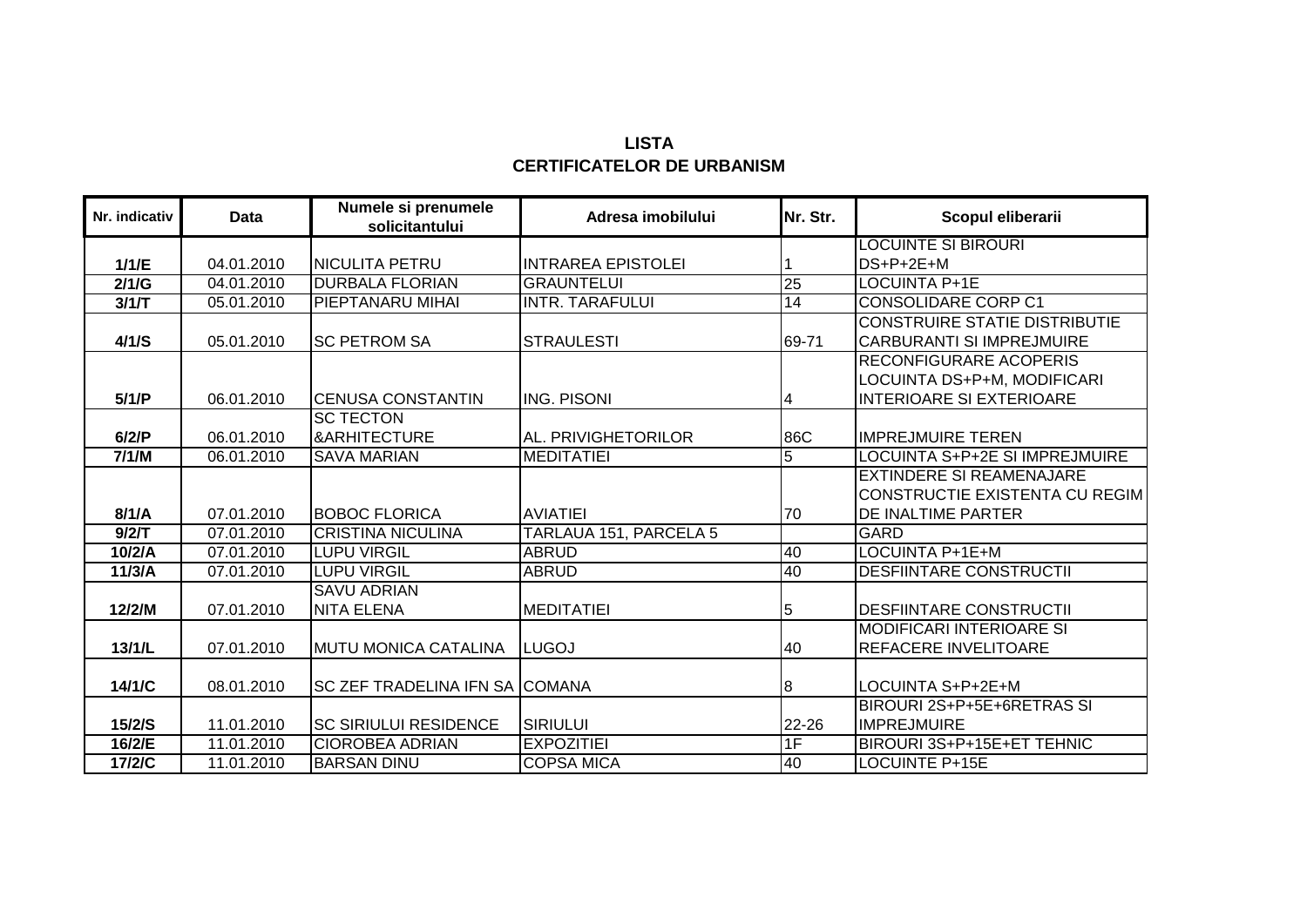| LISTA                             |
|-----------------------------------|
| <b>CERTIFICATELOR DE URBANISM</b> |

| Nr. indicativ | Data       | Numele si prenumele<br>solicitantului       | Adresa imobilului         | Nr. Str.        | Scopul eliberarii                                                                               |
|---------------|------------|---------------------------------------------|---------------------------|-----------------|-------------------------------------------------------------------------------------------------|
|               |            |                                             |                           |                 | <b>LOCUINTE SI BIROURI</b>                                                                      |
| 1/1/E         | 04.01.2010 | NICULITA PETRU                              | <b>INTRAREA EPISTOLEI</b> |                 | DS+P+2E+M                                                                                       |
| 2/1/G         | 04.01.2010 | <b>DURBALA FLORIAN</b>                      | <b>GRAUNTELUI</b>         | $\overline{25}$ | <b>LOCUINTA P+1E</b>                                                                            |
| 3/1/T         | 05.01.2010 | PIEPTANARU MIHAI                            | <b>INTR. TARAFULUI</b>    | 14              | <b>CONSOLIDARE CORP C1</b>                                                                      |
| 4/1/S         | 05.01.2010 | <b>SC PETROM SA</b>                         | <b>STRAULESTI</b>         | 69-71           | <b>CONSTRUIRE STATIE DISTRIBUTIE</b><br><b>CARBURANTI SI IMPREJMUIRE</b>                        |
| 5/1/P         | 06.01.2010 | <b>ICENUSA CONSTANTIN</b>                   | <b>ING. PISONI</b>        | 4               | <b>RECONFIGURARE ACOPERIS</b><br>LOCUINTA DS+P+M, MODIFICARI<br><b>INTERIOARE SI EXTERIOARE</b> |
| 6/2/P         | 06.01.2010 | <b>SC TECTON</b><br><b>&amp;ARHITECTURE</b> | AL. PRIVIGHETORILOR       | 86C             | <b>IMPREJMUIRE TEREN</b>                                                                        |
| 7/1/M         | 06.01.2010 | <b>SAVA MARIAN</b>                          | <b>MEDITATIEI</b>         | $\overline{5}$  | LOCUINTA S+P+2E SI IMPREJMUIRE                                                                  |
| 8/1/A         | 07.01.2010 | <b>BOBOC FLORICA</b>                        | <b>AVIATIEI</b>           | 70              | EXTINDERE SI REAMENAJARE<br><b>CONSTRUCTIE EXISTENTA CU REGIM</b><br>DE INALTIME PARTER         |
| 9/2/T         | 07.01.2010 | <b>CRISTINA NICULINA</b>                    | TARLAUA 151, PARCELA 5    |                 | GARD                                                                                            |
| 10/2/A        | 07.01.2010 | <b>LUPU VIRGIL</b>                          | <b>ABRUD</b>              | 40              | LOCUINTA P+1E+M                                                                                 |
| 11/3/A        | 07.01.2010 | <b>LUPU VIRGIL</b>                          | <b>ABRUD</b>              | 40              | <b>DESFIINTARE CONSTRUCTII</b>                                                                  |
| 12/2/M        | 07.01.2010 | <b>SAVU ADRIAN</b><br><b>NITA ELENA</b>     | <b>MEDITATIEI</b>         | 5               | <b>DESFIINTARE CONSTRUCTII</b>                                                                  |
| 13/1/L        | 07.01.2010 | <b>MUTU MONICA CATALINA</b>                 | <b>LUGOJ</b>              | 40              | <b>MODIFICARI INTERIOARE SI</b><br>REFACERE INVELITOARE                                         |
| 14/1/C        | 08.01.2010 | <b>SC ZEF TRADELINA IFN SA COMANA</b>       |                           | 8               | LOCUINTA S+P+2E+M                                                                               |
| 15/2/S        | 11.01.2010 | <b>SC SIRIULUI RESIDENCE</b>                | <b>SIRIULUI</b>           | $22 - 26$       | BIROURI 2S+P+5E+6RETRAS SI<br><b>IMPREJMUIRE</b>                                                |
| 16/2/E        | 11.01.2010 | <b>CIOROBEA ADRIAN</b>                      | <b>EXPOZITIEI</b>         | 1F              | BIROURI 3S+P+15E+ET TEHNIC                                                                      |
| 17/2/C        | 11.01.2010 | <b>BARSAN DINU</b>                          | <b>COPSA MICA</b>         | 40              | <b>LOCUINTE P+15E</b>                                                                           |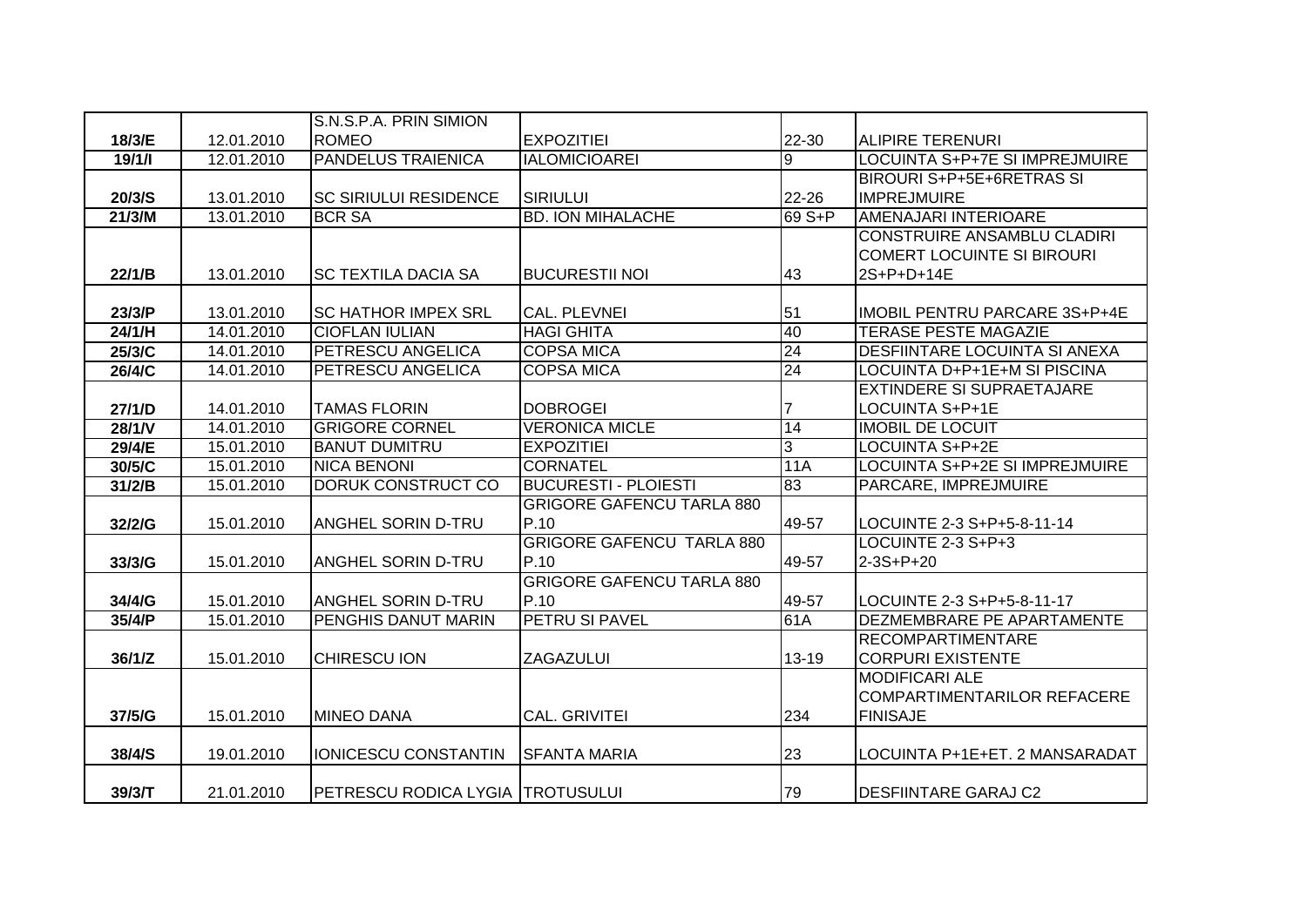|        |            | S.N.S.P.A. PRIN SIMION           |                                  |        |                                       |
|--------|------------|----------------------------------|----------------------------------|--------|---------------------------------------|
| 18/3/E | 12.01.2010 | <b>ROMEO</b>                     | <b>EXPOZITIEI</b>                | 22-30  | <b>ALIPIRE TERENURI</b>               |
| 19/1/1 | 12.01.2010 | <b>PANDELUS TRAIENICA</b>        | <b>IALOMICIOAREI</b>             | 9      | <b>LOCUINTA S+P+7E SI IMPREJMUIRE</b> |
|        |            |                                  |                                  |        | BIROURI S+P+5E+6RETRAS SI             |
| 20/3/S | 13.01.2010 | <b>SC SIRIULUI RESIDENCE</b>     | SIRIULUI                         | 22-26  | <b>IMPREJMUIRE</b>                    |
| 21/3/M | 13.01.2010 | <b>BCR SA</b>                    | <b>BD. ION MIHALACHE</b>         | 69 S+P | <b>AMENAJARI INTERIOARE</b>           |
|        |            |                                  |                                  |        | <b>CONSTRUIRE ANSAMBLU CLADIRI</b>    |
|        |            |                                  |                                  |        | <b>COMERT LOCUINTE SI BIROURI</b>     |
| 22/1/B | 13.01.2010 | <b>SC TEXTILA DACIA SA</b>       | <b>BUCURESTII NOI</b>            | 43     | 2S+P+D+14E                            |
|        |            |                                  |                                  |        |                                       |
| 23/3/P | 13.01.2010 | <b>SC HATHOR IMPEX SRL</b>       | <b>CAL. PLEVNEI</b>              | 51     | <b>IMOBIL PENTRU PARCARE 3S+P+4E</b>  |
| 24/1/H | 14.01.2010 | <b>CIOFLAN IULIAN</b>            | <b>HAGI GHITA</b>                | 40     | <b>TERASE PESTE MAGAZIE</b>           |
| 25/3/C | 14.01.2010 | PETRESCU ANGELICA                | <b>COPSA MICA</b>                | 24     | <b>DESFIINTARE LOCUINTA SI ANEXA</b>  |
| 26/4/C | 14.01.2010 | PETRESCU ANGELICA                | <b>COPSA MICA</b>                | 24     | LOCUINTA D+P+1E+M SI PISCINA          |
|        |            |                                  |                                  |        | <b>EXTINDERE SI SUPRAETAJARE</b>      |
| 27/1/D | 14.01.2010 | <b>TAMAS FLORIN</b>              | <b>DOBROGEI</b>                  |        | LOCUINTA S+P+1E                       |
| 28/1/V | 14.01.2010 | <b>GRIGORE CORNEL</b>            | <b>VERONICA MICLE</b>            | 14     | <b>IMOBIL DE LOCUIT</b>               |
| 29/4/E | 15.01.2010 | <b>BANUT DUMITRU</b>             | <b>EXPOZITIEI</b>                | 3      | LOCUINTA S+P+2E                       |
| 30/5/C | 15.01.2010 | <b>NICA BENONI</b>               | <b>CORNATEL</b>                  | 11A    | LOCUINTA S+P+2E SI IMPREJMUIRE        |
| 31/2/B | 15.01.2010 | DORUK CONSTRUCT CO               | <b>BUCURESTI - PLOIESTI</b>      | 83     | PARCARE, IMPREJMUIRE                  |
|        |            |                                  | <b>GRIGORE GAFENCU TARLA 880</b> |        |                                       |
| 32/2/G | 15.01.2010 | <b>ANGHEL SORIN D-TRU</b>        | P.10                             | 49-57  | LOCUINTE 2-3 S+P+5-8-11-14            |
|        |            |                                  | <b>GRIGORE GAFENCU TARLA 880</b> |        | LOCUINTE 2-3 S+P+3                    |
| 33/3/G | 15.01.2010 | <b>ANGHEL SORIN D-TRU</b>        | P.10                             | 49-57  | 2-3S+P+20                             |
|        |            |                                  | <b>GRIGORE GAFENCU TARLA 880</b> |        |                                       |
| 34/4/G | 15.01.2010 | <b>ANGHEL SORIN D-TRU</b>        | P.10                             | 49-57  | LOCUINTE 2-3 S+P+5-8-11-17            |
| 35/4/P | 15.01.2010 | <b>PENGHIS DANUT MARIN</b>       | PETRU SI PAVEL                   | 61A    | DEZMEMBRARE PE APARTAMENTE            |
|        |            |                                  |                                  |        | <b>RECOMPARTIMENTARE</b>              |
| 36/1/Z | 15.01.2010 | <b>CHIRESCU ION</b>              | ZAGAZULUI                        | 13-19  | <b>CORPURI EXISTENTE</b>              |
|        |            |                                  |                                  |        | <b>MODIFICARI ALE</b>                 |
|        |            |                                  |                                  |        | COMPARTIMENTARILOR REFACERE           |
| 37/5/G | 15.01.2010 | <b>MINEO DANA</b>                | <b>CAL. GRIVITEI</b>             | 234    | <b>FINISAJE</b>                       |
|        |            |                                  |                                  |        |                                       |
| 38/4/S | 19.01.2010 | <b>IONICESCU CONSTANTIN</b>      | ISFANTA MARIA                    | 23     | LOCUINTA P+1E+ET. 2 MANSARADAT        |
|        |            |                                  |                                  |        |                                       |
| 39/3/T | 21.01.2010 | PETRESCU RODICA LYGIA TROTUSULUI |                                  | 79     | <b>DESFIINTARE GARAJ C2</b>           |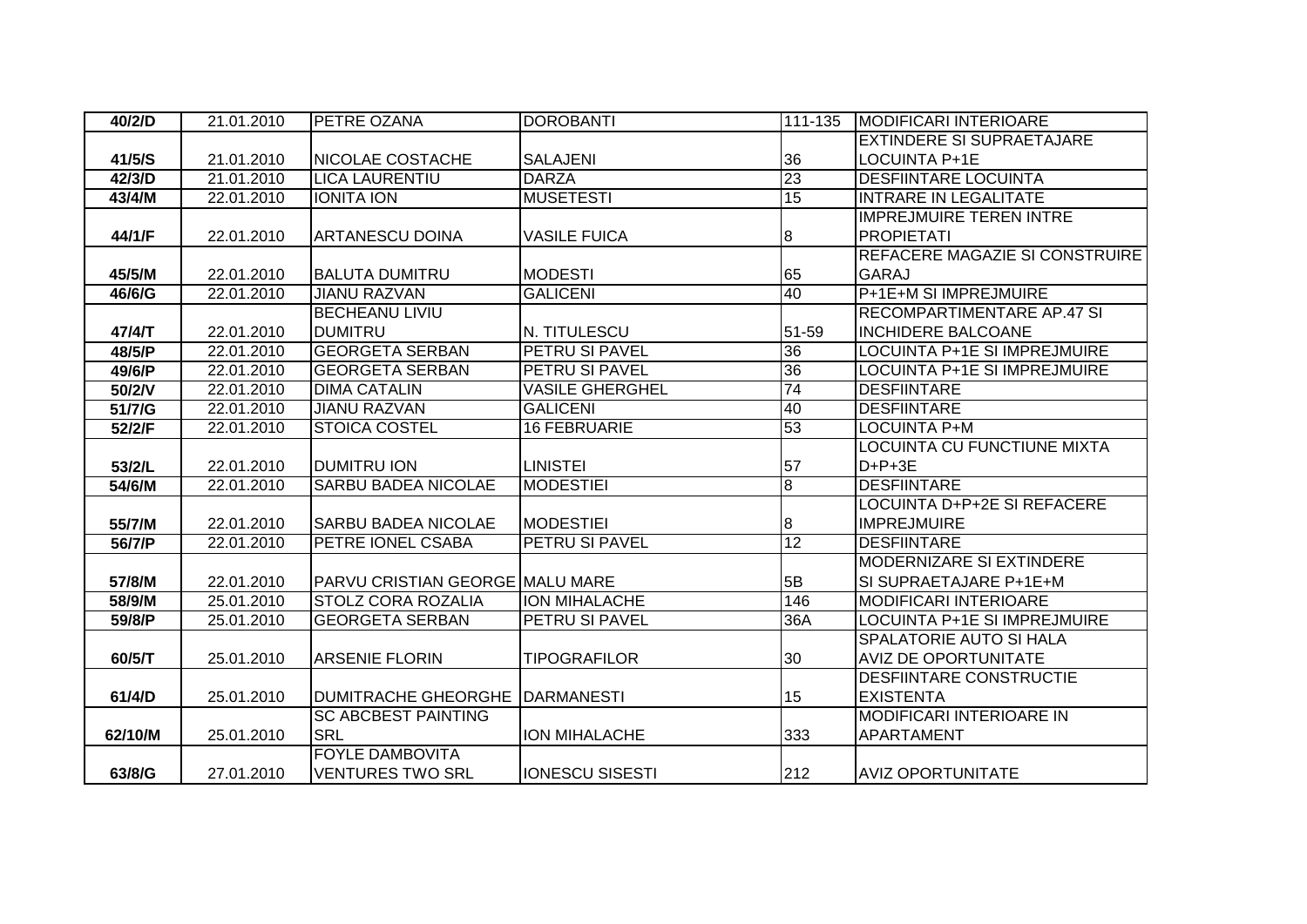| 40/2/D  | 21.01.2010 | <b>PETRE OZANA</b>                     | <b>DOROBANTI</b>       | 111-135          | <b>MODIFICARI INTERIOARE</b>        |
|---------|------------|----------------------------------------|------------------------|------------------|-------------------------------------|
|         |            |                                        |                        |                  | EXTINDERE SI SUPRAETAJARE           |
| 41/5/S  | 21.01.2010 | <b>NICOLAE COSTACHE</b>                | <b>SALAJENI</b>        | 36               | LOCUINTA P+1E                       |
| 42/3/D  | 21.01.2010 | <b>LICA LAURENTIU</b>                  | <b>DARZA</b>           | 23               | <b>DESFIINTARE LOCUINTA</b>         |
| 43/4/M  | 22.01.2010 | <b>IONITA ION</b>                      | <b>MUSETESTI</b>       | $\overline{15}$  | <b>INTRARE IN LEGALITATE</b>        |
|         |            |                                        |                        |                  | <b>IMPREJMUIRE TEREN INTRE</b>      |
| 44/1/F  | 22.01.2010 | <b>ARTANESCU DOINA</b>                 | <b>VASILE FUICA</b>    | 8                | <b>PROPIETATI</b>                   |
|         |            |                                        |                        |                  | REFACERE MAGAZIE SI CONSTRUIRE      |
| 45/5/M  | 22.01.2010 | <b>BALUTA DUMITRU</b>                  | <b>MODESTI</b>         | 65               | <b>GARAJ</b>                        |
| 46/6/G  | 22.01.2010 | <b>JIANU RAZVAN</b>                    | <b>GALICENI</b>        | 40               | P+1E+M SI IMPREJMUIRE               |
|         |            | <b>BECHEANU LIVIU</b>                  |                        |                  | <b>RECOMPARTIMENTARE AP.47 SI</b>   |
| 47/4/T  | 22.01.2010 | <b>DUMITRU</b>                         | N. TITULESCU           | 51-59            | <b>INCHIDERE BALCOANE</b>           |
| 48/5/P  | 22.01.2010 | <b>GEORGETA SERBAN</b>                 | <b>PETRU SI PAVEL</b>  | $\overline{36}$  | <b>LOCUINTA P+1E SI IMPREJMUIRE</b> |
| 49/6/P  | 22.01.2010 | <b>GEORGETA SERBAN</b>                 | <b>PETRU SI PAVEL</b>  | 36               | <b>LOCUINTA P+1E SI IMPREJMUIRE</b> |
| 50/2/V  | 22.01.2010 | <b>DIMA CATALIN</b>                    | <b>VASILE GHERGHEL</b> | 74               | <b>DESFIINTARE</b>                  |
| 51/7/G  | 22.01.2010 | <b>JIANU RAZVAN</b>                    | <b>GALICENI</b>        | 40               | <b>DESFIINTARE</b>                  |
| 52/2/F  | 22.01.2010 | <b>STOICA COSTEL</b>                   | <b>16 FEBRUARIE</b>    | 53               | LOCUINTA P+M                        |
|         |            |                                        |                        |                  | LOCUINTA CU FUNCTIUNE MIXTA         |
| 53/2/L  | 22.01.2010 | <b>DUMITRU ION</b>                     | <b>LINISTEI</b>        | 57               | $D+P+3E$                            |
| 54/6/M  | 22.01.2010 | <b>SARBU BADEA NICOLAE</b>             | <b>MODESTIEI</b>       | $\overline{8}$   | <b>DESFIINTARE</b>                  |
|         |            |                                        |                        |                  | LOCUINTA D+P+2E SI REFACERE         |
| 55/7/M  | 22.01.2010 | <b>SARBU BADEA NICOLAE</b>             | <b>MODESTIEI</b>       | $\boldsymbol{8}$ | <b>IMPREJMUIRE</b>                  |
| 56/7/P  | 22.01.2010 | PETRE IONEL CSABA                      | <b>PETRU SI PAVEL</b>  | 12               | <b>DESFIINTARE</b>                  |
|         |            |                                        |                        |                  | MODERNIZARE SI EXTINDERE            |
| 57/8/M  | 22.01.2010 | <b>PARVU CRISTIAN GEORGE MALU MARE</b> |                        | 5B               | SI SUPRAETAJARE P+1E+M              |
| 58/9/M  | 25.01.2010 | <b>STOLZ CORA ROZALIA</b>              | <b>ION MIHALACHE</b>   | 146              | <b>MODIFICARI INTERIOARE</b>        |
| 59/8/P  | 25.01.2010 | <b>GEORGETA SERBAN</b>                 | <b>PETRU SI PAVEL</b>  | 36A              | LOCUINTA P+1E SI IMPREJMUIRE        |
|         |            |                                        |                        |                  | SPALATORIE AUTO SI HALA             |
| 60/5/T  | 25.01.2010 | <b>ARSENIE FLORIN</b>                  | <b>TIPOGRAFILOR</b>    | 30               | <b>AVIZ DE OPORTUNITATE</b>         |
|         |            |                                        |                        |                  | DESFIINTARE CONSTRUCTIE             |
| 61/4/D  | 25.01.2010 | <b>DUMITRACHE GHEORGHE</b>             | <b>IDARMANESTI</b>     | 15               | <b>EXISTENTA</b>                    |
|         |            | <b>SC ABCBEST PAINTING</b>             |                        |                  | <b>MODIFICARI INTERIOARE IN</b>     |
| 62/10/M | 25.01.2010 | <b>SRL</b>                             | <b>ION MIHALACHE</b>   | 333              | APARTAMENT                          |
|         |            | <b>FOYLE DAMBOVITA</b>                 |                        |                  |                                     |
| 63/8/G  | 27.01.2010 | <b>VENTURES TWO SRL</b>                | <b>IONESCU SISESTI</b> | 212              | <b>AVIZ OPORTUNITATE</b>            |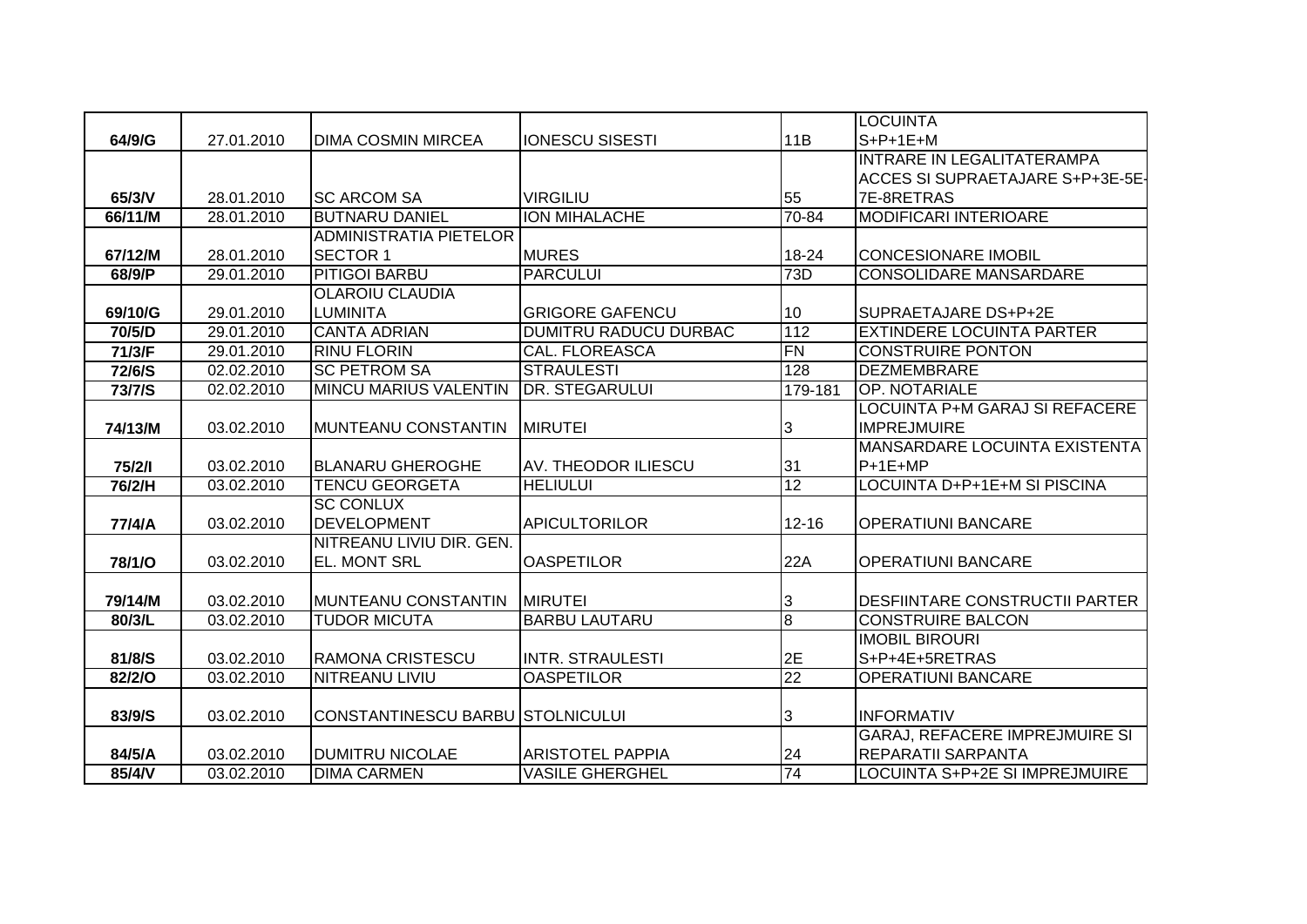|         |            |                                  |                         |                | <b>LOCUINTA</b>                       |
|---------|------------|----------------------------------|-------------------------|----------------|---------------------------------------|
| 64/9/G  | 27.01.2010 | <b>DIMA COSMIN MIRCEA</b>        | <b>IONESCU SISESTI</b>  | 11B            | $S+P+1E+M$                            |
|         |            |                                  |                         |                | INTRARE IN LEGALITATERAMPA            |
|         |            |                                  |                         |                | ACCES SI SUPRAETAJARE S+P+3E-5E-      |
| 65/3/V  | 28.01.2010 | <b>SC ARCOM SA</b>               | <b>VIRGILIU</b>         | 55             | 7E-8RETRAS                            |
| 66/11/M | 28.01.2010 | <b>BUTNARU DANIEL</b>            | <b>ION MIHALACHE</b>    | $70 - 84$      | <b>MODIFICARI INTERIOARE</b>          |
|         |            | <b>ADMINISTRATIA PIETELOR</b>    |                         |                |                                       |
| 67/12/M | 28.01.2010 | <b>SECTOR 1</b>                  | <b>MURES</b>            | 18-24          | <b>CONCESIONARE IMOBIL</b>            |
| 68/9/P  | 29.01.2010 | <b>PITIGOI BARBU</b>             | <b>PARCULUI</b>         | 73D            | <b>CONSOLIDARE MANSARDARE</b>         |
|         |            | <b>OLAROIU CLAUDIA</b>           |                         |                |                                       |
| 69/10/G | 29.01.2010 | <b>LUMINITA</b>                  | <b>GRIGORE GAFENCU</b>  | 10             | SUPRAETAJARE DS+P+2E                  |
| 70/5/D  | 29.01.2010 | <b>CANTA ADRIAN</b>              | DUMITRU RADUCU DURBAC   | 112            | <b>EXTINDERE LOCUINTA PARTER</b>      |
| 71/3/F  | 29.01.2010 | <b>RINU FLORIN</b>               | CAL. FLOREASCA          | FN             | <b>CONSTRUIRE PONTON</b>              |
| 72/6/S  | 02.02.2010 | <b>SC PETROM SA</b>              | <b>STRAULESTI</b>       | 128            | <b>DEZMEMBRARE</b>                    |
| 73/7/S  | 02.02.2010 | <b>MINCU MARIUS VALENTIN</b>     | <b>DR. STEGARULUI</b>   | 179-181        | OP. NOTARIALE                         |
|         |            |                                  |                         |                | LOCUINTA P+M GARAJ SI REFACERE        |
| 74/13/M | 03.02.2010 | MUNTEANU CONSTANTIN              | <b>MIRUTEI</b>          | 3              | <b>IMPREJMUIRE</b>                    |
|         |            |                                  |                         |                | MANSARDARE LOCUINTA EXISTENTA         |
| 75/2/1  | 03.02.2010 | <b>BLANARU GHEROGHE</b>          | AV. THEODOR ILIESCU     | 31             | $P+1E+MP$                             |
| 76/2/H  | 03.02.2010 | <b>TENCU GEORGETA</b>            | <b>HELIULUI</b>         | 12             | LOCUINTA D+P+1E+M SI PISCINA          |
|         |            | <b>SC CONLUX</b>                 |                         |                |                                       |
| 77/4/A  | 03.02.2010 | <b>DEVELOPMENT</b>               | <b>APICULTORILOR</b>    | $12 - 16$      | <b>OPERATIUNI BANCARE</b>             |
|         |            | NITREANU LIVIU DIR. GEN.         |                         |                |                                       |
| 78/1/O  | 03.02.2010 | <b>EL. MONT SRL</b>              | <b>OASPETILOR</b>       | 22A            | <b>OPERATIUNI BANCARE</b>             |
|         |            |                                  |                         |                |                                       |
| 79/14/M | 03.02.2010 | MUNTEANU CONSTANTIN              | <b>MIRUTEI</b>          | 3              | <b>DESFIINTARE CONSTRUCTII PARTER</b> |
| 80/3/L  | 03.02.2010 | <b>TUDOR MICUTA</b>              | <b>BARBU LAUTARU</b>    | $\overline{8}$ | <b>CONSTRUIRE BALCON</b>              |
|         |            |                                  |                         |                | <b>IMOBIL BIROURI</b>                 |
| 81/8/S  | 03.02.2010 | <b>RAMONA CRISTESCU</b>          | <b>INTR. STRAULESTI</b> | 2E             | S+P+4E+5RETRAS                        |
| 82/2/O  | 03.02.2010 | <b>NITREANU LIVIU</b>            | <b>OASPETILOR</b>       | 22             | <b>OPERATIUNI BANCARE</b>             |
|         |            |                                  |                         |                |                                       |
| 83/9/S  | 03.02.2010 | CONSTANTINESCU BARBU STOLNICULUI |                         | 3              | <b>INFORMATIV</b>                     |
|         |            |                                  |                         |                | <b>GARAJ, REFACERE IMPREJMUIRE SI</b> |
| 84/5/A  | 03.02.2010 | <b>DUMITRU NICOLAE</b>           | <b>ARISTOTEL PAPPIA</b> | 24             | <b>REPARATII SARPANTA</b>             |
| 85/4/V  | 03.02.2010 | <b>DIMA CARMEN</b>               | <b>VASILE GHERGHEL</b>  | 74             | LOCUINTA S+P+2E SI IMPREJMUIRE        |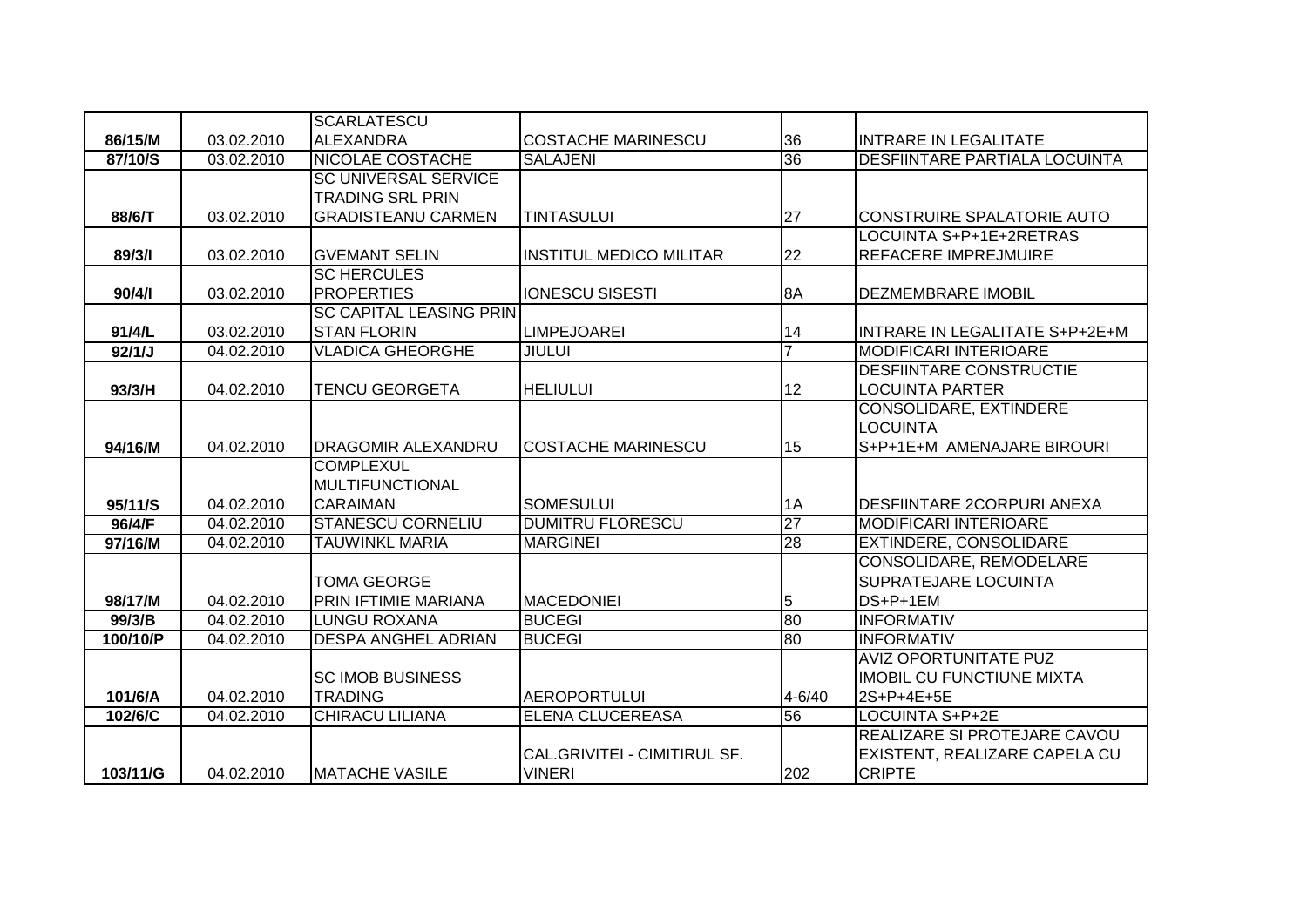|          |            | <b>SCARLATESCU</b>                        |                                |                 |                                                 |
|----------|------------|-------------------------------------------|--------------------------------|-----------------|-------------------------------------------------|
| 86/15/M  | 03.02.2010 | <b>ALEXANDRA</b>                          | <b>COSTACHE MARINESCU</b>      | 36              | <b>INTRARE IN LEGALITATE</b>                    |
| 87/10/S  | 03.02.2010 | <b>NICOLAE COSTACHE</b>                   | <b>SALAJENI</b>                | 36              | <b>DESFIINTARE PARTIALA LOCUINTA</b>            |
|          |            | <b>SC UNIVERSAL SERVICE</b>               |                                |                 |                                                 |
|          |            | <b>TRADING SRL PRIN</b>                   |                                |                 |                                                 |
| 88/6/T   | 03.02.2010 | <b>GRADISTEANU CARMEN</b>                 | <b>TINTASULUI</b>              | 27              | CONSTRUIRE SPALATORIE AUTO                      |
|          |            |                                           |                                |                 | LOCUINTA S+P+1E+2RETRAS                         |
| 89/3/1   | 03.02.2010 | <b>GVEMANT SELIN</b>                      | <b>INSTITUL MEDICO MILITAR</b> | 22              | <b>REFACERE IMPREJMUIRE</b>                     |
|          |            | <b>SC HERCULES</b>                        |                                |                 |                                                 |
| 90/4/1   | 03.02.2010 | <b>PROPERTIES</b>                         | <b>IONESCU SISESTI</b>         | 8A              | <b>DEZMEMBRARE IMOBIL</b>                       |
|          |            | <b>SC CAPITAL LEASING PRIN</b>            |                                |                 |                                                 |
| 91/4/L   | 03.02.2010 | <b>STAN FLORIN</b>                        | <b>LIMPEJOAREI</b>             | 14              | INTRARE IN LEGALITATE S+P+2E+M                  |
| 92/1/J   | 04.02.2010 | <b>VLADICA GHEORGHE</b>                   | <b>JIULUI</b>                  | $\overline{7}$  | <b>MODIFICARI INTERIOARE</b>                    |
|          |            |                                           |                                |                 | <b>DESFIINTARE CONSTRUCTIE</b>                  |
| 93/3/H   | 04.02.2010 | <b>TENCU GEORGETA</b>                     | <b>HELIULUI</b>                | 12              | <b>LOCUINTA PARTER</b>                          |
|          |            |                                           |                                |                 | CONSOLIDARE, EXTINDERE                          |
|          |            |                                           |                                |                 | <b>LOCUINTA</b>                                 |
| 94/16/M  | 04.02.2010 | <b>DRAGOMIR ALEXANDRU</b>                 | <b>COSTACHE MARINESCU</b>      | 15              | S+P+1E+M AMENAJARE BIROURI                      |
|          |            | <b>COMPLEXUL</b>                          |                                |                 |                                                 |
|          |            | <b>MULTIFUNCTIONAL</b>                    |                                |                 |                                                 |
| 95/11/S  | 04.02.2010 | <b>CARAIMAN</b>                           | <b>SOMESULUI</b>               | 1A              | <b>DESFIINTARE 2CORPURI ANEXA</b>               |
| 96/4/F   | 04.02.2010 | <b>STANESCU CORNELIU</b>                  | <b>DUMITRU FLORESCU</b>        | $\overline{27}$ | <b>MODIFICARI INTERIOARE</b>                    |
| 97/16/M  | 04.02.2010 | <b>TAUWINKL MARIA</b>                     | <b>MARGINEI</b>                | 28              | <b>EXTINDERE, CONSOLIDARE</b>                   |
|          |            |                                           |                                |                 | CONSOLIDARE, REMODELARE                         |
|          |            | <b>TOMA GEORGE</b>                        |                                |                 | SUPRATEJARE LOCUINTA                            |
| 98/17/M  | 04.02.2010 | PRIN IFTIMIE MARIANA                      | <b>MACEDONIEI</b>              | 5               | DS+P+1EM                                        |
| 99/3/B   | 04.02.2010 | <b>LUNGU ROXANA</b>                       | <b>BUCEGI</b>                  | 80              | <b>INFORMATIV</b>                               |
| 100/10/P | 04.02.2010 | <b>DESPA ANGHEL ADRIAN</b>                | <b>BUCEGI</b>                  | 80              | <b>INFORMATIV</b>                               |
|          |            |                                           |                                |                 | <b>AVIZ OPORTUNITATE PUZ</b>                    |
|          |            | <b>SC IMOB BUSINESS</b><br><b>TRADING</b> |                                | $4 - 6/40$      | <b>IMOBIL CU FUNCTIUNE MIXTA</b>                |
| 101/6/A  | 04.02.2010 |                                           | <b>AEROPORTULUI</b>            | 56              | 2S+P+4E+5E                                      |
| 102/6/C  | 04.02.2010 | <b>CHIRACU LILIANA</b>                    | ELENA CLUCEREASA               |                 | LOCUINTA S+P+2E<br>REALIZARE SI PROTEJARE CAVOU |
|          |            |                                           | CAL.GRIVITEI - CIMITIRUL SF.   |                 |                                                 |
|          |            |                                           |                                |                 | EXISTENT, REALIZARE CAPELA CU                   |
| 103/11/G | 04.02.2010 | <b>IMATACHE VASILE</b>                    | <b>VINERI</b>                  | 202             | <b>CRIPTE</b>                                   |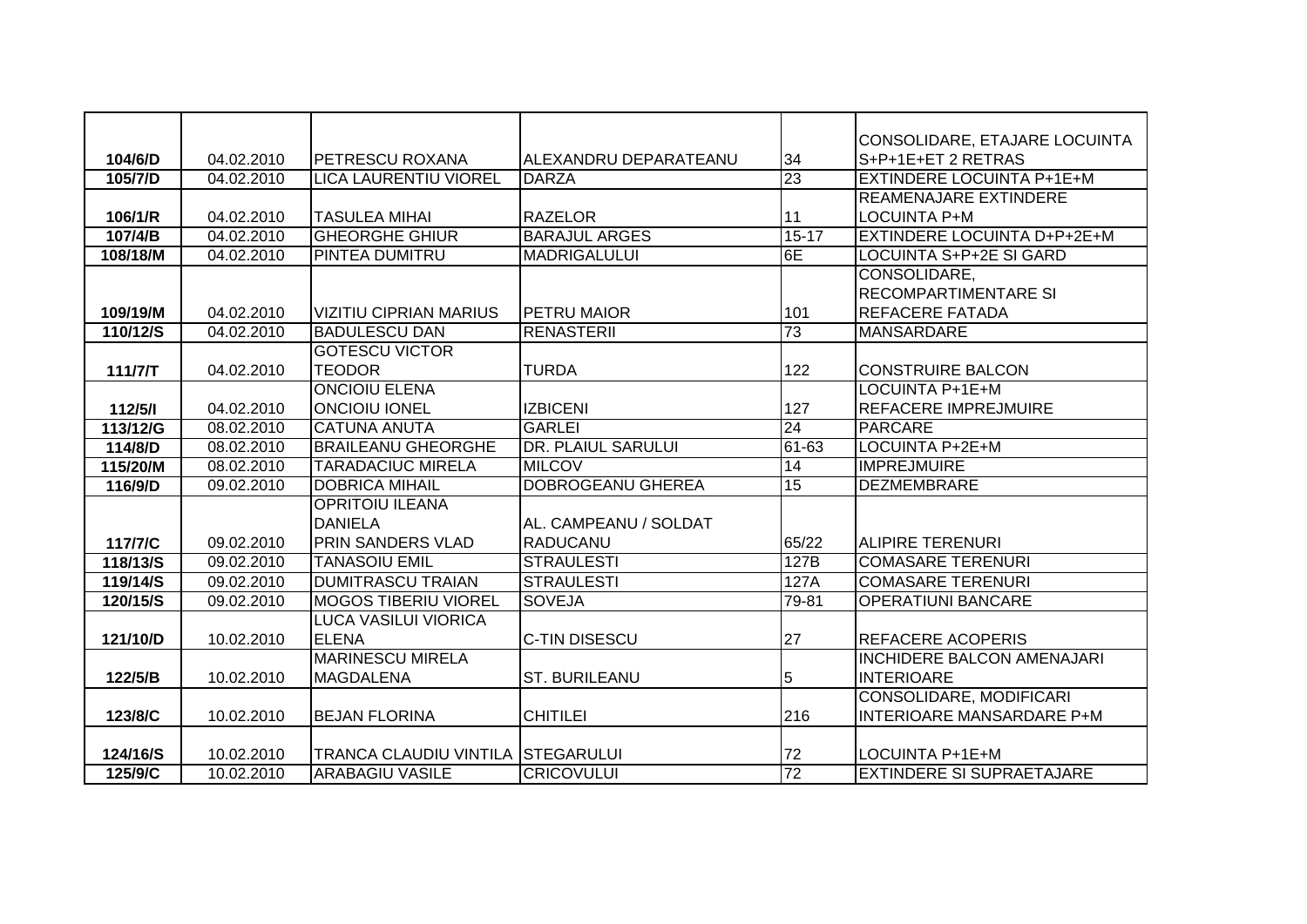|          |            |                                   |                           |                 | CONSOLIDARE, ETAJARE LOCUINTA     |
|----------|------------|-----------------------------------|---------------------------|-----------------|-----------------------------------|
| 104/6/D  | 04.02.2010 | <b>PETRESCU ROXANA</b>            | ALEXANDRU DEPARATEANU     | 34              | S+P+1E+ET 2 RETRAS                |
| 105/7/D  | 04.02.2010 | <b>LICA LAURENTIU VIOREL</b>      | <b>DARZA</b>              | 23              | <b>EXTINDERE LOCUINTA P+1E+M</b>  |
|          |            |                                   |                           |                 | <b>REAMENAJARE EXTINDERE</b>      |
| 106/1/R  | 04.02.2010 | <b>TASULEA MIHAI</b>              | <b>RAZELOR</b>            | 11              | LOCUINTA P+M                      |
| 107/4/B  | 04.02.2010 | <b>GHEORGHE GHIUR</b>             | <b>BARAJUL ARGES</b>      | $15 - 17$       | EXTINDERE LOCUINTA D+P+2E+M       |
| 108/18/M | 04.02.2010 | <b>PINTEA DUMITRU</b>             | <b>MADRIGALULUI</b>       | 6E              | <b>LOCUINTA S+P+2E SI GARD</b>    |
|          |            |                                   |                           |                 | CONSOLIDARE,                      |
|          |            |                                   |                           |                 | <b>RECOMPARTIMENTARE SI</b>       |
| 109/19/M | 04.02.2010 | <b>VIZITIU CIPRIAN MARIUS</b>     | <b>PETRU MAIOR</b>        | 101             | <b>REFACERE FATADA</b>            |
| 110/12/S | 04.02.2010 | <b>BADULESCU DAN</b>              | <b>RENASTERII</b>         | 73              | <b>MANSARDARE</b>                 |
|          |            | <b>GOTESCU VICTOR</b>             |                           |                 |                                   |
| 111/7/T  | 04.02.2010 | <b>TEODOR</b>                     | <b>TURDA</b>              | 122             | <b>CONSTRUIRE BALCON</b>          |
|          |            | <b>ONCIOIU ELENA</b>              |                           |                 | LOCUINTA P+1E+M                   |
| 112/5/1  | 04.02.2010 | <b>ONCIOIU IONEL</b>              | <b>IZBICENI</b>           | 127             | <b>REFACERE IMPREJMUIRE</b>       |
| 113/12/G | 08.02.2010 | <b>CATUNA ANUTA</b>               | <b>GARLEI</b>             | 24              | <b>PARCARE</b>                    |
| 114/8/D  | 08.02.2010 | <b>BRAILEANU GHEORGHE</b>         | <b>DR. PLAIUL SARULUI</b> | $61-63$         | <b>LOCUINTA P+2E+M</b>            |
| 115/20/M | 08.02.2010 | <b>TARADACIUC MIRELA</b>          | <b>MILCOV</b>             | 14              | <b>IMPREJMUIRE</b>                |
| 116/9/D  | 09.02.2010 | <b>DOBRICA MIHAIL</b>             | <b>DOBROGEANU GHEREA</b>  | 15              | <b>DEZMEMBRARE</b>                |
|          |            | <b>OPRITOIU ILEANA</b>            |                           |                 |                                   |
|          |            | <b>DANIELA</b>                    | AL. CAMPEANU / SOLDAT     |                 |                                   |
| 117/7/C  | 09.02.2010 | <b>PRIN SANDERS VLAD</b>          | <b>RADUCANU</b>           | 65/22           | <b>ALIPIRE TERENURI</b>           |
| 118/13/S | 09.02.2010 | <b>TANASOIU EMIL</b>              | <b>STRAULESTI</b>         | 127B            | <b>COMASARE TERENURI</b>          |
| 119/14/S | 09.02.2010 | <b>DUMITRASCU TRAIAN</b>          | <b>STRAULESTI</b>         | 127A            | <b>COMASARE TERENURI</b>          |
| 120/15/S | 09.02.2010 | <b>MOGOS TIBERIU VIOREL</b>       | <b>SOVEJA</b>             | 79-81           | <b>OPERATIUNI BANCARE</b>         |
|          |            | <b>LUCA VASILUI VIORICA</b>       |                           |                 |                                   |
| 121/10/D | 10.02.2010 | <b>ELENA</b>                      | C-TIN DISESCU             | 27              | <b>REFACERE ACOPERIS</b>          |
|          |            | <b>MARINESCU MIRELA</b>           |                           |                 | <b>INCHIDERE BALCON AMENAJARI</b> |
| 122/5/B  | 10.02.2010 | <b>MAGDALENA</b>                  | <b>ST. BURILEANU</b>      | 5               | <b>INTERIOARE</b>                 |
|          |            |                                   |                           |                 | <b>CONSOLIDARE, MODIFICARI</b>    |
| 123/8/C  | 10.02.2010 | <b>BEJAN FLORINA</b>              | <b>CHITILEI</b>           | 216             | <b>INTERIOARE MANSARDARE P+M</b>  |
|          |            |                                   |                           |                 |                                   |
| 124/16/S | 10.02.2010 | TRANCA CLAUDIU VINTILA STEGARULUI |                           | 72              | LOCUINTA P+1E+M                   |
| 125/9/C  | 10.02.2010 | <b>ARABAGIU VASILE</b>            | <b>CRICOVULUI</b>         | $\overline{72}$ | <b>EXTINDERE SI SUPRAETAJARE</b>  |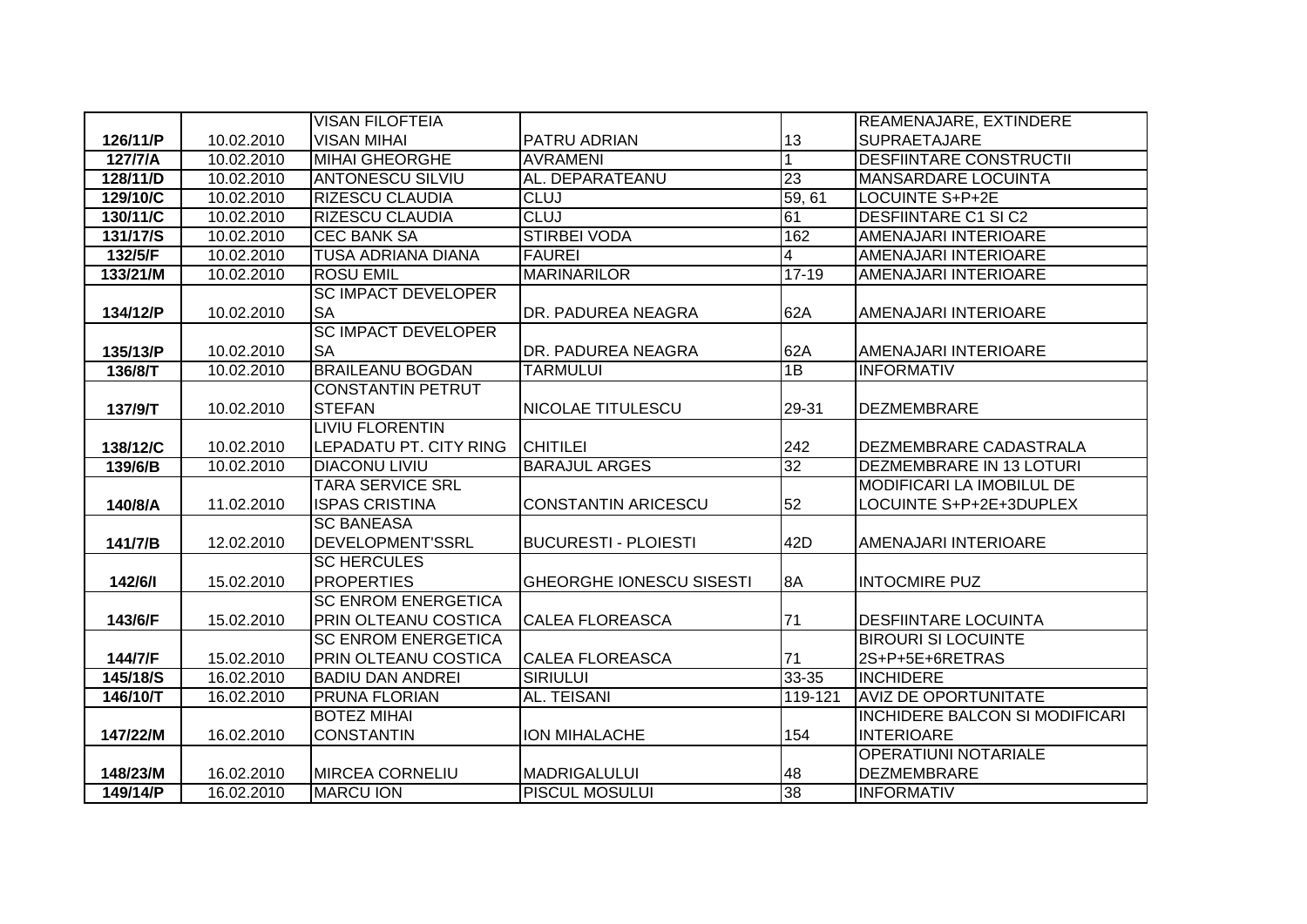|          |            | <b>VISAN FILOFTEIA</b>     |                                 |                         | REAMENAJARE, EXTINDERE                |
|----------|------------|----------------------------|---------------------------------|-------------------------|---------------------------------------|
| 126/11/P | 10.02.2010 | <b>VISAN MIHAI</b>         | PATRU ADRIAN                    | 13                      | <b>SUPRAETAJARE</b>                   |
| 127/7/A  | 10.02.2010 | <b>MIHAI GHEORGHE</b>      | <b>AVRAMENI</b>                 |                         | <b>DESFIINTARE CONSTRUCTII</b>        |
| 128/11/D | 10.02.2010 | <b>ANTONESCU SILVIU</b>    | AL. DEPARATEANU                 | 23                      | <b>MANSARDARE LOCUINTA</b>            |
| 129/10/C | 10.02.2010 | <b>RIZESCU CLAUDIA</b>     | <b>CLUJ</b>                     | 59, 61                  | LOCUINTE S+P+2E                       |
| 130/11/C | 10.02.2010 | <b>RIZESCU CLAUDIA</b>     | <b>CLUJ</b>                     | 61                      | <b>DESFIINTARE C1 SI C2</b>           |
| 131/17/S | 10.02.2010 | <b>CEC BANK SA</b>         | <b>STIRBEI VODA</b>             | 162                     | AMENAJARI INTERIOARE                  |
| 132/5/F  | 10.02.2010 | <b>TUSA ADRIANA DIANA</b>  | <b>FAUREI</b>                   | $\overline{\mathbf{4}}$ | AMENAJARI INTERIOARE                  |
| 133/21/M | 10.02.2010 | <b>ROSU EMIL</b>           | <b>MARINARILOR</b>              | $17 - 19$               | AMENAJARI INTERIOARE                  |
|          |            | <b>SC IMPACT DEVELOPER</b> |                                 |                         |                                       |
| 134/12/P | 10.02.2010 | <b>SA</b>                  | DR. PADUREA NEAGRA              | 62A                     | AMENAJARI INTERIOARE                  |
|          |            | <b>SC IMPACT DEVELOPER</b> |                                 |                         |                                       |
| 135/13/P | 10.02.2010 | <b>SA</b>                  | DR. PADUREA NEAGRA              | 62A                     | AMENAJARI INTERIOARE                  |
| 136/8/T  | 10.02.2010 | <b>BRAILEANU BOGDAN</b>    | <b>TARMULUI</b>                 | 1B                      | <b>INFORMATIV</b>                     |
|          |            | <b>CONSTANTIN PETRUT</b>   |                                 |                         |                                       |
| 137/9/T  | 10.02.2010 | <b>STEFAN</b>              | NICOLAE TITULESCU               | 29-31                   | <b>DEZMEMBRARE</b>                    |
|          |            | <b>LIVIU FLORENTIN</b>     |                                 |                         |                                       |
| 138/12/C | 10.02.2010 | LEPADATU PT. CITY RING     | <b>CHITILEI</b>                 | 242                     | DEZMEMBRARE CADASTRALA                |
| 139/6/B  | 10.02.2010 | <b>DIACONU LIVIU</b>       | <b>BARAJUL ARGES</b>            | $\overline{32}$         | DEZMEMBRARE IN 13 LOTURI              |
|          |            | <b>TARA SERVICE SRL</b>    |                                 |                         | MODIFICARI LA IMOBILUL DE             |
| 140/8/A  | 11.02.2010 | <b>ISPAS CRISTINA</b>      | <b>CONSTANTIN ARICESCU</b>      | 52                      | LOCUINTE S+P+2E+3DUPLEX               |
|          |            | <b>SC BANEASA</b>          |                                 |                         |                                       |
| 141/7/B  | 12.02.2010 | DEVELOPMENT'SSRL           | <b>BUCURESTI - PLOIESTI</b>     | 42D                     | AMENAJARI INTERIOARE                  |
|          |            | <b>SC HERCULES</b>         |                                 |                         |                                       |
| 142/6/1  | 15.02.2010 | <b>PROPERTIES</b>          | <b>GHEORGHE IONESCU SISESTI</b> | 8A                      | <b>INTOCMIRE PUZ</b>                  |
|          |            | <b>SC ENROM ENERGETICA</b> |                                 |                         |                                       |
| 143/6/F  | 15.02.2010 | PRIN OLTEANU COSTICA       | <b>CALEA FLOREASCA</b>          | 71                      | <b>DESFIINTARE LOCUINTA</b>           |
|          |            | <b>SC ENROM ENERGETICA</b> |                                 |                         | <b>BIROURI SI LOCUINTE</b>            |
| 144/7/F  | 15.02.2010 | PRIN OLTEANU COSTICA       | <b>CALEA FLOREASCA</b>          | 71                      | 2S+P+5E+6RETRAS                       |
| 145/18/S | 16.02.2010 | <b>BADIU DAN ANDREI</b>    | <b>SIRIULUI</b>                 | $33 - 35$               | <b>INCHIDERE</b>                      |
| 146/10/T | 16.02.2010 | <b>PRUNA FLORIAN</b>       | AL. TEISANI                     | 119-121                 | <b>AVIZ DE OPORTUNITATE</b>           |
|          |            | <b>BOTEZ MIHAI</b>         |                                 |                         | <b>INCHIDERE BALCON SI MODIFICARI</b> |
| 147/22/M | 16.02.2010 | <b>CONSTANTIN</b>          | <b>ION MIHALACHE</b>            | 154                     | <b>INTERIOARE</b>                     |
|          |            |                            |                                 |                         | <b>OPERATIUNI NOTARIALE</b>           |
| 148/23/M | 16.02.2010 | <b>MIRCEA CORNELIU</b>     | <b>MADRIGALULUI</b>             | 48                      | <b>DEZMEMBRARE</b>                    |
| 149/14/P | 16.02.2010 | <b>MARCU ION</b>           | <b>PISCUL MOSULUI</b>           | 38                      | <b>INFORMATIV</b>                     |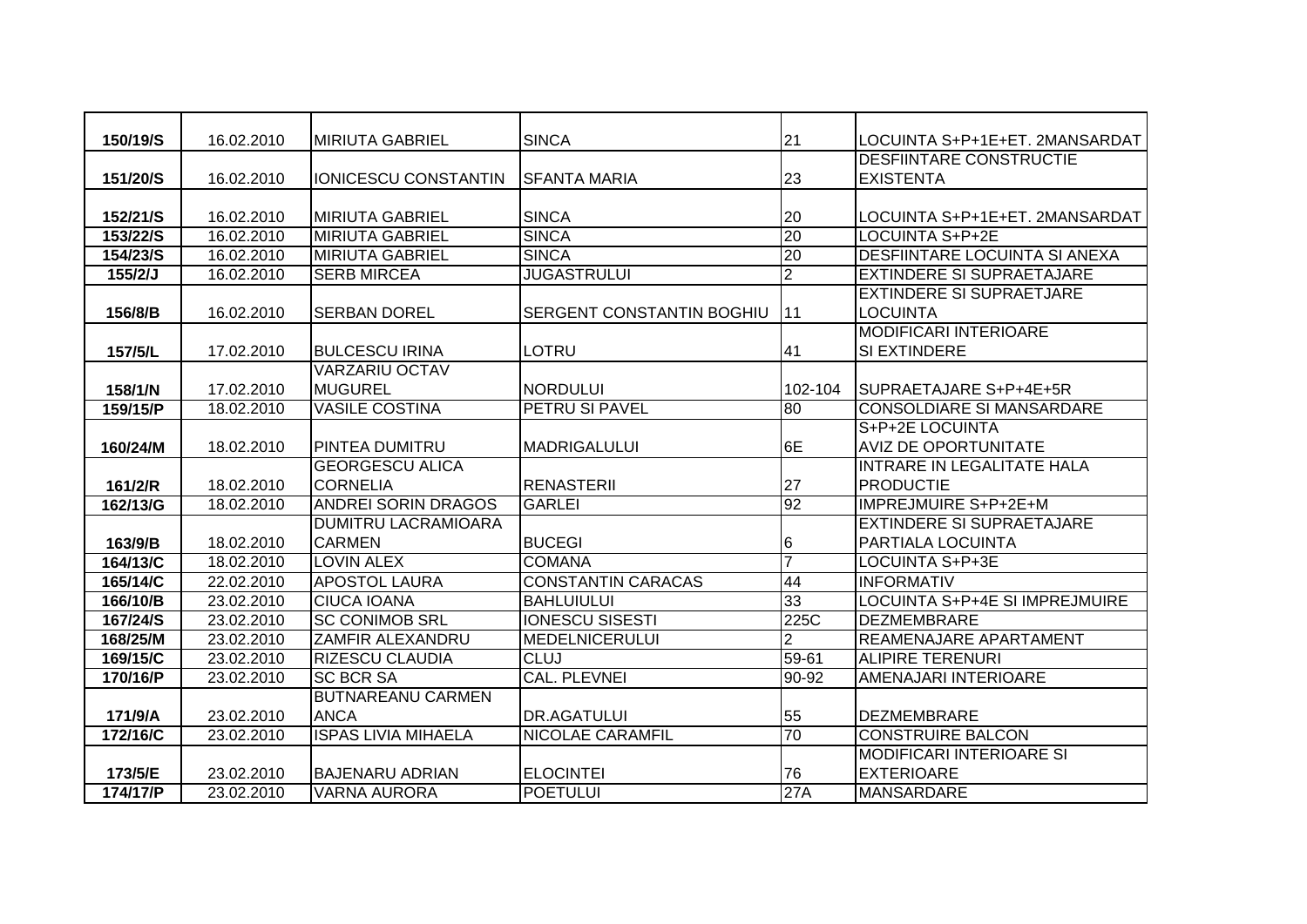| 150/19/S  | 16.02.2010 | <b>MIRIUTA GABRIEL</b>     | <b>SINCA</b>              | 21             | LOCUINTA S+P+1E+ET. 2MANSARDAT        |
|-----------|------------|----------------------------|---------------------------|----------------|---------------------------------------|
|           |            |                            |                           |                | <b>DESFIINTARE CONSTRUCTIE</b>        |
| 151/20/S  | 16.02.2010 | IONICESCU CONSTANTIN       | ISFANTA MARIA             | 23             | <b>EXISTENTA</b>                      |
|           |            |                            |                           |                |                                       |
| 152/21/S  | 16.02.2010 | <b>MIRIUTA GABRIEL</b>     | <b>SINCA</b>              | 20             | LOCUINTA S+P+1E+ET. 2MANSARDAT        |
| 153/22/S  | 16.02.2010 | <b>MIRIUTA GABRIEL</b>     | <b>SINCA</b>              | 20             | <b>LOCUINTA S+P+2E</b>                |
| 154/23/S  | 16.02.2010 | <b>MIRIUTA GABRIEL</b>     | <b>SINCA</b>              | 20             | <b>DESFIINTARE LOCUINTA SI ANEXA</b>  |
| $155/2/J$ | 16.02.2010 | <b>SERB MIRCEA</b>         | <b>JUGASTRULUI</b>        | $\overline{2}$ | <b>EXTINDERE SI SUPRAETAJARE</b>      |
|           |            |                            |                           |                | <b>EXTINDERE SI SUPRAETJARE</b>       |
| 156/8/B   | 16.02.2010 | ISERBAN DOREL              | SERGENT CONSTANTIN BOGHIU | l 11           | <b>LOCUINTA</b>                       |
|           |            |                            |                           |                | <b>MODIFICARI INTERIOARE</b>          |
| 157/5/L   | 17.02.2010 | <b>BULCESCU IRINA</b>      | LOTRU                     | 41             | SI EXTINDERE                          |
|           |            | <b>VARZARIU OCTAV</b>      |                           |                |                                       |
| 158/1/N   | 17.02.2010 | <b>MUGUREL</b>             | <b>NORDULUI</b>           | 102-104        | SUPRAETAJARE S+P+4E+5R                |
| 159/15/P  | 18.02.2010 | <b>VASILE COSTINA</b>      | PETRU SI PAVEL            | 80             | <b>CONSOLDIARE SI MANSARDARE</b>      |
|           |            |                            |                           |                | S+P+2E LOCUINTA                       |
| 160/24/M  | 18.02.2010 | <b>PINTEA DUMITRU</b>      | <b>MADRIGALULUI</b>       | 6E             | <b>AVIZ DE OPORTUNITATE</b>           |
|           |            | <b>GEORGESCU ALICA</b>     |                           |                | INTRARE IN LEGALITATE HALA            |
| 161/2/R   | 18.02.2010 | <b>CORNELIA</b>            | <b>RENASTERII</b>         | 27             | <b>PRODUCTIE</b>                      |
| 162/13/G  | 18.02.2010 | <b>ANDREI SORIN DRAGOS</b> | <b>GARLEI</b>             | 92             | <b>IMPREJMUIRE S+P+2E+M</b>           |
|           |            | <b>DUMITRU LACRAMIOARA</b> |                           |                | <b>EXTINDERE SI SUPRAETAJARE</b>      |
| 163/9/B   | 18.02.2010 | <b>CARMEN</b>              | <b>BUCEGI</b>             | 6              | <b>PARTIALA LOCUINTA</b>              |
| 164/13/C  | 18.02.2010 | <b>LOVIN ALEX</b>          | <b>COMANA</b>             | $\overline{7}$ | <b>LOCUINTA S+P+3E</b>                |
| 165/14/C  | 22.02.2010 | <b>APOSTOL LAURA</b>       | <b>CONSTANTIN CARACAS</b> | 44             | <b>INFORMATIV</b>                     |
| 166/10/B  | 23.02.2010 | <b>CIUCA IOANA</b>         | <b>BAHLUIULUI</b>         | 33             | <b>LOCUINTA S+P+4E SI IMPREJMUIRE</b> |
| 167/24/S  | 23.02.2010 | <b>SC CONIMOB SRL</b>      | <b>IONESCU SISESTI</b>    | 225C           | <b>DEZMEMBRARE</b>                    |
| 168/25/M  | 23.02.2010 | <b>ZAMFIR ALEXANDRU</b>    | <b>MEDELNICERULUI</b>     | $\overline{2}$ | REAMENAJARE APARTAMENT                |
| 169/15/C  | 23.02.2010 | <b>RIZESCU CLAUDIA</b>     | <b>CLUJ</b>               | $59 - 61$      | <b>ALIPIRE TERENURI</b>               |
| 170/16/P  | 23.02.2010 | <b>SC BCR SA</b>           | <b>CAL. PLEVNEI</b>       | 90-92          | AMENAJARI INTERIOARE                  |
|           |            | <b>BUTNAREANU CARMEN</b>   |                           |                |                                       |
| 171/9/A   | 23.02.2010 | <b>ANCA</b>                | <b>DR.AGATULUI</b>        | 55             | <b>DEZMEMBRARE</b>                    |
| 172/16/C  | 23.02.2010 | <b>ISPAS LIVIA MIHAELA</b> | <b>NICOLAE CARAMFIL</b>   | 70             | <b>CONSTRUIRE BALCON</b>              |
|           |            |                            |                           |                | <b>MODIFICARI INTERIOARE SI</b>       |
| 173/5/E   | 23.02.2010 | <b>BAJENARU ADRIAN</b>     | <b>ELOCINTEI</b>          | 76             | <b>EXTERIOARE</b>                     |
| 174/17/P  | 23.02.2010 | <b>VARNA AURORA</b>        | <b>POETULUI</b>           | 27A            | <b>MANSARDARE</b>                     |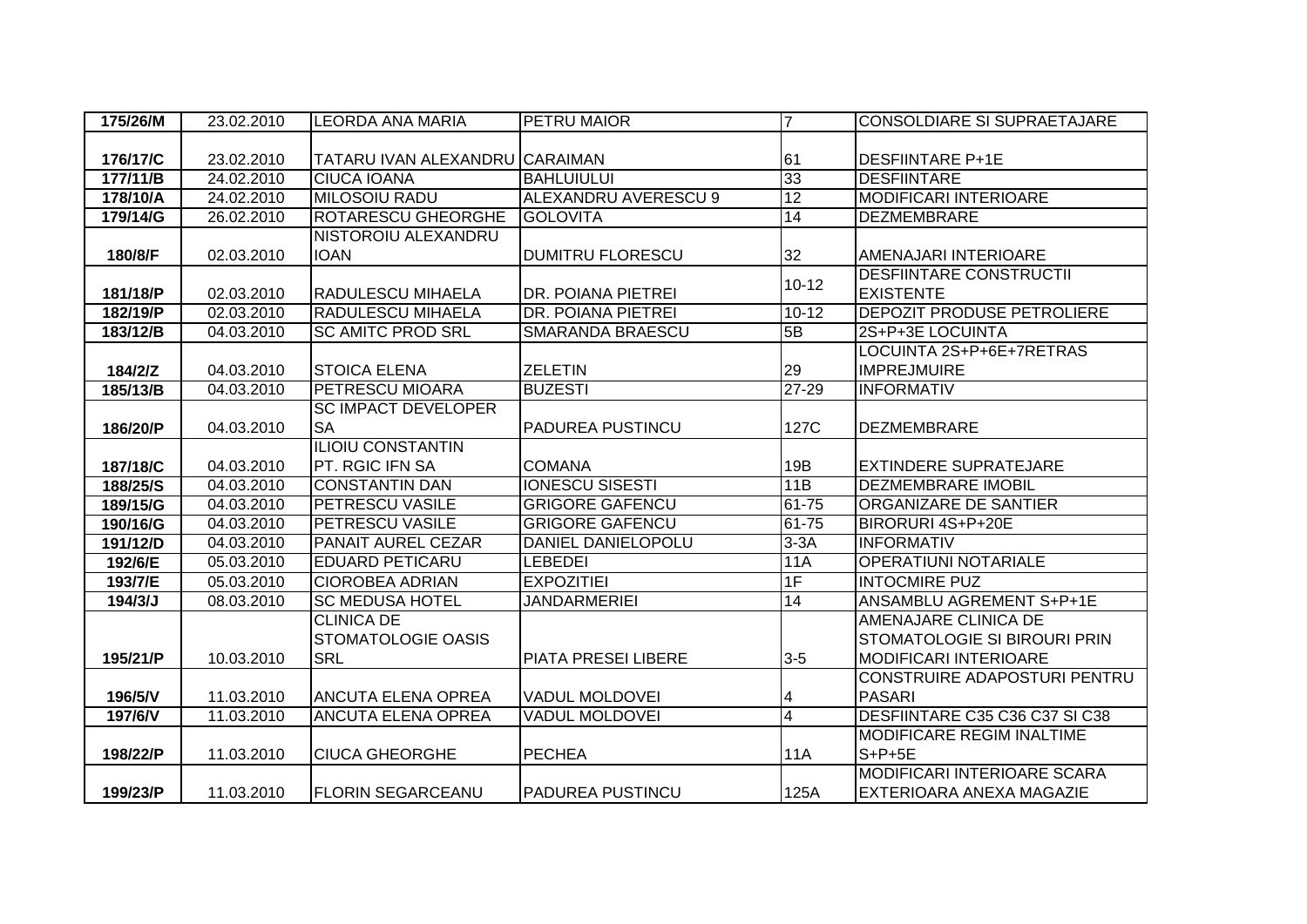| 175/26/M | 23.02.2010 | <b>LEORDA ANA MARIA</b>        | <b>PETRU MAIOR</b>          | 7              | <b>CONSOLDIARE SI SUPRAETAJARE</b>  |
|----------|------------|--------------------------------|-----------------------------|----------------|-------------------------------------|
|          |            |                                |                             |                |                                     |
| 176/17/C | 23.02.2010 | TATARU IVAN ALEXANDRU CARAIMAN |                             | 61             | <b>DESFIINTARE P+1E</b>             |
| 177/11/B | 24.02.2010 | <b>CIUCA IOANA</b>             | <b>BAHLUIULUI</b>           | 33             | <b>DESFIINTARE</b>                  |
| 178/10/A | 24.02.2010 | <b>MILOSOIU RADU</b>           | <b>ALEXANDRU AVERESCU 9</b> | 12             | <b>MODIFICARI INTERIOARE</b>        |
| 179/14/G | 26.02.2010 | <b>ROTARESCU GHEORGHE</b>      | <b>GOLOVITA</b>             | 14             | <b>DEZMEMBRARE</b>                  |
|          |            | NISTOROIU ALEXANDRU            |                             |                |                                     |
| 180/8/F  | 02.03.2010 | <b>IOAN</b>                    | <b>DUMITRU FLORESCU</b>     | 32             | AMENAJARI INTERIOARE                |
|          |            |                                |                             | $10 - 12$      | <b>DESFIINTARE CONSTRUCTII</b>      |
| 181/18/P | 02.03.2010 | <b>RADULESCU MIHAELA</b>       | DR. POIANA PIETREI          |                | <b>EXISTENTE</b>                    |
| 182/19/P | 02.03.2010 | <b>RADULESCU MIHAELA</b>       | <b>DR. POIANA PIETREI</b>   | $10 - 12$      | <b>DEPOZIT PRODUSE PETROLIERE</b>   |
| 183/12/B | 04.03.2010 | <b>SC AMITC PROD SRL</b>       | <b>SMARANDA BRAESCU</b>     | 5B             | 2S+P+3E LOCUINTA                    |
|          |            |                                |                             |                | LOCUINTA 2S+P+6E+7RETRAS            |
| 184/2/Z  | 04.03.2010 | <b>STOICA ELENA</b>            | <b>ZELETIN</b>              | 29             | <b>IMPREJMUIRE</b>                  |
| 185/13/B | 04.03.2010 | <b>PETRESCU MIOARA</b>         | <b>BUZESTI</b>              | $27 - 29$      | <b>INFORMATIV</b>                   |
|          |            | <b>SC IMPACT DEVELOPER</b>     |                             |                |                                     |
| 186/20/P | 04.03.2010 | <b>SA</b>                      | PADUREA PUSTINCU            | 127C           | <b>DEZMEMBRARE</b>                  |
|          |            | <b>ILIOIU CONSTANTIN</b>       |                             |                |                                     |
| 187/18/C | 04.03.2010 | PT. RGIC IFN SA                | <b>COMANA</b>               | 19B            | <b>EXTINDERE SUPRATEJARE</b>        |
| 188/25/S | 04.03.2010 | <b>CONSTANTIN DAN</b>          | <b>IONESCU SISESTI</b>      | 11B            | <b>DEZMEMBRARE IMOBIL</b>           |
| 189/15/G | 04.03.2010 | <b>PETRESCU VASILE</b>         | <b>GRIGORE GAFENCU</b>      | 61-75          | ORGANIZARE DE SANTIER               |
| 190/16/G | 04.03.2010 | <b>PETRESCU VASILE</b>         | <b>GRIGORE GAFENCU</b>      | 61-75          | BIRORURI 4S+P+20E                   |
| 191/12/D | 04.03.2010 | <b>PANAIT AUREL CEZAR</b>      | DANIEL DANIELOPOLU          | $3-3A$         | <b>INFORMATIV</b>                   |
| 192/6/E  | 05.03.2010 | <b>EDUARD PETICARU</b>         | <b>LEBEDEI</b>              | 11A            | <b>OPERATIUNI NOTARIALE</b>         |
| 193/7/E  | 05.03.2010 | <b>CIOROBEA ADRIAN</b>         | <b>EXPOZITIEI</b>           | 1F             | <b>INTOCMIRE PUZ</b>                |
| 194/3/J  | 08.03.2010 | <b>SC MEDUSA HOTEL</b>         | <b>JANDARMERIEI</b>         | 14             | ANSAMBLU AGREMENT S+P+1E            |
|          |            | <b>CLINICA DE</b>              |                             |                | AMENAJARE CLINICA DE                |
|          |            | <b>STOMATOLOGIE OASIS</b>      |                             |                | <b>STOMATOLOGIE SI BIROURI PRIN</b> |
| 195/21/P | 10.03.2010 | <b>SRL</b>                     | PIATA PRESEI LIBERE         | $3-5$          | <b>MODIFICARI INTERIOARE</b>        |
|          |            |                                |                             |                | CONSTRUIRE ADAPOSTURI PENTRU        |
| 196/5/V  | 11.03.2010 | <b>ANCUTA ELENA OPREA</b>      | <b>VADUL MOLDOVEI</b>       | 4              | <b>PASARI</b>                       |
| 197/6/V  | 11.03.2010 | <b>ANCUTA ELENA OPREA</b>      | <b>VADUL MOLDOVEI</b>       | $\overline{4}$ | DESFIINTARE C35 C36 C37 SI C38      |
|          |            |                                |                             |                | <b>MODIFICARE REGIM INALTIME</b>    |
| 198/22/P | 11.03.2010 | <b>CIUCA GHEORGHE</b>          | <b>PECHEA</b>               | <b>11A</b>     | $S+P+5E$                            |
|          |            |                                |                             |                | <b>MODIFICARI INTERIOARE SCARA</b>  |
| 199/23/P | 11.03.2010 | <b>FLORIN SEGARCEANU</b>       | <b>PADUREA PUSTINCU</b>     | 125A           | EXTERIOARA ANEXA MAGAZIE            |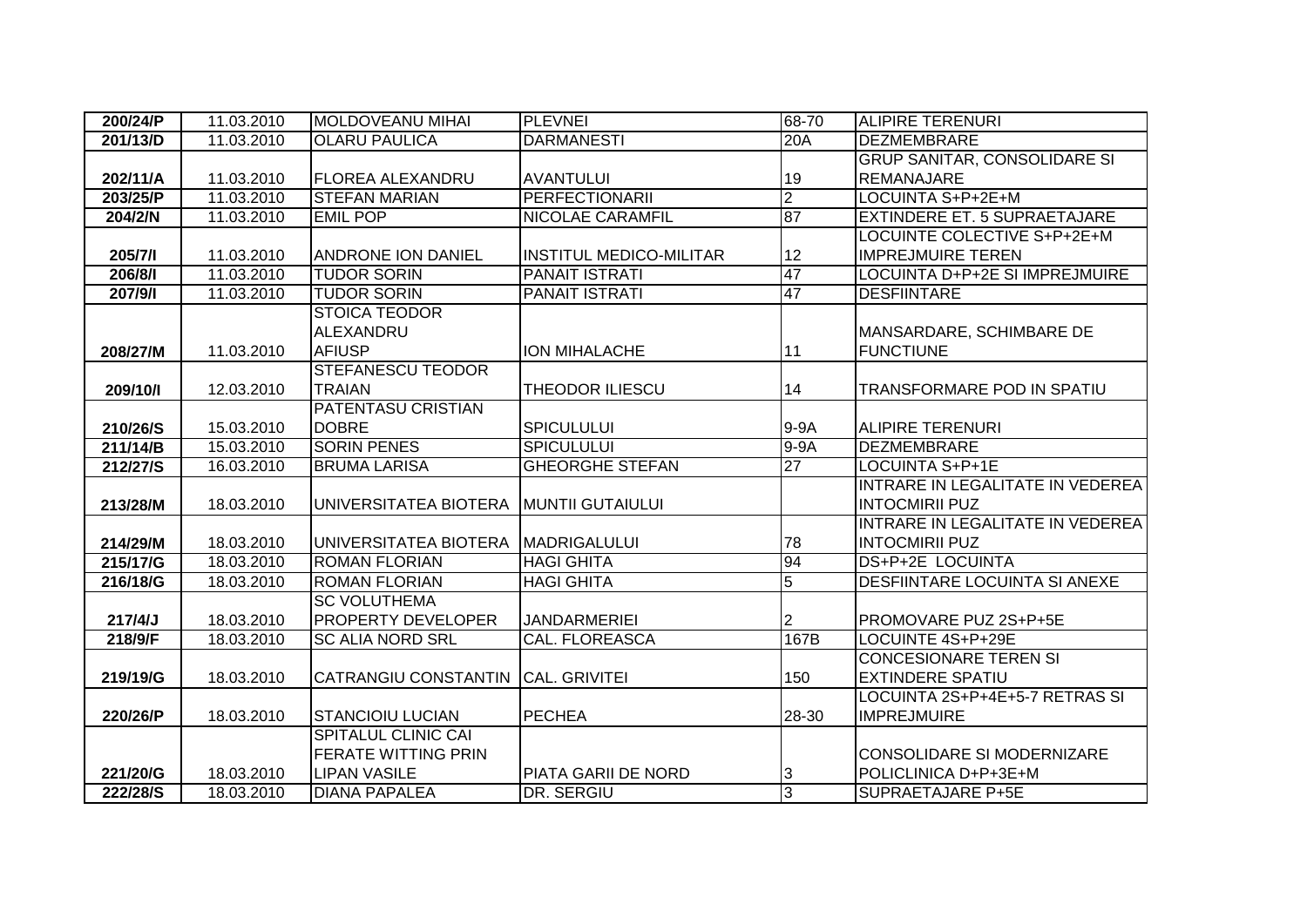| 200/24/P | 11.03.2010 | <b>MOLDOVEANU MIHAI</b>                | <b>PLEVNEI</b>                 | 68-70           | <b>ALIPIRE TERENURI</b>              |
|----------|------------|----------------------------------------|--------------------------------|-----------------|--------------------------------------|
| 201/13/D | 11.03.2010 | <b>OLARU PAULICA</b>                   | <b>DARMANESTI</b>              | 20A             | <b>DEZMEMBRARE</b>                   |
|          |            |                                        |                                |                 | <b>GRUP SANITAR, CONSOLIDARE SI</b>  |
| 202/11/A | 11.03.2010 | <b>FLOREA ALEXANDRU</b>                | <b>AVANTULUI</b>               | 19              | <b>REMANAJARE</b>                    |
| 203/25/P | 11.03.2010 | <b>STEFAN MARIAN</b>                   | <b>PERFECTIONARII</b>          | $\overline{2}$  | LOCUINTA S+P+2E+M                    |
| 204/2/N  | 11.03.2010 | <b>EMIL POP</b>                        | <b>NICOLAE CARAMFIL</b>        | 87              | <b>EXTINDERE ET. 5 SUPRAETAJARE</b>  |
|          |            |                                        |                                |                 | LOCUINTE COLECTIVE S+P+2E+M          |
| 205/7/1  | 11.03.2010 | <b>ANDRONE ION DANIEL</b>              | <b>INSTITUL MEDICO-MILITAR</b> | 12              | <b>IMPREJMUIRE TEREN</b>             |
| 206/8/1  | 11.03.2010 | <b>TUDOR SORIN</b>                     | <b>PANAIT ISTRATI</b>          | 47              | LOCUINTA D+P+2E SI IMPREJMUIRE       |
| 207/9/1  | 11.03.2010 | <b>TUDOR SORIN</b>                     | <b>PANAIT ISTRATI</b>          | 47              | <b>DESFIINTARE</b>                   |
|          |            | <b>STOICA TEODOR</b>                   |                                |                 |                                      |
|          |            | ALEXANDRU                              |                                |                 | MANSARDARE, SCHIMBARE DE             |
| 208/27/M | 11.03.2010 | <b>AFIUSP</b>                          | <b>ION MIHALACHE</b>           | 11              | <b>FUNCTIUNE</b>                     |
|          |            | <b>STEFANESCU TEODOR</b>               |                                |                 |                                      |
| 209/10/1 | 12.03.2010 | <b>TRAIAN</b>                          | <b>THEODOR ILIESCU</b>         | 14              | TRANSFORMARE POD IN SPATIU           |
|          |            | <b>PATENTASU CRISTIAN</b>              |                                |                 |                                      |
| 210/26/S | 15.03.2010 | <b>DOBRE</b>                           | <b>SPICULULUI</b>              | 9-9A            | <b>ALIPIRE TERENURI</b>              |
| 211/14/B | 15.03.2010 | <b>SORIN PENES</b>                     | <b>SPICULULUI</b>              | 9-9A            | <b>DEZMEMBRARE</b>                   |
| 212/27/S | 16.03.2010 | <b>BRUMA LARISA</b>                    | <b>GHEORGHE STEFAN</b>         | $\overline{27}$ | LOCUINTA S+P+1E                      |
|          |            |                                        |                                |                 | INTRARE IN LEGALITATE IN VEDEREA     |
| 213/28/M | 18.03.2010 | UNIVERSITATEA BIOTERA MUNTII GUTAIULUI |                                |                 | <b>INTOCMIRII PUZ</b>                |
|          |            |                                        |                                |                 | INTRARE IN LEGALITATE IN VEDEREA     |
| 214/29/M | 18.03.2010 | UNIVERSITATEA BIOTERA                  | <b>MADRIGALULUI</b>            | 78              | <b>INTOCMIRII PUZ</b>                |
| 215/17/G | 18.03.2010 | <b>ROMAN FLORIAN</b>                   | <b>HAGI GHITA</b>              | 94              | DS+P+2E LOCUINTA                     |
| 216/18/G | 18.03.2010 | <b>ROMAN FLORIAN</b>                   | <b>HAGI GHITA</b>              | $\overline{5}$  | <b>DESFIINTARE LOCUINTA SI ANEXE</b> |
|          |            | <b>SC VOLUTHEMA</b>                    |                                |                 |                                      |
| 217/4/J  | 18.03.2010 | <b>PROPERTY DEVELOPER</b>              | <b>JANDARMERIEI</b>            | 2               | PROMOVARE PUZ 2S+P+5E                |
| 218/9/F  | 18.03.2010 | <b>SC ALIA NORD SRL</b>                | <b>CAL. FLOREASCA</b>          | 167B            | LOCUINTE 4S+P+29E                    |
|          |            |                                        |                                |                 | <b>CONCESIONARE TEREN SI</b>         |
| 219/19/G | 18.03.2010 | CATRANGIU CONSTANTIN CAL. GRIVITEI     |                                | 150             | <b>EXTINDERE SPATIU</b>              |
|          |            |                                        |                                |                 | LOCUINTA 2S+P+4E+5-7 RETRAS SI       |
| 220/26/P | 18.03.2010 | <b>ISTANCIOIU LUCIAN</b>               | <b>PECHEA</b>                  | 28-30           | <b>IMPREJMUIRE</b>                   |
|          |            | <b>SPITALUL CLINIC CAI</b>             |                                |                 |                                      |
|          |            | <b>FERATE WITTING PRIN</b>             |                                |                 | <b>CONSOLIDARE SI MODERNIZARE</b>    |
| 221/20/G | 18.03.2010 | <b>LIPAN VASILE</b>                    | PIATA GARII DE NORD            | 3               | POLICLINICA D+P+3E+M                 |
| 222/28/S | 18.03.2010 | <b>DIANA PAPALEA</b>                   | DR. SERGIU                     | 3               | <b>SUPRAETAJARE P+5E</b>             |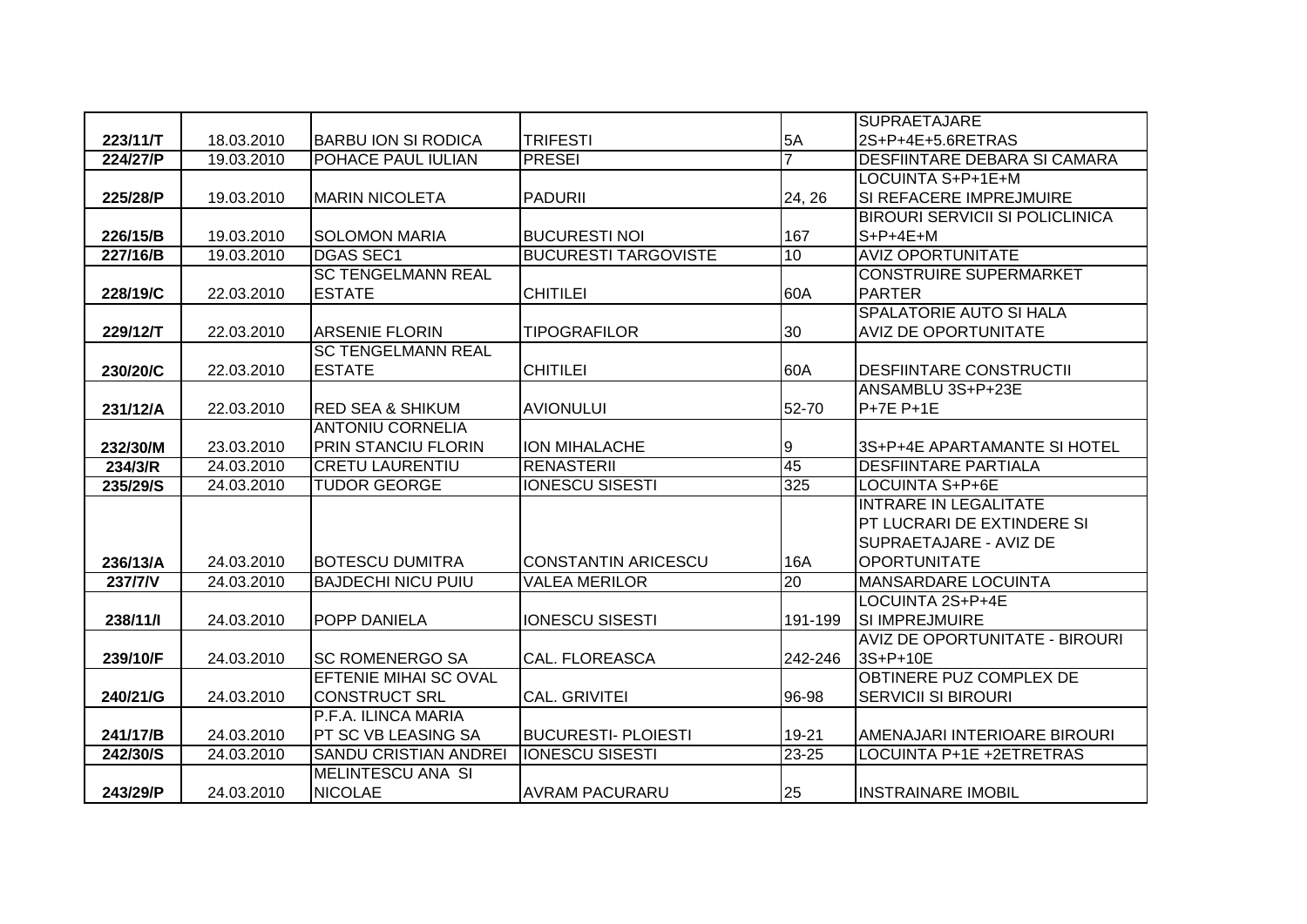|          |            |                                     |                             |                | <b>SUPRAETAJARE</b>                    |
|----------|------------|-------------------------------------|-----------------------------|----------------|----------------------------------------|
| 223/11/T | 18.03.2010 | <b>BARBU ION SI RODICA</b>          | <b>TRIFESTI</b>             | 5A             | 2S+P+4E+5.6RETRAS                      |
| 224/27/P | 19.03.2010 | POHACE PAUL IULIAN                  | <b>PRESEI</b>               | $\overline{7}$ | DESFIINTARE DEBARA SI CAMARA           |
|          |            |                                     |                             |                | LOCUINTA S+P+1E+M                      |
| 225/28/P | 19.03.2010 | <b>MARIN NICOLETA</b>               | <b>PADURII</b>              | 24, 26         | SI REFACERE IMPREJMUIRE                |
|          |            |                                     |                             |                | <b>BIROURI SERVICII SI POLICLINICA</b> |
| 226/15/B | 19.03.2010 | <b>SOLOMON MARIA</b>                | <b>BUCURESTI NOI</b>        | 167            | $S+P+4E+M$                             |
| 227/16/B | 19.03.2010 | <b>DGAS SEC1</b>                    | <b>BUCURESTI TARGOVISTE</b> | 10             | <b>AVIZ OPORTUNITATE</b>               |
|          |            | <b>SC TENGELMANN REAL</b>           |                             |                | <b>CONSTRUIRE SUPERMARKET</b>          |
| 228/19/C | 22.03.2010 | <b>ESTATE</b>                       | <b>CHITILEI</b>             | 60A            | <b>PARTER</b>                          |
|          |            |                                     |                             |                | SPALATORIE AUTO SI HALA                |
| 229/12/T | 22.03.2010 | ARSENIE FLORIN                      | <b>TIPOGRAFILOR</b>         | 30             | <b>AVIZ DE OPORTUNITATE</b>            |
|          |            | <b>SC TENGELMANN REAL</b>           |                             |                |                                        |
| 230/20/C | 22.03.2010 | <b>ESTATE</b>                       | <b>CHITILEI</b>             | 60A            | <b>DESFIINTARE CONSTRUCTII</b>         |
|          |            |                                     |                             |                | ANSAMBLU 3S+P+23E                      |
| 231/12/A | 22.03.2010 | <b>RED SEA &amp; SHIKUM</b>         | <b>AVIONULUI</b>            | 52-70          | P+7E P+1E                              |
|          |            | <b>ANTONIU CORNELIA</b>             |                             |                |                                        |
| 232/30/M | 23.03.2010 | <b>PRIN STANCIU FLORIN</b>          | <b>ION MIHALACHE</b>        | 9              | 3S+P+4E APARTAMANTE SI HOTEL           |
|          |            |                                     |                             |                |                                        |
| 234/3/R  | 24.03.2010 | <b>CRETU LAURENTIU</b>              | <b>RENASTERII</b>           | 45             | <b>DESFIINTARE PARTIALA</b>            |
| 235/29/S | 24.03.2010 | <b>TUDOR GEORGE</b>                 | <b>IONESCU SISESTI</b>      | 325            | <b>LOCUINTA S+P+6E</b>                 |
|          |            |                                     |                             |                | <b>INTRARE IN LEGALITATE</b>           |
|          |            |                                     |                             |                | PT LUCRARI DE EXTINDERE SI             |
|          |            |                                     |                             |                | SUPRAETAJARE - AVIZ DE                 |
| 236/13/A | 24.03.2010 | <b>BOTESCU DUMITRA</b>              | <b>CONSTANTIN ARICESCU</b>  | <b>16A</b>     | <b>OPORTUNITATE</b>                    |
| 237/7/V  | 24.03.2010 | <b>BAJDECHI NICU PUIU</b>           | <b>VALEA MERILOR</b>        | 20             | <b>MANSARDARE LOCUINTA</b>             |
|          |            |                                     |                             |                | LOCUINTA 2S+P+4E                       |
| 238/11/1 | 24.03.2010 | <b>POPP DANIELA</b>                 | <b>IONESCU SISESTI</b>      | 191-199        | ISI IMPREJMUIRE                        |
|          |            |                                     |                             |                | <b>AVIZ DE OPORTUNITATE - BIROURI</b>  |
| 239/10/F | 24.03.2010 | <b>SC ROMENERGO SA</b>              | <b>CAL. FLOREASCA</b>       | 242-246        | 3S+P+10E                               |
|          |            | <b>EFTENIE MIHAI SC OVAL</b>        |                             |                | OBTINERE PUZ COMPLEX DE                |
| 240/21/G | 24.03.2010 | <b>CONSTRUCT SRL</b>                | <b>CAL. GRIVITEI</b>        | 96-98          | <b>SERVICII SI BIROURI</b>             |
|          |            | P.F.A. ILINCA MARIA                 |                             |                |                                        |
| 241/17/B | 24.03.2010 | <b>PT SC VB LEASING SA</b>          | <b>BUCURESTI- PLOIESTI</b>  | 19-21          | AMENAJARI INTERIOARE BIROURI           |
| 242/30/S | 24.03.2010 | <b>SANDU CRISTIAN ANDREI</b>        | <b>IONESCU SISESTI</b>      | $23 - 25$      | LOCUINTA P+1E +2ETRETRAS               |
| 243/29/P | 24.03.2010 | MELINTESCU ANA SI<br><b>NICOLAE</b> | <b>AVRAM PACURARU</b>       | 25             | <b>INSTRAINARE IMOBIL</b>              |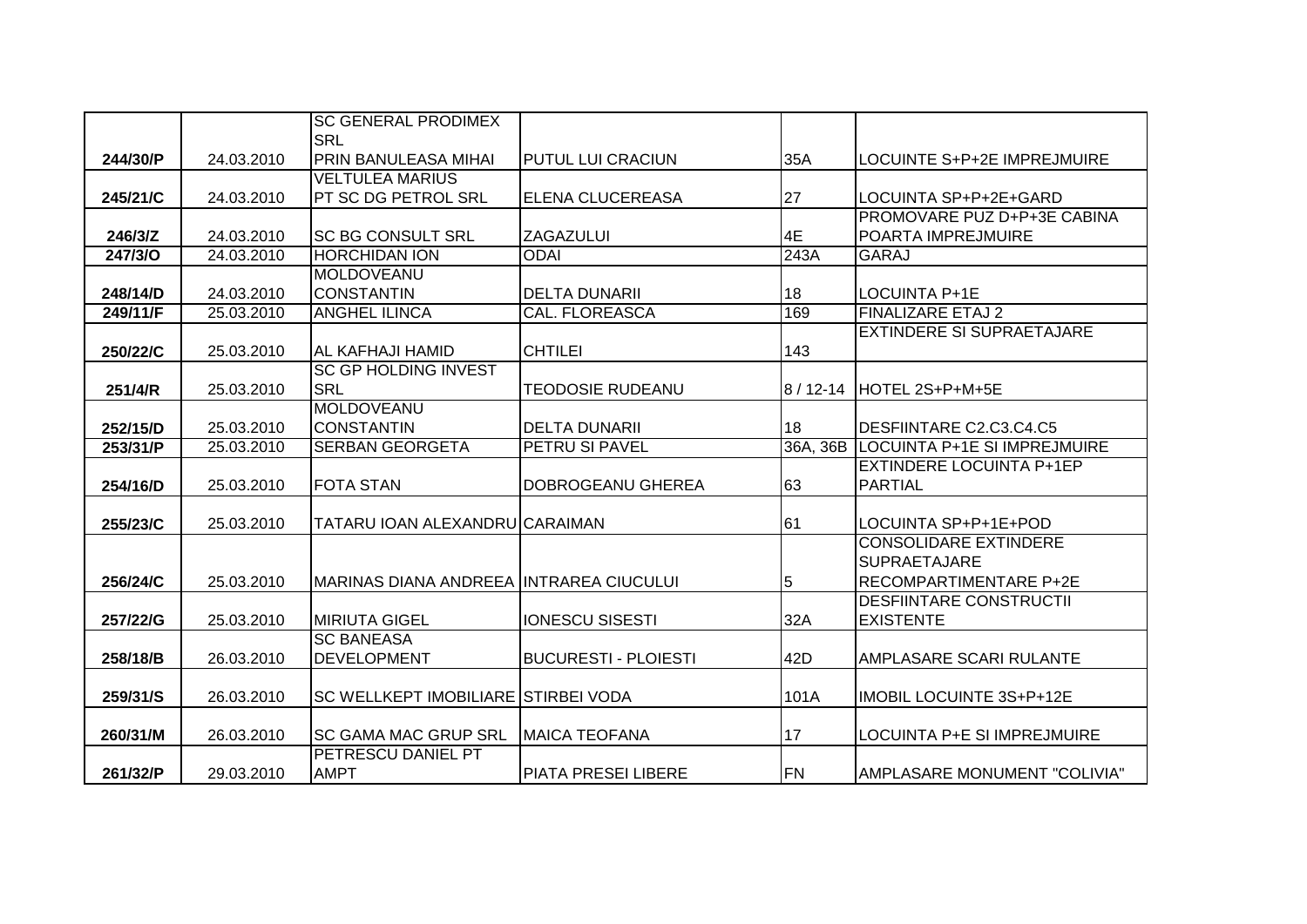|                |            | <b>SC GENERAL PRODIMEX</b>                |                             |           |                                  |
|----------------|------------|-------------------------------------------|-----------------------------|-----------|----------------------------------|
|                |            | <b>SRL</b>                                |                             |           |                                  |
| 244/30/P       | 24.03.2010 | PRIN BANULEASA MIHAI                      | <b>PUTUL LUI CRACIUN</b>    | 35A       | LOCUINTE S+P+2E IMPREJMUIRE      |
|                |            | <b>VELTULEA MARIUS</b>                    |                             |           |                                  |
| 245/21/C       | 24.03.2010 | <b>PT SC DG PETROL SRL</b>                | ELENA CLUCEREASA            | 27        | LOCUINTA SP+P+2E+GARD            |
|                |            |                                           |                             |           | PROMOVARE PUZ D+P+3E CABINA      |
| 246/3/Z        | 24.03.2010 | <b>SC BG CONSULT SRL</b>                  | <b>ZAGAZULUI</b>            | 4E        | POARTA IMPREJMUIRE               |
| <b>247/3/O</b> | 24.03.2010 | <b>HORCHIDAN ION</b>                      | <b>ODAI</b>                 | 243A      | <b>GARAJ</b>                     |
|                |            | <b>MOLDOVEANU</b>                         |                             |           |                                  |
| 248/14/D       | 24.03.2010 | <b>CONSTANTIN</b>                         | <b>DELTA DUNARII</b>        | 18        | LOCUINTA P+1E                    |
| 249/11/F       | 25.03.2010 | <b>ANGHEL ILINCA</b>                      | <b>CAL. FLOREASCA</b>       | 169       | <b>FINALIZARE ETAJ 2</b>         |
|                |            |                                           |                             |           | <b>EXTINDERE SI SUPRAETAJARE</b> |
| 250/22/C       | 25.03.2010 | AL KAFHAJI HAMID                          | <b>CHTILEI</b>              | 143       |                                  |
|                |            | <b>SC GP HOLDING INVEST</b>               |                             |           |                                  |
| 251/4/R        | 25.03.2010 | <b>SRL</b>                                | <b>TEODOSIE RUDEANU</b>     |           | 8 / 12-14   HOTEL 2S+P+M+5E      |
|                |            | <b>MOLDOVEANU</b>                         |                             |           |                                  |
| 252/15/D       | 25.03.2010 | <b>CONSTANTIN</b>                         | <b>DELTA DUNARII</b>        | 18        | DESFIINTARE C2.C3.C4.C5          |
| 253/31/P       | 25.03.2010 | <b>SERBAN GEORGETA</b>                    | <b>PETRU SI PAVEL</b>       | 36A, 36B  | LOCUINTA P+1E SI IMPREJMUIRE     |
|                |            |                                           |                             |           | <b>EXTINDERE LOCUINTA P+1EP</b>  |
| 254/16/D       | 25.03.2010 | <b>FOTA STAN</b>                          | DOBROGEANU GHEREA           | 63        | <b>PARTIAL</b>                   |
|                |            |                                           |                             |           |                                  |
| 255/23/C       | 25.03.2010 | TATARU IOAN ALEXANDRU CARAIMAN            |                             | 61        | LOCUINTA SP+P+1E+POD             |
|                |            |                                           |                             |           | <b>CONSOLIDARE EXTINDERE</b>     |
|                |            |                                           |                             |           | <b>SUPRAETAJARE</b>              |
| 256/24/C       | 25.03.2010 | MARINAS DIANA ANDREEA IINTRAREA CIUCULUI  |                             | 5         | RECOMPARTIMENTARE P+2E           |
|                |            |                                           |                             |           | <b>DESFIINTARE CONSTRUCTII</b>   |
| 257/22/G       | 25.03.2010 | <b>MIRIUTA GIGEL</b><br><b>SC BANEASA</b> | <b>IONESCU SISESTI</b>      | 32A       | <b>EXISTENTE</b>                 |
|                |            | <b>DEVELOPMENT</b>                        |                             |           |                                  |
| 258/18/B       | 26.03.2010 |                                           | <b>BUCURESTI - PLOIESTI</b> | 42D       | AMPLASARE SCARI RULANTE          |
| 259/31/S       | 26.03.2010 | SC WELLKEPT IMOBILIARE STIRBEI VODA       |                             | 101A      | IMOBIL LOCUINTE 3S+P+12E         |
|                |            |                                           |                             |           |                                  |
| 260/31/M       | 26.03.2010 | <b>ISC GAMA MAC GRUP SRL</b>              | <b>MAICA TEOFANA</b>        | 17        | LOCUINTA P+E SI IMPREJMUIRE      |
|                |            | PETRESCU DANIEL PT                        |                             |           |                                  |
| 261/32/P       | 29.03.2010 | <b>AMPT</b>                               | PIATA PRESEI LIBERE         | <b>FN</b> | AMPLASARE MONUMENT "COLIVIA"     |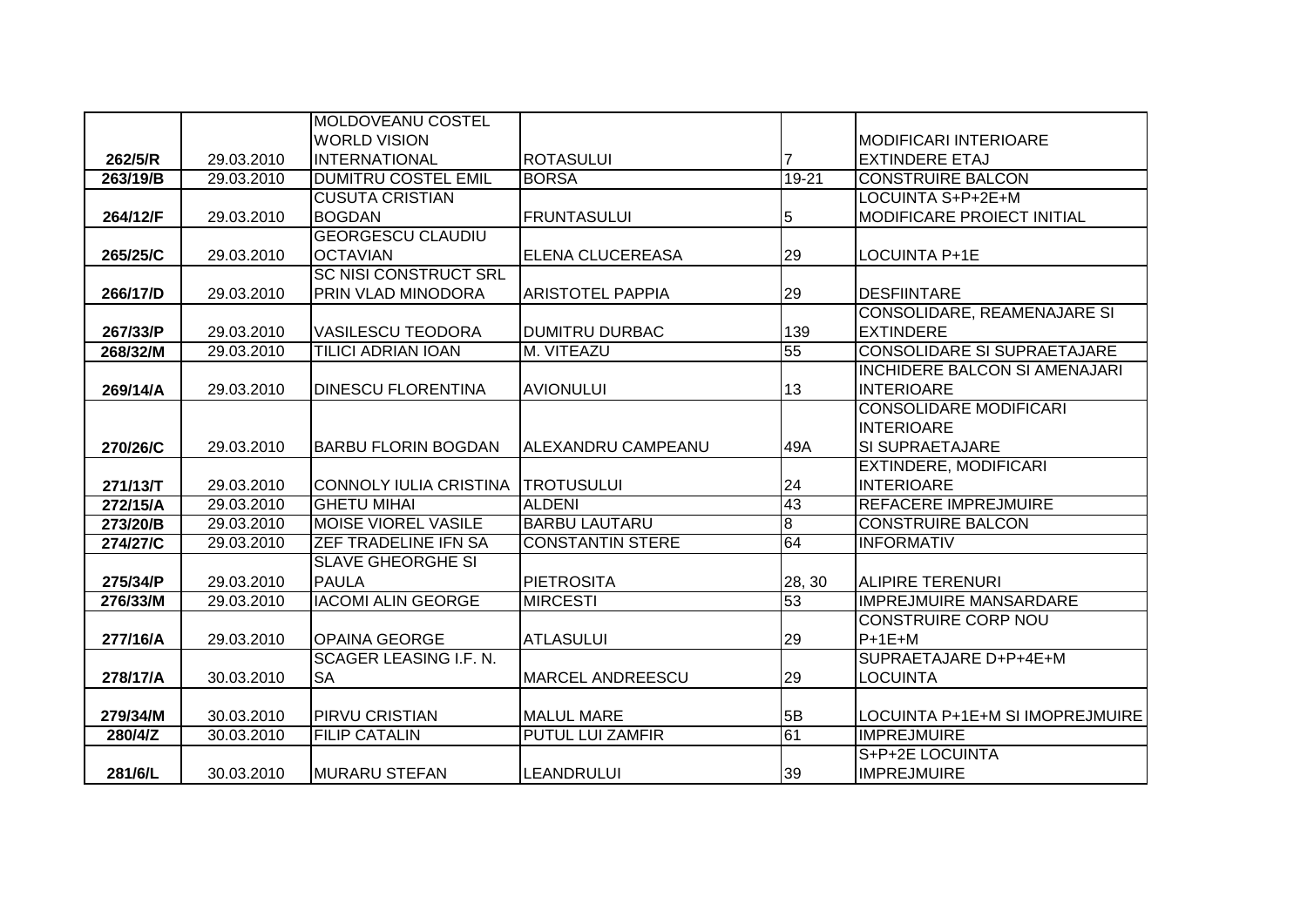|          |            | <b>MOLDOVEANU COSTEL</b>      |                         |                |                                      |
|----------|------------|-------------------------------|-------------------------|----------------|--------------------------------------|
|          |            | <b>WORLD VISION</b>           |                         |                | <b>MODIFICARI INTERIOARE</b>         |
| 262/5/R  | 29.03.2010 | <b>INTERNATIONAL</b>          | <b>ROTASULUI</b>        |                | <b>EXTINDERE ETAJ</b>                |
| 263/19/B | 29.03.2010 | <b>DUMITRU COSTEL EMIL</b>    | <b>BORSA</b>            | 19-21          | <b>CONSTRUIRE BALCON</b>             |
|          |            | <b>CUSUTA CRISTIAN</b>        |                         |                | LOCUINTA S+P+2E+M                    |
| 264/12/F | 29.03.2010 | <b>BOGDAN</b>                 | <b>FRUNTASULUI</b>      | 5              | <b>MODIFICARE PROIECT INITIAL</b>    |
|          |            | <b>GEORGESCU CLAUDIU</b>      |                         |                |                                      |
| 265/25/C | 29.03.2010 | <b>OCTAVIAN</b>               | ELENA CLUCEREASA        | 29             | <b>LOCUINTA P+1E</b>                 |
|          |            | <b>SC NISI CONSTRUCT SRL</b>  |                         |                |                                      |
| 266/17/D | 29.03.2010 | PRIN VLAD MINODORA            | <b>ARISTOTEL PAPPIA</b> | 29             | <b>DESFIINTARE</b>                   |
|          |            |                               |                         |                | CONSOLIDARE, REAMENAJARE SI          |
| 267/33/P | 29.03.2010 | <b>VASILESCU TEODORA</b>      | DUMITRU DURBAC          | 139            | <b>EXTINDERE</b>                     |
| 268/32/M | 29.03.2010 | <b>TILICI ADRIAN IOAN</b>     | M. VITEAZU              | 55             | <b>CONSOLIDARE SI SUPRAETAJARE</b>   |
|          |            |                               |                         |                | <b>INCHIDERE BALCON SI AMENAJARI</b> |
| 269/14/A | 29.03.2010 | <b>DINESCU FLORENTINA</b>     | <b>AVIONULUI</b>        | 13             | <b>INTERIOARE</b>                    |
|          |            |                               |                         |                | <b>CONSOLIDARE MODIFICARI</b>        |
|          |            |                               |                         |                | <b>INTERIOARE</b>                    |
| 270/26/C | 29.03.2010 | <b>BARBU FLORIN BOGDAN</b>    | ALEXANDRU CAMPEANU      | 49A            | <b>SI SUPRAETAJARE</b>               |
|          |            |                               |                         |                | <b>EXTINDERE, MODIFICARI</b>         |
| 271/13/T | 29.03.2010 | <b>CONNOLY IULIA CRISTINA</b> | <b>TROTUSULUI</b>       | 24             | <b>INTERIOARE</b>                    |
| 272/15/A | 29.03.2010 | <b>GHETU MIHAI</b>            | <b>ALDENI</b>           | 43             | <b>REFACERE IMPREJMUIRE</b>          |
| 273/20/B | 29.03.2010 | <b>MOISE VIOREL VASILE</b>    | <b>BARBU LAUTARU</b>    | $\overline{8}$ | <b>CONSTRUIRE BALCON</b>             |
| 274/27/C | 29.03.2010 | ZEF TRADELINE IFN SA          | <b>CONSTANTIN STERE</b> | 64             | <b>INFORMATIV</b>                    |
|          |            | <b>SLAVE GHEORGHE SI</b>      |                         |                |                                      |
| 275/34/P | 29.03.2010 | <b>PAULA</b>                  | <b>PIETROSITA</b>       | 28, 30         | <b>ALIPIRE TERENURI</b>              |
| 276/33/M | 29.03.2010 | <b>IACOMI ALIN GEORGE</b>     | <b>MIRCESTI</b>         | 53             | <b>IMPREJMUIRE MANSARDARE</b>        |
|          |            |                               |                         |                | <b>CONSTRUIRE CORP NOU</b>           |
| 277/16/A | 29.03.2010 | <b>OPAINA GEORGE</b>          | <b>ATLASULUI</b>        | 29             | $P+1E+M$                             |
|          |            | <b>SCAGER LEASING I.F. N.</b> |                         |                | SUPRAETAJARE D+P+4E+M                |
| 278/17/A | 30.03.2010 | <b>SA</b>                     | <b>MARCEL ANDREESCU</b> | 29             | <b>LOCUINTA</b>                      |
|          |            |                               |                         |                |                                      |
| 279/34/M | 30.03.2010 | <b>PIRVU CRISTIAN</b>         | <b>MALUL MARE</b>       | 5B             | LOCUINTA P+1E+M SI IMOPREJMUIRE      |
| 280/4/Z  | 30.03.2010 | <b>FILIP CATALIN</b>          | <b>PUTUL LUI ZAMFIR</b> | 61             | <b>IMPREJMUIRE</b>                   |
|          |            |                               |                         |                | S+P+2E LOCUINTA                      |
| 281/6/L  | 30.03.2010 | <b>MURARU STEFAN</b>          | <b>LEANDRULUI</b>       | 39             | <b>IMPREJMUIRE</b>                   |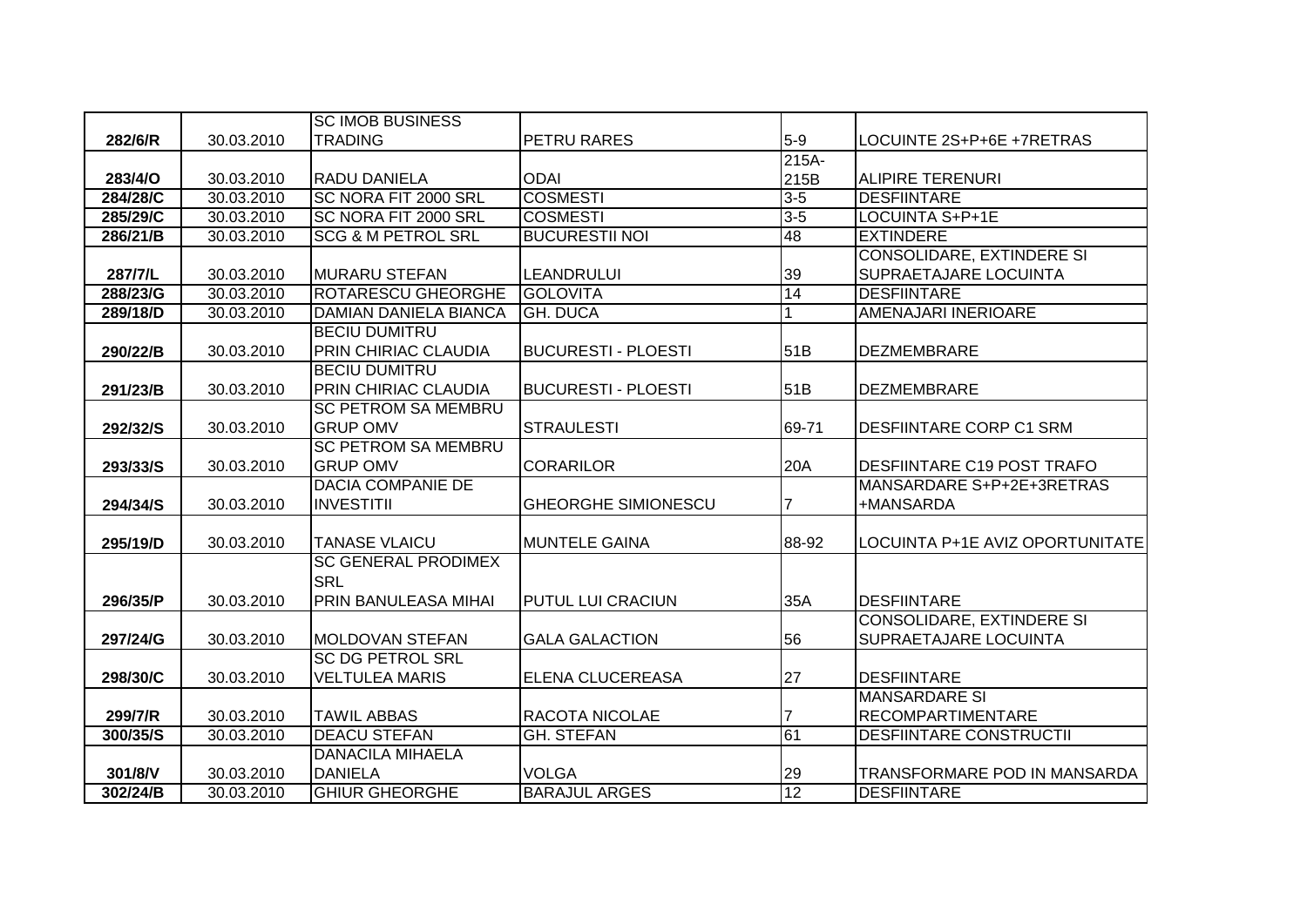|          |            | <b>SC IMOB BUSINESS</b>       |                            |                |                                   |
|----------|------------|-------------------------------|----------------------------|----------------|-----------------------------------|
| 282/6/R  | 30.03.2010 | <b>TRADING</b>                | PETRU RARES                | $5-9$          | LOCUINTE 2S+P+6E +7RETRAS         |
|          |            |                               |                            | $215A -$       |                                   |
| 283/4/O  | 30.03.2010 | <b>RADU DANIELA</b>           | <b>ODAI</b>                | 215B           | <b>ALIPIRE TERENURI</b>           |
| 284/28/C | 30.03.2010 | SC NORA FIT 2000 SRL          | <b>COSMESTI</b>            | $3 - 5$        | <b>DESFIINTARE</b>                |
| 285/29/C | 30.03.2010 | SC NORA FIT 2000 SRL          | <b>COSMESTI</b>            | $3 - 5$        | LOCUINTA S+P+1E                   |
| 286/21/B | 30.03.2010 | <b>SCG &amp; M PETROL SRL</b> | <b>BUCURESTII NOI</b>      | 48             | <b>EXTINDERE</b>                  |
|          |            |                               |                            |                | <b>CONSOLIDARE, EXTINDERE SI</b>  |
| 287/7/L  | 30.03.2010 | <b>MURARU STEFAN</b>          | <b>LEANDRULUI</b>          | 39             | <b>SUPRAETAJARE LOCUINTA</b>      |
| 288/23/G | 30.03.2010 | <b>ROTARESCU GHEORGHE</b>     | <b>GOLOVITA</b>            | 14             | <b>DESFIINTARE</b>                |
| 289/18/D | 30.03.2010 | <b>DAMIAN DANIELA BIANCA</b>  | <b>GH. DUCA</b>            |                | <b>AMENAJARI INERIOARE</b>        |
|          |            | <b>BECIU DUMITRU</b>          |                            |                |                                   |
| 290/22/B | 30.03.2010 | PRIN CHIRIAC CLAUDIA          | <b>BUCURESTI - PLOESTI</b> | 51B            | <b>DEZMEMBRARE</b>                |
|          |            | <b>BECIU DUMITRU</b>          |                            |                |                                   |
| 291/23/B | 30.03.2010 | PRIN CHIRIAC CLAUDIA          | <b>BUCURESTI - PLOESTI</b> | 51B            | <b>DEZMEMBRARE</b>                |
|          |            | <b>SC PETROM SA MEMBRU</b>    |                            |                |                                   |
| 292/32/S | 30.03.2010 | <b>GRUP OMV</b>               | <b>STRAULESTI</b>          | 69-71          | <b>DESFIINTARE CORP C1 SRM</b>    |
|          |            | <b>SC PETROM SA MEMBRU</b>    |                            |                |                                   |
| 293/33/S | 30.03.2010 | <b>GRUP OMV</b>               | <b>CORARILOR</b>           | 20A            | <b>DESFIINTARE C19 POST TRAFO</b> |
|          |            | <b>DACIA COMPANIE DE</b>      |                            |                | MANSARDARE S+P+2E+3RETRAS         |
| 294/34/S | 30.03.2010 | <b>INVESTITII</b>             | <b>GHEORGHE SIMIONESCU</b> | $\overline{7}$ | +MANSARDA                         |
|          |            |                               |                            |                |                                   |
| 295/19/D | 30.03.2010 | <b>TANASE VLAICU</b>          | <b>MUNTELE GAINA</b>       | 88-92          | LOCUINTA P+1E AVIZ OPORTUNITATE   |
|          |            | <b>SC GENERAL PRODIMEX</b>    |                            |                |                                   |
|          |            | <b>SRL</b>                    |                            |                |                                   |
| 296/35/P | 30.03.2010 | PRIN BANULEASA MIHAI          | <b>PUTUL LUI CRACIUN</b>   | 35A            | <b>DESFIINTARE</b>                |
|          |            |                               |                            |                | <b>CONSOLIDARE, EXTINDERE SI</b>  |
| 297/24/G | 30.03.2010 | <b>MOLDOVAN STEFAN</b>        | <b>GALA GALACTION</b>      | 56             | SUPRAETAJARE LOCUINTA             |
|          |            | <b>SC DG PETROL SRL</b>       |                            |                |                                   |
| 298/30/C | 30.03.2010 | <b>VELTULEA MARIS</b>         | <b>ELENA CLUCEREASA</b>    | 27             | <b>DESFIINTARE</b>                |
|          |            |                               |                            |                | <b>MANSARDARE SI</b>              |
| 299/7/R  | 30.03.2010 | <b>TAWIL ABBAS</b>            | RACOTA NICOLAE             |                | <b>RECOMPARTIMENTARE</b>          |
| 300/35/S | 30.03.2010 | <b>DEACU STEFAN</b>           | <b>GH. STEFAN</b>          | 61             | <b>DESFIINTARE CONSTRUCTII</b>    |
|          |            | <b>DANACILA MIHAELA</b>       |                            |                |                                   |
| 301/8/V  | 30.03.2010 | <b>DANIELA</b>                | <b>VOLGA</b>               | 29             | TRANSFORMARE POD IN MANSARDA      |
| 302/24/B | 30.03.2010 | <b>GHIUR GHEORGHE</b>         | <b>BARAJUL ARGES</b>       | 12             | <b>DESFIINTARE</b>                |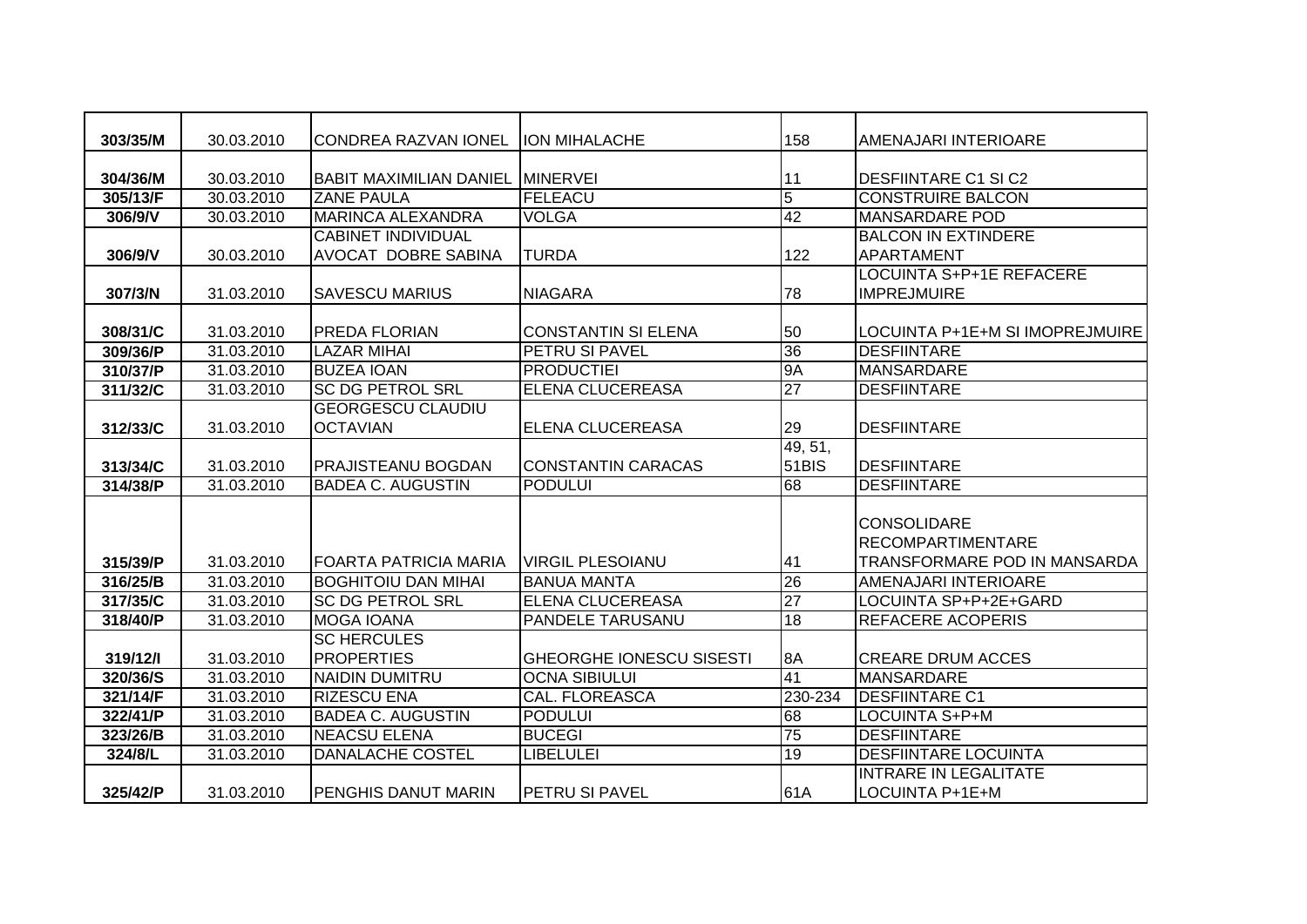| 303/35/M | 30.03.2010 | <b>CONDREA RAZVAN IONEL</b>      | <b>ION MIHALACHE</b>            | 158             | AMENAJARI INTERIOARE            |
|----------|------------|----------------------------------|---------------------------------|-----------------|---------------------------------|
|          |            |                                  |                                 |                 |                                 |
| 304/36/M | 30.03.2010 | BABIT MAXIMILIAN DANIEL MINERVEI |                                 | 11              | <b>DESFIINTARE C1 SI C2</b>     |
| 305/13/F | 30.03.2010 | <b>ZANE PAULA</b>                | <b>FELEACU</b>                  | $\overline{5}$  | <b>CONSTRUIRE BALCON</b>        |
| 306/9/V  | 30.03.2010 | <b>MARINCA ALEXANDRA</b>         | <b>VOLGA</b>                    | 42              | <b>MANSARDARE POD</b>           |
|          |            | <b>CABINET INDIVIDUAL</b>        |                                 |                 | <b>BALCON IN EXTINDERE</b>      |
| 306/9/V  | 30.03.2010 | AVOCAT DOBRE SABINA              | <b>TURDA</b>                    | 122             | <b>APARTAMENT</b>               |
|          |            |                                  |                                 |                 | LOCUINTA S+P+1E REFACERE        |
| 307/3/N  | 31.03.2010 | <b>SAVESCU MARIUS</b>            | <b>NIAGARA</b>                  | 78              | <b>IMPREJMUIRE</b>              |
|          |            |                                  |                                 |                 |                                 |
| 308/31/C | 31.03.2010 | <b>PREDA FLORIAN</b>             | <b>CONSTANTIN SI ELENA</b>      | 50              | LOCUINTA P+1E+M SI IMOPREJMUIRE |
| 309/36/P | 31.03.2010 | <b>LAZAR MIHAI</b>               | <b>PETRU SI PAVEL</b>           | 36              | <b>DESFIINTARE</b>              |
| 310/37/P | 31.03.2010 | <b>BUZEA IOAN</b>                | <b>PRODUCTIEI</b>               | <b>9A</b>       | <b>MANSARDARE</b>               |
| 311/32/C | 31.03.2010 | <b>SC DG PETROL SRL</b>          | <b>ELENA CLUCEREASA</b>         | 27              | <b>DESFIINTARE</b>              |
|          |            | <b>GEORGESCU CLAUDIU</b>         |                                 |                 |                                 |
| 312/33/C | 31.03.2010 | <b>OCTAVIAN</b>                  | ELENA CLUCEREASA                | 29              | <b>DESFIINTARE</b>              |
|          |            |                                  |                                 | 49, 51,         |                                 |
| 313/34/C | 31.03.2010 | <b>PRAJISTEANU BOGDAN</b>        | <b>CONSTANTIN CARACAS</b>       | 51BIS           | <b>DESFIINTARE</b>              |
| 314/38/P | 31.03.2010 | <b>BADEA C. AUGUSTIN</b>         | <b>PODULUI</b>                  | 68              | <b>DESFIINTARE</b>              |
|          |            |                                  |                                 |                 |                                 |
|          |            |                                  |                                 |                 | <b>CONSOLIDARE</b>              |
|          |            |                                  |                                 |                 | <b>RECOMPARTIMENTARE</b>        |
| 315/39/P | 31.03.2010 | <b>FOARTA PATRICIA MARIA</b>     | <b>VIRGIL PLESOIANU</b>         | 41              | TRANSFORMARE POD IN MANSARDA    |
| 316/25/B | 31.03.2010 | <b>BOGHITOIU DAN MIHAI</b>       | <b>BANUA MANTA</b>              | 26              | <b>AMENAJARI INTERIOARE</b>     |
| 317/35/C | 31.03.2010 | <b>SC DG PETROL SRL</b>          | <b>ELENA CLUCEREASA</b>         | $\overline{27}$ | LOCUINTA SP+P+2E+GARD           |
| 318/40/P | 31.03.2010 | <b>MOGA IOANA</b>                | <b>PANDELE TARUSANU</b>         | 18              | <b>REFACERE ACOPERIS</b>        |
|          |            | <b>SC HERCULES</b>               |                                 |                 |                                 |
| 319/12/1 | 31.03.2010 | <b>PROPERTIES</b>                | <b>GHEORGHE IONESCU SISESTI</b> | 8A              | <b>CREARE DRUM ACCES</b>        |
| 320/36/S | 31.03.2010 | <b>NAIDIN DUMITRU</b>            | <b>OCNA SIBIULUI</b>            | 41              | <b>MANSARDARE</b>               |
| 321/14/F | 31.03.2010 | <b>RIZESCU ENA</b>               | CAL. FLOREASCA                  | 230-234         | <b>DESFIINTARE C1</b>           |
| 322/41/P | 31.03.2010 | <b>BADEA C. AUGUSTIN</b>         | <b>PODULUI</b>                  | 68              | LOCUINTA S+P+M                  |
| 323/26/B | 31.03.2010 | <b>NEACSU ELENA</b>              | <b>BUCEGI</b>                   | 75              | <b>DESFIINTARE</b>              |
| 324/8/L  | 31.03.2010 | <b>DANALACHE COSTEL</b>          | <b>LIBELULEI</b>                | 19              | <b>DESFIINTARE LOCUINTA</b>     |
|          |            |                                  |                                 |                 | <b>INTRARE IN LEGALITATE</b>    |
| 325/42/P | 31.03.2010 | <b>PENGHIS DANUT MARIN</b>       | <b>PETRU SI PAVEL</b>           | 61A             | LOCUINTA P+1E+M                 |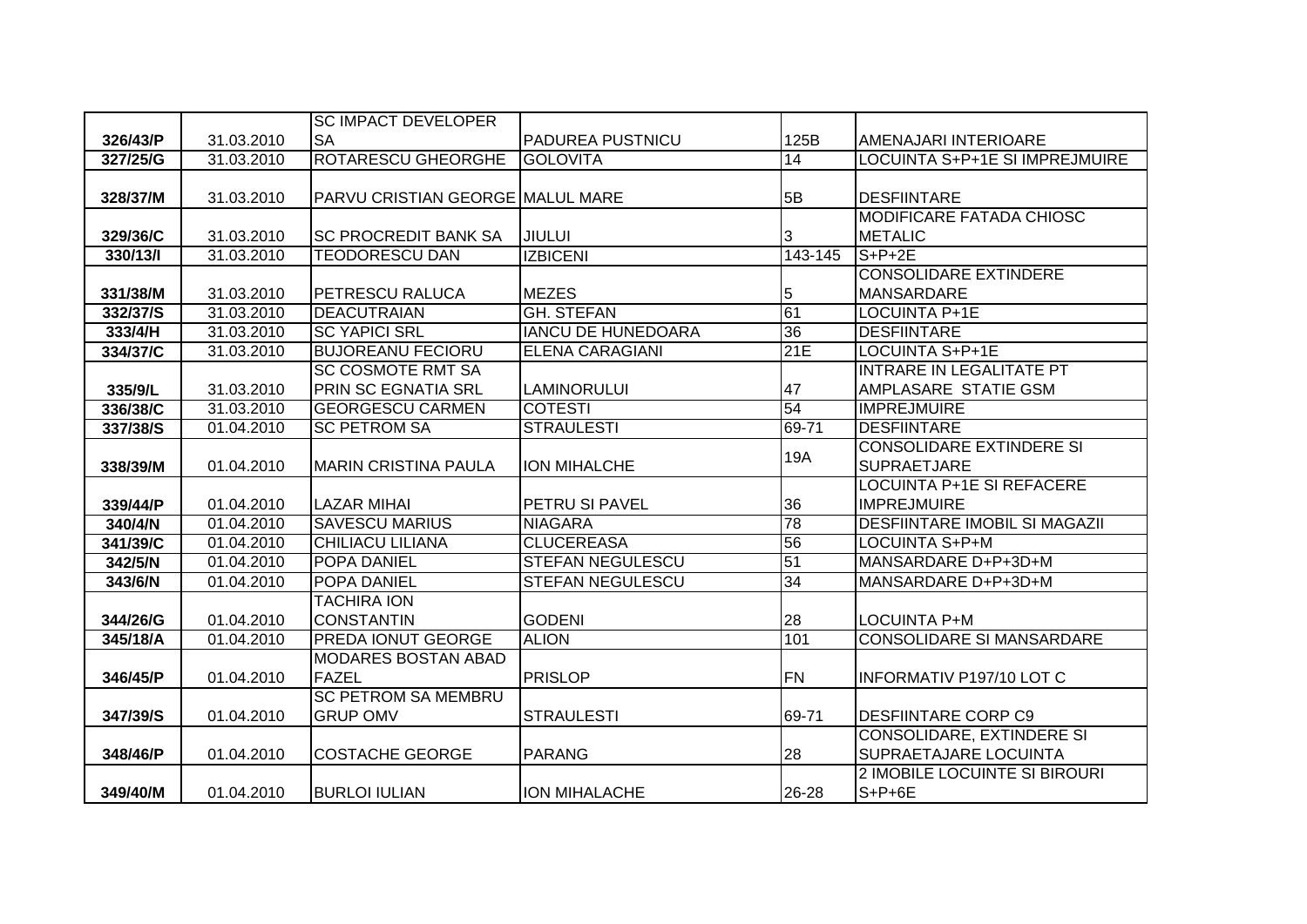|          |            | <b>SC IMPACT DEVELOPER</b>       |                           |                 |                                      |
|----------|------------|----------------------------------|---------------------------|-----------------|--------------------------------------|
| 326/43/P | 31.03.2010 | <b>SA</b>                        | <b>PADUREA PUSTNICU</b>   | 125B            | AMENAJARI INTERIOARE                 |
| 327/25/G | 31.03.2010 | <b>ROTARESCU GHEORGHE</b>        | <b>GOLOVITA</b>           | $\overline{14}$ | LOCUINTA S+P+1E SI IMPREJMUIRE       |
|          |            |                                  |                           |                 |                                      |
| 328/37/M | 31.03.2010 | PARVU CRISTIAN GEORGE MALUL MARE |                           | 5B              | <b>DESFIINTARE</b>                   |
|          |            |                                  |                           |                 | <b>MODIFICARE FATADA CHIOSC</b>      |
| 329/36/C | 31.03.2010 | <b>SC PROCREDIT BANK SA</b>      | JIULUI                    | 3               | <b>METALIC</b>                       |
| 330/13/  | 31.03.2010 | <b>TEODORESCU DAN</b>            | <b>IZBICENI</b>           | 143-145         | $S+P+2E$                             |
|          |            |                                  |                           |                 | <b>CONSOLIDARE EXTINDERE</b>         |
| 331/38/M | 31.03.2010 | <b>PETRESCU RALUCA</b>           | <b>MEZES</b>              | 5               | <b>MANSARDARE</b>                    |
| 332/37/S | 31.03.2010 | <b>DEACUTRAIAN</b>               | <b>GH. STEFAN</b>         | 61              | <b>LOCUINTA P+1E</b>                 |
| 333/4/H  | 31.03.2010 | <b>SC YAPICI SRL</b>             | <b>IANCU DE HUNEDOARA</b> | 36              | <b>DESFIINTARE</b>                   |
| 334/37/C | 31.03.2010 | <b>BUJOREANU FECIORU</b>         | <b>ELENA CARAGIANI</b>    | 21E             | <b>LOCUINTA S+P+1E</b>               |
|          |            | <b>SC COSMOTE RMT SA</b>         |                           |                 | <b>INTRARE IN LEGALITATE PT</b>      |
| 335/9/L  | 31.03.2010 | PRIN SC EGNATIA SRL              | <b>LAMINORULUI</b>        | 47              | AMPLASARE STATIE GSM                 |
| 336/38/C | 31.03.2010 | <b>GEORGESCU CARMEN</b>          | <b>COTESTI</b>            | 54              | <b>IMPREJMUIRE</b>                   |
| 337/38/S | 01.04.2010 | <b>SC PETROM SA</b>              | <b>STRAULESTI</b>         | 69-71           | <b>DESFIINTARE</b>                   |
|          |            |                                  |                           | <b>19A</b>      | <b>CONSOLIDARE EXTINDERE SI</b>      |
| 338/39/M | 01.04.2010 | <b>MARIN CRISTINA PAULA</b>      | <b>ION MIHALCHE</b>       |                 | <b>SUPRAETJARE</b>                   |
|          |            |                                  |                           |                 | <b>LOCUINTA P+1E SI REFACERE</b>     |
| 339/44/P | 01.04.2010 | <b>LAZAR MIHAI</b>               | PETRU SI PAVEL            | 36              | <b>IMPREJMUIRE</b>                   |
| 340/4/N  | 01.04.2010 | <b>SAVESCU MARIUS</b>            | <b>NIAGARA</b>            | 78              | <b>DESFIINTARE IMOBIL SI MAGAZII</b> |
| 341/39/C | 01.04.2010 | <b>CHILIACU LILIANA</b>          | <b>CLUCEREASA</b>         | 56              | LOCUINTA S+P+M                       |
| 342/5/N  | 01.04.2010 | <b>POPA DANIEL</b>               | <b>STEFAN NEGULESCU</b>   | 51              | MANSARDARE D+P+3D+M                  |
| 343/6/N  | 01.04.2010 | POPA DANIEL                      | <b>STEFAN NEGULESCU</b>   | 34              | MANSARDARE D+P+3D+M                  |
|          |            | <b>TACHIRA ION</b>               |                           |                 |                                      |
| 344/26/G | 01.04.2010 | <b>CONSTANTIN</b>                | <b>GODENI</b>             | 28              | <b>LOCUINTA P+M</b>                  |
| 345/18/A | 01.04.2010 | PREDA IONUT GEORGE               | <b>ALION</b>              | 101             | <b>CONSOLIDARE SI MANSARDARE</b>     |
|          |            | <b>MODARES BOSTAN ABAD</b>       |                           |                 |                                      |
| 346/45/P | 01.04.2010 | <b>FAZEL</b>                     | <b>PRISLOP</b>            | <b>FN</b>       | <b>INFORMATIV P197/10 LOT C</b>      |
|          |            | <b>SC PETROM SA MEMBRU</b>       |                           |                 |                                      |
| 347/39/S | 01.04.2010 | <b>GRUP OMV</b>                  | <b>STRAULESTI</b>         | 69-71           | <b>DESFIINTARE CORP C9</b>           |
|          |            |                                  |                           |                 | <b>CONSOLIDARE, EXTINDERE SI</b>     |
| 348/46/P | 01.04.2010 | <b>COSTACHE GEORGE</b>           | <b>PARANG</b>             | 28              | <b>SUPRAETAJARE LOCUINTA</b>         |
|          |            |                                  |                           |                 | 2 IMOBILE LOCUINTE SI BIROURI        |
| 349/40/M | 01.04.2010 | <b>BURLOI IULIAN</b>             | ION MIHALACHE             | 26-28           | $S+P+6E$                             |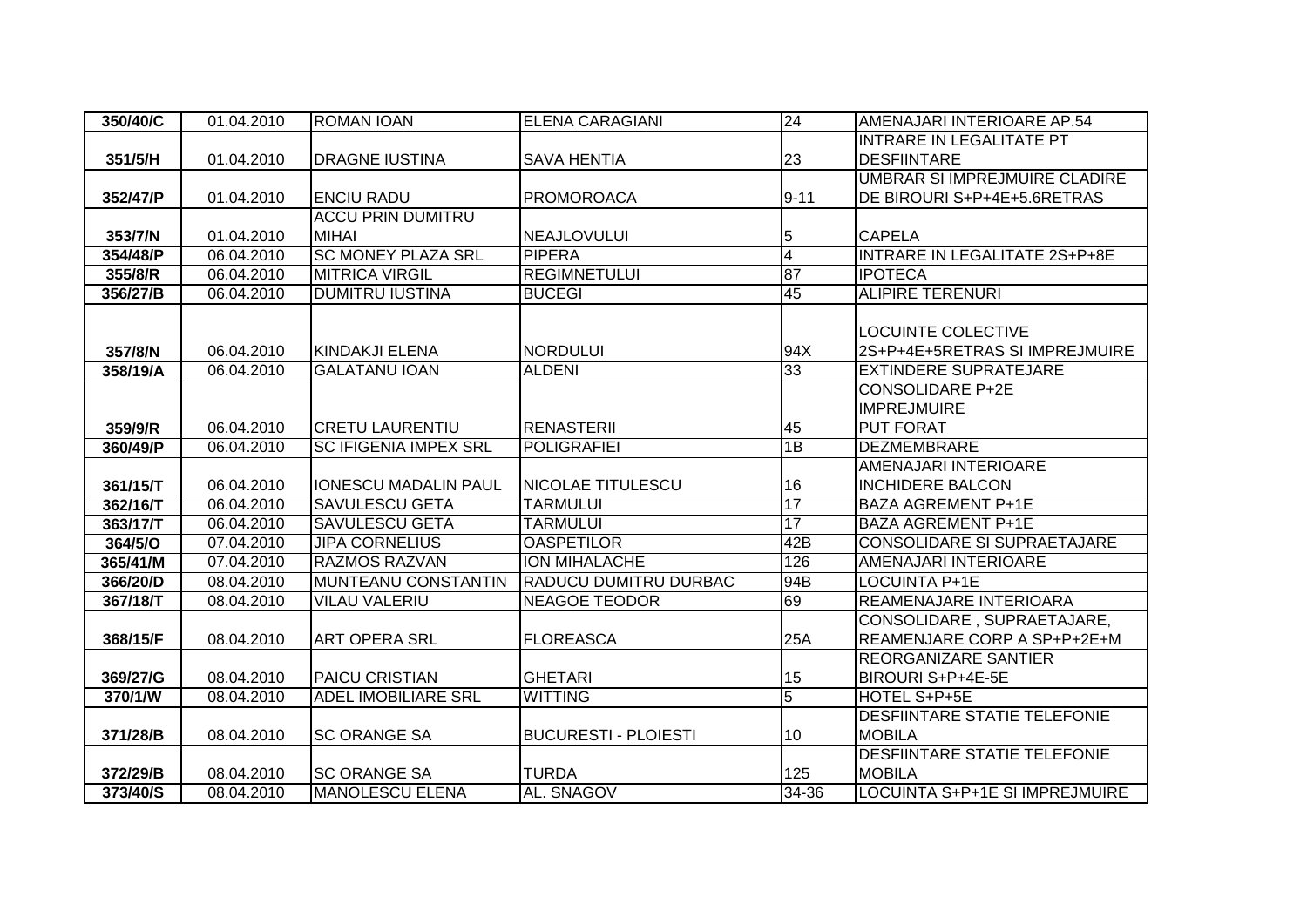| 350/40/C | 01.04.2010 | <b>ROMAN IOAN</b>            | <b>ELENA CARAGIANI</b>      | 24             | AMENAJARI INTERIOARE AP.54           |
|----------|------------|------------------------------|-----------------------------|----------------|--------------------------------------|
|          |            |                              |                             |                | <b>INTRARE IN LEGALITATE PT</b>      |
| 351/5/H  | 01.04.2010 | <b>DRAGNE IUSTINA</b>        | <b>SAVA HENTIA</b>          | 23             | <b>DESFIINTARE</b>                   |
|          |            |                              |                             |                | UMBRAR SI IMPREJMUIRE CLADIRE        |
| 352/47/P | 01.04.2010 | <b>ENCIU RADU</b>            | <b>PROMOROACA</b>           | $9 - 11$       | DE BIROURI S+P+4E+5.6RETRAS          |
|          |            | <b>ACCU PRIN DUMITRU</b>     |                             |                |                                      |
| 353/7/N  | 01.04.2010 | <b>MIHAI</b>                 | <b>NEAJLOVULUI</b>          | 5              | <b>CAPELA</b>                        |
| 354/48/P | 06.04.2010 | <b>SC MONEY PLAZA SRL</b>    | <b>PIPERA</b>               | $\overline{4}$ | <b>INTRARE IN LEGALITATE 2S+P+8E</b> |
| 355/8/R  | 06.04.2010 | <b>MITRICA VIRGIL</b>        | <b>REGIMNETULUI</b>         | 87             | <b>IPOTECA</b>                       |
| 356/27/B | 06.04.2010 | <b>DUMITRU IUSTINA</b>       | <b>BUCEGI</b>               | 45             | <b>ALIPIRE TERENURI</b>              |
|          |            |                              |                             |                |                                      |
|          |            |                              |                             |                | <b>LOCUINTE COLECTIVE</b>            |
| 357/8/N  | 06.04.2010 | KINDAKJI ELENA               | <b>NORDULUI</b>             | 94X            | 2S+P+4E+5RETRAS SI IMPREJMUIRE       |
| 358/19/A | 06.04.2010 | <b>GALATANU IOAN</b>         | <b>ALDENI</b>               | 33             | <b>EXTINDERE SUPRATEJARE</b>         |
|          |            |                              |                             |                | <b>CONSOLIDARE P+2E</b>              |
|          |            |                              |                             |                | <b>IMPREJMUIRE</b>                   |
| 359/9/R  | 06.04.2010 | <b>CRETU LAURENTIU</b>       | <b>RENASTERII</b>           | 45             | <b>PUT FORAT</b>                     |
| 360/49/P | 06.04.2010 | <b>SC IFIGENIA IMPEX SRL</b> | <b>POLIGRAFIEI</b>          | 1B             | <b>DEZMEMBRARE</b>                   |
|          |            |                              |                             |                | <b>AMENAJARI INTERIOARE</b>          |
| 361/15/T | 06.04.2010 | <b>IONESCU MADALIN PAUL</b>  | <b>NICOLAE TITULESCU</b>    | 16             | <b>INCHIDERE BALCON</b>              |
| 362/16/T | 06.04.2010 | <b>SAVULESCU GETA</b>        | <b>TARMULUI</b>             | 17             | <b>BAZA AGREMENT P+1E</b>            |
| 363/17/T | 06.04.2010 | <b>SAVULESCU GETA</b>        | <b>TARMULUI</b>             | 17             | <b>BAZA AGREMENT P+1E</b>            |
| 364/5/O  | 07.04.2010 | <b>JIPA CORNELIUS</b>        | <b>OASPETILOR</b>           | 42B            | <b>CONSOLIDARE SI SUPRAETAJARE</b>   |
| 365/41/M | 07.04.2010 | <b>RAZMOS RAZVAN</b>         | <b>ION MIHALACHE</b>        | 126            | AMENAJARI INTERIOARE                 |
| 366/20/D | 08.04.2010 | <b>MUNTEANU CONSTANTIN</b>   | RADUCU DUMITRU DURBAC       | 94B            | <b>LOCUINTA P+1E</b>                 |
| 367/18/T | 08.04.2010 | <b>VILAU VALERIU</b>         | <b>NEAGOE TEODOR</b>        | 69             | REAMENAJARE INTERIOARA               |
|          |            |                              |                             |                | CONSOLIDARE, SUPRAETAJARE,           |
| 368/15/F | 08.04.2010 | <b>ART OPERA SRL</b>         | <b>FLOREASCA</b>            | 25A            | REAMENJARE CORP A SP+P+2E+M          |
|          |            |                              |                             |                | <b>REORGANIZARE SANTIER</b>          |
| 369/27/G | 08.04.2010 | <b>PAICU CRISTIAN</b>        | <b>GHETARI</b>              | 15             | BIROURI S+P+4E-5E                    |
| 370/1/W  | 08.04.2010 | <b>ADEL IMOBILIARE SRL</b>   | <b>WITTING</b>              | $\overline{5}$ | HOTEL S+P+5E                         |
|          |            |                              |                             |                | <b>DESFIINTARE STATIE TELEFONIE</b>  |
| 371/28/B | 08.04.2010 | ISC ORANGE SA                | <b>BUCURESTI - PLOIESTI</b> | 10             | <b>MOBILA</b>                        |
|          |            |                              |                             |                | <b>DESFIINTARE STATIE TELEFONIE</b>  |
| 372/29/B | 08.04.2010 | <b>SC ORANGE SA</b>          | <b>TURDA</b>                | 125            | <b>MOBILA</b>                        |
| 373/40/S | 08.04.2010 | <b>MANOLESCU ELENA</b>       | AL. SNAGOV                  | 34-36          | LOCUINTA S+P+1E SI IMPREJMUIRE       |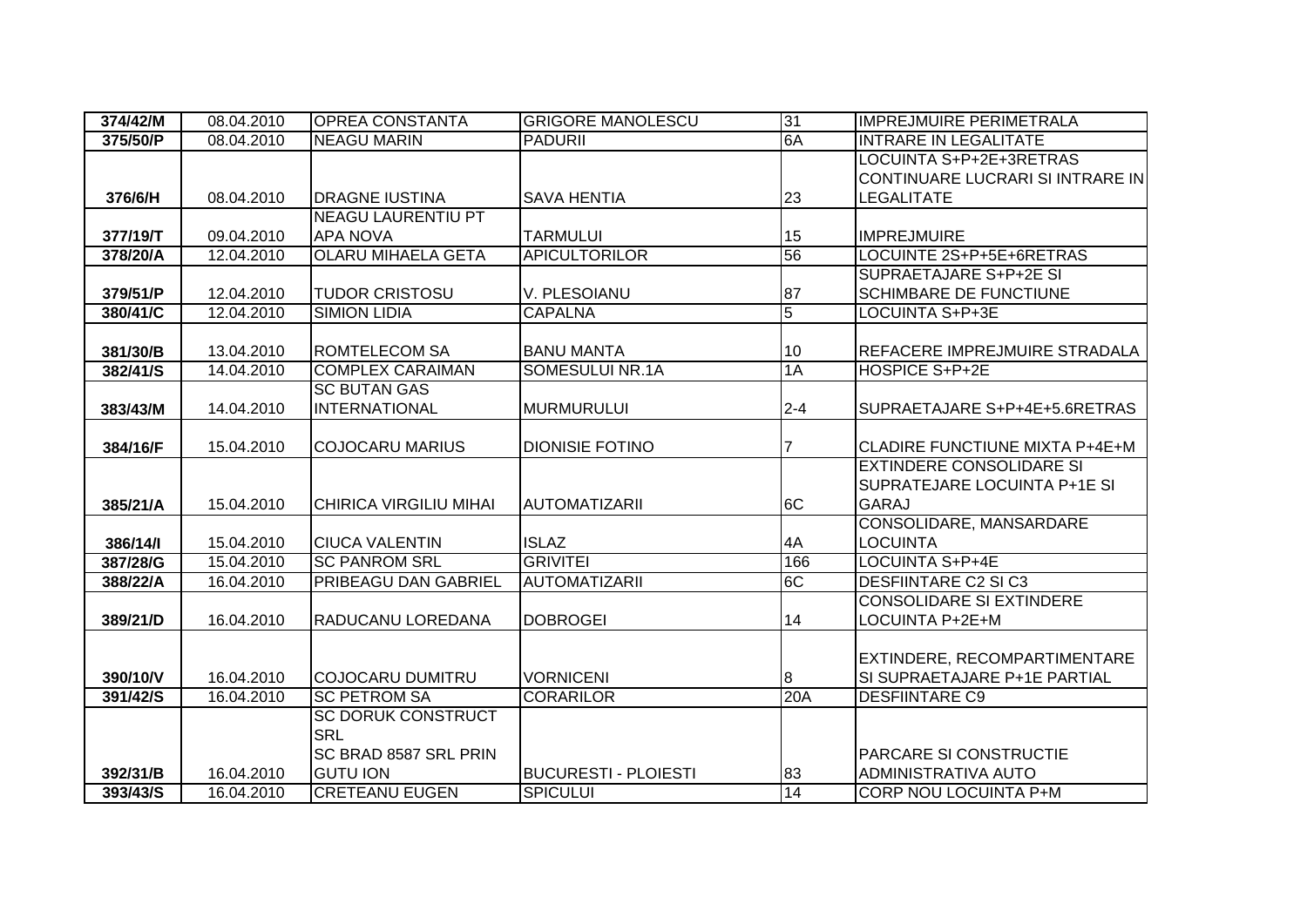| 374/42/M | 08.04.2010 | <b>OPREA CONSTANTA</b>        | <b>GRIGORE MANOLESCU</b>    | 31             | <b>IMPREJMUIRE PERIMETRALA</b>        |
|----------|------------|-------------------------------|-----------------------------|----------------|---------------------------------------|
| 375/50/P | 08.04.2010 | <b>NEAGU MARIN</b>            | <b>PADURII</b>              | 6A             | <b>INTRARE IN LEGALITATE</b>          |
|          |            |                               |                             |                | LOCUINTA S+P+2E+3RETRAS               |
|          |            |                               |                             |                | CONTINUARE LUCRARI SI INTRARE IN      |
| 376/6/H  | 08.04.2010 | <b>DRAGNE IUSTINA</b>         | <b>SAVA HENTIA</b>          | 23             | LEGALITATE                            |
|          |            | <b>NEAGU LAURENTIU PT</b>     |                             |                |                                       |
| 377/19/T | 09.04.2010 | <b>APA NOVA</b>               | <b>TARMULUI</b>             | 15             | <b>IMPREJMUIRE</b>                    |
| 378/20/A | 12.04.2010 | <b>OLARU MIHAELA GETA</b>     | <b>APICULTORILOR</b>        | 56             | LOCUINTE 2S+P+5E+6RETRAS              |
|          |            |                               |                             |                | SUPRAETAJARE S+P+2E SI                |
| 379/51/P | 12.04.2010 | <b>TUDOR CRISTOSU</b>         | V. PLESOIANU                | 87             | <b>SCHIMBARE DE FUNCTIUNE</b>         |
| 380/41/C | 12.04.2010 | <b>SIMION LIDIA</b>           | <b>CAPALNA</b>              | $\overline{5}$ | LOCUINTA S+P+3E                       |
|          |            |                               |                             |                |                                       |
| 381/30/B | 13.04.2010 | <b>ROMTELECOM SA</b>          | <b>BANU MANTA</b>           | 10             | REFACERE IMPREJMUIRE STRADALA         |
| 382/41/S | 14.04.2010 | <b>COMPLEX CARAIMAN</b>       | SOMESULUI NR.1A             | 1A             | HOSPICE S+P+2E                        |
|          |            | <b>SC BUTAN GAS</b>           |                             |                |                                       |
| 383/43/M | 14.04.2010 | <b>INTERNATIONAL</b>          | <b>MURMURULUI</b>           | $2 - 4$        | SUPRAETAJARE S+P+4E+5.6RETRAS         |
|          |            |                               |                             |                |                                       |
| 384/16/F | 15.04.2010 | <b>COJOCARU MARIUS</b>        | <b>DIONISIE FOTINO</b>      |                | <b>CLADIRE FUNCTIUNE MIXTA P+4E+M</b> |
|          |            |                               |                             |                | <b>EXTINDERE CONSOLIDARE SI</b>       |
|          |            |                               |                             |                | SUPRATEJARE LOCUINTA P+1E SI          |
| 385/21/A | 15.04.2010 | <b>CHIRICA VIRGILIU MIHAI</b> | <b>AUTOMATIZARII</b>        | 6C             | <b>GARAJ</b>                          |
|          |            |                               |                             |                | CONSOLIDARE, MANSARDARE               |
| 386/14/1 | 15.04.2010 | <b>CIUCA VALENTIN</b>         | <b>ISLAZ</b>                | 4A             | <b>LOCUINTA</b>                       |
| 387/28/G | 15.04.2010 | <b>SC PANROM SRL</b>          | <b>GRIVITEI</b>             | 166            | <b>LOCUINTA S+P+4E</b>                |
| 388/22/A | 16.04.2010 | <b>PRIBEAGU DAN GABRIEL</b>   | <b>AUTOMATIZARII</b>        | 6C             | <b>DESFIINTARE C2 SI C3</b>           |
|          |            |                               |                             |                | <b>CONSOLIDARE SI EXTINDERE</b>       |
| 389/21/D | 16.04.2010 | <b>RADUCANU LOREDANA</b>      | <b>DOBROGEI</b>             | 14             | LOCUINTA P+2E+M                       |
|          |            |                               |                             |                |                                       |
|          |            |                               |                             |                | EXTINDERE, RECOMPARTIMENTARE          |
| 390/10/V | 16.04.2010 | <b>COJOCARU DUMITRU</b>       | <b>VORNICENI</b>            | 8              | SI SUPRAETAJARE P+1E PARTIAL          |
| 391/42/S | 16.04.2010 | <b>SC PETROM SA</b>           | <b>CORARILOR</b>            | 20A            | <b>DESFIINTARE C9</b>                 |
|          |            | <b>SC DORUK CONSTRUCT</b>     |                             |                |                                       |
|          |            | <b>SRL</b>                    |                             |                |                                       |
|          |            | <b>SC BRAD 8587 SRL PRIN</b>  |                             |                | <b>PARCARE SI CONSTRUCTIE</b>         |
| 392/31/B | 16.04.2010 | <b>GUTU ION</b>               | <b>BUCURESTI - PLOIESTI</b> | 83             | <b>ADMINISTRATIVA AUTO</b>            |
| 393/43/S | 16.04.2010 | <b>CRETEANU EUGEN</b>         | <b>SPICULUI</b>             | 14             | CORP NOU LOCUINTA P+M                 |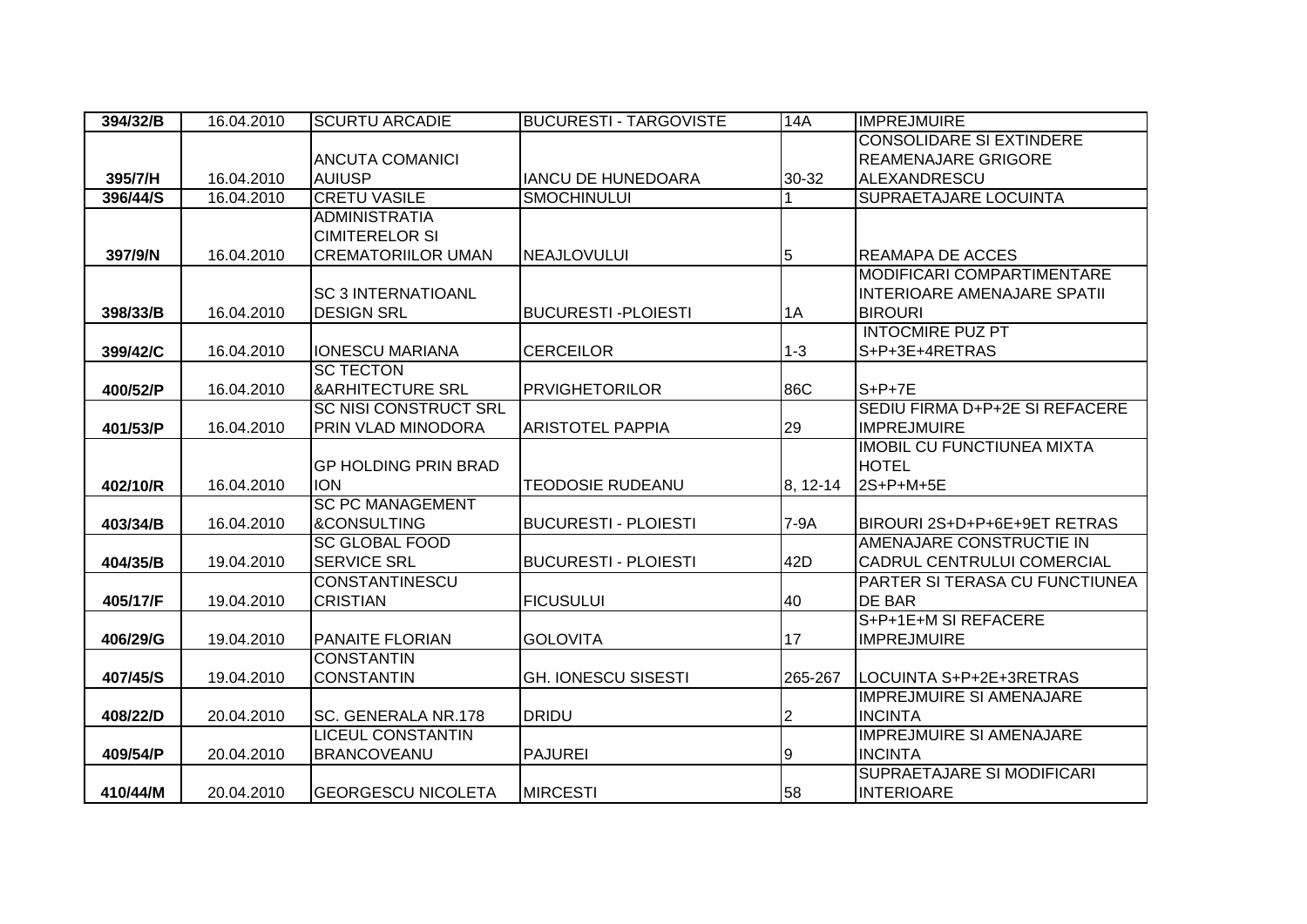| 394/32/B | 16.04.2010 | <b>SCURTU ARCADIE</b>                           | <b>BUCURESTI - TARGOVISTE</b> | 14A      | <b>IMPREJMUIRE</b>                                |
|----------|------------|-------------------------------------------------|-------------------------------|----------|---------------------------------------------------|
|          |            |                                                 |                               |          | <b>CONSOLIDARE SI EXTINDERE</b>                   |
|          |            | <b>ANCUTA COMANICI</b>                          |                               |          | <b>REAMENAJARE GRIGORE</b>                        |
| 395/7/H  | 16.04.2010 | <b>AUIUSP</b>                                   | <b>IANCU DE HUNEDOARA</b>     | 30-32    | <b>ALEXANDRESCU</b>                               |
| 396/44/S | 16.04.2010 | <b>CRETU VASILE</b>                             | <b>SMOCHINULUI</b>            |          | <b>SUPRAETAJARE LOCUINTA</b>                      |
|          |            | <b>ADMINISTRATIA</b>                            |                               |          |                                                   |
|          |            | <b>CIMITERELOR SI</b>                           |                               |          |                                                   |
| 397/9/N  | 16.04.2010 | <b>CREMATORIILOR UMAN</b>                       | <b>NEAJLOVULUI</b>            | 5        | <b>REAMAPA DE ACCES</b>                           |
|          |            |                                                 |                               |          | MODIFICARI COMPARTIMENTARE                        |
|          |            | <b>SC 3 INTERNATIOANL</b>                       |                               |          | <b>INTERIOARE AMENAJARE SPATII</b>                |
| 398/33/B | 16.04.2010 | <b>DESIGN SRL</b>                               | <b>BUCURESTI-PLOIESTI</b>     | 1A       | <b>BIROURI</b>                                    |
|          |            |                                                 |                               |          | <b>INTOCMIRE PUZ PT</b>                           |
| 399/42/C | 16.04.2010 | <b>IONESCU MARIANA</b>                          | <b>CERCEILOR</b>              | $1-3$    | S+P+3E+4RETRAS                                    |
|          |            | <b>SC TECTON</b>                                |                               |          |                                                   |
| 400/52/P | 16.04.2010 | <b>&amp;ARHITECTURE SRL</b>                     | <b>PRVIGHETORILOR</b>         | 86C      | $S+P+7E$                                          |
|          |            | <b>SC NISI CONSTRUCT SRL</b>                    |                               |          | SEDIU FIRMA D+P+2E SI REFACERE                    |
| 401/53/P | 16.04.2010 | PRIN VLAD MINODORA                              | <b>ARISTOTEL PAPPIA</b>       | 29       | <b>IMPREJMUIRE</b>                                |
|          |            |                                                 |                               |          | <b>IMOBIL CU FUNCTIUNEA MIXTA</b>                 |
|          |            | <b>GP HOLDING PRIN BRAD</b>                     |                               |          | <b>HOTEL</b>                                      |
| 402/10/R | 16.04.2010 | <b>ION</b>                                      | <b>TEODOSIE RUDEANU</b>       | 8, 12-14 | 2S+P+M+5E                                         |
|          |            | <b>SC PC MANAGEMENT</b>                         |                               |          |                                                   |
| 403/34/B | 16.04.2010 | <b>&amp;CONSULTING</b>                          | <b>BUCURESTI - PLOIESTI</b>   | 7-9A     | BIROURI 2S+D+P+6E+9ET RETRAS                      |
|          |            | <b>SC GLOBAL FOOD</b>                           |                               |          | AMENAJARE CONSTRUCTIE IN                          |
| 404/35/B | 19.04.2010 | <b>SERVICE SRL</b>                              | <b>BUCURESTI - PLOIESTI</b>   | 42D      | CADRUL CENTRULUI COMERCIAL                        |
|          |            | <b>CONSTANTINESCU</b>                           |                               |          | PARTER SI TERASA CU FUNCTIUNEA                    |
| 405/17/F | 19.04.2010 | <b>CRISTIAN</b>                                 | <b>FICUSULUI</b>              | 40       | <b>DE BAR</b>                                     |
|          |            |                                                 |                               |          | S+P+1E+M SI REFACERE                              |
| 406/29/G | 19.04.2010 | <b>PANAITE FLORIAN</b><br><b>CONSTANTIN</b>     | <b>GOLOVITA</b>               | 17       | <b>IMPREJMUIRE</b>                                |
|          |            | <b>CONSTANTIN</b>                               |                               |          |                                                   |
| 407/45/S | 19.04.2010 |                                                 | <b>GH. IONESCU SISESTI</b>    | 265-267  | LOCUINTA S+P+2E+3RETRAS                           |
|          |            |                                                 |                               |          | <b>IMPREJMUIRE SI AMENAJARE</b>                   |
| 408/22/D | 20.04.2010 | SC. GENERALA NR.178<br><b>LICEUL CONSTANTIN</b> | <b>DRIDU</b>                  | 2        | <b>INCINTA</b><br><b>IMPREJMUIRE SI AMENAJARE</b> |
|          |            |                                                 | <b>PAJUREI</b>                |          | <b>INCINTA</b>                                    |
| 409/54/P | 20.04.2010 | <b>BRANCOVEANU</b>                              |                               | 9        |                                                   |
|          |            |                                                 |                               |          | SUPRAETAJARE SI MODIFICARI                        |
| 410/44/M | 20.04.2010 | <b>GEORGESCU NICOLETA</b>                       | <b>MIRCESTI</b>               | 58       | <b>INTERIOARE</b>                                 |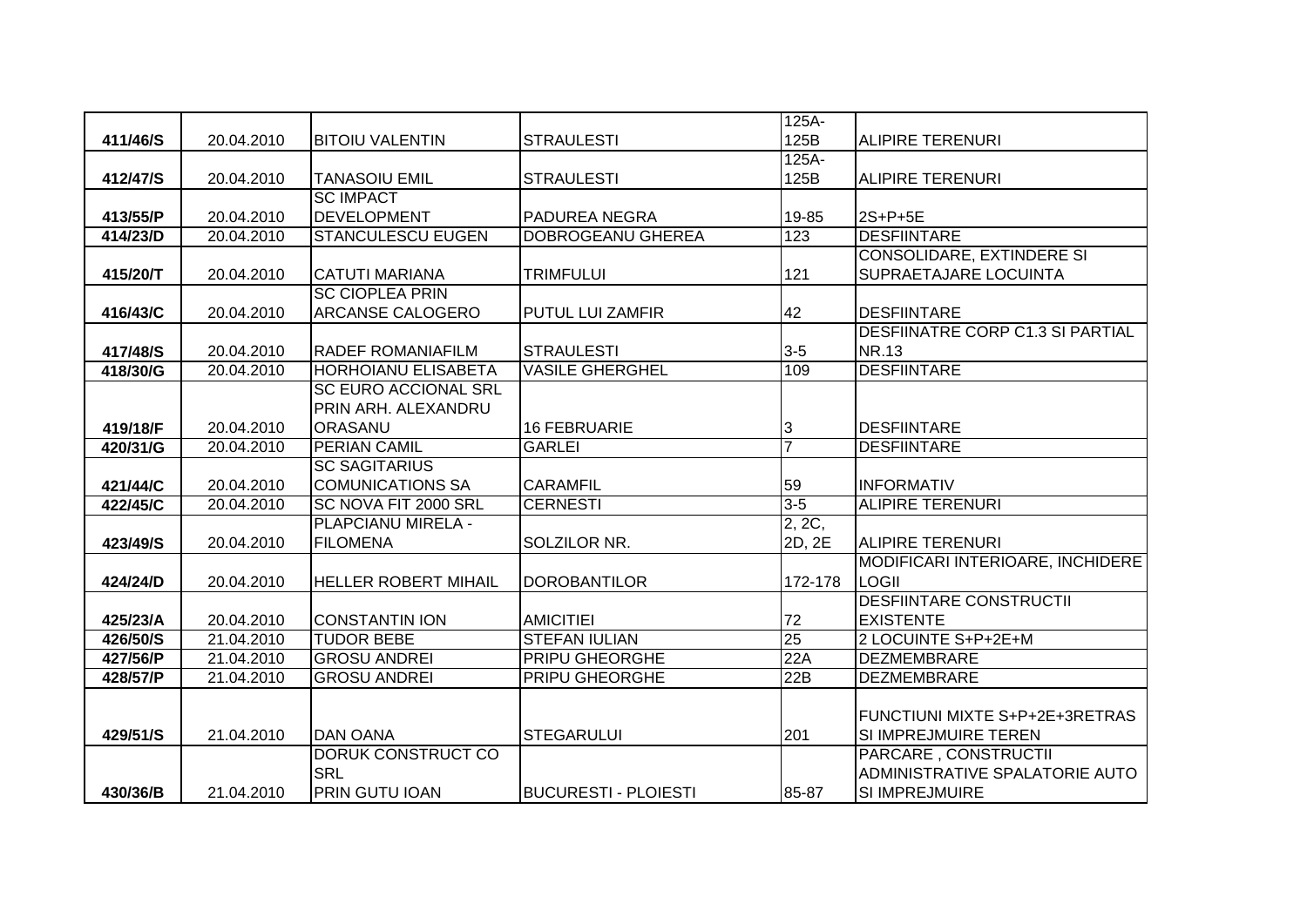|          |            |                             |                             | $125A-$              |                                         |
|----------|------------|-----------------------------|-----------------------------|----------------------|-----------------------------------------|
| 411/46/S | 20.04.2010 | <b>BITOIU VALENTIN</b>      | <b>STRAULESTI</b>           | 125B                 | <b>ALIPIRE TERENURI</b>                 |
|          |            |                             |                             | $125A-$              |                                         |
| 412/47/S | 20.04.2010 | <b>TANASOIU EMIL</b>        | <b>STRAULESTI</b>           | 125B                 | <b>ALIPIRE TERENURI</b>                 |
|          |            | <b>SC IMPACT</b>            |                             |                      |                                         |
| 413/55/P | 20.04.2010 | <b>DEVELOPMENT</b>          | <b>PADUREA NEGRA</b>        | 19-85                | 2S+P+5E                                 |
| 414/23/D | 20.04.2010 | <b>STANCULESCU EUGEN</b>    | <b>DOBROGEANU GHEREA</b>    | 123                  | <b>DESFIINTARE</b>                      |
|          |            |                             |                             |                      | <b>CONSOLIDARE, EXTINDERE SI</b>        |
| 415/20/T | 20.04.2010 | <b>CATUTI MARIANA</b>       | <b>TRIMFULUI</b>            | 121                  | SUPRAETAJARE LOCUINTA                   |
|          |            | <b>SC CIOPLEA PRIN</b>      |                             |                      |                                         |
| 416/43/C | 20.04.2010 | <b>ARCANSE CALOGERO</b>     | <b>PUTUL LUI ZAMFIR</b>     | 42                   | <b>DESFIINTARE</b>                      |
|          |            |                             |                             |                      | <b>DESFIINATRE CORP C1.3 SI PARTIAL</b> |
| 417/48/S | 20.04.2010 | <b>RADEF ROMANIAFILM</b>    | <b>STRAULESTI</b>           | $3-5$                | <b>NR.13</b>                            |
| 418/30/G | 20.04.2010 | HORHOIANU ELISABETA         | <b>VASILE GHERGHEL</b>      | 109                  | <b>DESFIINTARE</b>                      |
|          |            | <b>SC EURO ACCIONAL SRL</b> |                             |                      |                                         |
|          |            | PRIN ARH. ALEXANDRU         |                             |                      |                                         |
| 419/18/F | 20.04.2010 | <b>ORASANU</b>              | <b>16 FEBRUARIE</b>         | 3                    | <b>DESFIINTARE</b>                      |
| 420/31/G | 20.04.2010 | <b>PERIAN CAMIL</b>         | <b>GARLEI</b>               | $\overline{7}$       | <b>DESFIINTARE</b>                      |
|          |            | <b>SC SAGITARIUS</b>        |                             |                      |                                         |
| 421/44/C | 20.04.2010 | <b>COMUNICATIONS SA</b>     | <b>CARAMFIL</b>             | 59                   | <b>INFORMATIV</b>                       |
| 422/45/C | 20.04.2010 | SC NOVA FIT 2000 SRL        | <b>CERNESTI</b>             | $3 - 5$              | <b>ALIPIRE TERENURI</b>                 |
|          |            | PLAPCIANU MIRELA -          |                             | $\overline{2, 2C}$ , |                                         |
| 423/49/S | 20.04.2010 | <b>FILOMENA</b>             | SOLZILOR NR.                | 2D, 2E               | <b>ALIPIRE TERENURI</b>                 |
|          |            |                             |                             |                      | MODIFICARI INTERIOARE, INCHIDERE        |
| 424/24/D | 20.04.2010 | <b>HELLER ROBERT MIHAIL</b> | <b>DOROBANTILOR</b>         | 172-178              | <b>LOGII</b>                            |
|          |            |                             |                             |                      | <b>DESFIINTARE CONSTRUCTII</b>          |
| 425/23/A | 20.04.2010 | <b>CONSTANTIN ION</b>       | <b>AMICITIEI</b>            | 72                   | <b>EXISTENTE</b>                        |
| 426/50/S | 21.04.2010 | <b>TUDOR BEBE</b>           | <b>STEFAN IULIAN</b>        | 25                   | 2 LOCUINTE S+P+2E+M                     |
| 427/56/P | 21.04.2010 | <b>GROSU ANDREI</b>         | PRIPU GHEORGHE              | 22A                  | <b>DEZMEMBRARE</b>                      |
| 428/57/P | 21.04.2010 | <b>GROSU ANDREI</b>         | <b>PRIPU GHEORGHE</b>       | 22B                  | <b>DEZMEMBRARE</b>                      |
|          |            |                             |                             |                      |                                         |
|          |            |                             |                             |                      | FUNCTIUNI MIXTE S+P+2E+3RETRAS          |
| 429/51/S | 21.04.2010 | <b>DAN OANA</b>             | <b>STEGARULUI</b>           | 201                  | SI IMPREJMUIRE TEREN                    |
|          |            | <b>DORUK CONSTRUCT CO</b>   |                             |                      | PARCARE, CONSTRUCTII                    |
|          |            | <b>SRL</b>                  |                             |                      | ADMINISTRATIVE SPALATORIE AUTO          |
| 430/36/B | 21.04.2010 | <b>PRIN GUTU IOAN</b>       | <b>BUCURESTI - PLOIESTI</b> | 85-87                | SI IMPREJMUIRE                          |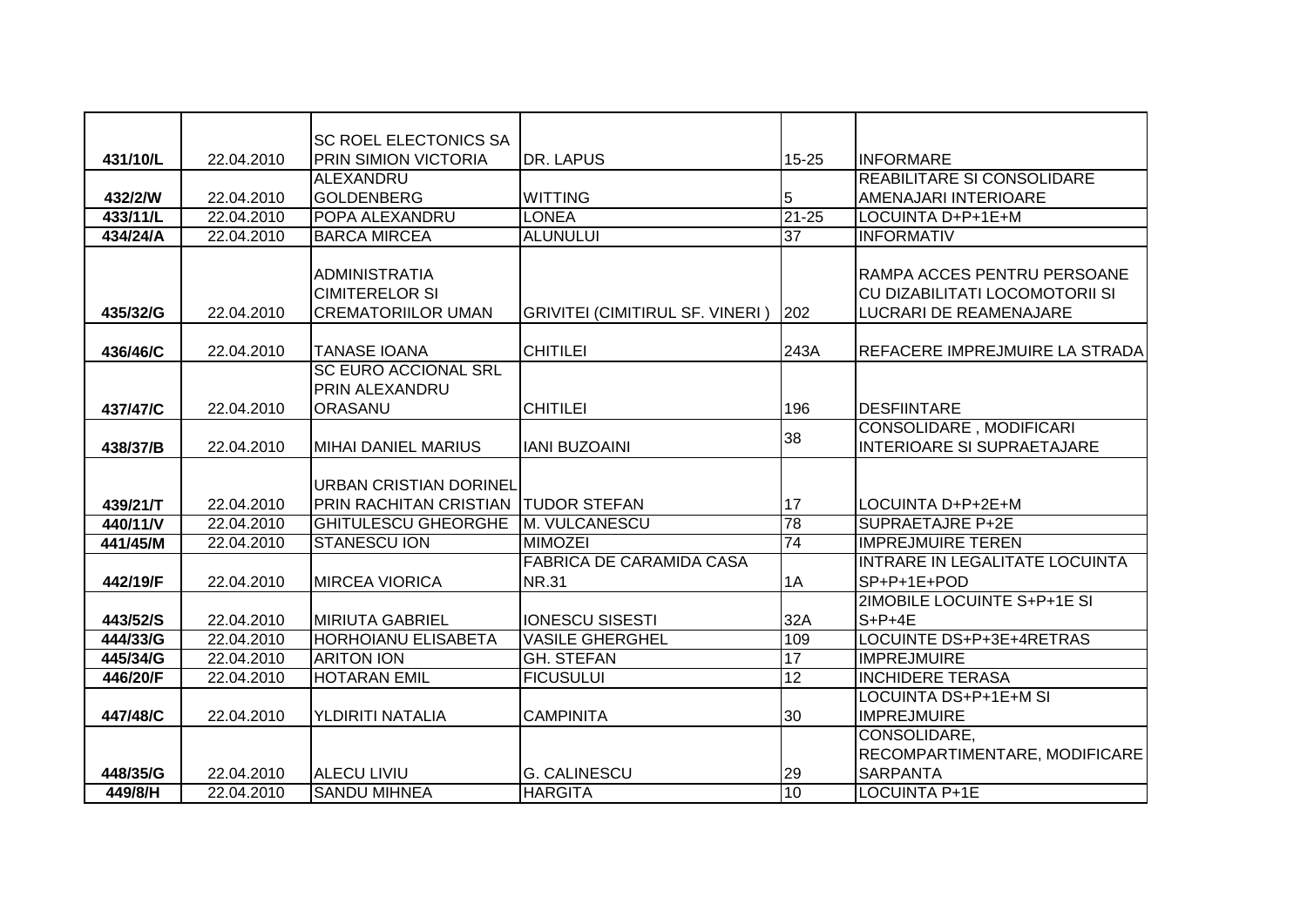|          |            | <b>SC ROEL ELECTONICS SA</b>                  |                                        |           |                                   |
|----------|------------|-----------------------------------------------|----------------------------------------|-----------|-----------------------------------|
| 431/10/L | 22.04.2010 | <b>PRIN SIMION VICTORIA</b>                   | <b>DR. LAPUS</b>                       | 15-25     | <b>INFORMARE</b>                  |
|          |            | ALEXANDRU                                     |                                        |           | <b>REABILITARE SI CONSOLIDARE</b> |
| 432/2/W  | 22.04.2010 | GOLDENBERG                                    | <b>WITTING</b>                         | 5         | AMENAJARI INTERIOARE              |
| 433/11/L | 22.04.2010 | POPA ALEXANDRU                                | <b>LONEA</b>                           | $21 - 25$ | LOCUINTA D+P+1E+M                 |
| 434/24/A | 22.04.2010 | <b>BARCA MIRCEA</b>                           | <b>ALUNULUI</b>                        | 37        | <b>INFORMATIV</b>                 |
|          |            |                                               |                                        |           |                                   |
|          |            | <b>ADMINISTRATIA</b>                          |                                        |           | RAMPA ACCES PENTRU PERSOANE       |
|          |            | <b>CIMITERELOR SI</b>                         |                                        |           | CU DIZABILITATI LOCOMOTORII SI    |
| 435/32/G | 22.04.2010 | <b>CREMATORIILOR UMAN</b>                     | <b>GRIVITEI (CIMITIRUL SF. VINERI)</b> | 202       | LUCRARI DE REAMENAJARE            |
|          |            |                                               |                                        |           |                                   |
| 436/46/C | 22.04.2010 | <b>TANASE IOANA</b>                           | <b>CHITILEI</b>                        | 243A      | REFACERE IMPREJMUIRE LA STRADA    |
|          |            | <b>SC EURO ACCIONAL SRL</b><br>PRIN ALEXANDRU |                                        |           |                                   |
| 437/47/C | 22.04.2010 | ORASANU                                       | <b>CHITILEI</b>                        | 196       | <b>DESFIINTARE</b>                |
|          |            |                                               |                                        |           | <b>CONSOLIDARE, MODIFICARI</b>    |
| 438/37/B | 22.04.2010 | <b>MIHAI DANIEL MARIUS</b>                    | <b>IANI BUZOAINI</b>                   | 38        | INTERIOARE SI SUPRAETAJARE        |
|          |            |                                               |                                        |           |                                   |
|          |            | <b>URBAN CRISTIAN DORINEL</b>                 |                                        |           |                                   |
| 439/21/T | 22.04.2010 | PRIN RACHITAN CRISTIAN TUDOR STEFAN           |                                        | 17        | LOCUINTA D+P+2E+M                 |
| 440/11/V | 22.04.2010 | <b>GHITULESCU GHEORGHE</b>                    | M. VULCANESCU                          | 78        | <b>SUPRAETAJRE P+2E</b>           |
| 441/45/M | 22.04.2010 | <b>STANESCU ION</b>                           | <b>MIMOZEI</b>                         | 74        | <b>IMPREJMUIRE TEREN</b>          |
|          |            |                                               | <b>FABRICA DE CARAMIDA CASA</b>        |           | INTRARE IN LEGALITATE LOCUINTA    |
| 442/19/F | 22.04.2010 | <b>MIRCEA VIORICA</b>                         | <b>NR.31</b>                           | 1A        | SP+P+1E+POD                       |
|          |            |                                               |                                        |           | 2IMOBILE LOCUINTE S+P+1E SI       |
| 443/52/S | 22.04.2010 | <b>MIRIUTA GABRIEL</b>                        | <b>IONESCU SISESTI</b>                 | 32A       | $S+P+4E$                          |
| 444/33/G | 22.04.2010 | <b>HORHOIANU ELISABETA</b>                    | <b>VASILE GHERGHEL</b>                 | 109       | LOCUINTE DS+P+3E+4RETRAS          |
| 445/34/G | 22.04.2010 | <b>ARITON ION</b>                             | <b>GH. STEFAN</b>                      | 17        | <b>IMPREJMUIRE</b>                |
| 446/20/F | 22.04.2010 | <b>HOTARAN EMIL</b>                           | <b>FICUSULUI</b>                       | 12        | <b>INCHIDERE TERASA</b>           |
|          |            |                                               |                                        |           | LOCUINTA DS+P+1E+M SI             |
| 447/48/C | 22.04.2010 | YLDIRITI NATALIA                              | <b>CAMPINITA</b>                       | 30        | <b>IMPREJMUIRE</b>                |
|          |            |                                               |                                        |           | CONSOLIDARE,                      |
|          |            |                                               |                                        |           | RECOMPARTIMENTARE, MODIFICARE     |
| 448/35/G | 22.04.2010 | <b>ALECU LIVIU</b>                            | <b>G. CALINESCU</b>                    | 29        | <b>SARPANTA</b>                   |
| 449/8/H  | 22.04.2010 | <b>SANDU MIHNEA</b>                           | <b>HARGITA</b>                         | 10        | <b>LOCUINTA P+1E</b>              |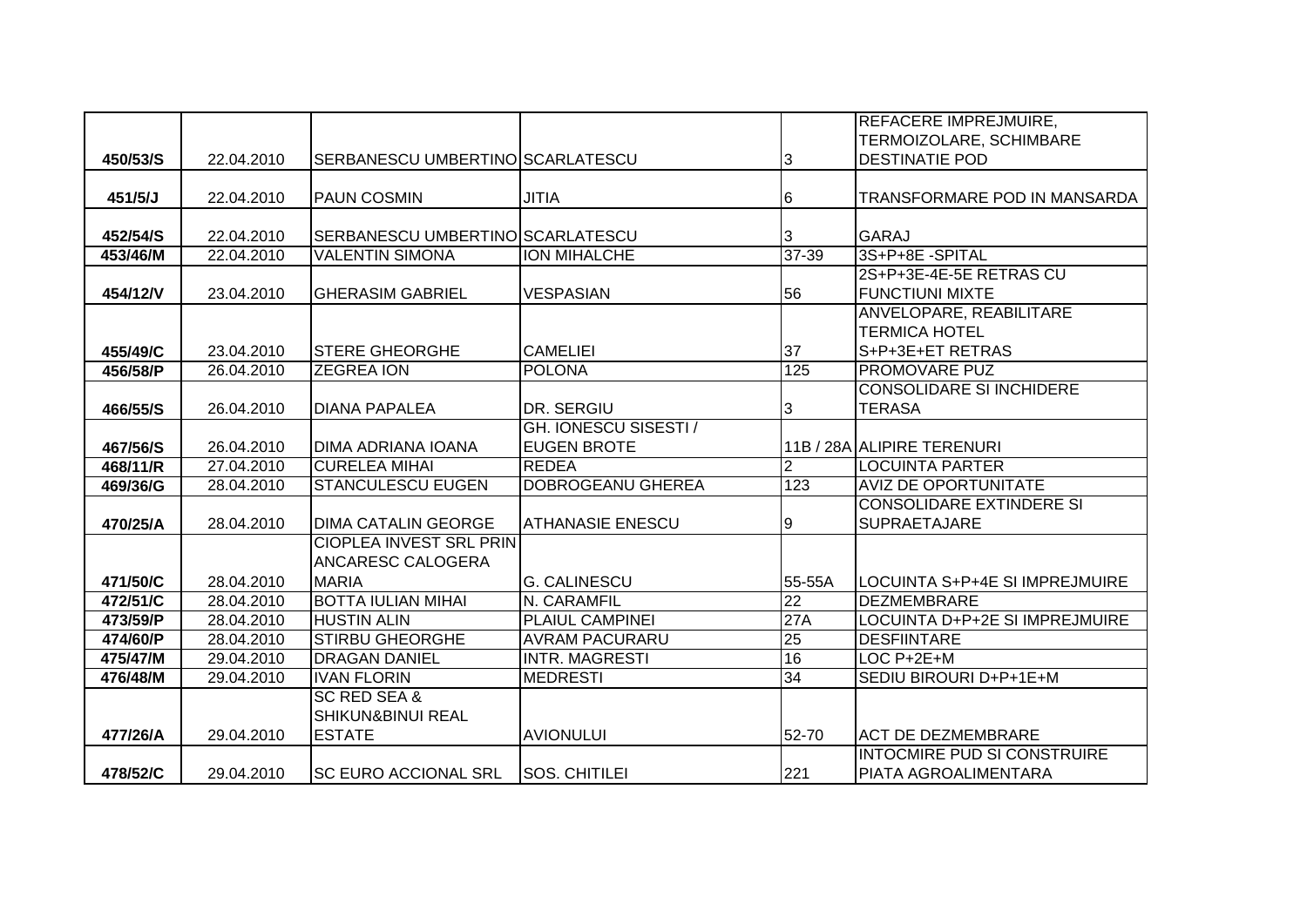|          |            |                                  |                         |                | <b>REFACERE IMPREJMUIRE,</b>          |
|----------|------------|----------------------------------|-------------------------|----------------|---------------------------------------|
|          |            |                                  |                         |                | TERMOIZOLARE, SCHIMBARE               |
| 450/53/S | 22.04.2010 | SERBANESCU UMBERTINO SCARLATESCU |                         | 3              | <b>DESTINATIE POD</b>                 |
|          |            |                                  |                         |                |                                       |
| 451/5/J  | 22.04.2010 | <b>PAUN COSMIN</b>               | <b>JITIA</b>            | 6              | TRANSFORMARE POD IN MANSARDA          |
|          |            |                                  |                         |                |                                       |
| 452/54/S | 22.04.2010 | SERBANESCU UMBERTINO SCARLATESCU |                         | 3              | <b>GARAJ</b>                          |
| 453/46/M | 22.04.2010 | <b>VALENTIN SIMONA</b>           | <b>ION MIHALCHE</b>     | $37 - 39$      | 3S+P+8E-SPITAL                        |
|          |            |                                  |                         |                | 2S+P+3E-4E-5E RETRAS CU               |
| 454/12/V | 23.04.2010 | <b>GHERASIM GABRIEL</b>          | <b>VESPASIAN</b>        | 56             | <b>FUNCTIUNI MIXTE</b>                |
|          |            |                                  |                         |                | ANVELOPARE, REABILITARE               |
|          |            |                                  |                         |                | <b>TERMICA HOTEL</b>                  |
| 455/49/C | 23.04.2010 | <b>STERE GHEORGHE</b>            | <b>CAMELIEI</b>         | 37             | S+P+3E+ET RETRAS                      |
| 456/58/P | 26.04.2010 | <b>ZEGREA ION</b>                | <b>POLONA</b>           | 125            | <b>PROMOVARE PUZ</b>                  |
|          |            |                                  |                         |                | <b>CONSOLIDARE SI INCHIDERE</b>       |
| 466/55/S | 26.04.2010 | <b>DIANA PAPALEA</b>             | DR. SERGIU              | 3              | <b>TERASA</b>                         |
|          |            |                                  | GH. IONESCU SISESTI /   |                |                                       |
| 467/56/S | 26.04.2010 | DIMA ADRIANA IOANA               | <b>EUGEN BROTE</b>      |                | 11B / 28A ALIPIRE TERENURI            |
| 468/11/R | 27.04.2010 | <b>CURELEA MIHAI</b>             | <b>REDEA</b>            | $\overline{2}$ | <b>LOCUINTA PARTER</b>                |
| 469/36/G | 28.04.2010 | <b>STANCULESCU EUGEN</b>         | DOBROGEANU GHEREA       | 123            | <b>AVIZ DE OPORTUNITATE</b>           |
|          |            |                                  |                         |                | <b>CONSOLIDARE EXTINDERE SI</b>       |
| 470/25/A | 28.04.2010 | <b>DIMA CATALIN GEORGE</b>       | <b>ATHANASIE ENESCU</b> | 9              | <b>SUPRAETAJARE</b>                   |
|          |            | <b>CIOPLEA INVEST SRL PRIN</b>   |                         |                |                                       |
|          |            | ANCARESC CALOGERA                |                         |                |                                       |
| 471/50/C | 28.04.2010 | <b>MARIA</b>                     | <b>G. CALINESCU</b>     | 55-55A         | LOCUINTA S+P+4E SI IMPREJMUIRE        |
| 472/51/C | 28.04.2010 | <b>BOTTA IULIAN MIHAI</b>        | N. CARAMFIL             | 22             | <b>DEZMEMBRARE</b>                    |
| 473/59/P | 28.04.2010 | <b>HUSTIN ALIN</b>               | <b>PLAIUL CAMPINEI</b>  | 27A            | <b>LOCUINTA D+P+2E SI IMPREJMUIRE</b> |
| 474/60/P | 28.04.2010 | <b>STIRBU GHEORGHE</b>           | <b>AVRAM PACURARU</b>   | 25             | <b>DESFIINTARE</b>                    |
| 475/47/M | 29.04.2010 | <b>DRAGAN DANIEL</b>             | <b>INTR. MAGRESTI</b>   | 16             | $LOC P+2E+M$                          |
| 476/48/M | 29.04.2010 | <b>IVAN FLORIN</b>               | <b>MEDRESTI</b>         | 34             | SEDIU BIROURI D+P+1E+M                |
|          |            | <b>SC RED SEA &amp;</b>          |                         |                |                                       |
|          |            | SHIKUN&BINUI REAL                |                         |                |                                       |
| 477/26/A | 29.04.2010 | <b>ESTATE</b>                    | <b>AVIONULUI</b>        | 52-70          | <b>ACT DE DEZMEMBRARE</b>             |
|          |            |                                  |                         |                | <b>INTOCMIRE PUD SI CONSTRUIRE</b>    |
| 478/52/C | 29.04.2010 | <b>SC EURO ACCIONAL SRL</b>      | <b>SOS. CHITILEI</b>    | 221            | PIATA AGROALIMENTARA                  |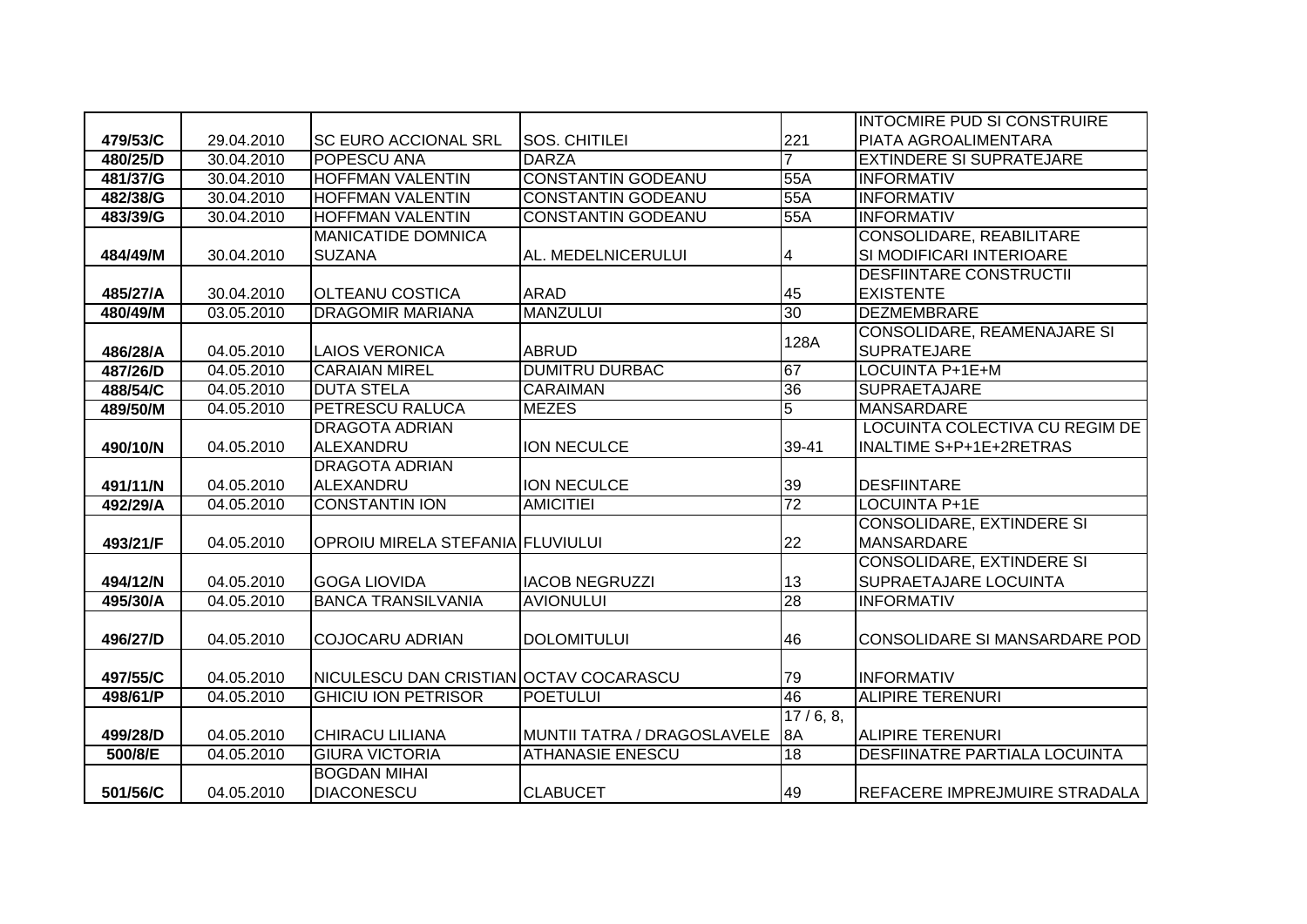|          |            |                                        |                             |                | <b>INTOCMIRE PUD SI CONSTRUIRE</b>   |
|----------|------------|----------------------------------------|-----------------------------|----------------|--------------------------------------|
| 479/53/C | 29.04.2010 | <b>ISC EURO ACCIONAL SRL</b>           | SOS. CHITILEI               | 221            | PIATA AGROALIMENTARA                 |
| 480/25/D | 30.04.2010 | <b>POPESCU ANA</b>                     | <b>DARZA</b>                |                | <b>EXTINDERE SI SUPRATEJARE</b>      |
| 481/37/G | 30.04.2010 | <b>HOFFMAN VALENTIN</b>                | <b>CONSTANTIN GODEANU</b>   | 55A            | <b>INFORMATIV</b>                    |
| 482/38/G | 30.04.2010 | <b>HOFFMAN VALENTIN</b>                | <b>CONSTANTIN GODEANU</b>   | 55A            | <b>INFORMATIV</b>                    |
| 483/39/G | 30.04.2010 | <b>HOFFMAN VALENTIN</b>                | <b>CONSTANTIN GODEANU</b>   | 55A            | <b>INFORMATIV</b>                    |
|          |            | <b>MANICATIDE DOMNICA</b>              |                             |                | <b>CONSOLIDARE, REABILITARE</b>      |
| 484/49/M | 30.04.2010 | <b>SUZANA</b>                          | AL. MEDELNICERULUI          | 4              | SI MODIFICARI INTERIOARE             |
|          |            |                                        |                             |                | <b>DESFIINTARE CONSTRUCTII</b>       |
| 485/27/A | 30.04.2010 | <b>OLTEANU COSTICA</b>                 | <b>ARAD</b>                 | 45             | <b>EXISTENTE</b>                     |
| 480/49/M | 03.05.2010 | <b>DRAGOMIR MARIANA</b>                | <b>MANZULUI</b>             | 30             | <b>DEZMEMBRARE</b>                   |
|          |            |                                        |                             | 128A           | CONSOLIDARE, REAMENAJARE SI          |
| 486/28/A | 04.05.2010 | <b>LAIOS VERONICA</b>                  | <b>ABRUD</b>                |                | <b>SUPRATEJARE</b>                   |
| 487/26/D | 04.05.2010 | <b>CARAIAN MIREL</b>                   | <b>DUMITRU DURBAC</b>       | 67             | LOCUINTA P+1E+M                      |
| 488/54/C | 04.05.2010 | <b>DUTA STELA</b>                      | <b>CARAIMAN</b>             | 36             | <b>SUPRAETAJARE</b>                  |
| 489/50/M | 04.05.2010 | <b>PETRESCU RALUCA</b>                 | <b>MEZES</b>                | $\overline{5}$ | <b>MANSARDARE</b>                    |
|          |            | <b>DRAGOTA ADRIAN</b>                  |                             |                | LOCUINTA COLECTIVA CU REGIM DE       |
| 490/10/N | 04.05.2010 | ALEXANDRU                              | <b>ION NECULCE</b>          | 39-41          | INALTIME S+P+1E+2RETRAS              |
|          |            | <b>DRAGOTA ADRIAN</b>                  |                             |                |                                      |
| 491/11/N | 04.05.2010 | ALEXANDRU                              | ION NECULCE                 | 39             | <b>DESFIINTARE</b>                   |
| 492/29/A | 04.05.2010 | <b>CONSTANTIN ION</b>                  | <b>AMICITIEI</b>            | 72             | <b>LOCUINTA P+1E</b>                 |
|          |            |                                        |                             |                | CONSOLIDARE, EXTINDERE SI            |
| 493/21/F | 04.05.2010 | OPROIU MIRELA STEFANIA FLUVIULUI       |                             | 22             | <b>MANSARDARE</b>                    |
|          |            |                                        |                             |                | <b>CONSOLIDARE, EXTINDERE SI</b>     |
| 494/12/N | 04.05.2010 | <b>GOGA LIOVIDA</b>                    | <b>IACOB NEGRUZZI</b>       | 13             | <b>SUPRAETAJARE LOCUINTA</b>         |
| 495/30/A | 04.05.2010 | <b>BANCA TRANSILVANIA</b>              | <b>AVIONULUI</b>            | 28             | <b>INFORMATIV</b>                    |
|          |            |                                        |                             |                |                                      |
| 496/27/D | 04.05.2010 | COJOCARU ADRIAN                        | <b>DOLOMITULUI</b>          | 46             | CONSOLIDARE SI MANSARDARE POD        |
|          |            |                                        |                             |                |                                      |
| 497/55/C | 04.05.2010 | NICULESCU DAN CRISTIAN OCTAV COCARASCU |                             | 79             | <b>INFORMATIV</b>                    |
| 498/61/P | 04.05.2010 | <b>GHICIU ION PETRISOR</b>             | <b>POETULUI</b>             | 46             | <b>ALIPIRE TERENURI</b>              |
|          |            |                                        |                             | 17/6, 8,       |                                      |
| 499/28/D | 04.05.2010 | <b>CHIRACU LILIANA</b>                 | MUNTII TATRA / DRAGOSLAVELE | 8A             | <b>ALIPIRE TERENURI</b>              |
| 500/8/E  | 04.05.2010 | <b>GIURA VICTORIA</b>                  | <b>ATHANASIE ENESCU</b>     | 18             | <b>DESFIINATRE PARTIALA LOCUINTA</b> |
|          |            | <b>BOGDAN MIHAI</b>                    |                             |                |                                      |
| 501/56/C | 04.05.2010 | DIACONESCU                             | <b>CLABUCET</b>             | 49             | REFACERE IMPREJMUIRE STRADALA        |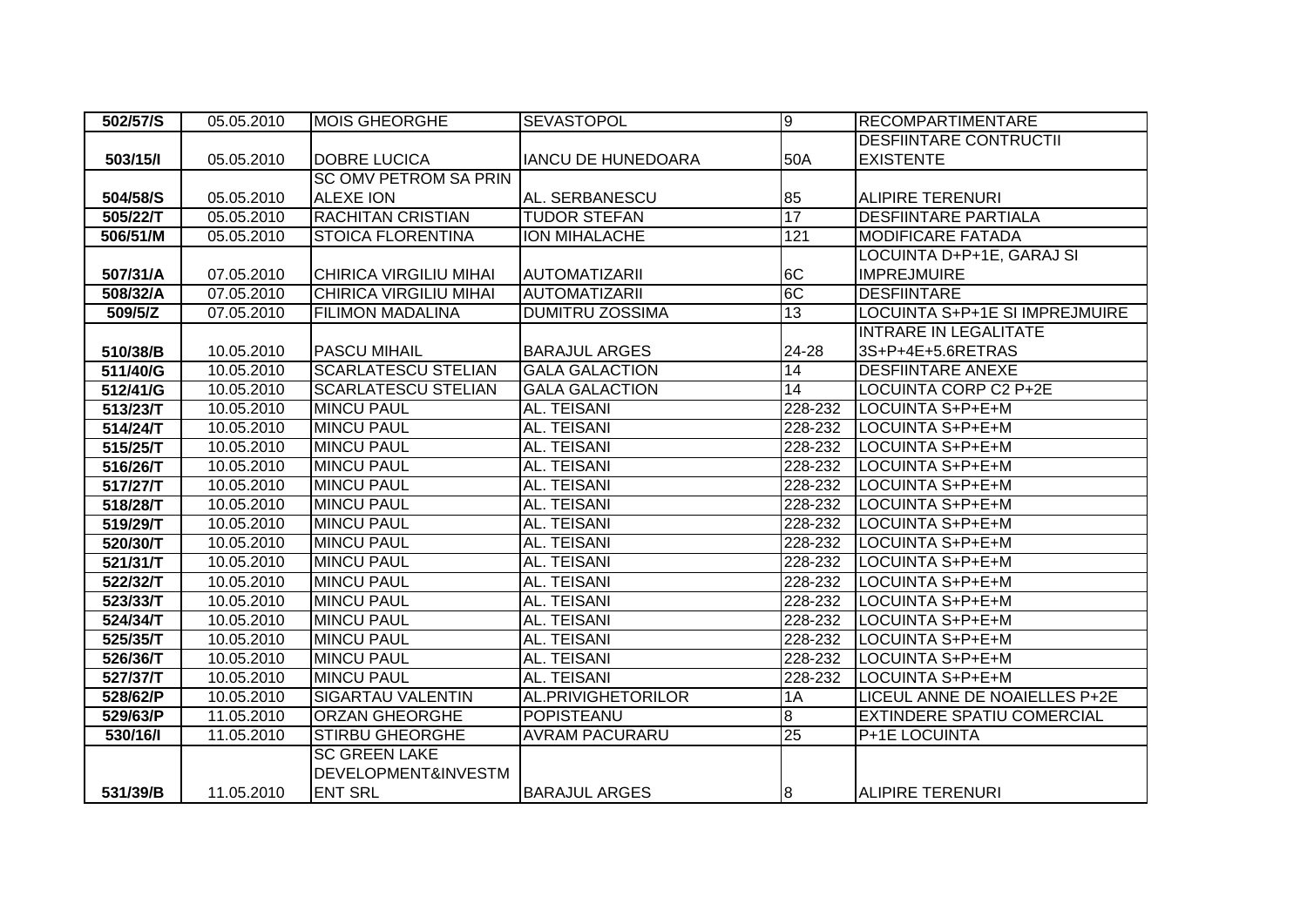| 502/57/S | 05.05.2010 | <b>MOIS GHEORGHE</b>          | <b>SEVASTOPOL</b>         | g              | <b>RECOMPARTIMENTARE</b>          |
|----------|------------|-------------------------------|---------------------------|----------------|-----------------------------------|
|          |            |                               |                           |                | <b>DESFIINTARE CONTRUCTII</b>     |
| 503/15/1 | 05.05.2010 | <b>DOBRE LUCICA</b>           | <b>IANCU DE HUNEDOARA</b> | 50A            | <b>EXISTENTE</b>                  |
|          |            | <b>SC OMV PETROM SA PRIN</b>  |                           |                |                                   |
| 504/58/S | 05.05.2010 | <b>ALEXE ION</b>              | AL. SERBANESCU            | 85             | <b>ALIPIRE TERENURI</b>           |
| 505/22/T | 05.05.2010 | <b>RACHITAN CRISTIAN</b>      | <b>TUDOR STEFAN</b>       | 17             | <b>DESFIINTARE PARTIALA</b>       |
| 506/51/M | 05.05.2010 | <b>STOICA FLORENTINA</b>      | <b>ION MIHALACHE</b>      | 121            | <b>MODIFICARE FATADA</b>          |
|          |            |                               |                           |                | LOCUINTA D+P+1E, GARAJ SI         |
| 507/31/A | 07.05.2010 | <b>CHIRICA VIRGILIU MIHAI</b> | <b>AUTOMATIZARII</b>      | 6C             | <b>IMPREJMUIRE</b>                |
| 508/32/A | 07.05.2010 | <b>CHIRICA VIRGILIU MIHAI</b> | <b>AUTOMATIZARII</b>      | 6C             | <b>DESFIINTARE</b>                |
| 509/5/Z  | 07.05.2010 | <b>FILIMON MADALINA</b>       | <b>DUMITRU ZOSSIMA</b>    | 13             | LOCUINTA S+P+1E SI IMPREJMUIRE    |
|          |            |                               |                           |                | <b>INTRARE IN LEGALITATE</b>      |
| 510/38/B | 10.05.2010 | <b>PASCU MIHAIL</b>           | <b>BARAJUL ARGES</b>      | 24-28          | 3S+P+4E+5.6RETRAS                 |
| 511/40/G | 10.05.2010 | <b>SCARLATESCU STELIAN</b>    | <b>GALA GALACTION</b>     | 14             | <b>DESFIINTARE ANEXE</b>          |
| 512/41/G | 10.05.2010 | <b>SCARLATESCU STELIAN</b>    | <b>GALA GALACTION</b>     | 14             | <b>LOCUINTA CORP C2 P+2E</b>      |
| 513/23/T | 10.05.2010 | <b>MINCU PAUL</b>             | AL. TEISANI               | 228-232        | LOCUINTA S+P+E+M                  |
| 514/24/T | 10.05.2010 | <b>MINCU PAUL</b>             | AL. TEISANI               | 228-232        | LOCUINTA S+P+E+M                  |
| 515/25/T | 10.05.2010 | <b>MINCU PAUL</b>             | AL. TEISANI               | 228-232        | LOCUINTA S+P+E+M                  |
| 516/26/T | 10.05.2010 | <b>MINCU PAUL</b>             | AL. TEISANI               | 228-232        | LOCUINTA S+P+E+M                  |
| 517/27/T | 10.05.2010 | <b>MINCU PAUL</b>             | AL. TEISANI               | 228-232        | LOCUINTA S+P+E+M                  |
| 518/28/T | 10.05.2010 | <b>MINCU PAUL</b>             | AL. TEISANI               | 228-232        | LOCUINTA S+P+E+M                  |
| 519/29/T | 10.05.2010 | <b>MINCU PAUL</b>             | AL. TEISANI               | 228-232        | LOCUINTA S+P+E+M                  |
| 520/30/T | 10.05.2010 | <b>MINCU PAUL</b>             | <b>AL. TEISANI</b>        | 228-232        | LOCUINTA S+P+E+M                  |
| 521/31/T | 10.05.2010 | <b>MINCU PAUL</b>             | AL. TEISANI               | 228-232        | LOCUINTA S+P+E+M                  |
| 522/32/T | 10.05.2010 | <b>MINCU PAUL</b>             | AL. TEISANI               | 228-232        | LOCUINTA S+P+E+M                  |
| 523/33/T | 10.05.2010 | <b>MINCU PAUL</b>             | AL. TEISANI               | $228 - 232$    | LOCUINTA S+P+E+M                  |
| 524/34/T | 10.05.2010 | <b>MINCU PAUL</b>             | <b>AL. TEISANI</b>        | $228 - 232$    | LOCUINTA S+P+E+M                  |
| 525/35/T | 10.05.2010 | <b>MINCU PAUL</b>             | AL. TEISANI               | $228 - 232$    | LOCUINTA S+P+E+M                  |
| 526/36/T | 10.05.2010 | <b>MINCU PAUL</b>             | AL. TEISANI               | 228-232        | LOCUINTA S+P+E+M                  |
| 527/37/T | 10.05.2010 | <b>MINCU PAUL</b>             | AL. TEISANI               | 228-232        | LOCUINTA S+P+E+M                  |
| 528/62/P | 10.05.2010 | <b>SIGARTAU VALENTIN</b>      | <b>AL.PRIVIGHETORILOR</b> | 1A             | LICEUL ANNE DE NOAIELLES P+2E     |
| 529/63/P | 11.05.2010 | <b>ORZAN GHEORGHE</b>         | <b>POPISTEANU</b>         | $\overline{8}$ | <b>EXTINDERE SPATIU COMERCIAL</b> |
| 530/16/1 | 11.05.2010 | <b>STIRBU GHEORGHE</b>        | <b>AVRAM PACURARU</b>     | 25             | P+1E LOCUINTA                     |
|          |            | <b>SC GREEN LAKE</b>          |                           |                |                                   |
|          |            | DEVELOPMENT&INVESTM           |                           |                |                                   |
| 531/39/B | 11.05.2010 | <b>ENT SRL</b>                | <b>BARAJUL ARGES</b>      | 8              | <b>ALIPIRE TERENURI</b>           |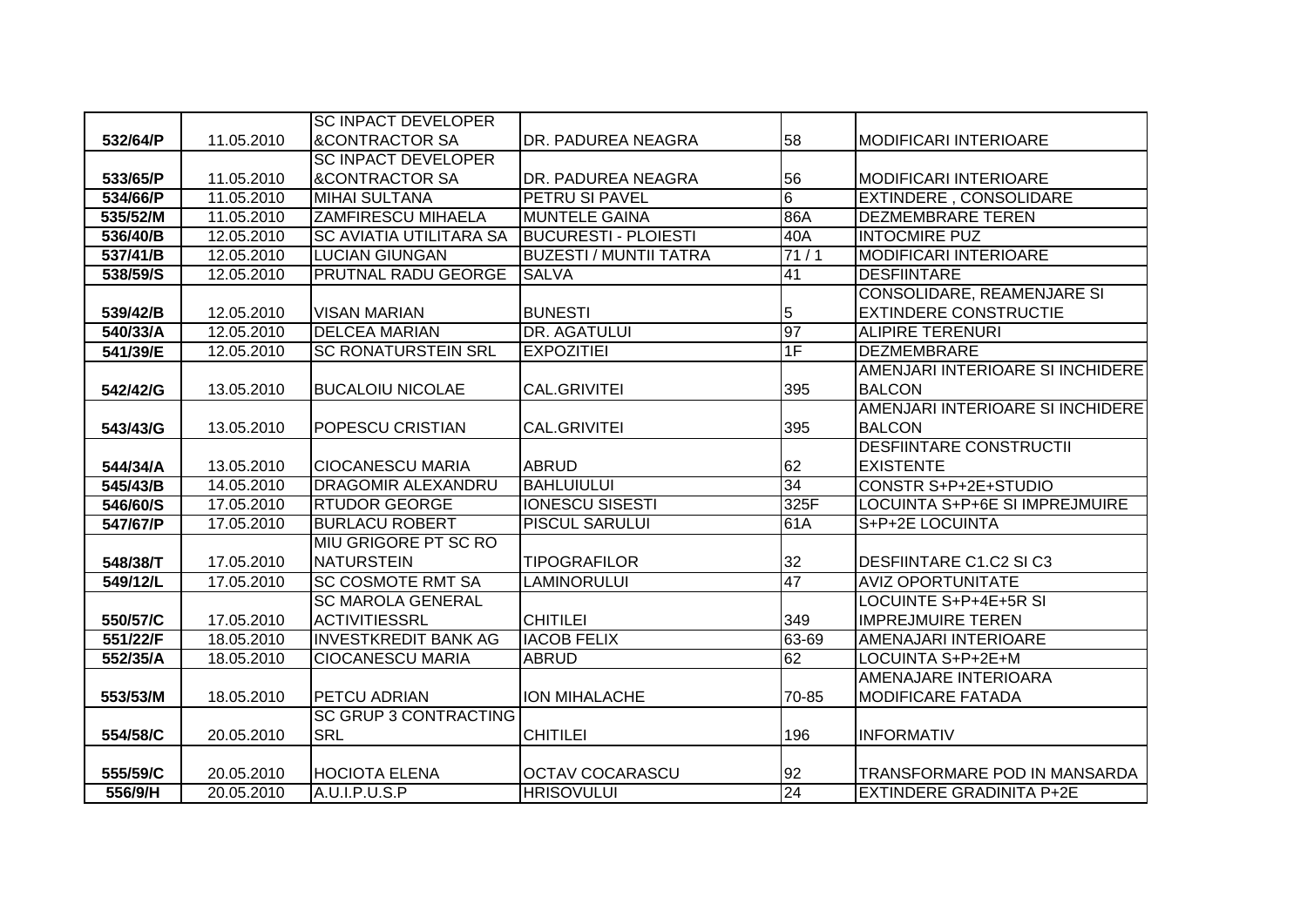|          |            | <b>SC INPACT DEVELOPER</b>     |                               |       |                                   |
|----------|------------|--------------------------------|-------------------------------|-------|-----------------------------------|
| 532/64/P | 11.05.2010 | <b>&amp;CONTRACTOR SA</b>      | DR. PADUREA NEAGRA            | 58    | <b>MODIFICARI INTERIOARE</b>      |
|          |            | <b>SC INPACT DEVELOPER</b>     |                               |       |                                   |
| 533/65/P | 11.05.2010 | <b>&amp;CONTRACTOR SA</b>      | DR. PADUREA NEAGRA            | 56    | <b>MODIFICARI INTERIOARE</b>      |
| 534/66/P | 11.05.2010 | <b>MIHAI SULTANA</b>           | PETRU SI PAVEL                | 6     | <b>EXTINDERE, CONSOLIDARE</b>     |
| 535/52/M | 11.05.2010 | <b>ZAMFIRESCU MIHAELA</b>      | <b>MUNTELE GAINA</b>          | 86A   | <b>DEZMEMBRARE TEREN</b>          |
| 536/40/B | 12.05.2010 | <b>SC AVIATIA UTILITARA SA</b> | <b>BUCURESTI - PLOIESTI</b>   | 40A   | <b>INTOCMIRE PUZ</b>              |
| 537/41/B | 12.05.2010 | <b>LUCIAN GIUNGAN</b>          | <b>BUZESTI / MUNTII TATRA</b> | 71/1  | <b>MODIFICARI INTERIOARE</b>      |
| 538/59/S | 12.05.2010 | <b>PRUTNAL RADU GEORGE</b>     | <b>SALVA</b>                  | 41    | <b>DESFIINTARE</b>                |
|          |            |                                |                               |       | <b>CONSOLIDARE, REAMENJARE SI</b> |
| 539/42/B | 12.05.2010 | <b>VISAN MARIAN</b>            | <b>BUNESTI</b>                | 5     | <b>EXTINDERE CONSTRUCTIE</b>      |
| 540/33/A | 12.05.2010 | <b>DELCEA MARIAN</b>           | <b>DR. AGATULUI</b>           | 97    | <b>ALIPIRE TERENURI</b>           |
| 541/39/E | 12.05.2010 | <b>SC RONATURSTEIN SRL</b>     | <b>EXPOZITIEI</b>             | 1F    | <b>DEZMEMBRARE</b>                |
|          |            |                                |                               |       | AMENJARI INTERIOARE SI INCHIDERE  |
| 542/42/G | 13.05.2010 | <b>BUCALOIU NICOLAE</b>        | <b>CAL.GRIVITEI</b>           | 395   | <b>BALCON</b>                     |
|          |            |                                |                               |       | AMENJARI INTERIOARE SI INCHIDERE  |
| 543/43/G | 13.05.2010 | POPESCU CRISTIAN               | <b>CAL.GRIVITEI</b>           | 395   | <b>BALCON</b>                     |
|          |            |                                |                               |       | <b>DESFIINTARE CONSTRUCTII</b>    |
| 544/34/A | 13.05.2010 | <b>CIOCANESCU MARIA</b>        | <b>ABRUD</b>                  | 62    | <b>EXISTENTE</b>                  |
| 545/43/B | 14.05.2010 | <b>DRAGOMIR ALEXANDRU</b>      | BAHLUIULUI                    | 34    | CONSTR S+P+2E+STUDIO              |
| 546/60/S | 17.05.2010 | <b>RTUDOR GEORGE</b>           | <b>IONESCU SISESTI</b>        | 325F  | LOCUINTA S+P+6E SI IMPREJMUIRE    |
| 547/67/P | 17.05.2010 | <b>BURLACU ROBERT</b>          | <b>PISCUL SARULUI</b>         | 61A   | S+P+2E LOCUINTA                   |
|          |            | MIU GRIGORE PT SC RO           |                               |       |                                   |
| 548/38/T | 17.05.2010 | <b>NATURSTEIN</b>              | <b>TIPOGRAFILOR</b>           | 32    | <b>DESFIINTARE C1.C2 SI C3</b>    |
| 549/12/L | 17.05.2010 | <b>SC COSMOTE RMT SA</b>       | <b>LAMINORULUI</b>            | 47    | <b>AVIZ OPORTUNITATE</b>          |
|          |            | <b>SC MAROLA GENERAL</b>       |                               |       | LOCUINTE S+P+4E+5R SI             |
| 550/57/C | 17.05.2010 | <b>ACTIVITIESSRL</b>           | <b>CHITILEI</b>               | 349   | <b>IMPREJMUIRE TEREN</b>          |
| 551/22/F | 18.05.2010 | <b>INVESTKREDIT BANK AG</b>    | <b>IACOB FELIX</b>            | 63-69 | AMENAJARI INTERIOARE              |
| 552/35/A | 18.05.2010 | <b>CIOCANESCU MARIA</b>        | <b>ABRUD</b>                  | 62    | LOCUINTA S+P+2E+M                 |
|          |            |                                |                               |       | AMENAJARE INTERIOARA              |
| 553/53/M | 18.05.2010 | <b>PETCU ADRIAN</b>            | <b>ION MIHALACHE</b>          | 70-85 | <b>MODIFICARE FATADA</b>          |
|          |            | <b>SC GRUP 3 CONTRACTING</b>   |                               |       |                                   |
| 554/58/C | 20.05.2010 | <b>SRL</b>                     | <b>CHITILEI</b>               | 196   | <b>INFORMATIV</b>                 |
|          |            |                                |                               |       |                                   |
| 555/59/C | 20.05.2010 | <b>HOCIOTA ELENA</b>           | <b>OCTAV COCARASCU</b>        | 92    | TRANSFORMARE POD IN MANSARDA      |
| 556/9/H  | 20.05.2010 | A.U.I.P.U.S.P                  | <b>HRISOVULUI</b>             | 24    | <b>EXTINDERE GRADINITA P+2E</b>   |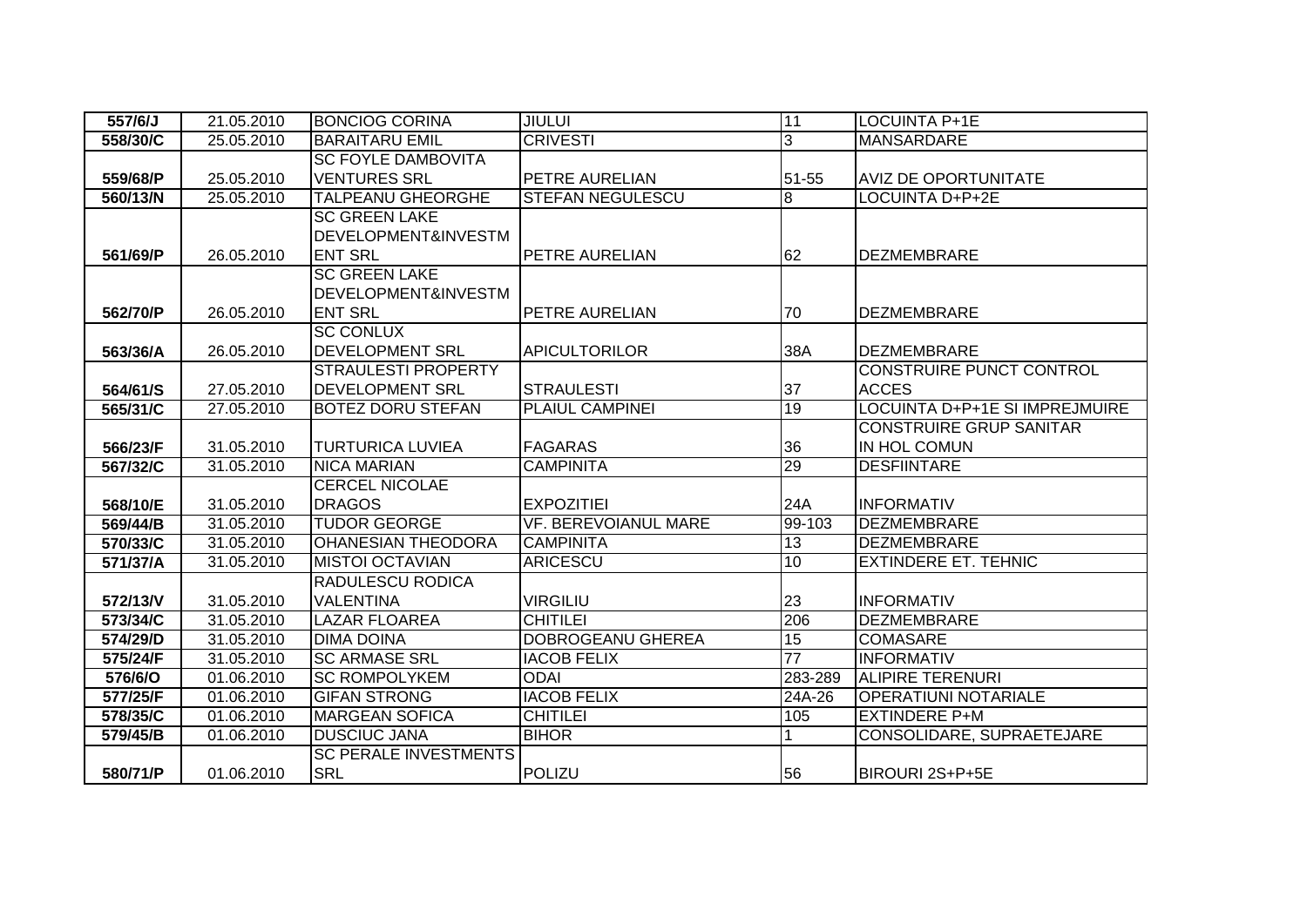| 557/6/J  | 21.05.2010 | <b>BONCIOG CORINA</b>          | <b>JIULUI</b>               | 11              | <b>LOCUINTA P+1E</b>            |
|----------|------------|--------------------------------|-----------------------------|-----------------|---------------------------------|
| 558/30/C | 25.05.2010 | <b>BARAITARU EMIL</b>          | <b>CRIVESTI</b>             | 3               | <b>MANSARDARE</b>               |
|          |            | <b>SC FOYLE DAMBOVITA</b>      |                             |                 |                                 |
| 559/68/P | 25.05.2010 | <b>VENTURES SRL</b>            | PETRE AURELIAN              | 51-55           | <b>AVIZ DE OPORTUNITATE</b>     |
| 560/13/N | 25.05.2010 | <b>TALPEANU GHEORGHE</b>       | <b>STEFAN NEGULESCU</b>     | 8               | <b>LOCUINTA D+P+2E</b>          |
|          |            | <b>SC GREEN LAKE</b>           |                             |                 |                                 |
|          |            | <b>DEVELOPMENT&amp;INVESTM</b> |                             |                 |                                 |
| 561/69/P | 26.05.2010 | <b>ENT SRL</b>                 | PETRE AURELIAN              | 62              | <b>DEZMEMBRARE</b>              |
|          |            | <b>SC GREEN LAKE</b>           |                             |                 |                                 |
|          |            | <b>DEVELOPMENT&amp;INVESTM</b> |                             |                 |                                 |
| 562/70/P | 26.05.2010 | <b>ENT SRL</b>                 | PETRE AURELIAN              | 70              | <b>DEZMEMBRARE</b>              |
|          |            | <b>SC CONLUX</b>               |                             |                 |                                 |
| 563/36/A | 26.05.2010 | <b>DEVELOPMENT SRL</b>         | <b>APICULTORILOR</b>        | 38A             | <b>DEZMEMBRARE</b>              |
|          |            | <b>STRAULESTI PROPERTY</b>     |                             |                 | <b>CONSTRUIRE PUNCT CONTROL</b> |
| 564/61/S | 27.05.2010 | <b>DEVELOPMENT SRL</b>         | <b>STRAULESTI</b>           | 37              | <b>ACCES</b>                    |
| 565/31/C | 27.05.2010 | <b>BOTEZ DORU STEFAN</b>       | <b>PLAIUL CAMPINEI</b>      | 19              | LOCUINTA D+P+1E SI IMPREJMUIRE  |
|          |            |                                |                             |                 | <b>CONSTRUIRE GRUP SANITAR</b>  |
| 566/23/F | 31.05.2010 | <b>TURTURICA LUVIEA</b>        | <b>FAGARAS</b>              | 36              | IN HOL COMUN                    |
| 567/32/C | 31.05.2010 | <b>NICA MARIAN</b>             | <b>CAMPINITA</b>            | 29              | <b>DESFIINTARE</b>              |
|          |            | <b>CERCEL NICOLAE</b>          |                             |                 |                                 |
| 568/10/E | 31.05.2010 | <b>DRAGOS</b>                  | <b>EXPOZITIEI</b>           | 24A             | <b>INFORMATIV</b>               |
| 569/44/B | 31.05.2010 | <b>TUDOR GEORGE</b>            | <b>VF. BEREVOIANUL MARE</b> | 99-103          | <b>DEZMEMBRARE</b>              |
| 570/33/C | 31.05.2010 | <b>OHANESIAN THEODORA</b>      | <b>CAMPINITA</b>            | 13              | <b>DEZMEMBRARE</b>              |
| 571/37/A | 31.05.2010 | <b>MISTOI OCTAVIAN</b>         | <b>ARICESCU</b>             | 10              | <b>EXTINDERE ET. TEHNIC</b>     |
|          |            | <b>RADULESCU RODICA</b>        |                             |                 |                                 |
| 572/13/V | 31.05.2010 | <b>VALENTINA</b>               | <b>VIRGILIU</b>             | 23              | <b>INFORMATIV</b>               |
| 573/34/C | 31.05.2010 | <b>LAZAR FLOAREA</b>           | <b>CHITILEI</b>             | 206             | <b>DEZMEMBRARE</b>              |
| 574/29/D | 31.05.2010 | <b>DIMA DOINA</b>              | <b>DOBROGEANU GHEREA</b>    | $\overline{15}$ | <b>COMASARE</b>                 |
| 575/24/F | 31.05.2010 | <b>SC ARMASE SRL</b>           | <b>IACOB FELIX</b>          | 77              | <b>INFORMATIV</b>               |
| 576/6/O  | 01.06.2010 | <b>SC ROMPOLYKEM</b>           | <b>ODAI</b>                 | 283-289         | <b>ALIPIRE TERENURI</b>         |
| 577/25/F | 01.06.2010 | <b>GIFAN STRONG</b>            | <b>IACOB FELIX</b>          | 24A-26          | <b>OPERATIUNI NOTARIALE</b>     |
| 578/35/C | 01.06.2010 | <b>MARGEAN SOFICA</b>          | <b>CHITILEI</b>             | 105             | <b>EXTINDERE P+M</b>            |
| 579/45/B | 01.06.2010 | <b>DUSCIUC JANA</b>            | <b>BIHOR</b>                |                 | CONSOLIDARE, SUPRAETEJARE       |
|          |            | <b>SC PERALE INVESTMENTS</b>   |                             |                 |                                 |
| 580/71/P | 01.06.2010 | <b>SRL</b>                     | POLIZU                      | 56              | BIROURI 2S+P+5E                 |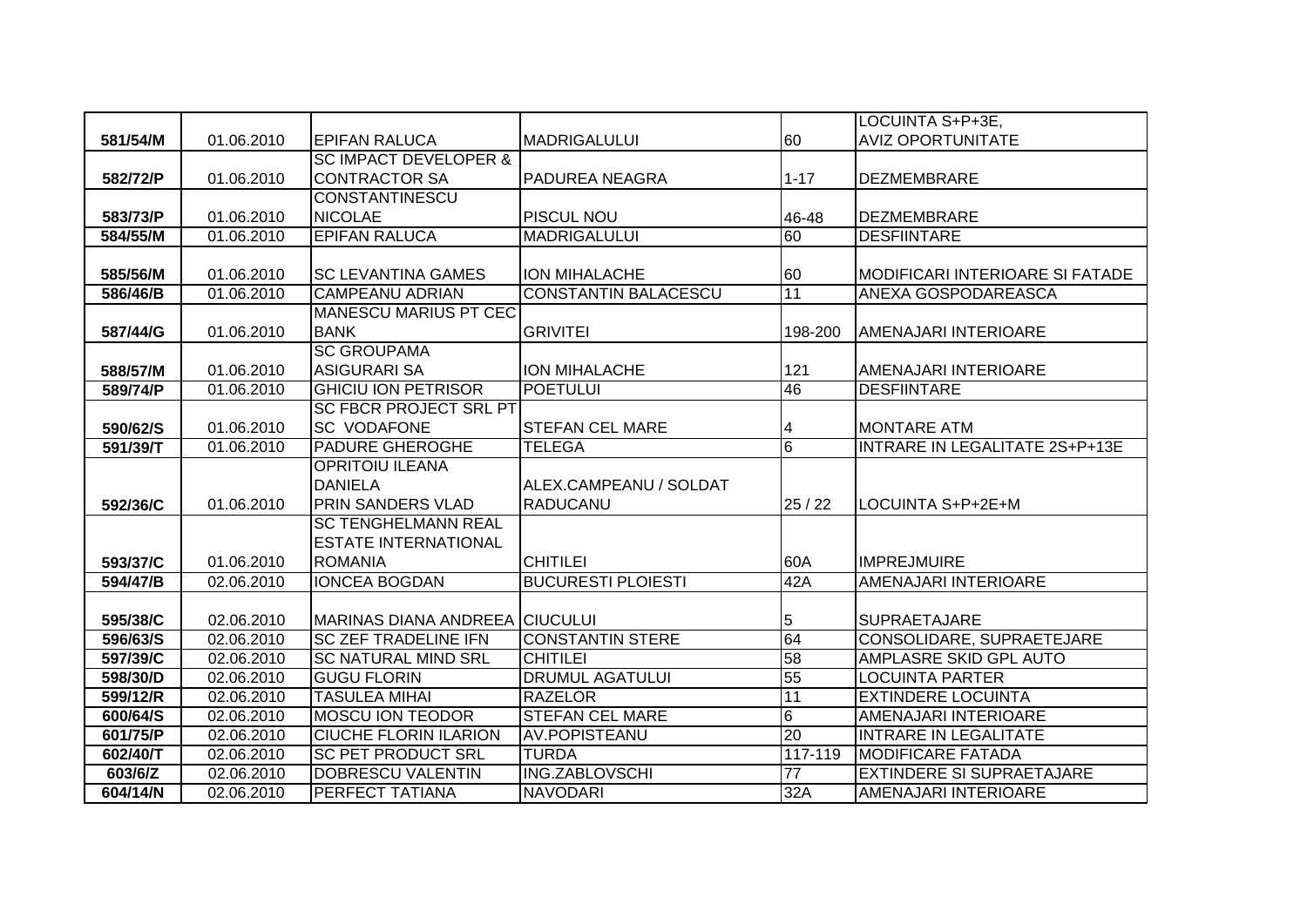|          |            |                                       |                             |                | LOCUINTA S+P+3E,                 |
|----------|------------|---------------------------------------|-----------------------------|----------------|----------------------------------|
| 581/54/M | 01.06.2010 | <b>EPIFAN RALUCA</b>                  | <b>MADRIGALULUI</b>         | 60             | <b>AVIZ OPORTUNITATE</b>         |
|          |            | <b>SC IMPACT DEVELOPER &amp;</b>      |                             |                |                                  |
| 582/72/P | 01.06.2010 | <b>CONTRACTOR SA</b>                  | PADUREA NEAGRA              | $1 - 17$       | <b>DEZMEMBRARE</b>               |
|          |            | <b>CONSTANTINESCU</b>                 |                             |                |                                  |
| 583/73/P | 01.06.2010 | <b>NICOLAE</b>                        | <b>PISCUL NOU</b>           | 46-48          | <b>DEZMEMBRARE</b>               |
| 584/55/M | 01.06.2010 | <b>EPIFAN RALUCA</b>                  | <b>MADRIGALULUI</b>         | 60             | <b>DESFIINTARE</b>               |
|          |            |                                       |                             |                |                                  |
| 585/56/M | 01.06.2010 | <b>SC LEVANTINA GAMES</b>             | <b>ION MIHALACHE</b>        | 60             | MODIFICARI INTERIOARE SI FATADE  |
| 586/46/B | 01.06.2010 | <b>CAMPEANU ADRIAN</b>                | <b>CONSTANTIN BALACESCU</b> | 11             | ANEXA GOSPODAREASCA              |
|          |            | <b>MANESCU MARIUS PT CEC</b>          |                             |                |                                  |
| 587/44/G | 01.06.2010 | <b>BANK</b>                           | <b>GRIVITEI</b>             | 198-200        | AMENAJARI INTERIOARE             |
|          |            | <b>SC GROUPAMA</b>                    |                             |                |                                  |
| 588/57/M | 01.06.2010 | <b>ASIGURARI SA</b>                   | <b>ION MIHALACHE</b>        | 121            | AMENAJARI INTERIOARE             |
| 589/74/P | 01.06.2010 | <b>GHICIU ION PETRISOR</b>            | <b>POETULUI</b>             | 46             | <b>DESFIINTARE</b>               |
|          |            | <b>SC FBCR PROJECT SRL PT</b>         |                             |                |                                  |
| 590/62/S | 01.06.2010 | <b>SC VODAFONE</b>                    | <b>STEFAN CEL MARE</b>      | 4              | <b>MONTARE ATM</b>               |
| 591/39/T | 01.06.2010 | <b>PADURE GHEROGHE</b>                | <b>TELEGA</b>               | $\overline{6}$ | INTRARE IN LEGALITATE 2S+P+13E   |
|          |            | <b>OPRITOIU ILEANA</b>                |                             |                |                                  |
|          |            | <b>DANIELA</b>                        | ALEX.CAMPEANU / SOLDAT      |                |                                  |
| 592/36/C | 01.06.2010 | <b>PRIN SANDERS VLAD</b>              | <b>RADUCANU</b>             | 25/22          | LOCUINTA S+P+2E+M                |
|          |            | <b>SC TENGHELMANN REAL</b>            |                             |                |                                  |
|          |            | <b>ESTATE INTERNATIONAL</b>           |                             |                |                                  |
| 593/37/C | 01.06.2010 | <b>ROMANIA</b>                        | <b>CHITILEI</b>             | 60A            | <b>IMPREJMUIRE</b>               |
| 594/47/B | 02.06.2010 | <b>IONCEA BOGDAN</b>                  | <b>BUCURESTI PLOIESTI</b>   | 42A            | AMENAJARI INTERIOARE             |
|          |            |                                       |                             |                |                                  |
| 595/38/C | 02.06.2010 | <b>MARINAS DIANA ANDREEA CIUCULUI</b> |                             | 5              | <b>SUPRAETAJARE</b>              |
| 596/63/S | 02.06.2010 | <b>SC ZEF TRADELINE IFN</b>           | <b>CONSTANTIN STERE</b>     | 64             | CONSOLIDARE, SUPRAETEJARE        |
| 597/39/C | 02.06.2010 | <b>SC NATURAL MIND SRL</b>            | <b>CHITILEI</b>             | 58             | AMPLASRE SKID GPL AUTO           |
| 598/30/D | 02.06.2010 | <b>GUGU FLORIN</b>                    | <b>DRUMUL AGATULUI</b>      | 55             | <b>LOCUINTA PARTER</b>           |
| 599/12/R | 02.06.2010 | <b>TASULEA MIHAI</b>                  | <b>RAZELOR</b>              | 11             | <b>EXTINDERE LOCUINTA</b>        |
| 600/64/S | 02.06.2010 | <b>MOSCU ION TEODOR</b>               | <b>STEFAN CEL MARE</b>      | 6              | <b>AMENAJARI INTERIOARE</b>      |
| 601/75/P | 02.06.2010 | <b>CIUCHE FLORIN ILARION</b>          | AV.POPISTEANU               | 20             | <b>INTRARE IN LEGALITATE</b>     |
| 602/40/T | 02.06.2010 | <b>SC PET PRODUCT SRL</b>             | <b>TURDA</b>                | 117-119        | <b>MODIFICARE FATADA</b>         |
| 603/6/Z  | 02.06.2010 | DOBRESCU VALENTIN                     | <b>ING.ZABLOVSCHI</b>       | 77             | <b>EXTINDERE SI SUPRAETAJARE</b> |
| 604/14/N | 02.06.2010 | <b>PERFECT TATIANA</b>                | <b>NAVODARI</b>             | 32A            | AMENAJARI INTERIOARE             |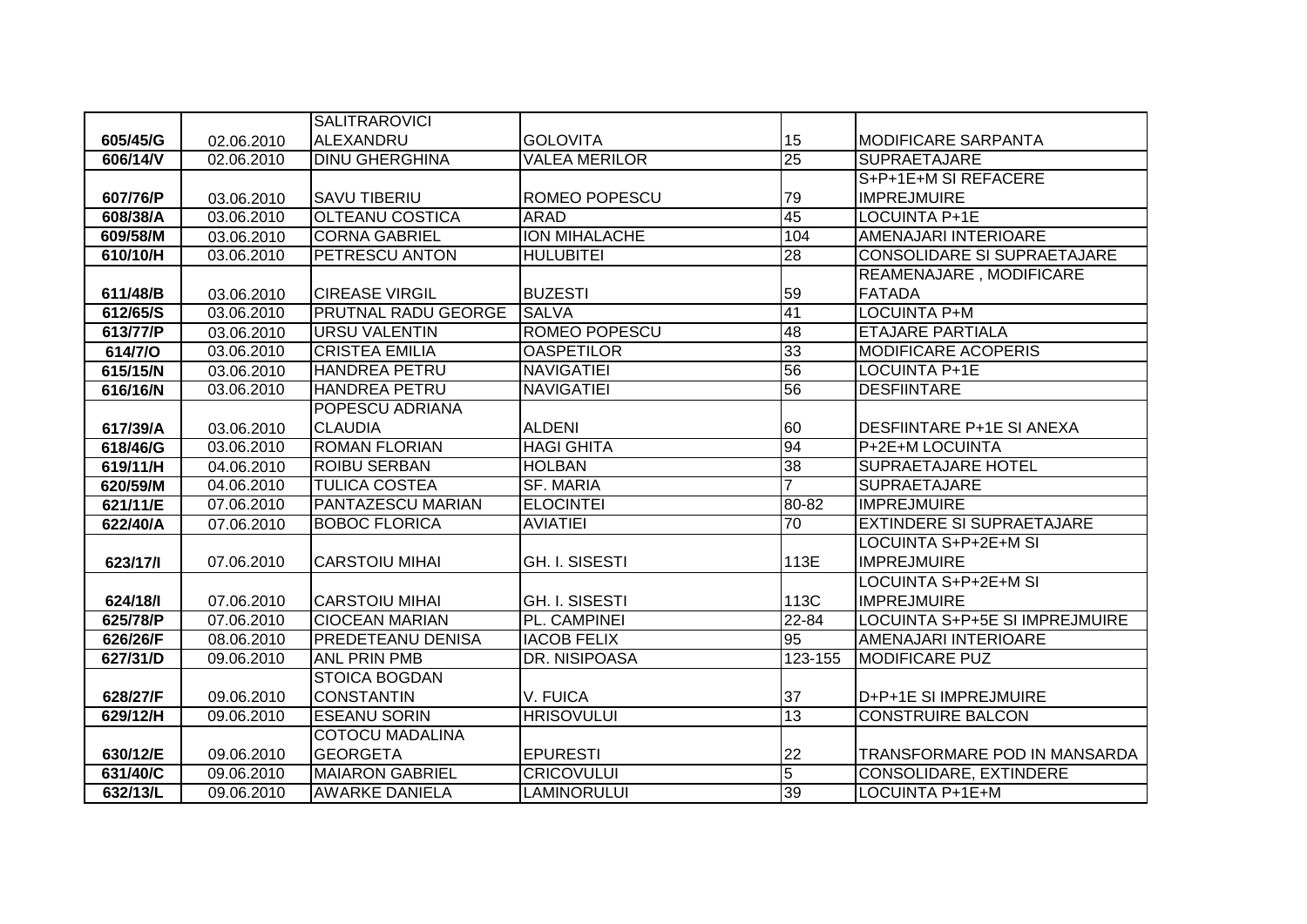|          |            | <b>SALITRAROVICI</b>   |                       |                 |                                       |
|----------|------------|------------------------|-----------------------|-----------------|---------------------------------------|
| 605/45/G | 02.06.2010 | <b>ALEXANDRU</b>       | <b>GOLOVITA</b>       | 15              | <b>MODIFICARE SARPANTA</b>            |
| 606/14/V | 02.06.2010 | <b>DINU GHERGHINA</b>  | <b>VALEA MERILOR</b>  | $\overline{25}$ | <b>SUPRAETAJARE</b>                   |
|          |            |                        |                       |                 | S+P+1E+M SI REFACERE                  |
| 607/76/P | 03.06.2010 | <b>SAVU TIBERIU</b>    | ROMEO POPESCU         | 79              | <b>IMPREJMUIRE</b>                    |
| 608/38/A | 03.06.2010 | <b>OLTEANU COSTICA</b> | <b>ARAD</b>           | 45              | LOCUINTA P+1E                         |
| 609/58/M | 03.06.2010 | <b>CORNA GABRIEL</b>   | <b>ION MIHALACHE</b>  | 104             | <b>AMENAJARI INTERIOARE</b>           |
| 610/10/H | 03.06.2010 | PETRESCU ANTON         | <b>HULUBITEI</b>      | $\overline{28}$ | <b>CONSOLIDARE SI SUPRAETAJARE</b>    |
|          |            |                        |                       |                 | REAMENAJARE, MODIFICARE               |
| 611/48/B | 03.06.2010 | <b>CIREASE VIRGIL</b>  | <b>BUZESTI</b>        | 59              | <b>FATADA</b>                         |
| 612/65/S | 03.06.2010 | PRUTNAL RADU GEORGE    | <b>SALVA</b>          | 41              | <b>LOCUINTA P+M</b>                   |
| 613/77/P | 03.06.2010 | <b>URSU VALENTIN</b>   | <b>ROMEO POPESCU</b>  | 48              | <b>ETAJARE PARTIALA</b>               |
| 614/7/O  | 03.06.2010 | <b>CRISTEA EMILIA</b>  | <b>OASPETILOR</b>     | 33              | <b>MODIFICARE ACOPERIS</b>            |
| 615/15/N | 03.06.2010 | <b>HANDREA PETRU</b>   | <b>NAVIGATIEI</b>     | 56              | <b>LOCUINTA P+1E</b>                  |
| 616/16/N | 03.06.2010 | <b>HANDREA PETRU</b>   | <b>NAVIGATIEI</b>     | 56              | <b>DESFIINTARE</b>                    |
|          |            | POPESCU ADRIANA        |                       |                 |                                       |
| 617/39/A | 03.06.2010 | <b>CLAUDIA</b>         | <b>ALDENI</b>         | 60              | <b>DESFIINTARE P+1E SI ANEXA</b>      |
| 618/46/G | 03.06.2010 | <b>ROMAN FLORIAN</b>   | <b>HAGI GHITA</b>     | 94              | P+2E+M LOCUINTA                       |
| 619/11/H | 04.06.2010 | <b>ROIBU SERBAN</b>    | <b>HOLBAN</b>         | $\overline{38}$ | <b>SUPRAETAJARE HOTEL</b>             |
| 620/59/M | 04.06.2010 | <b>TULICA COSTEA</b>   | <b>SF. MARIA</b>      | $\overline{7}$  | <b>SUPRAETAJARE</b>                   |
| 621/11/E | 07.06.2010 | PANTAZESCU MARIAN      | <b>ELOCINTEI</b>      | 80-82           | <b>IMPREJMUIRE</b>                    |
| 622/40/A | 07.06.2010 | <b>BOBOC FLORICA</b>   | <b>AVIATIEI</b>       | 70              | <b>EXTINDERE SI SUPRAETAJARE</b>      |
|          |            |                        |                       |                 | LOCUINTA S+P+2E+M SI                  |
| 623/17/1 | 07.06.2010 | <b>CARSTOIU MIHAI</b>  | <b>GH. I. SISESTI</b> | 113E            | <b>IMPREJMUIRE</b>                    |
|          |            |                        |                       |                 | <b>LOCUINTA S+P+2E+M SI</b>           |
| 624/18/1 | 07.06.2010 | <b>CARSTOIU MIHAI</b>  | <b>GH. I. SISESTI</b> | 113C            | <b>IMPREJMUIRE</b>                    |
| 625/78/P | 07.06.2010 | <b>CIOCEAN MARIAN</b>  | PL. CAMPINEI          | $22 - 84$       | <b>LOCUINTA S+P+5E SI IMPREJMUIRE</b> |
| 626/26/F | 08.06.2010 | PREDETEANU DENISA      | <b>IACOB FELIX</b>    | 95              | AMENAJARI INTERIOARE                  |
| 627/31/D | 09.06.2010 | <b>ANL PRIN PMB</b>    | DR. NISIPOASA         | 123-155         | <b>MODIFICARE PUZ</b>                 |
|          |            | <b>STOICA BOGDAN</b>   |                       |                 |                                       |
| 628/27/F | 09.06.2010 | <b>CONSTANTIN</b>      | V. FUICA              | 37              | D+P+1E SI IMPREJMUIRE                 |
| 629/12/H | 09.06.2010 | <b>ESEANU SORIN</b>    | <b>HRISOVULUI</b>     | 13              | <b>CONSTRUIRE BALCON</b>              |
|          |            | <b>COTOCU MADALINA</b> |                       |                 |                                       |
| 630/12/E | 09.06.2010 | <b>GEORGETA</b>        | <b>EPURESTI</b>       | 22              | TRANSFORMARE POD IN MANSARDA          |
| 631/40/C | 09.06.2010 | <b>MAIARON GABRIEL</b> | <b>CRICOVULUI</b>     | $\overline{5}$  | CONSOLIDARE, EXTINDERE                |
| 632/13/L | 09.06.2010 | <b>AWARKE DANIELA</b>  | <b>LAMINORULUI</b>    | 39              | LOCUINTA P+1E+M                       |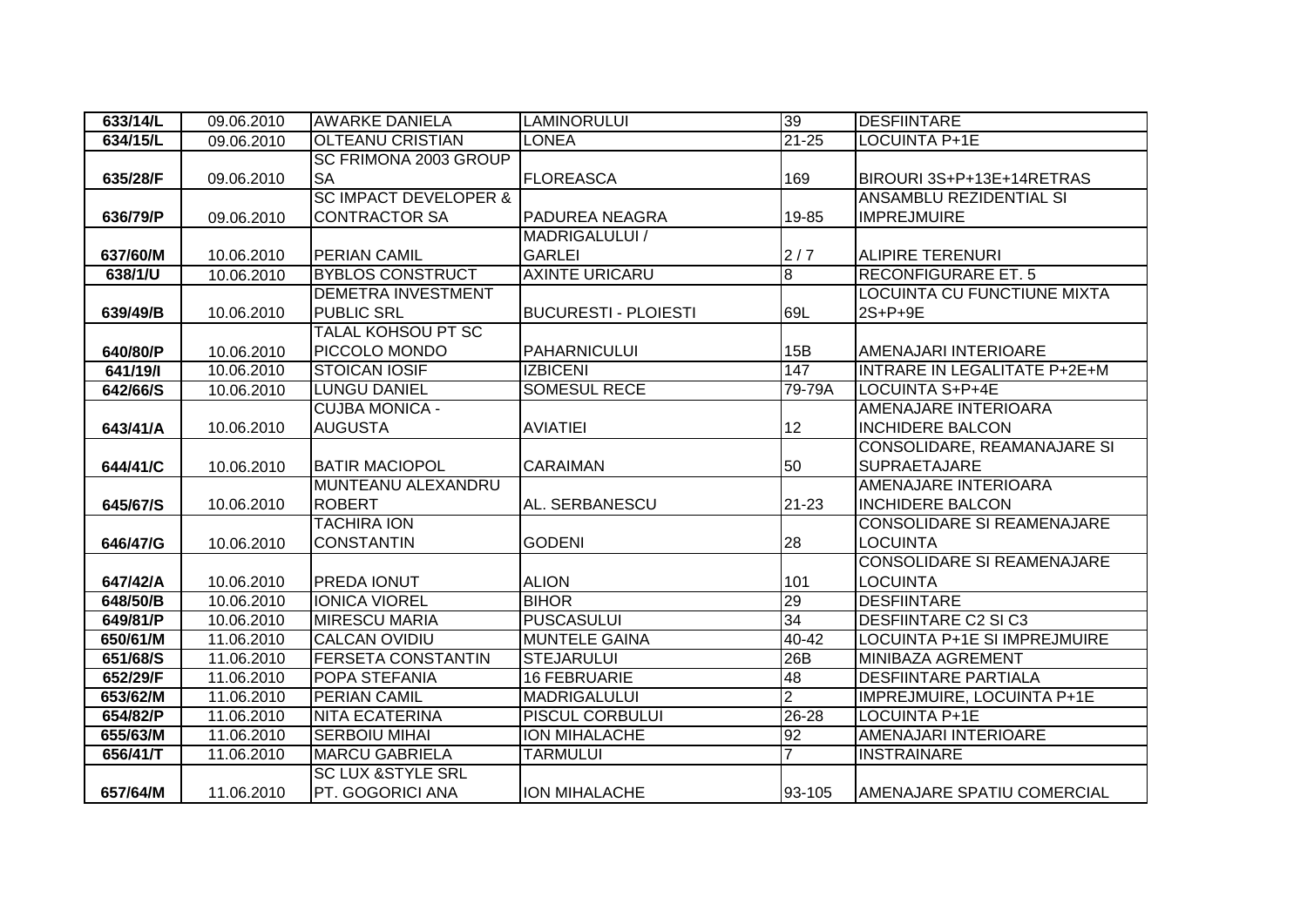| 633/14/L | 09.06.2010 | <b>AWARKE DANIELA</b>            | <b>LAMINORULUI</b>          | 39             | <b>DESFIINTARE</b>                  |
|----------|------------|----------------------------------|-----------------------------|----------------|-------------------------------------|
| 634/15/L | 09.06.2010 | <b>OLTEANU CRISTIAN</b>          | LONEA                       | $21 - 25$      | LOCUINTA P+1E                       |
|          |            | SC FRIMONA 2003 GROUP            |                             |                |                                     |
| 635/28/F | 09.06.2010 | <b>SA</b>                        | <b>FLOREASCA</b>            | 169            | BIROURI 3S+P+13E+14RETRAS           |
|          |            | <b>SC IMPACT DEVELOPER &amp;</b> |                             |                | ANSAMBLU REZIDENTIAL SI             |
| 636/79/P | 09.06.2010 | <b>CONTRACTOR SA</b>             | PADUREA NEAGRA              | 19-85          | <b>IMPREJMUIRE</b>                  |
|          |            |                                  | <b>MADRIGALULUI /</b>       |                |                                     |
| 637/60/M | 10.06.2010 | <b>PERIAN CAMIL</b>              | <b>GARLEI</b>               | 2/7            | <b>ALIPIRE TERENURI</b>             |
| 638/1/U  | 10.06.2010 | <b>BYBLOS CONSTRUCT</b>          | <b>AXINTE URICARU</b>       | $\overline{8}$ | <b>RECONFIGURARE ET. 5</b>          |
|          |            | <b>DEMETRA INVESTMENT</b>        |                             |                | <b>LOCUINTA CU FUNCTIUNE MIXTA</b>  |
| 639/49/B | 10.06.2010 | <b>PUBLIC SRL</b>                | <b>BUCURESTI - PLOIESTI</b> | 69L            | 2S+P+9E                             |
|          |            | TALAL KOHSOU PT SC               |                             |                |                                     |
| 640/80/P | 10.06.2010 | PICCOLO MONDO                    | <b>PAHARNICULUI</b>         | 15B            | AMENAJARI INTERIOARE                |
| 641/19/  | 10.06.2010 | <b>STOICAN IOSIF</b>             | <b>IZBICENI</b>             | 147            | <b>INTRARE IN LEGALITATE P+2E+M</b> |
| 642/66/S | 10.06.2010 | LUNGU DANIEL                     | <b>SOMESUL RECE</b>         | 79-79A         | LOCUINTA S+P+4E                     |
|          |            | <b>CUJBA MONICA -</b>            |                             |                | AMENAJARE INTERIOARA                |
| 643/41/A | 10.06.2010 | <b>AUGUSTA</b>                   | <b>AVIATIEI</b>             | 12             | <b>INCHIDERE BALCON</b>             |
|          |            |                                  |                             |                | CONSOLIDARE, REAMANAJARE SI         |
| 644/41/C | 10.06.2010 | <b>BATIR MACIOPOL</b>            | <b>CARAIMAN</b>             | 50             | <b>SUPRAETAJARE</b>                 |
|          |            | MUNTEANU ALEXANDRU               |                             |                | AMENAJARE INTERIOARA                |
| 645/67/S | 10.06.2010 | <b>ROBERT</b>                    | AL. SERBANESCU              | 21-23          | <b>INCHIDERE BALCON</b>             |
|          |            | <b>TACHIRA ION</b>               |                             |                | <b>CONSOLIDARE SI REAMENAJARE</b>   |
| 646/47/G | 10.06.2010 | <b>CONSTANTIN</b>                | <b>GODENI</b>               | 28             | LOCUINTA                            |
|          |            |                                  |                             |                | <b>CONSOLIDARE SI REAMENAJARE</b>   |
| 647/42/A | 10.06.2010 | <b>PREDA IONUT</b>               | <b>ALION</b>                | 101            | <b>LOCUINTA</b>                     |
| 648/50/B | 10.06.2010 | <b>IONICA VIOREL</b>             | <b>BIHOR</b>                | 29             | <b>DESFIINTARE</b>                  |
| 649/81/P | 10.06.2010 | <b>MIRESCU MARIA</b>             | <b>PUSCASULUI</b>           | 34             | <b>DESFIINTARE C2 SI C3</b>         |
| 650/61/M | 11.06.2010 | <b>CALCAN OVIDIU</b>             | <b>MUNTELE GAINA</b>        | 40-42          | LOCUINTA P+1E SI IMPREJMUIRE        |
| 651/68/S | 11.06.2010 | <b>FERSETA CONSTANTIN</b>        | <b>STEJARULUI</b>           | 26B            | MINIBAZA AGREMENT                   |
| 652/29/F | 11.06.2010 | POPA STEFANIA                    | <b>16 FEBRUARIE</b>         | 48             | <b>DESFIINTARE PARTIALA</b>         |
| 653/62/M | 11.06.2010 | PERIAN CAMIL                     | <b>MADRIGALULUI</b>         | $\overline{2}$ | IMPREJMUIRE, LOCUINTA P+1E          |
| 654/82/P | 11.06.2010 | <b>NITA ECATERINA</b>            | <b>PISCUL CORBULUI</b>      | $26 - 28$      | <b>LOCUINTA P+1E</b>                |
| 655/63/M | 11.06.2010 | <b>SERBOIU MIHAI</b>             | <b>ION MIHALACHE</b>        | 92             | AMENAJARI INTERIOARE                |
| 656/41/T | 11.06.2010 | <b>MARCU GABRIELA</b>            | <b>TARMULUI</b>             | $\overline{7}$ | <b>INSTRAINARE</b>                  |
|          |            | <b>SC LUX &amp;STYLE SRL</b>     |                             |                |                                     |
| 657/64/M | 11.06.2010 | PT. GOGORICI ANA                 | <b>ION MIHALACHE</b>        | 93-105         | AMENAJARE SPATIU COMERCIAL          |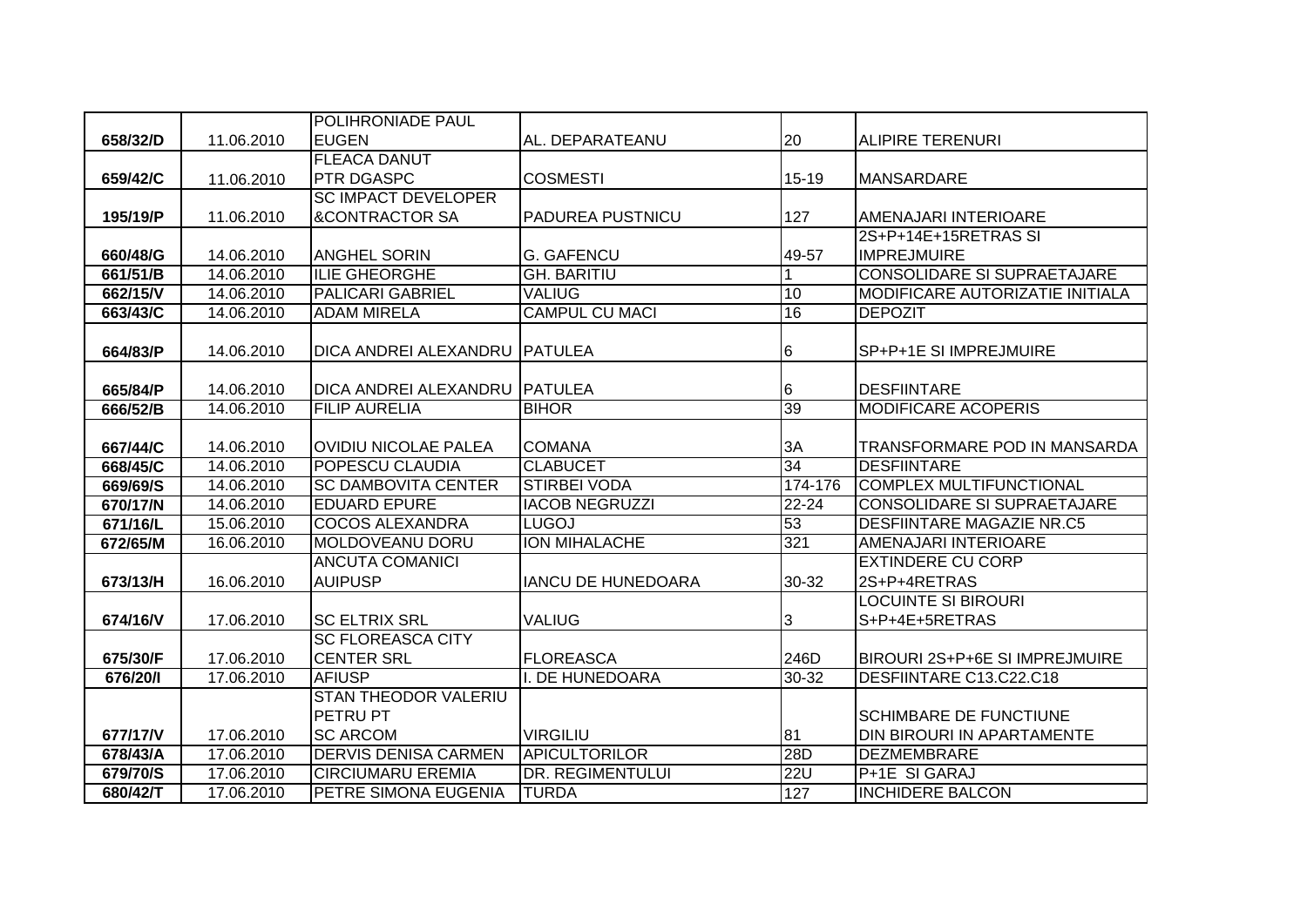|          |            | <b>POLIHRONIADE PAUL</b>        |                           |           |                                        |
|----------|------------|---------------------------------|---------------------------|-----------|----------------------------------------|
| 658/32/D | 11.06.2010 | <b>EUGEN</b>                    | AL. DEPARATEANU           | 20        | <b>ALIPIRE TERENURI</b>                |
|          |            | <b>FLEACA DANUT</b>             |                           |           |                                        |
| 659/42/C | 11.06.2010 | <b>PTR DGASPC</b>               | <b>COSMESTI</b>           | $15 - 19$ | <b>MANSARDARE</b>                      |
|          |            | <b>SC IMPACT DEVELOPER</b>      |                           |           |                                        |
| 195/19/P | 11.06.2010 | <b>&amp;CONTRACTOR SA</b>       | <b>PADUREA PUSTNICU</b>   | 127       | AMENAJARI INTERIOARE                   |
|          |            |                                 |                           |           | 2S+P+14E+15RETRAS SI                   |
| 660/48/G | 14.06.2010 | <b>ANGHEL SORIN</b>             | <b>G. GAFENCU</b>         | 49-57     | <b>IMPREJMUIRE</b>                     |
| 661/51/B | 14.06.2010 | <b>ILIE GHEORGHE</b>            | <b>GH. BARITIU</b>        |           | <b>CONSOLIDARE SI SUPRAETAJARE</b>     |
| 662/15/V | 14.06.2010 | <b>PALICARI GABRIEL</b>         | <b>VALIUG</b>             | 10        | <b>MODIFICARE AUTORIZATIE INITIALA</b> |
| 663/43/C | 14.06.2010 | <b>ADAM MIRELA</b>              | <b>CAMPUL CU MACI</b>     | 16        | <b>DEPOZIT</b>                         |
|          |            |                                 |                           |           |                                        |
| 664/83/P | 14.06.2010 | DICA ANDREI ALEXANDRU   PATULEA |                           | 6         | SP+P+1E SI IMPREJMUIRE                 |
|          |            |                                 |                           |           |                                        |
| 665/84/P | 14.06.2010 | DICA ANDREI ALEXANDRU PATULEA   |                           | 6         | <b>DESFIINTARE</b>                     |
| 666/52/B | 14.06.2010 | <b>FILIP AURELIA</b>            | <b>BIHOR</b>              | 39        | <b>MODIFICARE ACOPERIS</b>             |
|          |            |                                 |                           |           |                                        |
| 667/44/C | 14.06.2010 | <b>OVIDIU NICOLAE PALEA</b>     | <b>COMANA</b>             | 3A        | TRANSFORMARE POD IN MANSARDA           |
| 668/45/C | 14.06.2010 | POPESCU CLAUDIA                 | <b>CLABUCET</b>           | 34        | <b>DESFIINTARE</b>                     |
| 669/69/S | 14.06.2010 | <b>SC DAMBOVITA CENTER</b>      | <b>STIRBEI VODA</b>       | 174-176   | <b>COMPLEX MULTIFUNCTIONAL</b>         |
| 670/17/N | 14.06.2010 | <b>EDUARD EPURE</b>             | <b>IACOB NEGRUZZI</b>     | $22 - 24$ | CONSOLIDARE SI SUPRAETAJARE            |
| 671/16/L | 15.06.2010 | <b>COCOS ALEXANDRA</b>          | <b>LUGOJ</b>              | 53        | <b>DESFIINTARE MAGAZIE NR.C5</b>       |
| 672/65/M | 16.06.2010 | <b>MOLDOVEANU DORU</b>          | <b>ION MIHALACHE</b>      | 321       | AMENAJARI INTERIOARE                   |
|          |            | <b>ANCUTA COMANICI</b>          |                           |           | <b>EXTINDERE CU CORP</b>               |
| 673/13/H | 16.06.2010 | <b>AUIPUSP</b>                  | <b>IANCU DE HUNEDOARA</b> | 30-32     | 2S+P+4RETRAS                           |
|          |            |                                 |                           |           | LOCUINTE SI BIROURI                    |
| 674/16/V | 17.06.2010 | <b>SC ELTRIX SRL</b>            | VALIUG                    | 3         | S+P+4E+5RETRAS                         |
|          |            | <b>SC FLOREASCA CITY</b>        |                           |           |                                        |
| 675/30/F | 17.06.2010 | <b>CENTER SRL</b>               | <b>FLOREASCA</b>          | 246D      | BIROURI 2S+P+6E SI IMPREJMUIRE         |
| 676/20/1 | 17.06.2010 | <b>AFIUSP</b>                   | I. DE HUNEDOARA           | $30 - 32$ | DESFIINTARE C13.C22.C18                |
|          |            | <b>STAN THEODOR VALERIU</b>     |                           |           |                                        |
|          |            | PETRU PT                        |                           |           | <b>SCHIMBARE DE FUNCTIUNE</b>          |
| 677/17/V | 17.06.2010 | <b>SC ARCOM</b>                 | <b>VIRGILIU</b>           | 81        | DIN BIROURI IN APARTAMENTE             |
| 678/43/A | 17.06.2010 | <b>DERVIS DENISA CARMEN</b>     | <b>APICULTORILOR</b>      | 28D       | <b>DEZMEMBRARE</b>                     |
| 679/70/S | 17.06.2010 | <b>CIRCIUMARU EREMIA</b>        | <b>DR. REGIMENTULUI</b>   | 22U       | P+1E SI GARAJ                          |
| 680/42/T | 17.06.2010 | PETRE SIMONA EUGENIA            | <b>TURDA</b>              | 127       | <b>INCHIDERE BALCON</b>                |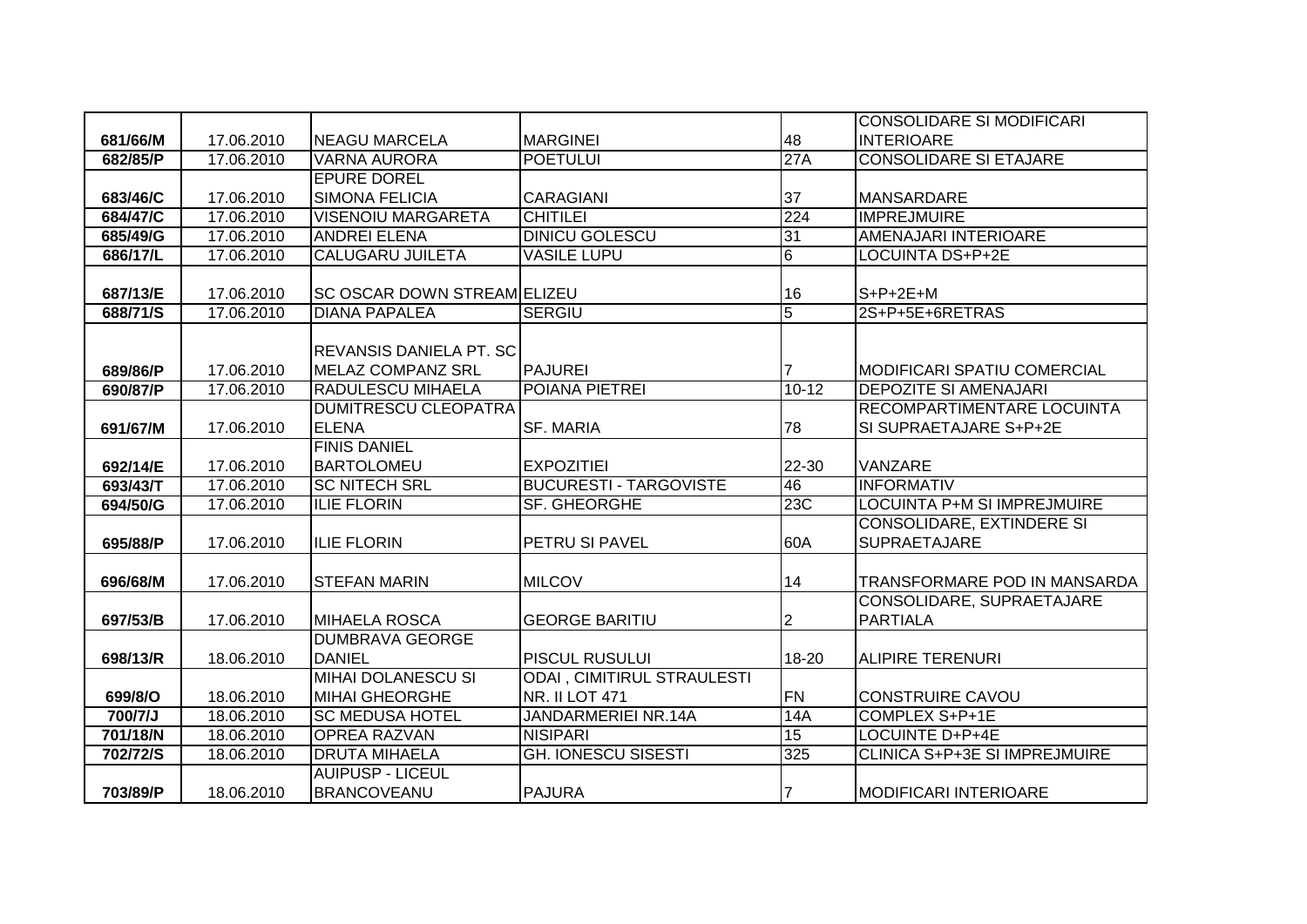|          |            |                                    |                                   |                 | <b>CONSOLIDARE SI MODIFICARI</b>             |
|----------|------------|------------------------------------|-----------------------------------|-----------------|----------------------------------------------|
| 681/66/M | 17.06.2010 | <b>INEAGU MARCELA</b>              | <b>MARGINEI</b>                   | 48              | <b>INTERIOARE</b>                            |
| 682/85/P | 17.06.2010 | <b>VARNA AURORA</b>                | <b>POETULUI</b>                   | 27A             | <b>CONSOLIDARE SI ETAJARE</b>                |
|          |            | <b>EPURE DOREL</b>                 |                                   |                 |                                              |
| 683/46/C | 17.06.2010 | <b>SIMONA FELICIA</b>              | <b>CARAGIANI</b>                  | 37              | <b>MANSARDARE</b>                            |
| 684/47/C | 17.06.2010 | <b>VISENOIU MARGARETA</b>          | <b>CHITILEI</b>                   | 224             | <b>IMPREJMUIRE</b>                           |
| 685/49/G | 17.06.2010 | <b>ANDREI ELENA</b>                | <b>DINICU GOLESCU</b>             | 31              | <b>AMENAJARI INTERIOARE</b>                  |
| 686/17/L | 17.06.2010 | <b>CALUGARU JUILETA</b>            | <b>VASILE LUPU</b>                | $6\overline{6}$ | <b>LOCUINTA DS+P+2E</b>                      |
|          |            |                                    |                                   |                 |                                              |
| 687/13/E | 17.06.2010 | <b>SC OSCAR DOWN STREAM ELIZEU</b> |                                   | 16              | $S+P+2E+M$                                   |
| 688/71/S | 17.06.2010 | <b>DIANA PAPALEA</b>               | <b>SERGIU</b>                     | $\overline{5}$  | 2S+P+5E+6RETRAS                              |
|          |            |                                    |                                   |                 |                                              |
|          |            | <b>REVANSIS DANIELA PT. SC</b>     |                                   |                 |                                              |
| 689/86/P | 17.06.2010 | MELAZ COMPANZ SRL                  | <b>PAJUREI</b>                    |                 | <b>MODIFICARI SPATIU COMERCIAL</b>           |
| 690/87/P | 17.06.2010 | <b>RADULESCU MIHAELA</b>           | POIANA PIETREI                    | $10 - 12$       | <b>DEPOZITE SI AMENAJARI</b>                 |
|          |            | <b>DUMITRESCU CLEOPATRA</b>        |                                   |                 | RECOMPARTIMENTARE LOCUINTA                   |
| 691/67/M | 17.06.2010 | <b>ELENA</b>                       | <b>SF. MARIA</b>                  | 78              | SI SUPRAETAJARE S+P+2E                       |
|          |            | <b>FINIS DANIEL</b>                |                                   |                 |                                              |
| 692/14/E | 17.06.2010 | <b>BARTOLOMEU</b>                  | <b>EXPOZITIEI</b>                 | 22-30           | VANZARE                                      |
| 693/43/T | 17.06.2010 | <b>SC NITECH SRL</b>               | <b>BUCURESTI - TARGOVISTE</b>     | 46              | <b>INFORMATIV</b>                            |
| 694/50/G | 17.06.2010 | <b>ILIE FLORIN</b>                 | SF. GHEORGHE                      | 23C             | LOCUINTA P+M SI IMPREJMUIRE                  |
|          |            |                                    |                                   |                 | <b>CONSOLIDARE, EXTINDERE SI</b>             |
| 695/88/P | 17.06.2010 | <b>ILIE FLORIN</b>                 | PETRU SI PAVEL                    | 60A             | <b>SUPRAETAJARE</b>                          |
|          |            |                                    |                                   |                 |                                              |
| 696/68/M | 17.06.2010 | <b>STEFAN MARIN</b>                | <b>MILCOV</b>                     | 14              | TRANSFORMARE POD IN MANSARDA                 |
|          |            | <b>MIHAELA ROSCA</b>               | <b>GEORGE BARITIU</b>             |                 | CONSOLIDARE, SUPRAETAJARE<br><b>PARTIALA</b> |
| 697/53/B | 17.06.2010 | <b>DUMBRAVA GEORGE</b>             |                                   | $\overline{2}$  |                                              |
|          | 18.06.2010 | <b>DANIEL</b>                      | PISCUL RUSULUI                    | 18-20           | <b>ALIPIRE TERENURI</b>                      |
| 698/13/R |            | <b>MIHAI DOLANESCU SI</b>          | <b>ODAI, CIMITIRUL STRAULESTI</b> |                 |                                              |
| 699/8/O  | 18.06.2010 | <b>MIHAI GHEORGHE</b>              | <b>NR. II LOT 471</b>             | <b>FN</b>       | <b>CONSTRUIRE CAVOU</b>                      |
| 700/7/J  | 18.06.2010 | <b>SC MEDUSA HOTEL</b>             | JANDARMERIEI NR.14A               | 14A             | COMPLEX S+P+1E                               |
| 701/18/N | 18.06.2010 | <b>OPREA RAZVAN</b>                | <b>NISIPARI</b>                   | 15              | <b>LOCUINTE D+P+4E</b>                       |
| 702/72/S | 18.06.2010 | <b>DRUTA MIHAELA</b>               | <b>GH. IONESCU SISESTI</b>        | 325             | CLINICA S+P+3E SI IMPREJMUIRE                |
|          |            | <b>AUIPUSP - LICEUL</b>            |                                   |                 |                                              |
| 703/89/P | 18.06.2010 | <b>BRANCOVEANU</b>                 | <b>PAJURA</b>                     |                 | <b>MODIFICARI INTERIOARE</b>                 |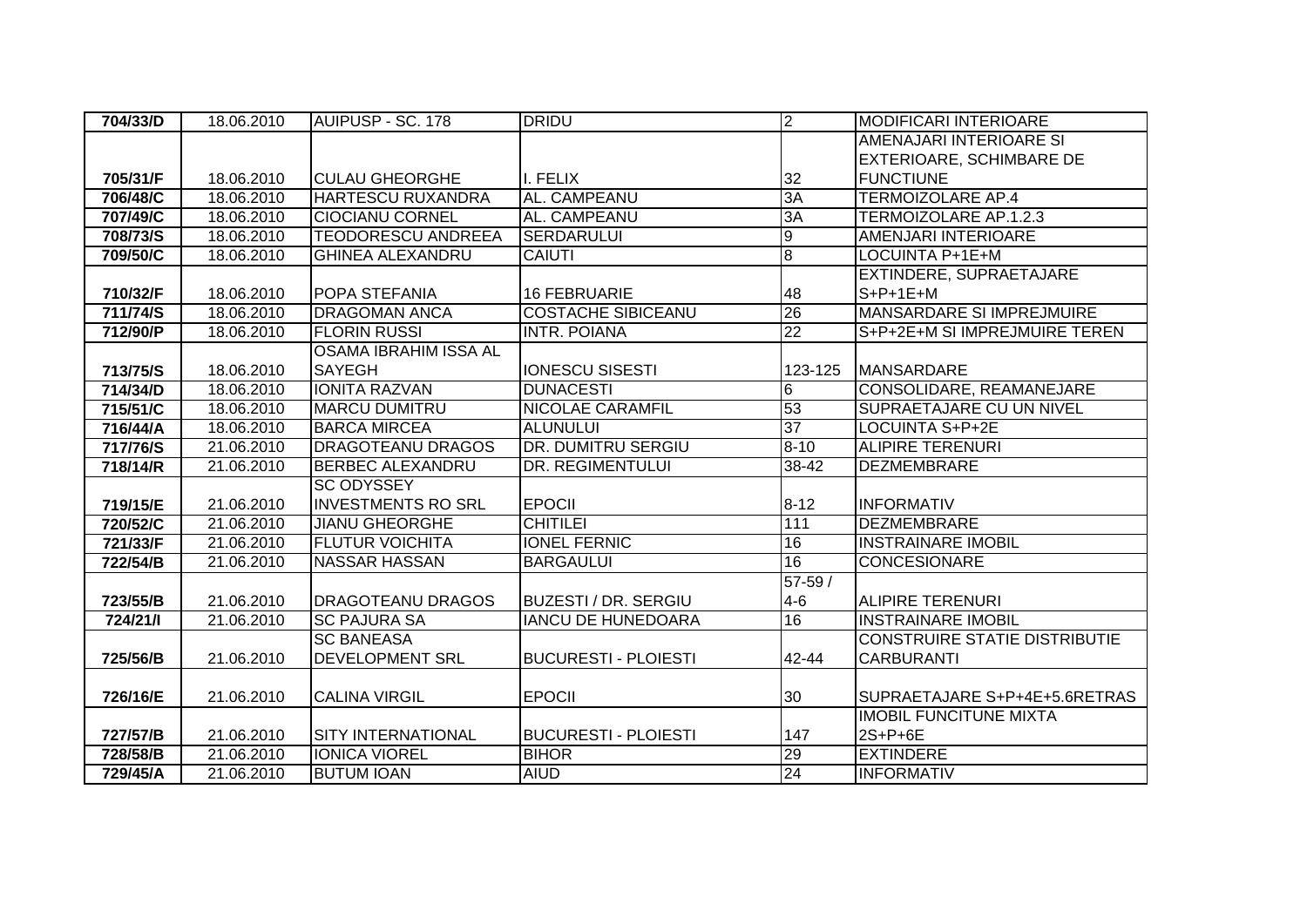| 704/33/D | 18.06.2010 | AUIPUSP - SC. 178            | <b>DRIDU</b>                | M               | <b>MODIFICARI INTERIOARE</b>         |
|----------|------------|------------------------------|-----------------------------|-----------------|--------------------------------------|
|          |            |                              |                             |                 | AMENAJARI INTERIOARE SI              |
|          |            |                              |                             |                 | <b>EXTERIOARE, SCHIMBARE DE</b>      |
| 705/31/F | 18.06.2010 | <b>CULAU GHEORGHE</b>        | I. FELIX                    | 32              | <b>FUNCTIUNE</b>                     |
| 706/48/C | 18.06.2010 | <b>HARTESCU RUXANDRA</b>     | AL. CAMPEANU                | 3A              | <b>TERMOIZOLARE AP.4</b>             |
| 707/49/C | 18.06.2010 | <b>CIOCIANU CORNEL</b>       | AL. CAMPEANU                | ЗA              | TERMOIZOLARE AP.1.2.3                |
| 708/73/S | 18.06.2010 | <b>TEODORESCU ANDREEA</b>    | <b>SERDARULUI</b>           | $\overline{9}$  | <b>AMENJARI INTERIOARE</b>           |
| 709/50/C | 18.06.2010 | <b>GHINEA ALEXANDRU</b>      | <b>CAIUTI</b>               | $\overline{8}$  | <b>LOCUINTA P+1E+M</b>               |
|          |            |                              |                             |                 | EXTINDERE, SUPRAETAJARE              |
| 710/32/F | 18.06.2010 | POPA STEFANIA                | <b>16 FEBRUARIE</b>         | 48              | $S+P+1E+M$                           |
| 711/74/S | 18.06.2010 | <b>DRAGOMAN ANCA</b>         | <b>COSTACHE SIBICEANU</b>   | 26              | <b>MANSARDARE SI IMPREJMUIRE</b>     |
| 712/90/P | 18.06.2010 | <b>FLORIN RUSSI</b>          | <b>INTR. POIANA</b>         | $\overline{22}$ | S+P+2E+M SI IMPREJMUIRE TEREN        |
|          |            | <b>OSAMA IBRAHIM ISSA AL</b> |                             |                 |                                      |
| 713/75/S | 18.06.2010 | <b>SAYEGH</b>                | <b>IONESCU SISESTI</b>      | 123-125         | <b>MANSARDARE</b>                    |
| 714/34/D | 18.06.2010 | <b>IONITA RAZVAN</b>         | <b>DUNACESTI</b>            | 6               | CONSOLIDARE, REAMANEJARE             |
| 715/51/C | 18.06.2010 | <b>MARCU DUMITRU</b>         | <b>NICOLAE CARAMFIL</b>     | 53              | SUPRAETAJARE CU UN NIVEL             |
| 716/44/A | 18.06.2010 | <b>BARCA MIRCEA</b>          | <b>ALUNULUI</b>             | $\overline{37}$ | LOCUINTA S+P+2E                      |
| 717/76/S | 21.06.2010 | <b>DRAGOTEANU DRAGOS</b>     | DR. DUMITRU SERGIU          | $8 - 10$        | <b>ALIPIRE TERENURI</b>              |
| 718/14/R | 21.06.2010 | <b>BERBEC ALEXANDRU</b>      | DR. REGIMENTULUI            | 38-42           | <b>DEZMEMBRARE</b>                   |
|          |            | <b>SC ODYSSEY</b>            |                             |                 |                                      |
| 719/15/E | 21.06.2010 | <b>INVESTMENTS RO SRL</b>    | <b>EPOCII</b>               | $8 - 12$        | <b>INFORMATIV</b>                    |
| 720/52/C | 21.06.2010 | <b>JIANU GHEORGHE</b>        | <b>CHITILEI</b>             | 111             | <b>DEZMEMBRARE</b>                   |
| 721/33/F | 21.06.2010 | <b>FLUTUR VOICHITA</b>       | <b>IONEL FERNIC</b>         | 16              | <b>INSTRAINARE IMOBIL</b>            |
| 722/54/B | 21.06.2010 | <b>NASSAR HASSAN</b>         | <b>BARGAULUI</b>            | 16              | <b>CONCESIONARE</b>                  |
|          |            |                              |                             | $57 - 59/$      |                                      |
| 723/55/B | 21.06.2010 | <b>DRAGOTEANU DRAGOS</b>     | <b>BUZESTI / DR. SERGIU</b> | $4 - 6$         | <b>ALIPIRE TERENURI</b>              |
| 724/21/1 | 21.06.2010 | <b>SC PAJURA SA</b>          | <b>IANCU DE HUNEDOARA</b>   | 16              | <b>INSTRAINARE IMOBIL</b>            |
|          |            | <b>SC BANEASA</b>            |                             |                 | <b>CONSTRUIRE STATIE DISTRIBUTIE</b> |
| 725/56/B | 21.06.2010 | DEVELOPMENT SRL              | <b>BUCURESTI - PLOIESTI</b> | 42-44           | <b>CARBURANTI</b>                    |
|          |            |                              |                             |                 |                                      |
| 726/16/E | 21.06.2010 | <b>CALINA VIRGIL</b>         | <b>EPOCII</b>               | 30              | SUPRAETAJARE S+P+4E+5.6RETRAS        |
|          |            |                              |                             |                 | <b>IMOBIL FUNCITUNE MIXTA</b>        |
| 727/57/B | 21.06.2010 | <b>SITY INTERNATIONAL</b>    | <b>BUCURESTI - PLOIESTI</b> | 147             | 2S+P+6E                              |
| 728/58/B | 21.06.2010 | <b>IONICA VIOREL</b>         | <b>BIHOR</b>                | $\overline{29}$ | <b>EXTINDERE</b>                     |
| 729/45/A | 21.06.2010 | <b>BUTUM IOAN</b>            | <b>AIUD</b>                 | 24              | <b>INFORMATIV</b>                    |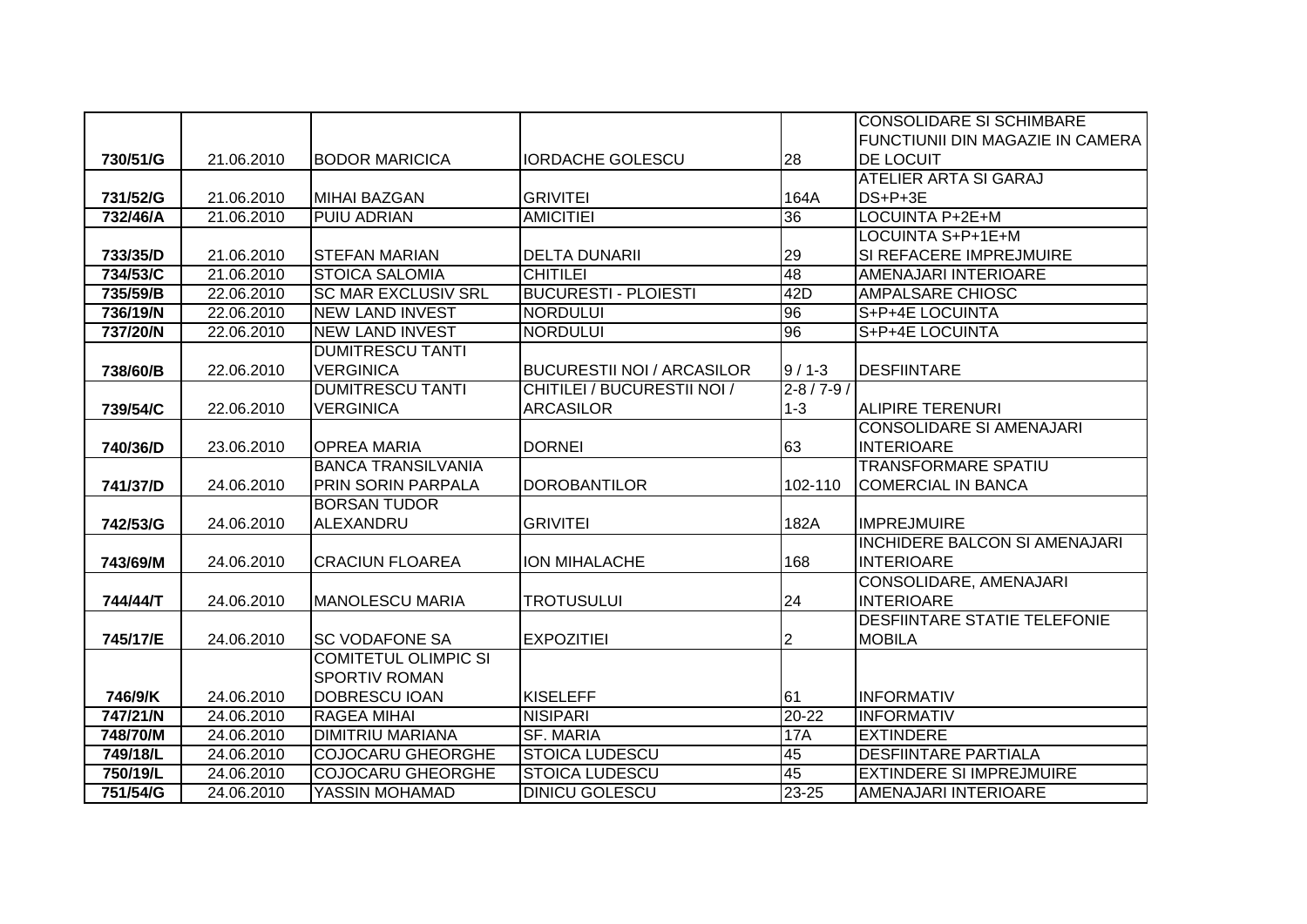|          |            |                             |                                    |                   | <b>CONSOLIDARE SI SCHIMBARE</b>         |
|----------|------------|-----------------------------|------------------------------------|-------------------|-----------------------------------------|
|          |            |                             |                                    |                   | <b>FUNCTIUNII DIN MAGAZIE IN CAMERA</b> |
| 730/51/G | 21.06.2010 | <b>BODOR MARICICA</b>       | <b>IORDACHE GOLESCU</b>            | 28                | <b>DE LOCUIT</b>                        |
|          |            |                             |                                    |                   | <b>ATELIER ARTA SI GARAJ</b>            |
| 731/52/G | 21.06.2010 | <b>MIHAI BAZGAN</b>         | <b>GRIVITEI</b>                    | 164A              | $DS+P+3E$                               |
| 732/46/A | 21.06.2010 | <b>PUIU ADRIAN</b>          | <b>AMICITIEI</b>                   | 36                | LOCUINTA P+2E+M                         |
|          |            |                             |                                    |                   | LOCUINTA S+P+1E+M                       |
| 733/35/D | 21.06.2010 | <b>STEFAN MARIAN</b>        | <b>DELTA DUNARII</b>               | 29                | SI REFACERE IMPREJMUIRE                 |
| 734/53/C | 21.06.2010 | <b>STOICA SALOMIA</b>       | <b>CHITILEI</b>                    | 48                | <b>AMENAJARI INTERIOARE</b>             |
| 735/59/B | 22.06.2010 | <b>SC MAR EXCLUSIV SRL</b>  | <b>BUCURESTI - PLOIESTI</b>        | 42D               | <b>AMPALSARE CHIOSC</b>                 |
| 736/19/N | 22.06.2010 | <b>NEW LAND INVEST</b>      | <b>NORDULUI</b>                    | 96                | S+P+4E LOCUINTA                         |
| 737/20/N | 22.06.2010 | <b>NEW LAND INVEST</b>      | <b>NORDULUI</b>                    | 96                | S+P+4E LOCUINTA                         |
|          |            | <b>DUMITRESCU TANTI</b>     |                                    |                   |                                         |
| 738/60/B | 22.06.2010 | <b>VERGINICA</b>            | <b>BUCURESTII NOI / ARCASILOR</b>  | $9/1-3$           | <b>DESFIINTARE</b>                      |
|          |            | <b>DUMITRESCU TANTI</b>     | <b>CHITILEI / BUCURESTII NOI /</b> | $2 - 8 / 7 - 9 /$ |                                         |
| 739/54/C | 22.06.2010 | <b>VERGINICA</b>            | <b>ARCASILOR</b>                   | $1 - 3$           | <b>ALIPIRE TERENURI</b>                 |
|          |            |                             |                                    |                   | <b>CONSOLIDARE SI AMENAJARI</b>         |
| 740/36/D | 23.06.2010 | <b>OPREA MARIA</b>          | <b>DORNEI</b>                      | 63                | <b>INTERIOARE</b>                       |
|          |            | <b>BANCA TRANSILVANIA</b>   |                                    |                   | <b>TRANSFORMARE SPATIU</b>              |
| 741/37/D | 24.06.2010 | PRIN SORIN PARPALA          | <b>DOROBANTILOR</b>                | 102-110           | <b>COMERCIAL IN BANCA</b>               |
|          |            | <b>BORSAN TUDOR</b>         |                                    |                   |                                         |
| 742/53/G | 24.06.2010 | ALEXANDRU                   | <b>GRIVITEI</b>                    | 182A              | <b>IMPREJMUIRE</b>                      |
|          |            |                             |                                    |                   | <b>INCHIDERE BALCON SI AMENAJARI</b>    |
| 743/69/M | 24.06.2010 | <b>CRACIUN FLOAREA</b>      | <b>ION MIHALACHE</b>               | 168               | <b>INTERIOARE</b>                       |
|          |            |                             |                                    |                   | CONSOLIDARE, AMENAJARI                  |
| 744/44/T | 24.06.2010 | <b>MANOLESCU MARIA</b>      | <b>TROTUSULUI</b>                  | 24                | <b>INTERIOARE</b>                       |
|          |            |                             |                                    |                   | <b>DESFIINTARE STATIE TELEFONIE</b>     |
| 745/17/E | 24.06.2010 | <b>SC VODAFONE SA</b>       | <b>EXPOZITIEI</b>                  | 2                 | <b>MOBILA</b>                           |
|          |            | <b>COMITETUL OLIMPIC SI</b> |                                    |                   |                                         |
|          |            | <b>SPORTIV ROMAN</b>        |                                    |                   |                                         |
| 746/9/K  | 24.06.2010 | <b>DOBRESCU IOAN</b>        | <b>KISELEFF</b>                    | 61                | <b>INFORMATIV</b>                       |
| 747/21/N | 24.06.2010 | <b>RAGEA MIHAI</b>          | <b>NISIPARI</b>                    | $20 - 22$         | <b>INFORMATIV</b>                       |
| 748/70/M | 24.06.2010 | <b>DIMITRIU MARIANA</b>     | <b>SF. MARIA</b>                   | <b>17A</b>        | <b>EXTINDERE</b>                        |
| 749/18/L | 24.06.2010 | <b>COJOCARU GHEORGHE</b>    | <b>STOICA LUDESCU</b>              | 45                | <b>DESFIINTARE PARTIALA</b>             |
| 750/19/L | 24.06.2010 | <b>COJOCARU GHEORGHE</b>    | <b>STOICA LUDESCU</b>              | 45                | <b>EXTINDERE SI IMPREJMUIRE</b>         |
| 751/54/G | 24.06.2010 | YASSIN MOHAMAD              | <b>DINICU GOLESCU</b>              | 23-25             | AMENAJARI INTERIOARE                    |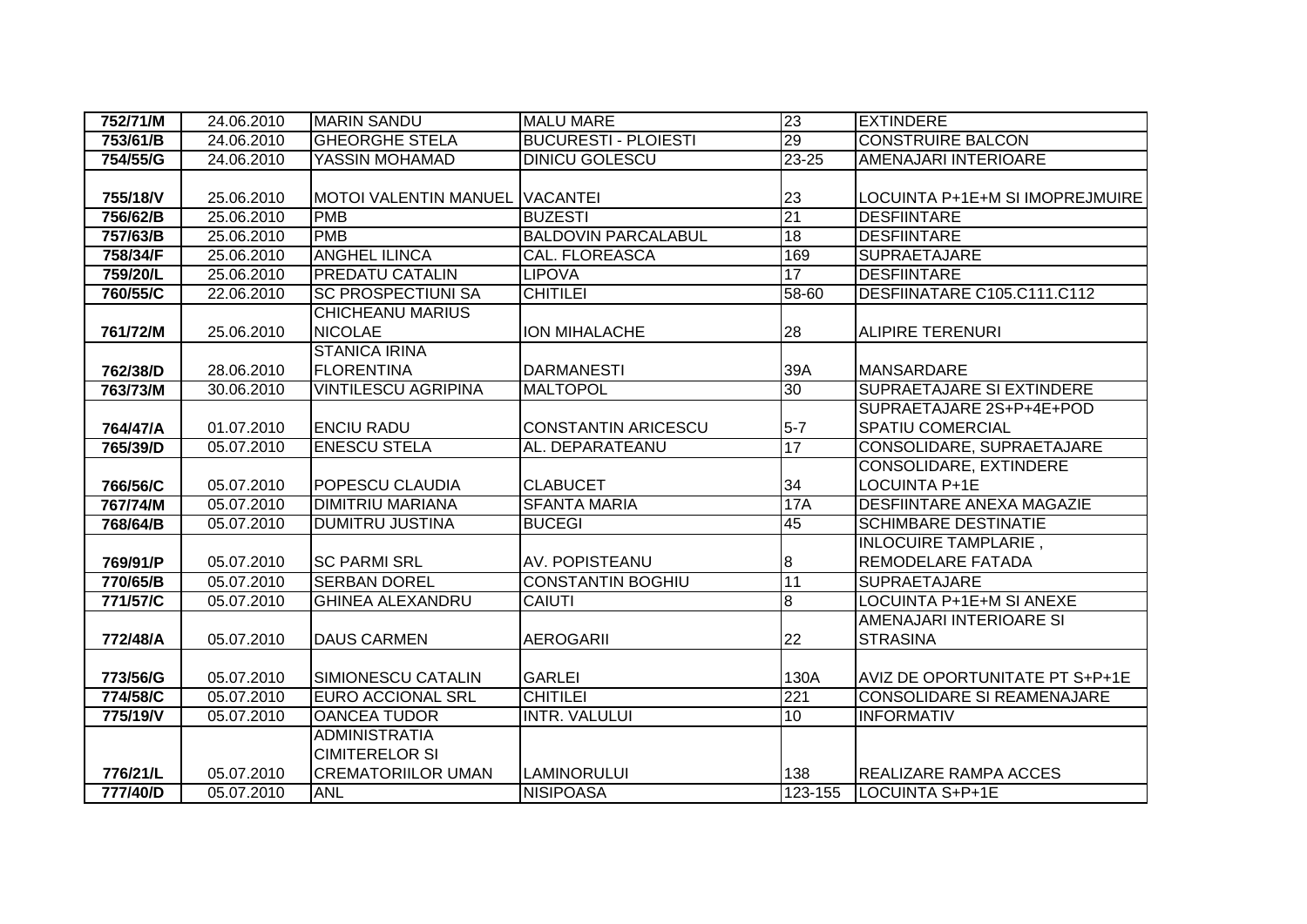| 752/71/M | 24.06.2010 | <b>MARIN SANDU</b>           | <b>MALU MARE</b>            | 23               | <b>EXTINDERE</b>                  |
|----------|------------|------------------------------|-----------------------------|------------------|-----------------------------------|
| 753/61/B | 24.06.2010 | <b>GHEORGHE STELA</b>        | <b>BUCURESTI - PLOIESTI</b> | 29               | <b>CONSTRUIRE BALCON</b>          |
| 754/55/G | 24.06.2010 | YASSIN MOHAMAD               | <b>DINICU GOLESCU</b>       | $23 - 25$        | AMENAJARI INTERIOARE              |
|          |            |                              |                             |                  |                                   |
| 755/18/V | 25.06.2010 | <b>MOTOI VALENTIN MANUEL</b> | <b>VACANTEI</b>             | 23               | LOCUINTA P+1E+M SI IMOPREJMUIRE   |
| 756/62/B | 25.06.2010 | <b>PMB</b>                   | <b>BUZESTI</b>              | 21               | <b>DESFIINTARE</b>                |
| 757/63/B | 25.06.2010 | <b>PMB</b>                   | <b>BALDOVIN PARCALABUL</b>  | 18               | <b>DESFIINTARE</b>                |
| 758/34/F | 25.06.2010 | <b>ANGHEL ILINCA</b>         | <b>CAL. FLOREASCA</b>       | 169              | <b>SUPRAETAJARE</b>               |
| 759/20/L | 25.06.2010 | <b>PREDATU CATALIN</b>       | <b>LIPOVA</b>               | 17               | <b>DESFIINTARE</b>                |
| 760/55/C | 22.06.2010 | <b>SC PROSPECTIUNI SA</b>    | <b>CHITILEI</b>             | 58-60            | DESFIINATARE C105.C111.C112       |
|          |            | <b>CHICHEANU MARIUS</b>      |                             |                  |                                   |
| 761/72/M | 25.06.2010 | <b>NICOLAE</b>               | ION MIHALACHE               | 28               | <b>ALIPIRE TERENURI</b>           |
|          |            | <b>STANICA IRINA</b>         |                             |                  |                                   |
| 762/38/D | 28.06.2010 | <b>FLORENTINA</b>            | <b>DARMANESTI</b>           | 39A              | <b>MANSARDARE</b>                 |
| 763/73/M | 30.06.2010 | <b>VINTILESCU AGRIPINA</b>   | <b>MALTOPOL</b>             | 30               | SUPRAETAJARE SI EXTINDERE         |
|          |            |                              |                             |                  | SUPRAETAJARE 2S+P+4E+POD          |
| 764/47/A | 01.07.2010 | <b>ENCIU RADU</b>            | <b>CONSTANTIN ARICESCU</b>  | $5-7$            | <b>SPATIU COMERCIAL</b>           |
| 765/39/D | 05.07.2010 | <b>ENESCU STELA</b>          | AL. DEPARATEANU             | 17               | CONSOLIDARE, SUPRAETAJARE         |
|          |            |                              |                             |                  | CONSOLIDARE, EXTINDERE            |
| 766/56/C | 05.07.2010 | POPESCU CLAUDIA              | <b>CLABUCET</b>             | 34               | <b>LOCUINTA P+1E</b>              |
| 767/74/M | 05.07.2010 | <b>DIMITRIU MARIANA</b>      | <b>SFANTA MARIA</b>         | 17A              | <b>DESFIINTARE ANEXA MAGAZIE</b>  |
| 768/64/B | 05.07.2010 | <b>DUMITRU JUSTINA</b>       | <b>BUCEGI</b>               | 45               | <b>SCHIMBARE DESTINATIE</b>       |
|          |            |                              |                             |                  | <b>INLOCUIRE TAMPLARIE,</b>       |
| 769/91/P | 05.07.2010 | <b>SC PARMI SRL</b>          | AV. POPISTEANU              | $\boldsymbol{8}$ | REMODELARE FATADA                 |
| 770/65/B | 05.07.2010 | <b>SERBAN DOREL</b>          | <b>CONSTANTIN BOGHIU</b>    | 11               | <b>SUPRAETAJARE</b>               |
| 771/57/C | 05.07.2010 | <b>GHINEA ALEXANDRU</b>      | CAIUTI                      | $\overline{8}$   | <b>LOCUINTA P+1E+M SI ANEXE</b>   |
|          |            |                              |                             |                  | AMENAJARI INTERIOARE SI           |
| 772/48/A | 05.07.2010 | <b>DAUS CARMEN</b>           | <b>AEROGARII</b>            | 22               | <b>STRASINA</b>                   |
|          |            |                              |                             |                  |                                   |
| 773/56/G | 05.07.2010 | SIMIONESCU CATALIN           | <b>GARLEI</b>               | 130A             | AVIZ DE OPORTUNITATE PT S+P+1E    |
| 774/58/C | 05.07.2010 | <b>EURO ACCIONAL SRL</b>     | <b>CHITILEI</b>             | 221              | <b>CONSOLIDARE SI REAMENAJARE</b> |
| 775/19/V | 05.07.2010 | <b>OANCEA TUDOR</b>          | <b>INTR. VALULUI</b>        | 10               | <b>INFORMATIV</b>                 |
|          |            | <b>ADMINISTRATIA</b>         |                             |                  |                                   |
|          |            | <b>CIMITERELOR SI</b>        |                             |                  |                                   |
| 776/21/L | 05.07.2010 | <b>CREMATORIILOR UMAN</b>    | <b>LAMINORULUI</b>          | 138              | <b>REALIZARE RAMPA ACCES</b>      |
| 777/40/D | 05.07.2010 | <b>ANL</b>                   | <b>NISIPOASA</b>            | 123-155          | LOCUINTA S+P+1E                   |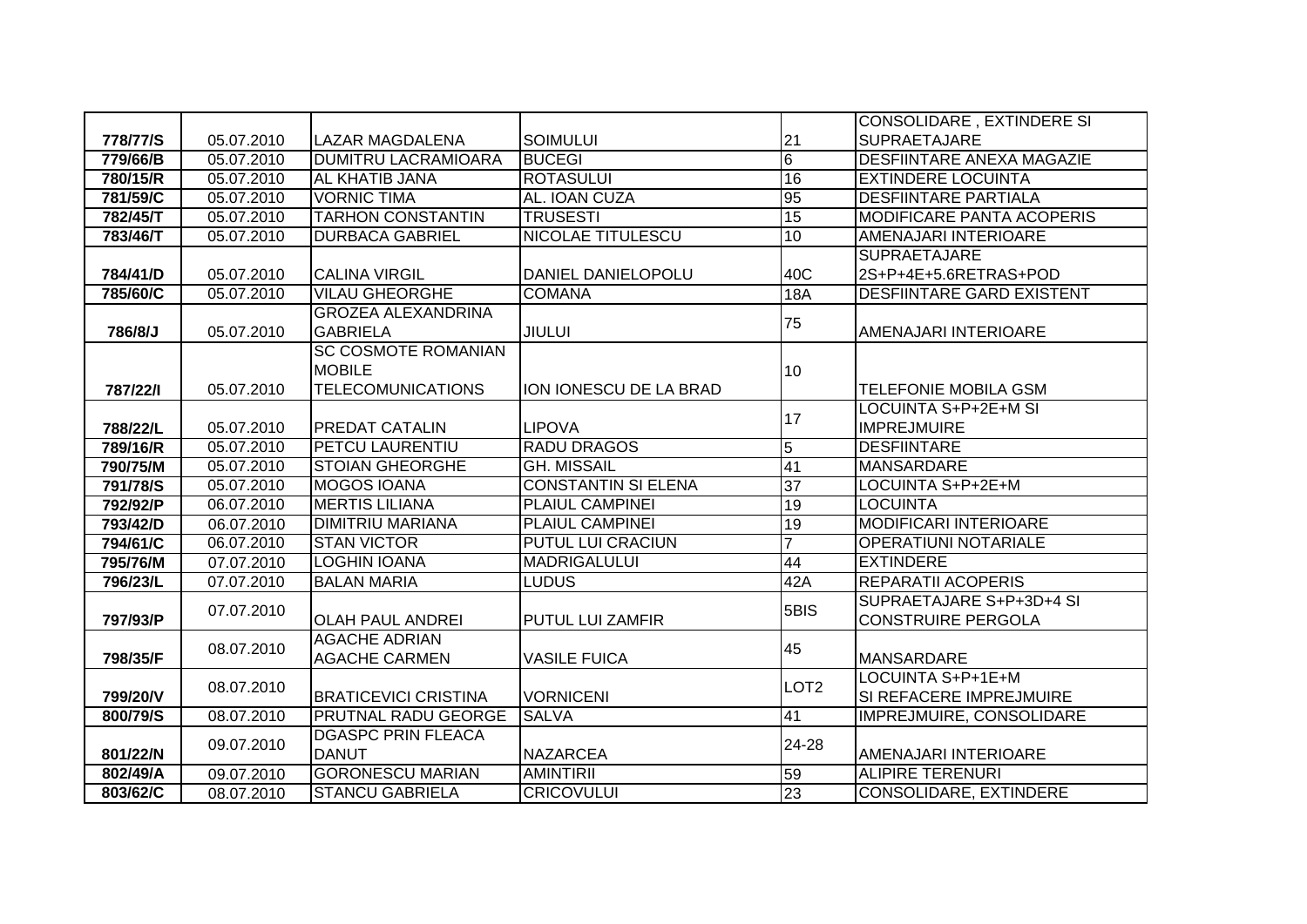|          |            |                             |                            |                  | CONSOLIDARE, EXTINDERE SI        |
|----------|------------|-----------------------------|----------------------------|------------------|----------------------------------|
| 778/77/S | 05.07.2010 | <b>LAZAR MAGDALENA</b>      | <b>SOIMULUI</b>            | 21               | <b>SUPRAETAJARE</b>              |
| 779/66/B | 05.07.2010 | <b>DUMITRU LACRAMIOARA</b>  | <b>BUCEGI</b>              | 6                | <b>DESFIINTARE ANEXA MAGAZIE</b> |
| 780/15/R | 05.07.2010 | <b>AL KHATIB JANA</b>       | <b>ROTASULUI</b>           | 16               | <b>EXTINDERE LOCUINTA</b>        |
| 781/59/C | 05.07.2010 | <b>VORNIC TIMA</b>          | AL. IOAN CUZA              | 95               | <b>DESFIINTARE PARTIALA</b>      |
| 782/45/T | 05.07.2010 | <b>TARHON CONSTANTIN</b>    | <b>TRUSESTI</b>            | 15               | <b>MODIFICARE PANTA ACOPERIS</b> |
| 783/46/T | 05.07.2010 | <b>DURBACA GABRIEL</b>      | <b>NICOLAE TITULESCU</b>   | 10               | AMENAJARI INTERIOARE             |
|          |            |                             |                            |                  | <b>SUPRAETAJARE</b>              |
| 784/41/D | 05.07.2010 | <b>CALINA VIRGIL</b>        | DANIEL DANIELOPOLU         | 40C              | 2S+P+4E+5.6RETRAS+POD            |
| 785/60/C | 05.07.2010 | <b>VILAU GHEORGHE</b>       | <b>COMANA</b>              | 18A              | <b>DESFIINTARE GARD EXISTENT</b> |
|          |            | <b>GROZEA ALEXANDRINA</b>   |                            |                  |                                  |
| 786/8/J  | 05.07.2010 | <b>GABRIELA</b>             | <b>JIULUI</b>              | 75               | AMENAJARI INTERIOARE             |
|          |            | <b>SC COSMOTE ROMANIAN</b>  |                            |                  |                                  |
|          |            | <b>MOBILE</b>               |                            | 10               |                                  |
| 787/22/1 | 05.07.2010 | <b>TELECOMUNICATIONS</b>    | ION IONESCU DE LA BRAD     |                  | <b>TELEFONIE MOBILA GSM</b>      |
|          |            |                             |                            | 17               | <b>LOCUINTA S+P+2E+M SI</b>      |
| 788/22/L | 05.07.2010 | <b>PREDAT CATALIN</b>       | <b>LIPOVA</b>              |                  | <b>IMPREJMUIRE</b>               |
| 789/16/R | 05.07.2010 | PETCU LAURENTIU             | <b>RADU DRAGOS</b>         | 5                | <b>DESFIINTARE</b>               |
| 790/75/M | 05.07.2010 | <b>STOIAN GHEORGHE</b>      | <b>GH. MISSAIL</b>         | 41               | <b>MANSARDARE</b>                |
| 791/78/S | 05.07.2010 | <b>MOGOS IOANA</b>          | <b>CONSTANTIN SI ELENA</b> | $\overline{37}$  | LOCUINTA S+P+2E+M                |
| 792/92/P | 06.07.2010 | <b>MERTIS LILIANA</b>       | PLAIUL CAMPINEI            | 19               | <b>LOCUINTA</b>                  |
| 793/42/D | 06.07.2010 | <b>DIMITRIU MARIANA</b>     | <b>PLAIUL CAMPINEI</b>     | 19               | <b>MODIFICARI INTERIOARE</b>     |
| 794/61/C | 06.07.2010 | <b>STAN VICTOR</b>          | <b>PUTUL LUI CRACIUN</b>   | $\overline{7}$   | <b>OPERATIUNI NOTARIALE</b>      |
| 795/76/M | 07.07.2010 | <b>LOGHIN IOANA</b>         | <b>MADRIGALULUI</b>        | 44               | <b>EXTINDERE</b>                 |
| 796/23/L | 07.07.2010 | <b>BALAN MARIA</b>          | <b>LUDUS</b>               | 42A              | <b>REPARATII ACOPERIS</b>        |
|          | 07.07.2010 |                             |                            | 5BIS             | SUPRAETAJARE S+P+3D+4 SI         |
| 797/93/P |            | <b>OLAH PAUL ANDREI</b>     | PUTUL LUI ZAMFIR           |                  | <b>CONSTRUIRE PERGOLA</b>        |
|          | 08.07.2010 | <b>AGACHE ADRIAN</b>        |                            | 45               |                                  |
| 798/35/F |            | <b>AGACHE CARMEN</b>        | <b>VASILE FUICA</b>        |                  | <b>MANSARDARE</b>                |
|          | 08.07.2010 |                             |                            | LOT <sub>2</sub> | LOCUINTA S+P+1E+M                |
| 799/20/V |            | <b>BRATICEVICI CRISTINA</b> | <b>VORNICENI</b>           |                  | SI REFACERE IMPREJMUIRE          |
| 800/79/S | 08.07.2010 | <b>PRUTNAL RADU GEORGE</b>  | <b>SALVA</b>               | 41               | IMPREJMUIRE, CONSOLIDARE         |
|          | 09.07.2010 | <b>DGASPC PRIN FLEACA</b>   |                            | 24-28            |                                  |
|          |            |                             |                            |                  |                                  |
| 801/22/N |            | <b>DANUT</b>                | <b>NAZARCEA</b>            |                  | AMENAJARI INTERIOARE             |
| 802/49/A | 09.07.2010 | <b>GORONESCU MARIAN</b>     | <b>AMINTIRII</b>           | 59               | <b>ALIPIRE TERENURI</b>          |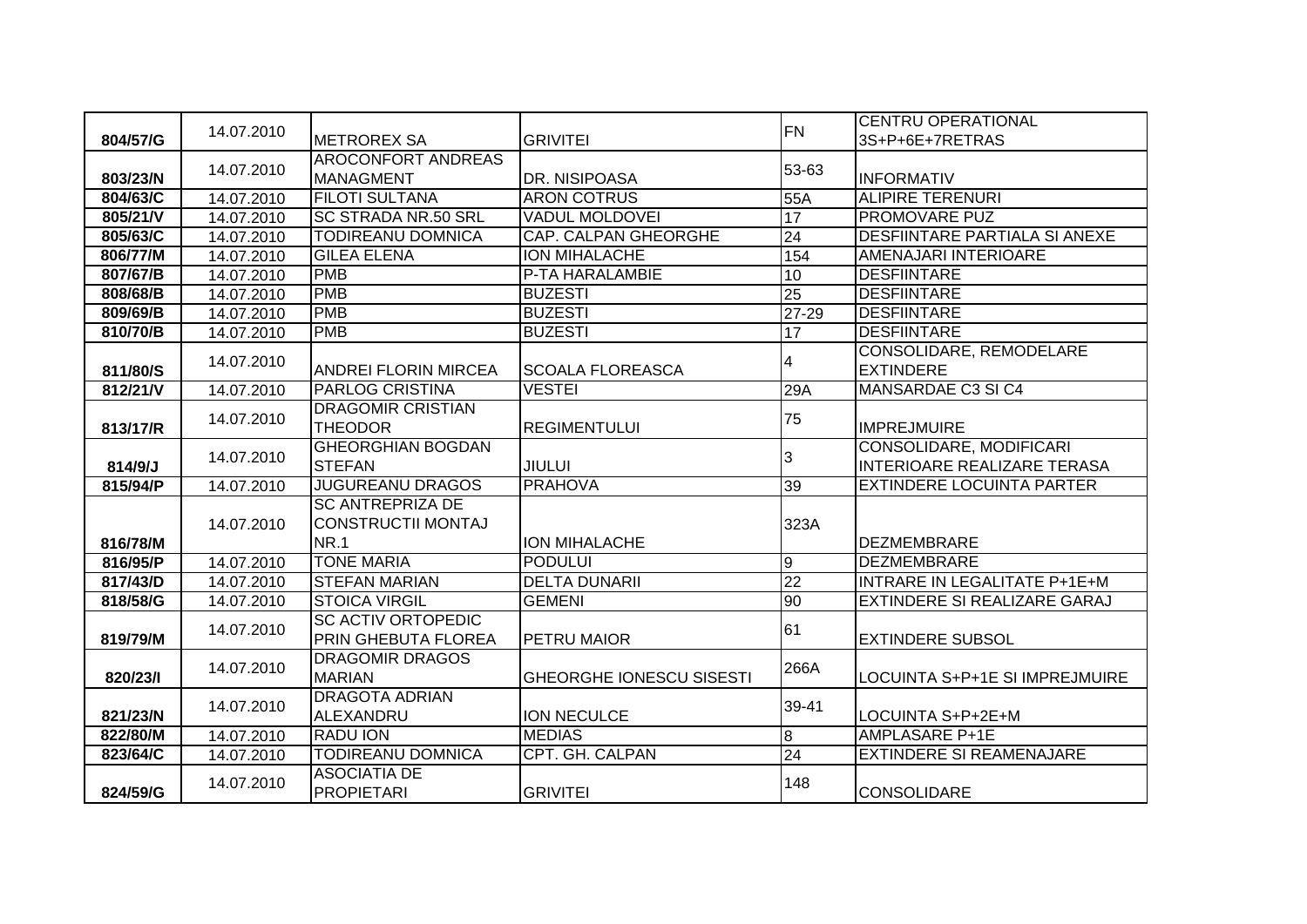|          |            |                             |                                 | <b>FN</b>       | <b>CENTRU OPERATIONAL</b>            |
|----------|------------|-----------------------------|---------------------------------|-----------------|--------------------------------------|
| 804/57/G | 14.07.2010 | <b>METROREX SA</b>          | <b>GRIVITEI</b>                 |                 | 3S+P+6E+7RETRAS                      |
|          | 14.07.2010 | <b>AROCONFORT ANDREAS</b>   |                                 | 53-63           |                                      |
| 803/23/N |            | <b>MANAGMENT</b>            | DR. NISIPOASA                   |                 | <b>INFORMATIV</b>                    |
| 804/63/C | 14.07.2010 | <b>FILOTI SULTANA</b>       | <b>ARON COTRUS</b>              | 55A             | <b>ALIPIRE TERENURI</b>              |
| 805/21/V | 14.07.2010 | <b>SC STRADA NR.50 SRL</b>  | <b>VADUL MOLDOVEI</b>           | 17              | <b>PROMOVARE PUZ</b>                 |
| 805/63/C | 14.07.2010 | <b>TODIREANU DOMNICA</b>    | <b>CAP. CALPAN GHEORGHE</b>     | 24              | <b>DESFIINTARE PARTIALA SI ANEXE</b> |
| 806/77/M | 14.07.2010 | <b>GILEA ELENA</b>          | <b>ION MIHALACHE</b>            | 154             | <b>AMENAJARI INTERIOARE</b>          |
| 807/67/B | 14.07.2010 | <b>PMB</b>                  | P-TA HARALAMBIE                 | 10              | <b>DESFIINTARE</b>                   |
| 808/68/B | 14.07.2010 | <b>PMB</b>                  | <b>BUZESTI</b>                  | $\overline{25}$ | <b>DESFIINTARE</b>                   |
| 809/69/B | 14.07.2010 | <b>PMB</b>                  | <b>BUZESTI</b>                  | $27 - 29$       | <b>DESFIINTARE</b>                   |
| 810/70/B | 14.07.2010 | <b>PMB</b>                  | <b>BUZESTI</b>                  | 17              | <b>DESFIINTARE</b>                   |
|          | 14.07.2010 |                             |                                 | 4               | CONSOLIDARE, REMODELARE              |
| 811/80/S |            | <b>ANDREI FLORIN MIRCEA</b> | <b>SCOALA FLOREASCA</b>         |                 | <b>EXTINDERE</b>                     |
| 812/21/V | 14.07.2010 | <b>PARLOG CRISTINA</b>      | <b>VESTEI</b>                   | 29A             | MANSARDAE C3 SI C4                   |
|          | 14.07.2010 | <b>DRAGOMIR CRISTIAN</b>    |                                 | 75              |                                      |
| 813/17/R |            | <b>THEODOR</b>              | <b>REGIMENTULUI</b>             |                 | <b>IMPREJMUIRE</b>                   |
|          | 14.07.2010 | <b>GHEORGHIAN BOGDAN</b>    |                                 | 3               | CONSOLIDARE, MODIFICARI              |
| 814/9/J  |            | <b>STEFAN</b>               | <b>JIULUI</b>                   |                 | <b>INTERIOARE REALIZARE TERASA</b>   |
| 815/94/P | 14.07.2010 | <b>JUGUREANU DRAGOS</b>     | <b>PRAHOVA</b>                  | 39              | <b>EXTINDERE LOCUINTA PARTER</b>     |
|          |            | <b>SC ANTREPRIZA DE</b>     |                                 |                 |                                      |
|          | 14.07.2010 | <b>CONSTRUCTII MONTAJ</b>   |                                 | 323A            |                                      |
| 816/78/M |            | <b>NR.1</b>                 | <b>ION MIHALACHE</b>            |                 | <b>DEZMEMBRARE</b>                   |
| 816/95/P | 14.07.2010 | <b>TONE MARIA</b>           | <b>PODULUI</b>                  | 9               | <b>DEZMEMBRARE</b>                   |
| 817/43/D | 14.07.2010 | <b>STEFAN MARIAN</b>        | <b>DELTA DUNARII</b>            | $\overline{22}$ | <b>INTRARE IN LEGALITATE P+1E+M</b>  |
| 818/58/G | 14.07.2010 | <b>STOICA VIRGIL</b>        | <b>GEMENI</b>                   | 90              | <b>EXTINDERE SI REALIZARE GARAJ</b>  |
|          | 14.07.2010 | <b>SC ACTIV ORTOPEDIC</b>   |                                 | 61              |                                      |
| 819/79/M |            | PRIN GHEBUTA FLOREA         | PETRU MAIOR                     |                 | <b>EXTINDERE SUBSOL</b>              |
|          | 14.07.2010 | <b>DRAGOMIR DRAGOS</b>      |                                 | 266A            |                                      |
| 820/23/1 |            | <b>MARIAN</b>               | <b>GHEORGHE IONESCU SISESTI</b> |                 | LOCUINTA S+P+1E SI IMPREJMUIRE       |
|          | 14.07.2010 | <b>DRAGOTA ADRIAN</b>       |                                 | 39-41           |                                      |
| 821/23/N |            | ALEXANDRU                   | ION NECULCE                     |                 | LOCUINTA S+P+2E+M                    |
| 822/80/M | 14.07.2010 | <b>RADU ION</b>             | <b>MEDIAS</b>                   | $\bf{8}$        | <b>AMPLASARE P+1E</b>                |
| 823/64/C | 14.07.2010 | <b>TODIREANU DOMNICA</b>    | <b>CPT. GH. CALPAN</b>          | $\overline{24}$ | <b>EXTINDERE SI REAMENAJARE</b>      |
|          | 14.07.2010 | <b>ASOCIATIA DE</b>         |                                 | 148             |                                      |
| 824/59/G |            | <b>PROPIETARI</b>           | <b>GRIVITEI</b>                 |                 | <b>CONSOLIDARE</b>                   |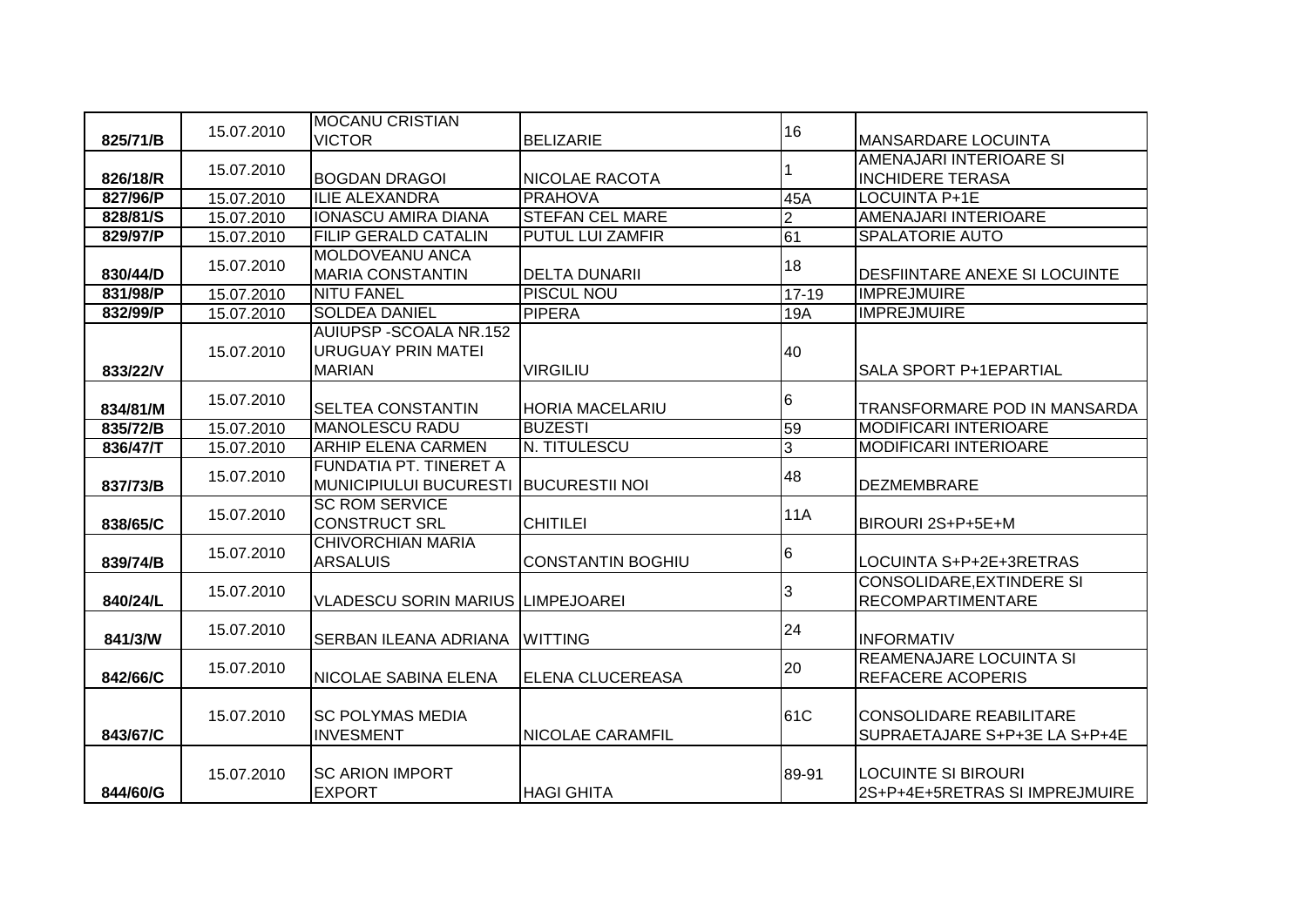|          |            | <b>MOCANU CRISTIAN</b>                   |                          |                |                                                              |
|----------|------------|------------------------------------------|--------------------------|----------------|--------------------------------------------------------------|
| 825/71/B | 15.07.2010 | <b>VICTOR</b>                            | <b>BELIZARIE</b>         | 16             | <b>MANSARDARE LOCUINTA</b>                                   |
|          | 15.07.2010 |                                          |                          |                | AMENAJARI INTERIOARE SI                                      |
| 826/18/R |            | <b>BOGDAN DRAGOI</b>                     | <b>NICOLAE RACOTA</b>    |                | <b>INCHIDERE TERASA</b>                                      |
| 827/96/P | 15.07.2010 | <b>ILIE ALEXANDRA</b>                    | <b>PRAHOVA</b>           | 45A            | <b>LOCUINTA P+1E</b>                                         |
| 828/81/S | 15.07.2010 | <b>IONASCU AMIRA DIANA</b>               | <b>STEFAN CEL MARE</b>   | $\overline{2}$ | <b>AMENAJARI INTERIOARE</b>                                  |
| 829/97/P | 15.07.2010 | <b>FILIP GERALD CATALIN</b>              | <b>PUTUL LUI ZAMFIR</b>  | 61             | <b>SPALATORIE AUTO</b>                                       |
|          | 15.07.2010 | <b>MOLDOVEANU ANCA</b>                   |                          | 18             |                                                              |
| 830/44/D |            | <b>MARIA CONSTANTIN</b>                  | <b>DELTA DUNARII</b>     |                | <b>DESFIINTARE ANEXE SI LOCUINTE</b>                         |
| 831/98/P | 15.07.2010 | <b>NITU FANEL</b>                        | <b>PISCUL NOU</b>        | $17 - 19$      | <b>IMPREJMUIRE</b>                                           |
| 832/99/P | 15.07.2010 | <b>SOLDEA DANIEL</b>                     | <b>PIPERA</b>            | <b>19A</b>     | <b>IMPREJMUIRE</b>                                           |
|          |            | <b>AUIUPSP-SCOALA NR.152</b>             |                          |                |                                                              |
|          | 15.07.2010 | <b>URUGUAY PRIN MATEI</b>                |                          | 40             |                                                              |
| 833/22/V |            | <b>MARIAN</b>                            | <b>VIRGILIU</b>          |                | <b>SALA SPORT P+1EPARTIAL</b>                                |
|          | 15.07.2010 |                                          |                          | 6              |                                                              |
| 834/81/M |            | <b>SELTEA CONSTANTIN</b>                 | <b>HORIA MACELARIU</b>   |                | TRANSFORMARE POD IN MANSARDA                                 |
| 835/72/B | 15.07.2010 | <b>MANOLESCU RADU</b>                    | <b>BUZESTI</b>           | 59             | <b>MODIFICARI INTERIOARE</b>                                 |
| 836/47/T | 15.07.2010 | <b>ARHIP ELENA CARMEN</b>                | N. TITULESCU             | 3              | <b>MODIFICARI INTERIOARE</b>                                 |
|          | 15.07.2010 | FUNDATIA PT. TINERET A                   |                          | 48             |                                                              |
| 837/73/B |            | <b>MUNICIPIULUI BUCURESTI</b>            | <b>BUCURESTII NOI</b>    |                | <b>DEZMEMBRARE</b>                                           |
|          | 15.07.2010 | <b>SC ROM SERVICE</b>                    |                          | 11A            |                                                              |
| 838/65/C |            | <b>CONSTRUCT SRL</b>                     | <b>CHITILEI</b>          |                | BIROURI 2S+P+5E+M                                            |
|          | 15.07.2010 | <b>CHIVORCHIAN MARIA</b>                 |                          | 6              |                                                              |
| 839/74/B |            | <b>ARSALUIS</b>                          | <b>CONSTANTIN BOGHIU</b> |                | LOCUINTA S+P+2E+3RETRAS                                      |
|          | 15.07.2010 |                                          |                          | 3              | <b>CONSOLIDARE, EXTINDERE SI</b>                             |
| 840/24/L |            | <b>VLADESCU SORIN MARIUS LIMPEJOAREI</b> |                          |                | <b>RECOMPARTIMENTARE</b>                                     |
|          | 15.07.2010 |                                          |                          | 24             |                                                              |
| 841/3/W  |            | SERBAN ILEANA ADRIANA                    | <b>WITTING</b>           |                | <b>INFORMATIV</b>                                            |
|          | 15.07.2010 |                                          |                          | 20             | REAMENAJARE LOCUINTA SI                                      |
| 842/66/C |            | <b>NICOLAE SABINA ELENA</b>              | <b>ELENA CLUCEREASA</b>  |                | <b>REFACERE ACOPERIS</b>                                     |
|          |            |                                          |                          |                |                                                              |
|          | 15.07.2010 | <b>SC POLYMAS MEDIA</b>                  |                          | 61C            | <b>CONSOLIDARE REABILITARE</b>                               |
| 843/67/C |            | <b>INVESMENT</b>                         | <b>NICOLAE CARAMFIL</b>  |                | SUPRAETAJARE S+P+3E LA S+P+4E                                |
|          |            |                                          |                          |                |                                                              |
|          |            |                                          |                          |                |                                                              |
| 844/60/G | 15.07.2010 | <b>SC ARION IMPORT</b><br><b>EXPORT</b>  | <b>HAGI GHITA</b>        | 89-91          | <b>LOCUINTE SI BIROURI</b><br>2S+P+4E+5RETRAS SI IMPREJMUIRE |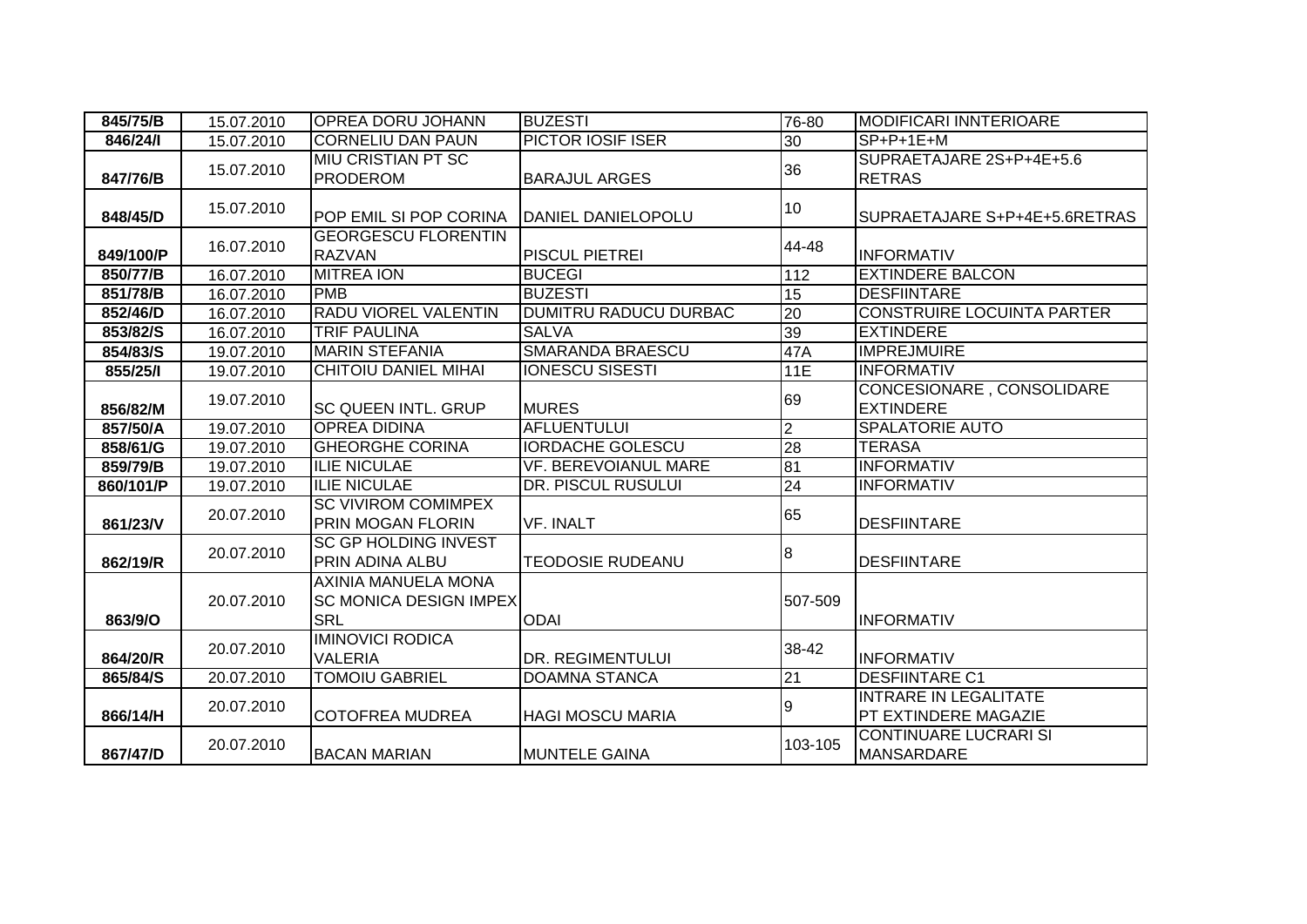| 845/75/B  | 15.07.2010 | <b>OPREA DORU JOHANN</b>                                                  | <b>BUZESTI</b>              | 76-80           | <b>MODIFICARI INNTERIOARE</b>                               |
|-----------|------------|---------------------------------------------------------------------------|-----------------------------|-----------------|-------------------------------------------------------------|
| 846/24/1  | 15.07.2010 | <b>CORNELIU DAN PAUN</b>                                                  | PICTOR IOSIF ISER           | 30              | $SP+P+1E+M$                                                 |
| 847/76/B  | 15.07.2010 | MIU CRISTIAN PT SC<br><b>PRODEROM</b>                                     | <b>BARAJUL ARGES</b>        | 36              | SUPRAETAJARE 2S+P+4E+5.6<br><b>RETRAS</b>                   |
| 848/45/D  | 15.07.2010 | POP EMIL SI POP CORINA                                                    | DANIEL DANIELOPOLU          | 10              | SUPRAETAJARE S+P+4E+5.6RETRAS                               |
| 849/100/P | 16.07.2010 | <b>GEORGESCU FLORENTIN</b><br><b>RAZVAN</b>                               | PISCUL PIETREI              | 44-48           | <b>INFORMATIV</b>                                           |
| 850/77/B  | 16.07.2010 | <b>MITREA ION</b>                                                         | <b>BUCEGI</b>               | 112             | <b>EXTINDERE BALCON</b>                                     |
| 851/78/B  | 16.07.2010 | <b>PMB</b>                                                                | <b>BUZESTI</b>              | 15              | <b>DESFIINTARE</b>                                          |
| 852/46/D  | 16.07.2010 | <b>RADU VIOREL VALENTIN</b>                                               | DUMITRU RADUCU DURBAC       | $\overline{20}$ | CONSTRUIRE LOCUINTA PARTER                                  |
| 853/82/S  | 16.07.2010 | <b>TRIF PAULINA</b>                                                       | <b>SALVA</b>                | 39              | <b>EXTINDERE</b>                                            |
| 854/83/S  | 19.07.2010 | <b>MARIN STEFANIA</b>                                                     | <b>SMARANDA BRAESCU</b>     | 47A             | <b>IMPREJMUIRE</b>                                          |
| 855/25/1  | 19.07.2010 | <b>CHITOIU DANIEL MIHAI</b>                                               | <b>IONESCU SISESTI</b>      | 11E             | <b>INFORMATIV</b>                                           |
| 856/82/M  | 19.07.2010 | <b>SC QUEEN INTL. GRUP</b>                                                | <b>MURES</b>                | 69              | CONCESIONARE, CONSOLIDARE<br><b>EXTINDERE</b>               |
| 857/50/A  | 19.07.2010 | <b>OPREA DIDINA</b>                                                       | <b>AFLUENTULUI</b>          | $\overline{2}$  | <b>SPALATORIE AUTO</b>                                      |
| 858/61/G  | 19.07.2010 | <b>GHEORGHE CORINA</b>                                                    | <b>IORDACHE GOLESCU</b>     | 28              | <b>TERASA</b>                                               |
| 859/79/B  | 19.07.2010 | <b>ILIE NICULAE</b>                                                       | <b>VF. BEREVOIANUL MARE</b> | $\overline{81}$ | <b>INFORMATIV</b>                                           |
| 860/101/P | 19.07.2010 | <b>ILIE NICULAE</b>                                                       | DR. PISCUL RUSULUI          | $\overline{24}$ | <b>INFORMATIV</b>                                           |
| 861/23/V  | 20.07.2010 | <b>SC VIVIROM COMIMPEX</b><br><b>PRIN MOGAN FLORIN</b>                    | <b>VF. INALT</b>            | 65              | <b>DESFIINTARE</b>                                          |
| 862/19/R  | 20.07.2010 | <b>SC GP HOLDING INVEST</b><br>PRIN ADINA ALBU                            | <b>TEODOSIE RUDEANU</b>     | 8               | DESFIINTARE                                                 |
| 863/9/O   | 20.07.2010 | <b>AXINIA MANUELA MONA</b><br><b>SC MONICA DESIGN IMPEX</b><br><b>SRL</b> | <b>ODAI</b>                 | 507-509         | <b>INFORMATIV</b>                                           |
| 864/20/R  | 20.07.2010 | <b>IMINOVICI RODICA</b><br><b>VALERIA</b>                                 | DR. REGIMENTULUI            | 38-42           | <b>INFORMATIV</b>                                           |
| 865/84/S  | 20.07.2010 | <b>TOMOIU GABRIEL</b>                                                     | <b>DOAMNA STANCA</b>        | $\overline{21}$ | <b>DESFIINTARE C1</b>                                       |
| 866/14/H  | 20.07.2010 | <b>COTOFREA MUDREA</b>                                                    | <b>HAGI MOSCU MARIA</b>     | 9               | <b>INTRARE IN LEGALITATE</b><br><b>PT EXTINDERE MAGAZIE</b> |
| 867/47/D  | 20.07.2010 | <b>BACAN MARIAN</b>                                                       | <b>MUNTELE GAINA</b>        | 103-105         | <b>CONTINUARE LUCRARI SI</b><br><b>MANSARDARE</b>           |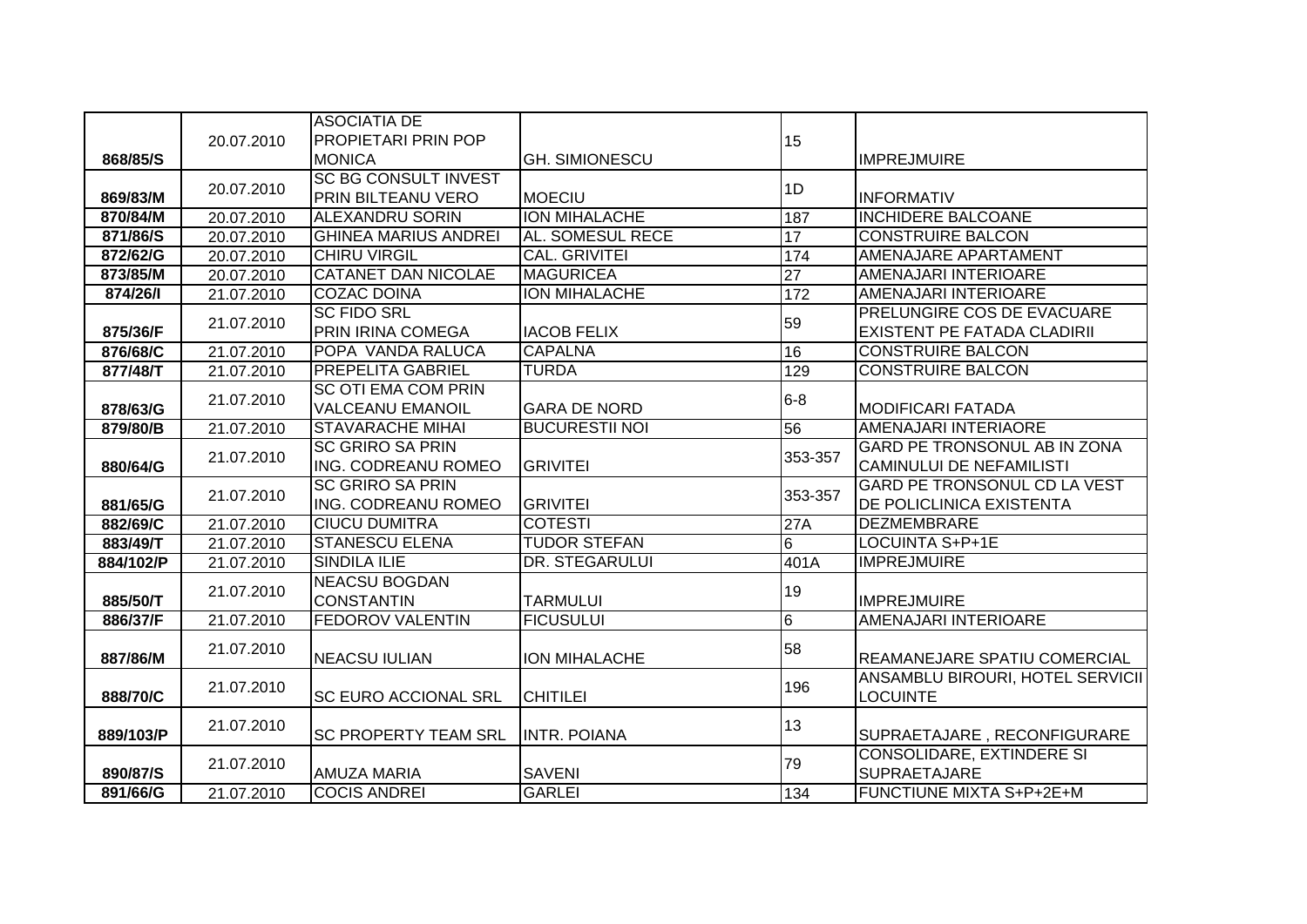|           |            | <b>ASOCIATIA DE</b>         |                            |                 |                                     |
|-----------|------------|-----------------------------|----------------------------|-----------------|-------------------------------------|
|           | 20.07.2010 | <b>PROPIETARI PRIN POP</b>  |                            | 15              |                                     |
| 868/85/S  |            | <b>MONICA</b>               | <b>GH. SIMIONESCU</b>      |                 | <b>IMPREJMUIRE</b>                  |
|           | 20.07.2010 | <b>SC BG CONSULT INVEST</b> |                            | 1D              |                                     |
| 869/83/M  |            | PRIN BILTEANU VERO          | <b>MOECIU</b>              |                 | <b>INFORMATIV</b>                   |
| 870/84/M  | 20.07.2010 | <b>ALEXANDRU SORIN</b>      | <b>ION MIHALACHE</b>       | 187             | <b>INCHIDERE BALCOANE</b>           |
| 871/86/S  | 20.07.2010 | <b>GHINEA MARIUS ANDREI</b> | AL. SOMESUL RECE           | 17              | <b>CONSTRUIRE BALCON</b>            |
| 872/62/G  | 20.07.2010 | <b>CHIRU VIRGIL</b>         | <b>CAL. GRIVITEI</b>       | 174             | AMENAJARE APARTAMENT                |
| 873/85/M  | 20.07.2010 | <b>CATANET DAN NICOLAE</b>  | <b>MAGURICEA</b>           | $\overline{27}$ | AMENAJARI INTERIOARE                |
| 874/26/1  | 21.07.2010 | <b>COZAC DOINA</b>          | <b>ION MIHALACHE</b>       | 172             | AMENAJARI INTERIOARE                |
|           | 21.07.2010 | <b>SC FIDO SRL</b>          |                            | 59              | PRELUNGIRE COS DE EVACUARE          |
| 875/36/F  |            | PRIN IRINA COMEGA           | <b>IACOB FELIX</b>         |                 | <b>EXISTENT PE FATADA CLADIRII</b>  |
| 876/68/C  | 21.07.2010 | POPA VANDA RALUCA           | <b>CAPALNA</b>             | 16              | <b>CONSTRUIRE BALCON</b>            |
| 877/48/T  | 21.07.2010 | <b>PREPELITA GABRIEL</b>    | <b>TURDA</b>               | 129             | <b>CONSTRUIRE BALCON</b>            |
|           | 21.07.2010 | <b>SC OTI EMA COM PRIN</b>  |                            | $6 - 8$         |                                     |
| 878/63/G  |            | <b>VALCEANU EMANOIL</b>     | <b>GARA DE NORD</b>        |                 | <b>MODIFICARI FATADA</b>            |
| 879/80/B  | 21.07.2010 | <b>STAVARACHE MIHAI</b>     | <b>BUCURESTII NOI</b>      | 56              | AMENAJARI INTERIAORE                |
|           |            | <b>SC GRIRO SA PRIN</b>     |                            |                 | <b>GARD PE TRONSONUL AB IN ZONA</b> |
| 880/64/G  | 21.07.2010 | ING. CODREANU ROMEO         | 353-357<br><b>GRIVITEI</b> |                 | <b>CAMINULUI DE NEFAMILISTI</b>     |
|           |            | <b>SC GRIRO SA PRIN</b>     |                            | 353-357         | GARD PE TRONSONUL CD LA VEST        |
| 881/65/G  | 21.07.2010 | <b>ING. CODREANU ROMEO</b>  | <b>GRIVITEI</b>            |                 | DE POLICLINICA EXISTENTA            |
| 882/69/C  | 21.07.2010 | <b>CIUCU DUMITRA</b>        | <b>COTESTI</b>             | 27A             | <b>DEZMEMBRARE</b>                  |
| 883/49/T  | 21.07.2010 | <b>STANESCU ELENA</b>       | <b>TUDOR STEFAN</b>        | $6\phantom{1}$  | LOCUINTA S+P+1E                     |
| 884/102/P | 21.07.2010 | <b>SINDILA ILIE</b>         | DR. STEGARULUI             | 401A            | <b>IMPREJMUIRE</b>                  |
|           |            | <b>NEACSU BOGDAN</b>        |                            |                 |                                     |
| 885/50/T  | 21.07.2010 | <b>CONSTANTIN</b>           | <b>TARMULUI</b>            | 19              | <b>IMPREJMUIRE</b>                  |
| 886/37/F  | 21.07.2010 | <b>FEDOROV VALENTIN</b>     | <b>FICUSULUI</b>           | $6\phantom{.}6$ | <b>AMENAJARI INTERIOARE</b>         |
|           |            |                             |                            |                 |                                     |
| 887/86/M  | 21.07.2010 | <b>NEACSU IULIAN</b>        | <b>ION MIHALACHE</b>       | 58              | REAMANEJARE SPATIU COMERCIAL        |
|           |            |                             |                            |                 | ANSAMBLU BIROURI, HOTEL SERVICII    |
| 888/70/C  | 21.07.2010 | <b>SC EURO ACCIONAL SRL</b> | <b>CHITILEI</b>            | 196             | <b>LOCUINTE</b>                     |
|           | 21.07.2010 |                             |                            | 13              |                                     |
| 889/103/P |            | <b>SC PROPERTY TEAM SRL</b> | <b>INTR. POIANA</b>        |                 | SUPRAETAJARE, RECONFIGURARE         |
|           | 21.07.2010 |                             |                            | 79              | <b>CONSOLIDARE, EXTINDERE SI</b>    |
| 890/87/S  |            | <b>AMUZA MARIA</b>          | <b>SAVENI</b>              |                 | <b>SUPRAETAJARE</b>                 |
| 891/66/G  | 21.07.2010 | <b>COCIS ANDREI</b>         | <b>GARLEI</b>              | 134             | FUNCTIUNE MIXTA S+P+2E+M            |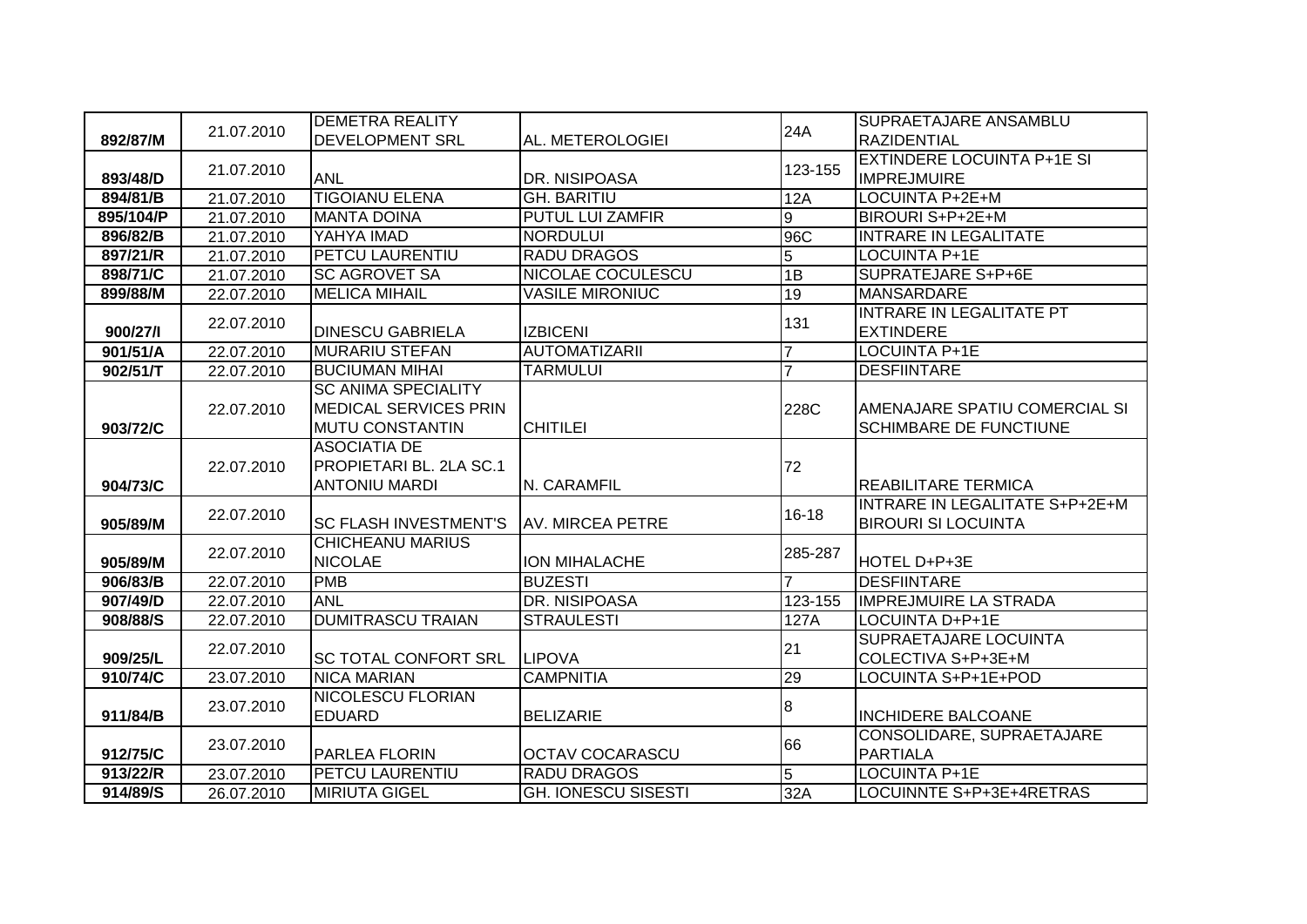|           |            | <b>DEMETRA REALITY</b>       |                            |                | SUPRAETAJARE ANSAMBLU             |
|-----------|------------|------------------------------|----------------------------|----------------|-----------------------------------|
| 892/87/M  | 21.07.2010 | <b>DEVELOPMENT SRL</b>       | AL. METEROLOGIEI           | 24A            | <b>RAZIDENTIAL</b>                |
|           |            |                              |                            |                | <b>EXTINDERE LOCUINTA P+1E SI</b> |
| 893/48/D  | 21.07.2010 | <b>ANL</b>                   | DR. NISIPOASA              | 123-155        | <b>IMPREJMUIRE</b>                |
| 894/81/B  | 21.07.2010 | <b>TIGOIANU ELENA</b>        | <b>GH. BARITIU</b>         | 12A            | LOCUINTA P+2E+M                   |
| 895/104/P | 21.07.2010 | <b>MANTA DOINA</b>           | <b>PUTUL LUI ZAMFIR</b>    | 9              | BIROURI S+P+2E+M                  |
| 896/82/B  | 21.07.2010 | YAHYA IMAD                   | <b>NORDULUI</b>            | 96C            | <b>INTRARE IN LEGALITATE</b>      |
| 897/21/R  | 21.07.2010 | <b>PETCU LAURENTIU</b>       | <b>RADU DRAGOS</b>         | $\overline{5}$ | <b>LOCUINTA P+1E</b>              |
| 898/71/C  | 21.07.2010 | <b>SC AGROVET SA</b>         | NICOLAE COCULESCU          | 1B             | <b>SUPRATEJARE S+P+6E</b>         |
| 899/88/M  | 22.07.2010 | <b>MELICA MIHAIL</b>         | <b>VASILE MIRONIUC</b>     | 19             | <b>MANSARDARE</b>                 |
|           | 22.07.2010 |                              |                            | 131            | <b>INTRARE IN LEGALITATE PT</b>   |
| 900/27/I  |            | <b>DINESCU GABRIELA</b>      | <b>IZBICENI</b>            |                | <b>EXTINDERE</b>                  |
| 901/51/A  | 22.07.2010 | <b>MURARIU STEFAN</b>        | <b>AUTOMATIZARII</b>       | $\overline{7}$ | LOCUINTA P+1E                     |
| 902/51/T  | 22.07.2010 | <b>BUCIUMAN MIHAI</b>        | <b>TARMULUI</b>            | $\overline{7}$ | <b>DESFIINTARE</b>                |
|           |            | <b>SC ANIMA SPECIALITY</b>   |                            |                |                                   |
|           | 22.07.2010 | <b>MEDICAL SERVICES PRIN</b> |                            | 228C           | AMENAJARE SPATIU COMERCIAL SI     |
| 903/72/C  |            | <b>MUTU CONSTANTIN</b>       | <b>CHITILEI</b>            |                | <b>SCHIMBARE DE FUNCTIUNE</b>     |
|           |            | <b>ASOCIATIA DE</b>          |                            |                |                                   |
|           | 22.07.2010 | PROPIETARI BL. 2LA SC.1      |                            | 72             |                                   |
| 904/73/C  |            | <b>ANTONIU MARDI</b>         | N. CARAMFIL                |                | <b>REABILITARE TERMICA</b>        |
|           | 22.07.2010 |                              |                            | 16-18          | INTRARE IN LEGALITATE S+P+2E+M    |
| 905/89/M  |            | <b>SC FLASH INVESTMENT'S</b> | <b>AV. MIRCEA PETRE</b>    |                | <b>BIROURI SI LOCUINTA</b>        |
|           | 22.07.2010 | <b>CHICHEANU MARIUS</b>      |                            | 285-287        |                                   |
| 905/89/M  |            | <b>NICOLAE</b>               | <b>ION MIHALACHE</b>       |                | HOTEL D+P+3E                      |
| 906/83/B  | 22.07.2010 | <b>PMB</b>                   | <b>BUZESTI</b>             | $\overline{7}$ | <b>DESFIINTARE</b>                |
| 907/49/D  | 22.07.2010 | <b>ANL</b>                   | <b>DR. NISIPOASA</b>       | 123-155        | <b>IMPREJMUIRE LA STRADA</b>      |
| 908/88/S  | 22.07.2010 | <b>DUMITRASCU TRAIAN</b>     | <b>STRAULESTI</b>          | 127A           | LOCUINTA D+P+1E                   |
|           | 22.07.2010 |                              |                            | 21             | <b>SUPRAETAJARE LOCUINTA</b>      |
| 909/25/L  |            | <b>SC TOTAL CONFORT SRL</b>  | <b>LIPOVA</b>              |                | COLECTIVA S+P+3E+M                |
| 910/74/C  | 23.07.2010 | <b>NICA MARIAN</b>           | <b>CAMPNITIA</b>           | 29             | LOCUINTA S+P+1E+POD               |
|           | 23.07.2010 | <b>NICOLESCU FLORIAN</b>     |                            | 8              |                                   |
| 911/84/B  |            | <b>EDUARD</b>                | <b>BELIZARIE</b>           |                | <b>INCHIDERE BALCOANE</b>         |
|           | 23.07.2010 |                              |                            | 66             | CONSOLIDARE, SUPRAETAJARE         |
| 912/75/C  |            | PARLEA FLORIN                | <b>OCTAV COCARASCU</b>     |                | <b>PARTIALA</b>                   |
| 913/22/R  | 23.07.2010 | <b>PETCU LAURENTIU</b>       | <b>RADU DRAGOS</b>         | 5              | <b>LOCUINTA P+1E</b>              |
| 914/89/S  | 26.07.2010 | <b>MIRIUTA GIGEL</b>         | <b>GH. IONESCU SISESTI</b> | 32A            | LOCUINNTE S+P+3E+4RETRAS          |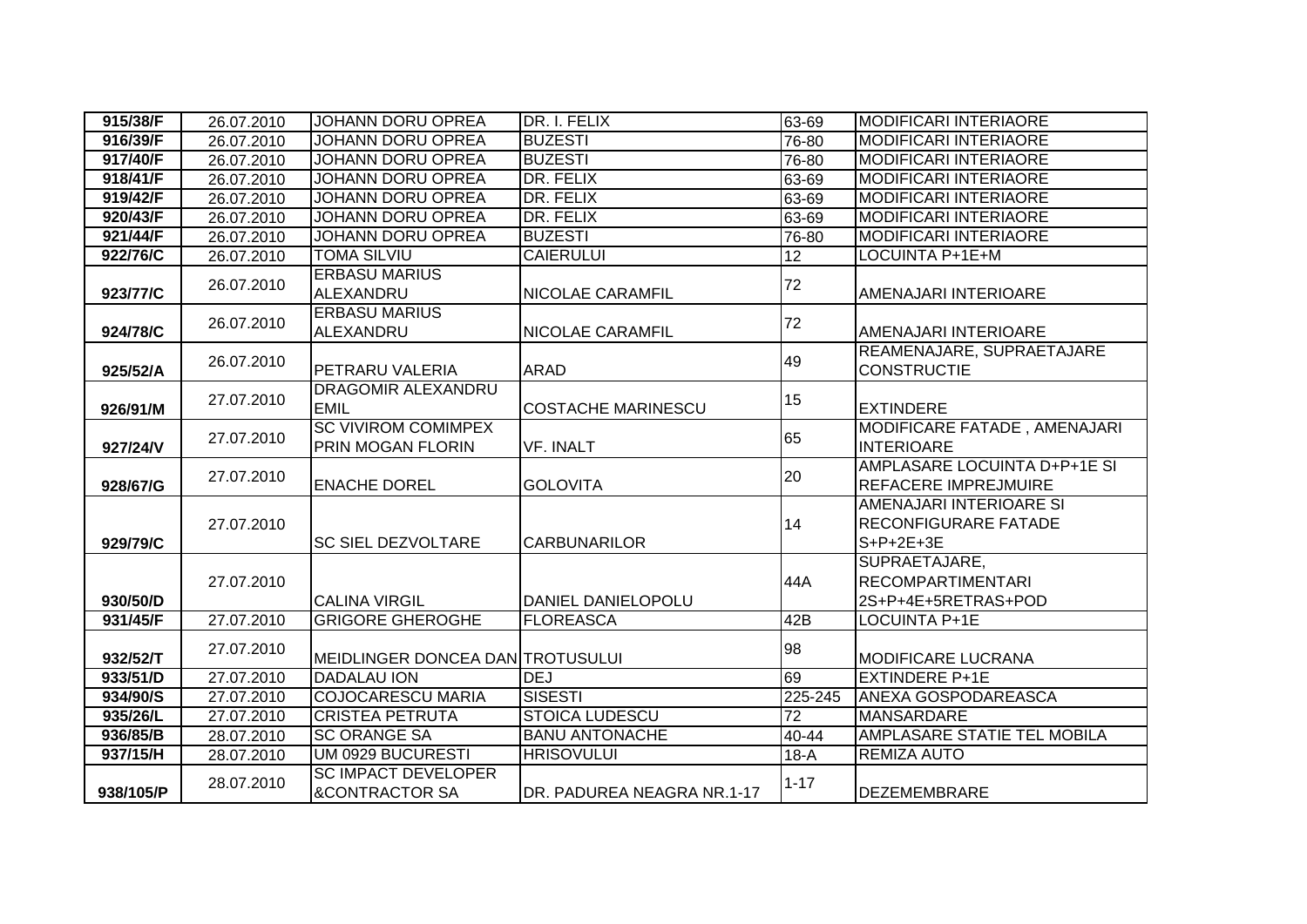| 915/38/F  | 26.07.2010 | <b>JOHANN DORU OPREA</b>                                | DR. I. FELIX               | 63-69    | <b>MODIFICARI INTERIAORE</b>                                          |
|-----------|------------|---------------------------------------------------------|----------------------------|----------|-----------------------------------------------------------------------|
| 916/39/F  | 26.07.2010 | <b>JOHANN DORU OPREA</b>                                | <b>BUZESTI</b>             | 76-80    | <b>MODIFICARI INTERIAORE</b>                                          |
| 917/40/F  | 26.07.2010 | <b>JOHANN DORU OPREA</b>                                | <b>BUZESTI</b>             | 76-80    | <b>MODIFICARI INTERIAORE</b>                                          |
| 918/41/F  | 26.07.2010 | <b>JOHANN DORU OPREA</b>                                | DR. FELIX                  | 63-69    | <b>MODIFICARI INTERIAORE</b>                                          |
| 919/42/F  | 26.07.2010 | <b>JOHANN DORU OPREA</b>                                | DR. FELIX                  | 63-69    | <b>MODIFICARI INTERIAORE</b>                                          |
| 920/43/F  | 26.07.2010 | <b>JOHANN DORU OPREA</b>                                | DR. FELIX                  | 63-69    | <b>MODIFICARI INTERIAORE</b>                                          |
| 921/44/F  | 26.07.2010 | JOHANN DORU OPREA                                       | <b>BUZESTI</b>             | 76-80    | <b>MODIFICARI INTERIAORE</b>                                          |
| 922/76/C  | 26.07.2010 | <b>TOMA SILVIU</b>                                      | <b>CAIERULUI</b>           | 12       | LOCUINTA P+1E+M                                                       |
| 923/77/C  | 26.07.2010 | <b>ERBASU MARIUS</b><br>ALEXANDRU                       | <b>NICOLAE CARAMFIL</b>    | 72       | AMENAJARI INTERIOARE                                                  |
| 924/78/C  | 26.07.2010 | <b>ERBASU MARIUS</b><br>ALEXANDRU                       | NICOLAE CARAMFIL           | 72       | <b>AMENAJARI INTERIOARE</b>                                           |
| 925/52/A  | 26.07.2010 | PETRARU VALERIA                                         | <b>ARAD</b>                | 49       | REAMENAJARE, SUPRAETAJARE<br><b>CONSTRUCTIE</b>                       |
| 926/91/M  | 27.07.2010 | DRAGOMIR ALEXANDRU<br><b>EMIL</b>                       | <b>COSTACHE MARINESCU</b>  | 15       | <b>EXTINDERE</b>                                                      |
| 927/24/V  | 27.07.2010 | <b>SC VIVIROM COMIMPEX</b><br><b>PRIN MOGAN FLORIN</b>  | <b>VF. INALT</b>           | 65       | MODIFICARE FATADE, AMENAJARI<br><b>INTERIOARE</b>                     |
| 928/67/G  | 27.07.2010 | <b>ENACHE DOREL</b>                                     | <b>GOLOVITA</b>            | 20       | AMPLASARE LOCUINTA D+P+1E SI<br><b>REFACERE IMPREJMUIRE</b>           |
| 929/79/C  | 27.07.2010 | <b>SC SIEL DEZVOLTARE</b>                               | <b>CARBUNARILOR</b>        | 14       | AMENAJARI INTERIOARE SI<br><b>RECONFIGURARE FATADE</b><br>$S+P+2E+3E$ |
| 930/50/D  | 27.07.2010 | <b>CALINA VIRGIL</b>                                    | DANIEL DANIELOPOLU         | 44A      | SUPRAETAJARE,<br><b>RECOMPARTIMENTARI</b><br>2S+P+4E+5RETRAS+POD      |
| 931/45/F  | 27.07.2010 | <b>GRIGORE GHEROGHE</b>                                 | <b>FLOREASCA</b>           | 42B      | LOCUINTA P+1E                                                         |
| 932/52/T  | 27.07.2010 | MEIDLINGER DONCEA DAN TROTUSULUI                        |                            | 98       | <b>MODIFICARE LUCRANA</b>                                             |
| 933/51/D  | 27.07.2010 | <b>DADALAU ION</b>                                      | <b>DEJ</b>                 | 69       | <b>EXTINDERE P+1E</b>                                                 |
| 934/90/S  | 27.07.2010 | <b>COJOCARESCU MARIA</b>                                | <b>SISESTI</b>             | 225-245  | <b>ANEXA GOSPODAREASCA</b>                                            |
| 935/26/L  | 27.07.2010 | <b>CRISTEA PETRUTA</b>                                  | <b>STOICA LUDESCU</b>      | 72       | <b>MANSARDARE</b>                                                     |
| 936/85/B  | 28.07.2010 | <b>SC ORANGE SA</b>                                     | <b>BANU ANTONACHE</b>      | 40-44    | AMPLASARE STATIE TEL MOBILA                                           |
| 937/15/H  | 28.07.2010 | UM 0929 BUCURESTI                                       | <b>HRISOVULUI</b>          | $18-A$   | <b>REMIZA AUTO</b>                                                    |
| 938/105/P | 28.07.2010 | <b>SC IMPACT DEVELOPER</b><br><b>&amp;CONTRACTOR SA</b> | DR. PADUREA NEAGRA NR.1-17 | $1 - 17$ | <b>DEZEMEMBRARE</b>                                                   |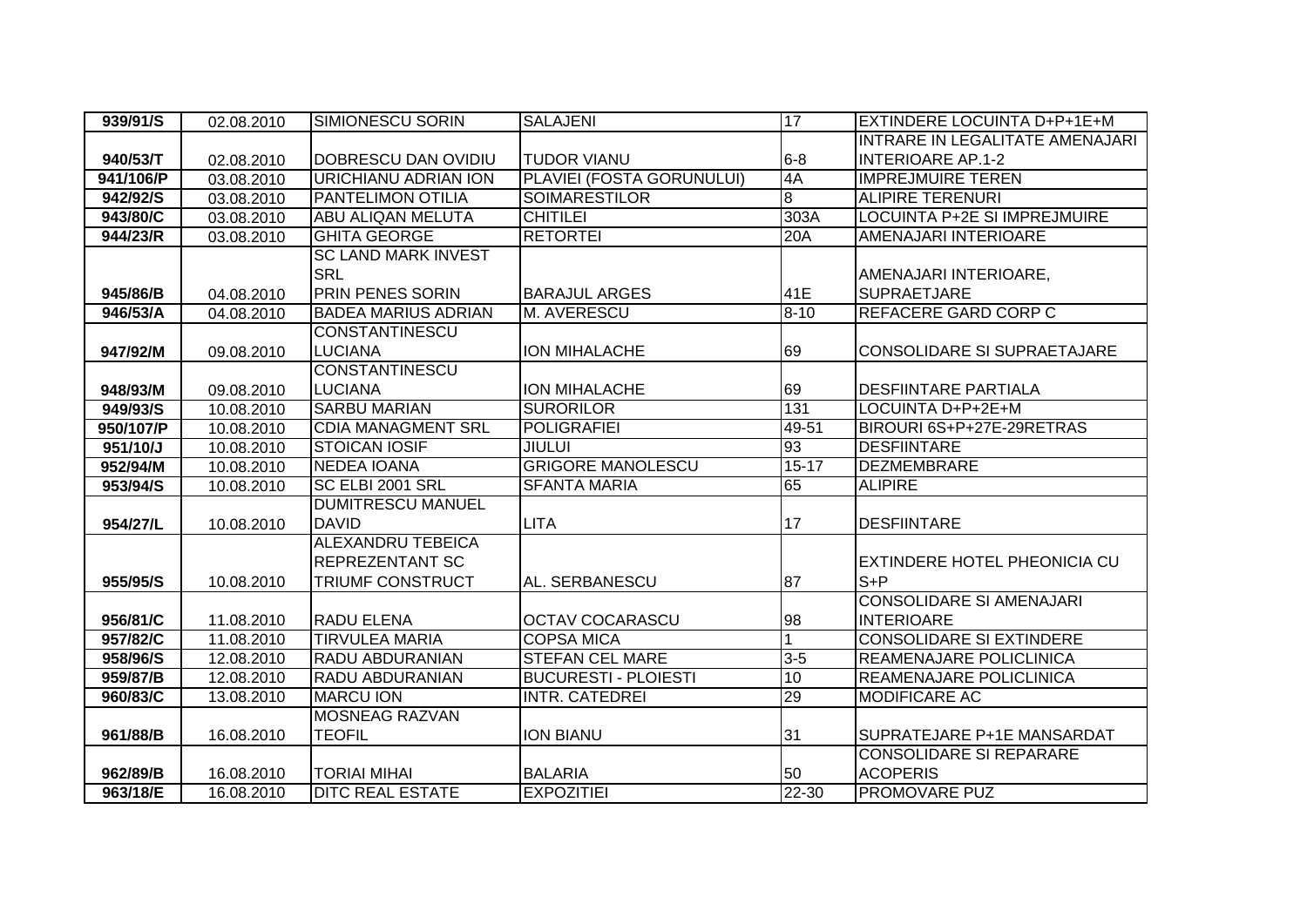| 939/91/S              | 02.08.2010 | <b>SIMIONESCU SORIN</b>     | <b>SALAJENI</b>             | 17                 | EXTINDERE LOCUINTA D+P+1E+M         |
|-----------------------|------------|-----------------------------|-----------------------------|--------------------|-------------------------------------|
|                       |            |                             |                             |                    | INTRARE IN LEGALITATE AMENAJARI     |
| 940/53/T              | 02.08.2010 | <b>DOBRESCU DAN OVIDIU</b>  | <b>TUDOR VIANU</b>          | $6-8$              | <b>INTERIOARE AP.1-2</b>            |
| 941/106/P             | 03.08.2010 | <b>URICHIANU ADRIAN ION</b> | PLAVIEI (FOSTA GORUNULUI)   | 4A                 | <b>IMPREJMUIRE TEREN</b>            |
| 942/92/S              | 03.08.2010 | <b>PANTELIMON OTILIA</b>    | <b>SOIMARESTILOR</b>        | œ                  | <b>ALIPIRE TERENURI</b>             |
| 943/80/C              | 03.08.2010 | <b>ABU ALIQAN MELUTA</b>    | <b>CHITILEI</b>             | 303A               | LOCUINTA P+2E SI IMPREJMUIRE        |
| 944/23/R              | 03.08.2010 | <b>GHITA GEORGE</b>         | <b>RETORTEI</b>             | 20A                | AMENAJARI INTERIOARE                |
|                       |            | <b>SC LAND MARK INVEST</b>  |                             |                    |                                     |
|                       |            | <b>SRL</b>                  |                             |                    | AMENAJARI INTERIOARE,               |
| 945/86/B              | 04.08.2010 | <b>PRIN PENES SORIN</b>     | <b>BARAJUL ARGES</b>        | 41E                | <b>SUPRAETJARE</b>                  |
| 946/53/A              | 04.08.2010 | <b>BADEA MARIUS ADRIAN</b>  | M. AVERESCU                 | $8 - 10$           | REFACERE GARD CORP C                |
|                       |            | <b>CONSTANTINESCU</b>       |                             |                    |                                     |
| 947/92/M              | 09.08.2010 | <b>LUCIANA</b>              | <b>ION MIHALACHE</b>        | 69                 | <b>CONSOLIDARE SI SUPRAETAJARE</b>  |
|                       |            | <b>CONSTANTINESCU</b>       |                             |                    |                                     |
| 948/93/M              | 09.08.2010 | <b>LUCIANA</b>              | <b>ION MIHALACHE</b>        | 69                 | <b>DESFIINTARE PARTIALA</b>         |
| 949/93/S              | 10.08.2010 | <b>SARBU MARIAN</b>         | <b>SURORILOR</b>            | 131                | LOCUINTA D+P+2E+M                   |
| 950/107/P             | 10.08.2010 | <b>CDIA MANAGMENT SRL</b>   | <b>POLIGRAFIEI</b>          | 49-51              | BIROURI 6S+P+27E-29RETRAS           |
| 951/10/J              | 10.08.2010 | <b>STOICAN IOSIF</b>        | <b>JIULUI</b>               | 93                 | <b>DESFIINTARE</b>                  |
| 952/94/M              | 10.08.2010 | <b>NEDEA IOANA</b>          | <b>GRIGORE MANOLESCU</b>    | $15 - 17$          | <b>DEZMEMBRARE</b>                  |
| $953/94/\overline{S}$ | 10.08.2010 | SC ELBI 2001 SRL            | <b>SFANTA MARIA</b>         | 65                 | <b>ALIPIRE</b>                      |
|                       |            | <b>DUMITRESCU MANUEL</b>    |                             |                    |                                     |
| 954/27/L              | 10.08.2010 | <b>DAVID</b>                | <b>LITA</b>                 | 17                 | <b>DESFIINTARE</b>                  |
|                       |            | <b>ALEXANDRU TEBEICA</b>    |                             |                    |                                     |
|                       |            | <b>REPREZENTANT SC</b>      |                             |                    | <b>EXTINDERE HOTEL PHEONICIA CU</b> |
| 955/95/S              | 10.08.2010 | <b>TRIUMF CONSTRUCT</b>     | AL. SERBANESCU              | 87                 | $S + P$                             |
|                       |            |                             |                             |                    | <b>CONSOLIDARE SI AMENAJARI</b>     |
| 956/81/C              | 11.08.2010 | <b>RADU ELENA</b>           | <b>OCTAV COCARASCU</b>      | 98                 | <b>INTERIOARE</b>                   |
| 957/82/C              | 11.08.2010 | <b>TIRVULEA MARIA</b>       | <b>COPSA MICA</b>           |                    | <b>CONSOLIDARE SI EXTINDERE</b>     |
| 958/96/S              | 12.08.2010 | RADU ABDURANIAN             | <b>STEFAN CEL MARE</b>      | $3 - 5$            | <b>REAMENAJARE POLICLINICA</b>      |
| 959/87/B              | 12.08.2010 | RADU ABDURANIAN             | <b>BUCURESTI - PLOIESTI</b> | 10                 | <b>REAMENAJARE POLICLINICA</b>      |
| 960/83/C              | 13.08.2010 | <b>MARCU ION</b>            | <b>INTR. CATEDREI</b>       | 29                 | <b>MODIFICARE AC</b>                |
|                       |            | <b>MOSNEAG RAZVAN</b>       |                             |                    |                                     |
| 961/88/B              | 16.08.2010 | <b>TEOFIL</b>               | <b>ION BIANU</b>            | 31                 | SUPRATEJARE P+1E MANSARDAT          |
|                       |            |                             |                             |                    | <b>CONSOLIDARE SI REPARARE</b>      |
| 962/89/B              | 16.08.2010 | <b>TORIAI MIHAI</b>         | <b>BALARIA</b>              | 50                 | <b>ACOPERIS</b>                     |
| 963/18/E              | 16.08.2010 | <b>DITC REAL ESTATE</b>     | <b>EXPOZITIEI</b>           | $\overline{22-30}$ | <b>PROMOVARE PUZ</b>                |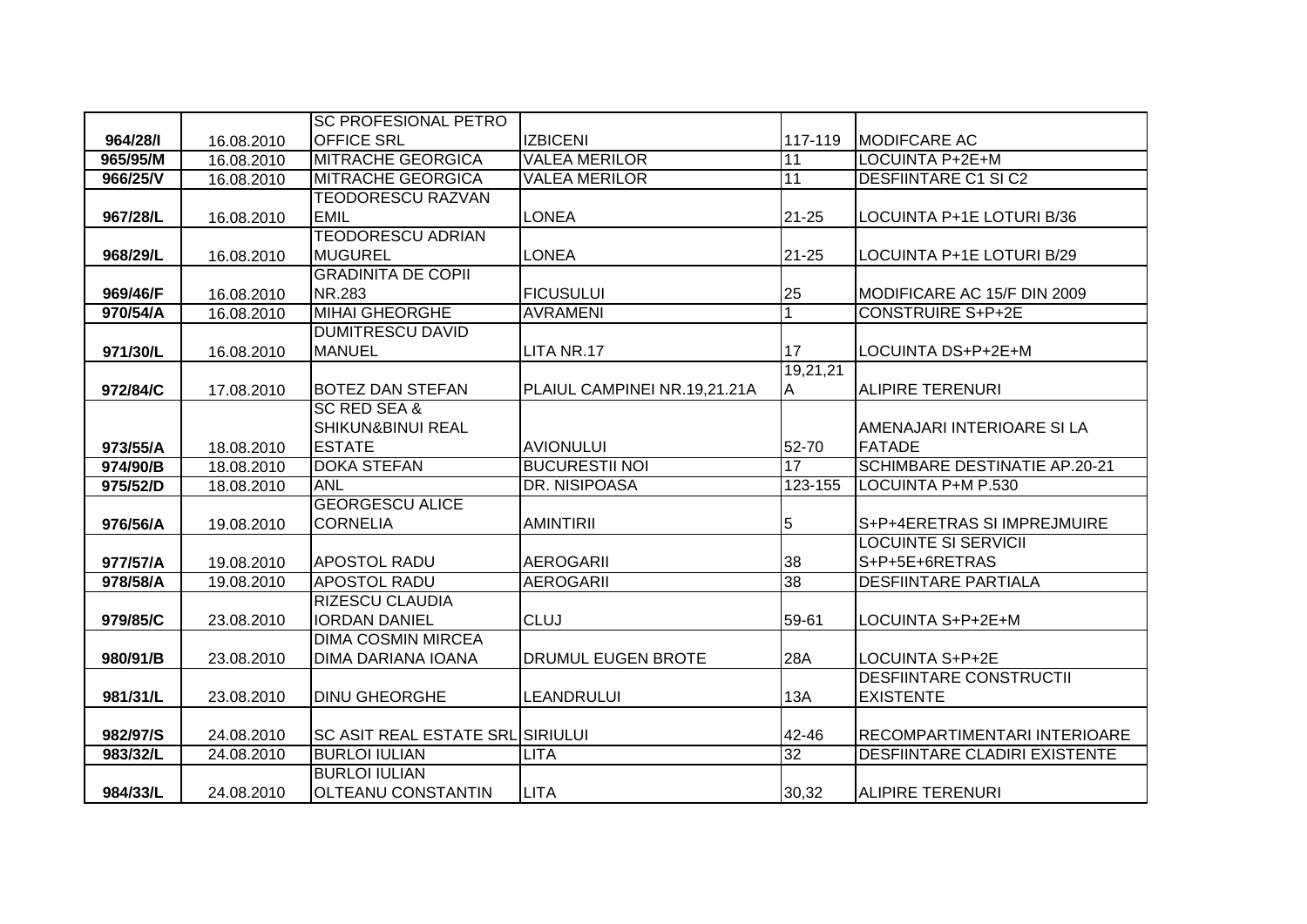|          |            | <b>SC PROFESIONAL PETRO</b>             |                              |                 |                                      |
|----------|------------|-----------------------------------------|------------------------------|-----------------|--------------------------------------|
| 964/28/1 | 16.08.2010 | <b>OFFICE SRL</b>                       | <b>IZBICENI</b>              | 117-119         | <b>IMODIFCARE AC</b>                 |
| 965/95/M | 16.08.2010 | <b>MITRACHE GEORGICA</b>                | <b>VALEA MERILOR</b>         | 11              | LOCUINTA P+2E+M                      |
| 966/25/V | 16.08.2010 | <b>MITRACHE GEORGICA</b>                | <b>VALEA MERILOR</b>         | 11              | <b>DESFIINTARE C1 SI C2</b>          |
|          |            | <b>TEODORESCU RAZVAN</b>                |                              |                 |                                      |
| 967/28/L | 16.08.2010 | <b>EMIL</b>                             | <b>LONEA</b>                 | $21 - 25$       | LOCUINTA P+1E LOTURI B/36            |
|          |            | <b>TEODORESCU ADRIAN</b>                |                              |                 |                                      |
| 968/29/L | 16.08.2010 | <b>MUGUREL</b>                          | <b>LONEA</b>                 | $21 - 25$       | LOCUINTA P+1E LOTURI B/29            |
|          |            | <b>GRADINITA DE COPII</b>               |                              |                 |                                      |
| 969/46/F | 16.08.2010 | NR.283                                  | <b>FICUSULUI</b>             | 25              | MODIFICARE AC 15/F DIN 2009          |
| 970/54/A | 16.08.2010 | <b>MIHAI GHEORGHE</b>                   | <b>AVRAMENI</b>              | 1               | <b>CONSTRUIRE S+P+2E</b>             |
|          |            | <b>DUMITRESCU DAVID</b>                 |                              |                 |                                      |
| 971/30/L | 16.08.2010 | <b>MANUEL</b>                           | LITA NR.17                   | 17              | LOCUINTA DS+P+2E+M                   |
|          |            |                                         |                              | 19,21,21        |                                      |
| 972/84/C | 17.08.2010 | <b>BOTEZ DAN STEFAN</b>                 | PLAIUL CAMPINEI NR.19,21.21A | A               | <b>ALIPIRE TERENURI</b>              |
|          |            | <b>SC RED SEA &amp;</b>                 |                              |                 |                                      |
|          |            | <b>SHIKUN&amp;BINUI REAL</b>            |                              |                 | AMENAJARI INTERIOARE SI LA           |
| 973/55/A | 18.08.2010 | <b>ESTATE</b>                           | <b>AVIONULUI</b>             | 52-70           | <b>FATADE</b>                        |
| 974/90/B | 18.08.2010 | <b>DOKA STEFAN</b>                      | <b>BUCURESTII NOI</b>        | $\overline{17}$ | <b>SCHIMBARE DESTINATIE AP.20-21</b> |
| 975/52/D | 18.08.2010 | <b>ANL</b>                              | DR. NISIPOASA                | 123-155         | LOCUINTA P+M P.530                   |
|          |            | <b>GEORGESCU ALICE</b>                  |                              |                 |                                      |
| 976/56/A | 19.08.2010 | <b>CORNELIA</b>                         | <b>AMINTIRII</b>             | 5               | S+P+4ERETRAS SI IMPREJMUIRE          |
|          |            |                                         |                              |                 | <b>LOCUINTE SI SERVICII</b>          |
| 977/57/A | 19.08.2010 | <b>APOSTOL RADU</b>                     | <b>AEROGARII</b>             | 38              | S+P+5E+6RETRAS                       |
| 978/58/A | 19.08.2010 | <b>APOSTOL RADU</b>                     | <b>AEROGARII</b>             | $\overline{38}$ | <b>DESFIINTARE PARTIALA</b>          |
|          |            | <b>RIZESCU CLAUDIA</b>                  |                              |                 |                                      |
| 979/85/C | 23.08.2010 | <b>IORDAN DANIEL</b>                    | <b>CLUJ</b>                  | 59-61           | LOCUINTA S+P+2E+M                    |
|          |            | <b>DIMA COSMIN MIRCEA</b>               |                              |                 |                                      |
| 980/91/B | 23.08.2010 | DIMA DARIANA IOANA                      | DRUMUL EUGEN BROTE           | 28A             | LOCUINTA S+P+2E                      |
|          |            |                                         |                              |                 | <b>DESFIINTARE CONSTRUCTII</b>       |
| 981/31/L | 23.08.2010 | <b>DINU GHEORGHE</b>                    | <b>LEANDRULUI</b>            | 13A             | <b>EXISTENTE</b>                     |
|          |            |                                         |                              |                 |                                      |
| 982/97/S | 24.08.2010 | <b>SC ASIT REAL ESTATE SRLISIRIULUI</b> |                              | 42-46           | RECOMPARTIMENTARI INTERIOARE         |
| 983/32/L | 24.08.2010 | <b>BURLOI IULIAN</b>                    | <b>LITA</b>                  | 32              | <b>DESFIINTARE CLADIRI EXISTENTE</b> |
|          |            | <b>BURLOI IULIAN</b>                    |                              |                 |                                      |
| 984/33/L | 24.08.2010 | OLTEANU CONSTANTIN                      | <b>LITA</b>                  | 30,32           | ALIPIRE TERENURI                     |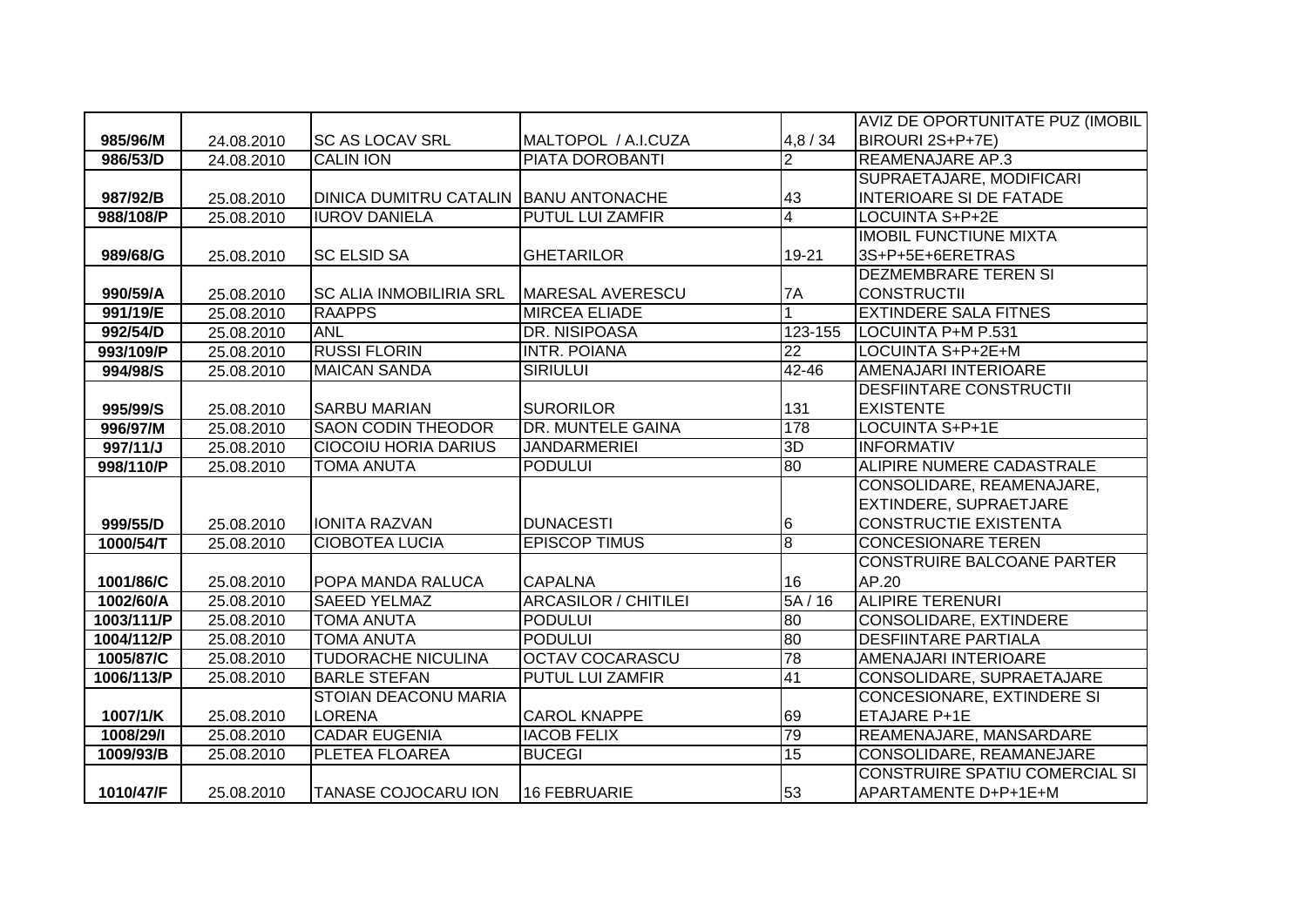|            |            |                                       |                             |                 | AVIZ DE OPORTUNITATE PUZ (IMOBIL      |
|------------|------------|---------------------------------------|-----------------------------|-----------------|---------------------------------------|
| 985/96/M   | 24.08.2010 | <b>SC AS LOCAV SRL</b>                | MALTOPOL / A.I.CUZA         | 4,8/34          | BIROURI 2S+P+7E)                      |
| 986/53/D   | 24.08.2010 | <b>CALIN ION</b>                      | PIATA DOROBANTI             | $\overline{2}$  | <b>REAMENAJARE AP.3</b>               |
|            |            |                                       |                             |                 | SUPRAETAJARE, MODIFICARI              |
| 987/92/B   | 25.08.2010 | DINICA DUMITRU CATALIN BANU ANTONACHE |                             | 43              | <b>INTERIOARE SI DE FATADE</b>        |
| 988/108/P  | 25.08.2010 | <b>IUROV DANIELA</b>                  | <b>PUTUL LUI ZAMFIR</b>     | $\overline{4}$  | <b>LOCUINTA S+P+2E</b>                |
|            |            |                                       |                             |                 | <b>IMOBIL FUNCTIUNE MIXTA</b>         |
| 989/68/G   | 25.08.2010 | <b>SC ELSID SA</b>                    | <b>GHETARILOR</b>           | 19-21           | 3S+P+5E+6ERETRAS                      |
|            |            |                                       |                             |                 | DEZMEMBRARE TEREN SI                  |
| 990/59/A   | 25.08.2010 | <b>SC ALIA INMOBILIRIA SRL</b>        | MARESAL AVERESCU            | 7A              | <b>CONSTRUCTII</b>                    |
| 991/19/E   | 25.08.2010 | <b>RAAPPS</b>                         | <b>MIRCEA ELIADE</b>        |                 | <b>EXTINDERE SALA FITNES</b>          |
| 992/54/D   | 25.08.2010 | <b>ANL</b>                            | <b>DR. NISIPOASA</b>        | 123-155         | LOCUINTA P+M P.531                    |
| 993/109/P  | 25.08.2010 | <b>RUSSI FLORIN</b>                   | <b>INTR. POIANA</b>         | 22              | LOCUINTA S+P+2E+M                     |
| 994/98/S   | 25.08.2010 | <b>MAICAN SANDA</b>                   | <b>SIRIULUI</b>             | $42 - 46$       | AMENAJARI INTERIOARE                  |
|            |            |                                       |                             |                 | DESFIINTARE CONSTRUCTII               |
| 995/99/S   | 25.08.2010 | <b>SARBU MARIAN</b>                   | <b>SURORILOR</b>            | 131             | <b>EXISTENTE</b>                      |
| 996/97/M   | 25.08.2010 | <b>SAON CODIN THEODOR</b>             | DR. MUNTELE GAINA           | 178             | <b>LOCUINTA S+P+1E</b>                |
| 997/11/J   | 25.08.2010 | <b>CIOCOIU HORIA DARIUS</b>           | <b>JANDARMERIEI</b>         | 3D              | <b>INFORMATIV</b>                     |
| 998/110/P  | 25.08.2010 | <b>TOMA ANUTA</b>                     | <b>PODULUI</b>              | 80              | ALIPIRE NUMERE CADASTRALE             |
|            |            |                                       |                             |                 | CONSOLIDARE, REAMENAJARE,             |
|            |            |                                       |                             |                 | <b>EXTINDERE, SUPRAETJARE</b>         |
| 999/55/D   | 25.08.2010 | <b>IONITA RAZVAN</b>                  | <b>DUNACESTI</b>            | $6\phantom{.}6$ | CONSTRUCTIE EXISTENTA                 |
| 1000/54/T  | 25.08.2010 | <b>CIOBOTEA LUCIA</b>                 | <b>EPISCOP TIMUS</b>        | $\overline{8}$  | <b>CONCESIONARE TEREN</b>             |
|            |            |                                       |                             |                 | <b>CONSTRUIRE BALCOANE PARTER</b>     |
| 1001/86/C  | 25.08.2010 | POPA MANDA RALUCA                     | <b>CAPALNA</b>              | 16              | AP.20                                 |
| 1002/60/A  | 25.08.2010 | <b>SAEED YELMAZ</b>                   | <b>ARCASILOR / CHITILEI</b> | 5A/16           | <b>ALIPIRE TERENURI</b>               |
| 1003/111/P | 25.08.2010 | <b>TOMA ANUTA</b>                     | <b>PODULUI</b>              | 80              | <b>CONSOLIDARE, EXTINDERE</b>         |
| 1004/112/P | 25.08.2010 | <b>TOMA ANUTA</b>                     | <b>PODULUI</b>              | 80              | <b>DESFIINTARE PARTIALA</b>           |
| 1005/87/C  | 25.08.2010 | <b>TUDORACHE NICULINA</b>             | <b>OCTAV COCARASCU</b>      | 78              | AMENAJARI INTERIOARE                  |
| 1006/113/P | 25.08.2010 | <b>BARLE STEFAN</b>                   | PUTUL LUI ZAMFIR            | 41              | CONSOLIDARE, SUPRAETAJARE             |
|            |            | STOIAN DEACONU MARIA                  |                             |                 | CONCESIONARE, EXTINDERE SI            |
| 1007/1/K   | 25.08.2010 | <b>LORENA</b>                         | <b>CAROL KNAPPE</b>         | 69              | ETAJARE P+1E                          |
| 1008/29/l  | 25.08.2010 | <b>CADAR EUGENIA</b>                  | <b>IACOB FELIX</b>          | 79              | REAMENAJARE, MANSARDARE               |
| 1009/93/B  | 25.08.2010 | PLETEA FLOAREA                        | <b>BUCEGI</b>               | 15              | CONSOLIDARE, REAMANEJARE              |
|            |            |                                       |                             |                 | <b>CONSTRUIRE SPATIU COMERCIAL SI</b> |
| 1010/47/F  | 25.08.2010 | <b>TANASE COJOCARU ION</b>            | 16 FEBRUARIE                | 53              | APARTAMENTE D+P+1E+M                  |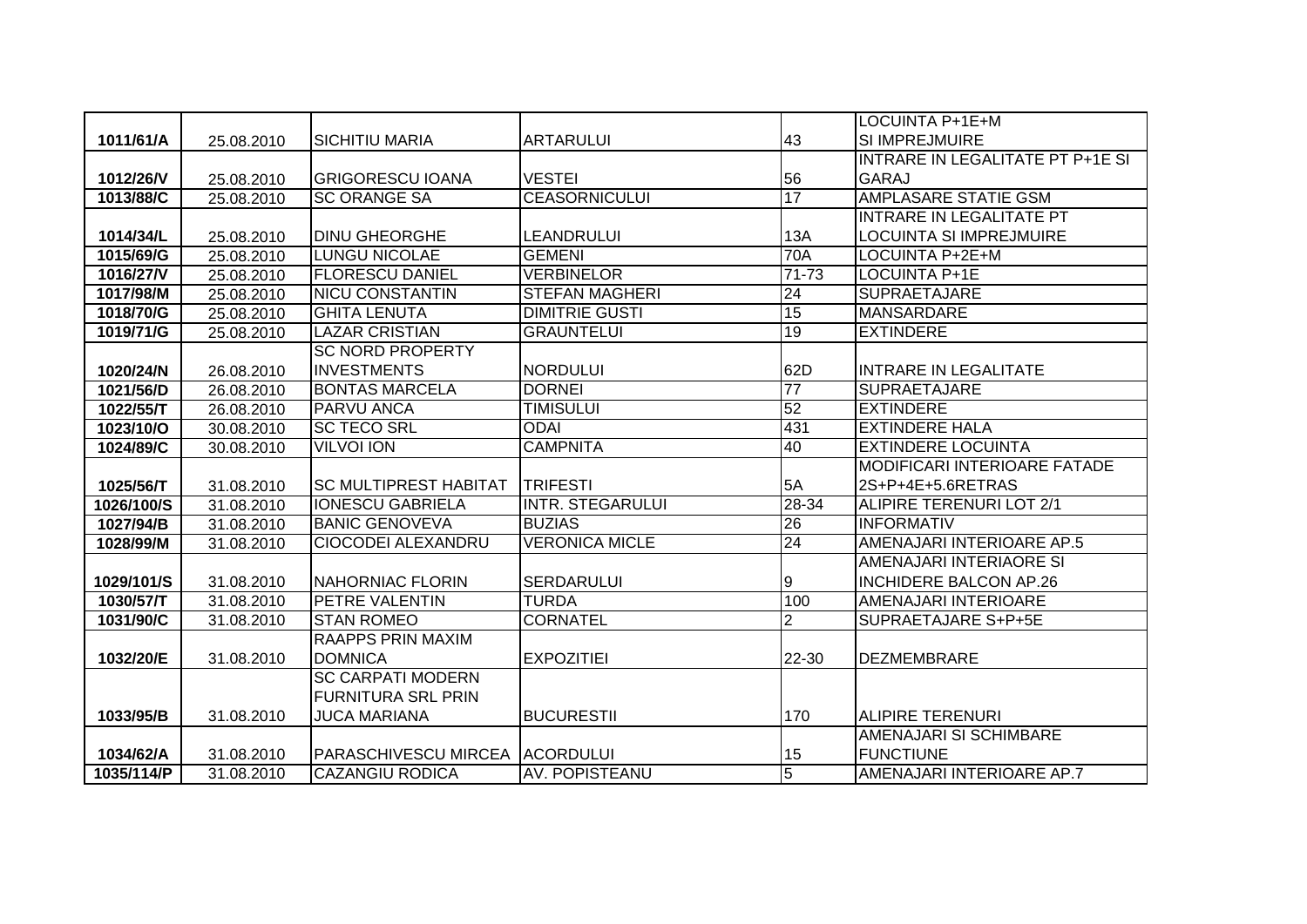|            |            |                              |                         |                 | LOCUINTA P+1E+M                     |
|------------|------------|------------------------------|-------------------------|-----------------|-------------------------------------|
| 1011/61/A  | 25.08.2010 | ISICHITIU MARIA              | <b>ARTARULUI</b>        | 43              | <b>SI IMPREJMUIRE</b>               |
|            |            |                              |                         |                 | INTRARE IN LEGALITATE PT P+1E SI    |
| 1012/26/V  | 25.08.2010 | <b>GRIGORESCU IOANA</b>      | <b>VESTEI</b>           | 56              | <b>GARAJ</b>                        |
| 1013/88/C  | 25.08.2010 | <b>SC ORANGE SA</b>          | <b>CEASORNICULUI</b>    | 17              | <b>AMPLASARE STATIE GSM</b>         |
|            |            |                              |                         |                 | <b>INTRARE IN LEGALITATE PT</b>     |
| 1014/34/L  | 25.08.2010 | <b>DINU GHEORGHE</b>         | LEANDRULUI              | 13A             | LOCUINTA SI IMPREJMUIRE             |
| 1015/69/G  | 25.08.2010 | <b>LUNGU NICOLAE</b>         | <b>GEMENI</b>           | 70A             | LOCUINTA P+2E+M                     |
| 1016/27/V  | 25.08.2010 | <b>FLORESCU DANIEL</b>       | <b>VERBINELOR</b>       | 71-73           | <b>LOCUINTA P+1E</b>                |
| 1017/98/M  | 25.08.2010 | <b>NICU CONSTANTIN</b>       | <b>STEFAN MAGHERI</b>   | 24              | <b>SUPRAETAJARE</b>                 |
| 1018/70/G  | 25.08.2010 | <b>GHITA LENUTA</b>          | <b>DIMITRIE GUSTI</b>   | $\overline{15}$ | <b>MANSARDARE</b>                   |
| 1019/71/G  | 25.08.2010 | <b>LAZAR CRISTIAN</b>        | <b>GRAUNTELUI</b>       | 19              | <b>EXTINDERE</b>                    |
|            |            | <b>SC NORD PROPERTY</b>      |                         |                 |                                     |
| 1020/24/N  | 26.08.2010 | <b>INVESTMENTS</b>           | <b>NORDULUI</b>         | 62D             | <b>INTRARE IN LEGALITATE</b>        |
| 1021/56/D  | 26.08.2010 | <b>BONTAS MARCELA</b>        | <b>DORNEI</b>           | $\overline{77}$ | <b>SUPRAETAJARE</b>                 |
| 1022/55/T  | 26.08.2010 | <b>PARVU ANCA</b>            | <b>TIMISULUI</b>        | 52              | <b>EXTINDERE</b>                    |
| 1023/10/O  | 30.08.2010 | <b>SC TECO SRL</b>           | <b>ODAI</b>             | 431             | <b>EXTINDERE HALA</b>               |
| 1024/89/C  | 30.08.2010 | <b>VILVOI ION</b>            | <b>CAMPNITA</b>         | 40              | <b>EXTINDERE LOCUINTA</b>           |
|            |            |                              |                         |                 | <b>MODIFICARI INTERIOARE FATADE</b> |
| 1025/56/T  | 31.08.2010 | <b>SC MULTIPREST HABITAT</b> | <b>TRIFESTI</b>         | 5A              | 2S+P+4E+5.6RETRAS                   |
| 1026/100/S | 31.08.2010 | <b>IONESCU GABRIELA</b>      | <b>INTR. STEGARULUI</b> | 28-34           | ALIPIRE TERENURI LOT 2/1            |
| 1027/94/B  | 31.08.2010 | <b>BANIC GENOVEVA</b>        | <b>BUZIAS</b>           | $\overline{26}$ | <b>INFORMATIV</b>                   |
| 1028/99/M  | 31.08.2010 | CIOCODEI ALEXANDRU           | <b>VERONICA MICLE</b>   | 24              | AMENAJARI INTERIOARE AP.5           |
|            |            |                              |                         |                 | AMENAJARI INTERIAORE SI             |
| 1029/101/S | 31.08.2010 | NAHORNIAC FLORIN             | <b>SERDARULUI</b>       | Ι9              | <b>INCHIDERE BALCON AP.26</b>       |
| 1030/57/T  | 31.08.2010 | <b>PETRE VALENTIN</b>        | <b>TURDA</b>            | 100             | <b>AMENAJARI INTERIOARE</b>         |
| 1031/90/C  | 31.08.2010 | <b>STAN ROMEO</b>            | <b>CORNATEL</b>         | $\overline{2}$  | SUPRAETAJARE S+P+5E                 |
|            |            | <b>RAAPPS PRIN MAXIM</b>     |                         |                 |                                     |
| 1032/20/E  | 31.08.2010 | <b>DOMNICA</b>               | <b>EXPOZITIEI</b>       | 22-30           | <b>DEZMEMBRARE</b>                  |
|            |            | <b>SC CARPATI MODERN</b>     |                         |                 |                                     |
|            |            | <b>FURNITURA SRL PRIN</b>    |                         |                 |                                     |
| 1033/95/B  | 31.08.2010 | <b>JUCA MARIANA</b>          | <b>BUCURESTII</b>       | 170             | <b>ALIPIRE TERENURI</b>             |
|            |            |                              |                         |                 | <b>AMENAJARI SI SCHIMBARE</b>       |
| 1034/62/A  | 31.08.2010 | <b>PARASCHIVESCU MIRCEA</b>  | <b>ACORDULUI</b>        | 15              | <b>FUNCTIUNE</b>                    |
| 1035/114/P | 31.08.2010 | <b>CAZANGIU RODICA</b>       | AV. POPISTEANU          | $\overline{5}$  | AMENAJARI INTERIOARE AP.7           |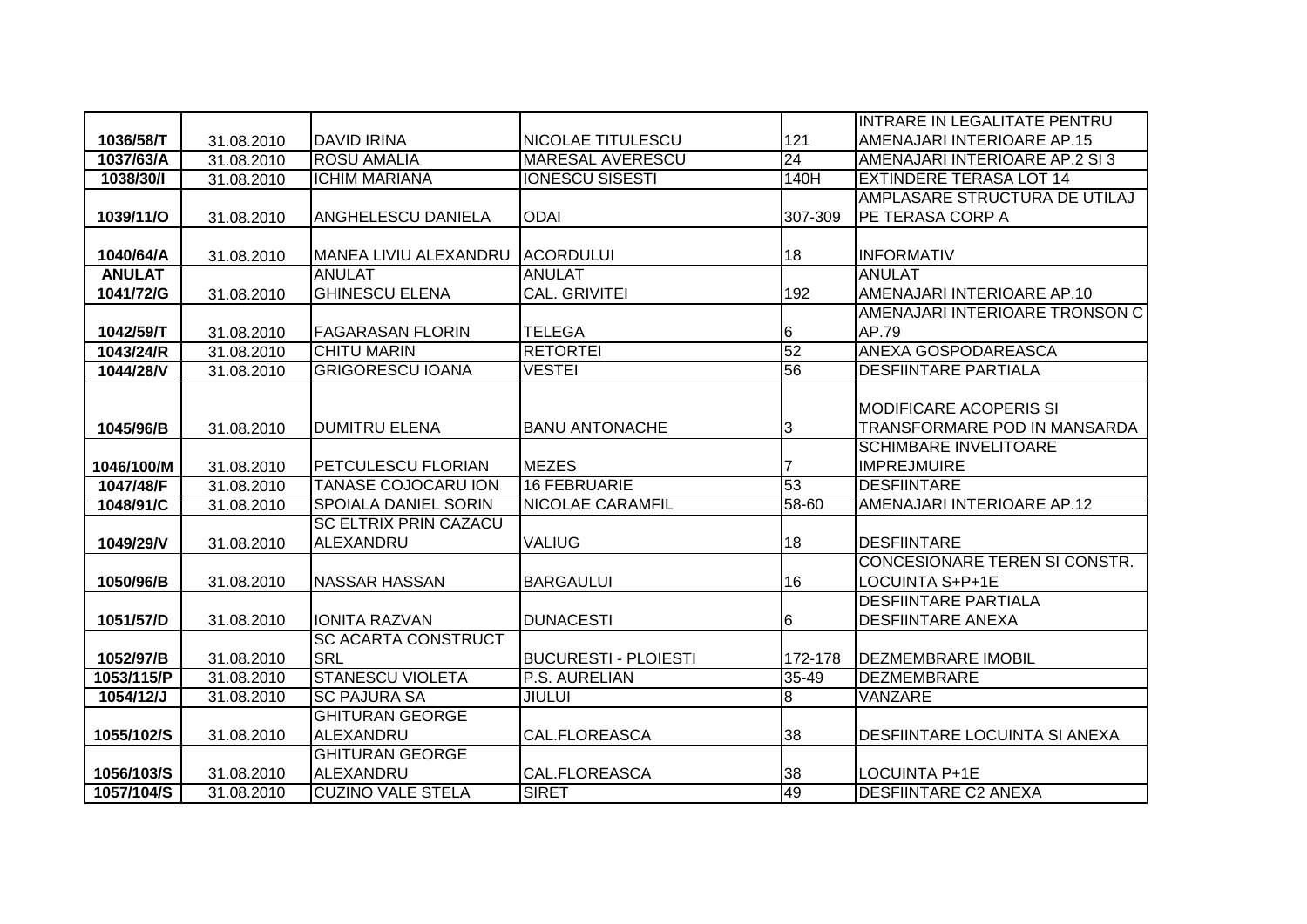|               |            |                              |                             |         | INTRARE IN LEGALITATE PENTRU         |
|---------------|------------|------------------------------|-----------------------------|---------|--------------------------------------|
| 1036/58/T     | 31.08.2010 | <b>DAVID IRINA</b>           | NICOLAE TITULESCU           | 121     | AMENAJARI INTERIOARE AP.15           |
| 1037/63/A     | 31.08.2010 | <b>ROSU AMALIA</b>           | <b>MARESAL AVERESCU</b>     | 24      | AMENAJARI INTERIOARE AP.2 SI 3       |
| 1038/30/I     | 31.08.2010 | <b>ICHIM MARIANA</b>         | <b>IONESCU SISESTI</b>      | 140H    | <b>EXTINDERE TERASA LOT 14</b>       |
|               |            |                              |                             |         | AMPLASARE STRUCTURA DE UTILAJ        |
| 1039/11/O     | 31.08.2010 | <b>ANGHELESCU DANIELA</b>    | <b>ODAI</b>                 | 307-309 | PE TERASA CORP A                     |
|               |            |                              |                             |         |                                      |
| 1040/64/A     | 31.08.2010 | MANEA LIVIU ALEXANDRU        | <b>ACORDULUI</b>            | 18      | <b>INFORMATIV</b>                    |
| <b>ANULAT</b> |            | <b>ANULAT</b>                | <b>ANULAT</b>               |         | <b>ANULAT</b>                        |
| 1041/72/G     | 31.08.2010 | <b>GHINESCU ELENA</b>        | <b>CAL. GRIVITEI</b>        | 192     | AMENAJARI INTERIOARE AP.10           |
|               |            |                              |                             |         | AMENAJARI INTERIOARE TRONSON C       |
| 1042/59/T     | 31.08.2010 | <b>FAGARASAN FLORIN</b>      | <b>TELEGA</b>               | 6       | AP.79                                |
| 1043/24/R     | 31.08.2010 | <b>CHITU MARIN</b>           | <b>RETORTEI</b>             | 52      | ANEXA GOSPODAREASCA                  |
| 1044/28/V     | 31.08.2010 | <b>GRIGORESCU IOANA</b>      | <b>VESTEI</b>               | 56      | <b>DESFIINTARE PARTIALA</b>          |
|               |            |                              |                             |         |                                      |
|               |            |                              |                             |         | <b>MODIFICARE ACOPERIS SI</b>        |
| 1045/96/B     | 31.08.2010 | <b>DUMITRU ELENA</b>         | <b>BANU ANTONACHE</b>       | 3       | TRANSFORMARE POD IN MANSARDA         |
|               |            |                              |                             |         | <b>SCHIMBARE INVELITOARE</b>         |
| 1046/100/M    | 31.08.2010 | <b>PETCULESCU FLORIAN</b>    | <b>MEZES</b>                | 7       | <b>IMPREJMUIRE</b>                   |
| 1047/48/F     | 31.08.2010 | <b>TANASE COJOCARU ION</b>   | 16 FEBRUARIE                | 53      | <b>DESFIINTARE</b>                   |
| 1048/91/C     | 31.08.2010 | <b>SPOIALA DANIEL SORIN</b>  | <b>NICOLAE CARAMFIL</b>     | 58-60   | AMENAJARI INTERIOARE AP.12           |
|               |            | <b>SC ELTRIX PRIN CAZACU</b> |                             |         |                                      |
| 1049/29/V     | 31.08.2010 | ALEXANDRU                    | <b>VALIUG</b>               | 18      | <b>DESFIINTARE</b>                   |
|               |            |                              |                             |         | <b>CONCESIONARE TEREN SI CONSTR.</b> |
| 1050/96/B     | 31.08.2010 | INASSAR HASSAN               | <b>BARGAULUI</b>            | 16      | LOCUINTA S+P+1E                      |
|               |            |                              |                             |         | <b>DESFIINTARE PARTIALA</b>          |
| 1051/57/D     | 31.08.2010 | <b>IONITA RAZVAN</b>         | <b>DUNACESTI</b>            | 6       | <b>DESFIINTARE ANEXA</b>             |
|               |            | <b>SC ACARTA CONSTRUCT</b>   |                             |         |                                      |
| 1052/97/B     | 31.08.2010 | <b>SRL</b>                   | <b>BUCURESTI - PLOIESTI</b> | 172-178 | <b>DEZMEMBRARE IMOBIL</b>            |
| 1053/115/P    | 31.08.2010 | <b>STANESCU VIOLETA</b>      | P.S. AURELIAN               | 35-49   | <b>DEZMEMBRARE</b>                   |
| 1054/12/J     | 31.08.2010 | <b>SC PAJURA SA</b>          | <b>JIULUI</b>               | 8       | VANZARE                              |
|               |            | <b>GHITURAN GEORGE</b>       |                             |         |                                      |
| 1055/102/S    | 31.08.2010 | ALEXANDRU                    | <b>CAL.FLOREASCA</b>        | 38      | <b>DESFIINTARE LOCUINTA SI ANEXA</b> |
|               |            | <b>GHITURAN GEORGE</b>       |                             |         |                                      |
| 1056/103/S    | 31.08.2010 | ALEXANDRU                    | CAL.FLOREASCA               | 38      | LOCUINTA P+1E                        |
| 1057/104/S    | 31.08.2010 | <b>CUZINO VALE STELA</b>     | <b>SIRET</b>                | 49      | <b>DESFIINTARE C2 ANEXA</b>          |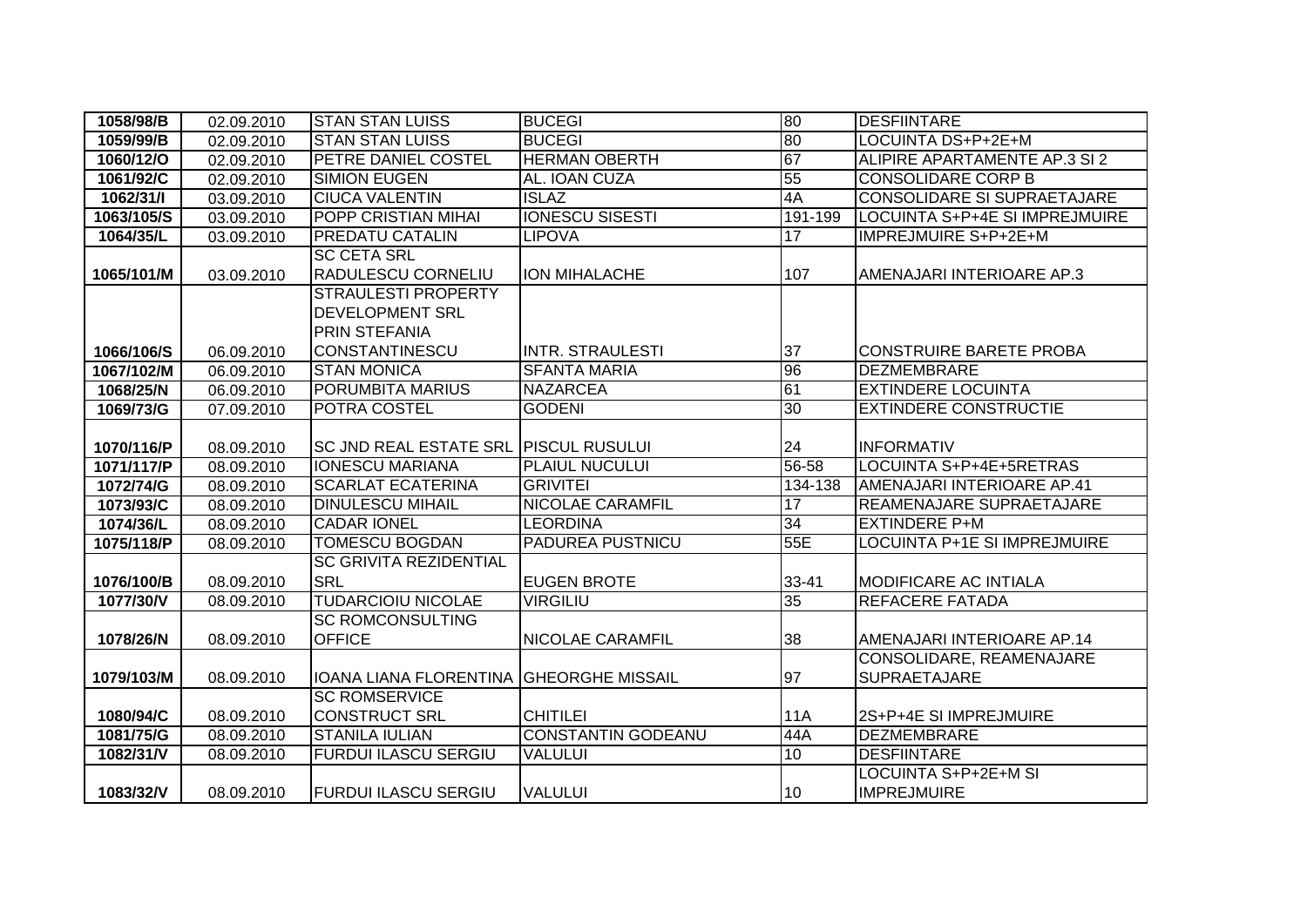| 1058/98/B  | 02.09.2010 | <b>STAN STAN LUISS</b>                | <b>BUCEGI</b>             | 80              | <b>DESFIINTARE</b>                    |
|------------|------------|---------------------------------------|---------------------------|-----------------|---------------------------------------|
| 1059/99/B  | 02.09.2010 | <b>STAN STAN LUISS</b>                | <b>BUCEGI</b>             | 80              | LOCUINTA DS+P+2E+M                    |
| 1060/12/0  | 02.09.2010 | PETRE DANIEL COSTEL                   | <b>HERMAN OBERTH</b>      | 67              | ALIPIRE APARTAMENTE AP.3 SI 2         |
| 1061/92/C  | 02.09.2010 | <b>SIMION EUGEN</b>                   | AL. IOAN CUZA             | 55              | <b>CONSOLIDARE CORP B</b>             |
| 1062/31/1  | 03.09.2010 | <b>CIUCA VALENTIN</b>                 | <b>ISLAZ</b>              | 4A              | CONSOLIDARE SI SUPRAETAJARE           |
| 1063/105/S | 03.09.2010 | <b>POPP CRISTIAN MIHAI</b>            | <b>IONESCU SISESTI</b>    | 191-199         | <b>LOCUINTA S+P+4E SI IMPREJMUIRE</b> |
| 1064/35/L  | 03.09.2010 | <b>PREDATU CATALIN</b>                | <b>LIPOVA</b>             | 17              | <b>IMPREJMUIRE S+P+2E+M</b>           |
|            |            | <b>SC CETA SRL</b>                    |                           |                 |                                       |
| 1065/101/M | 03.09.2010 | <b>RADULESCU CORNELIU</b>             | ION MIHALACHE             | 107             | AMENAJARI INTERIOARE AP.3             |
|            |            | <b>STRAULESTI PROPERTY</b>            |                           |                 |                                       |
|            |            | <b>DEVELOPMENT SRL</b>                |                           |                 |                                       |
|            |            | <b>PRIN STEFANIA</b>                  |                           |                 |                                       |
| 1066/106/S | 06.09.2010 | <b>CONSTANTINESCU</b>                 | <b>INTR. STRAULESTI</b>   | 37              | <b>CONSTRUIRE BARETE PROBA</b>        |
| 1067/102/M | 06.09.2010 | <b>STAN MONICA</b>                    | <b>SFANTA MARIA</b>       | 96              | <b>DEZMEMBRARE</b>                    |
| 1068/25/N  | 06.09.2010 | PORUMBITA MARIUS                      | <b>NAZARCEA</b>           | 61              | <b>EXTINDERE LOCUINTA</b>             |
| 1069/73/G  | 07.09.2010 | POTRA COSTEL                          | <b>GODENI</b>             | 30              | <b>EXTINDERE CONSTRUCTIE</b>          |
|            |            |                                       |                           |                 |                                       |
| 1070/116/P | 08.09.2010 | SC JND REAL ESTATE SRL PISCUL RUSULUI |                           | 24              | <b>INFORMATIV</b>                     |
| 1071/117/P | 08.09.2010 | <b>IONESCU MARIANA</b>                | PLAIUL NUCULUI            | 56-58           | LOCUINTA S+P+4E+5RETRAS               |
| 1072/74/G  | 08.09.2010 | <b>SCARLAT ECATERINA</b>              | <b>GRIVITEI</b>           | 134-138         | AMENAJARI INTERIOARE AP.41            |
| 1073/93/C  | 08.09.2010 | <b>DINULESCU MIHAIL</b>               | <b>NICOLAE CARAMFIL</b>   | 17              | REAMENAJARE SUPRAETAJARE              |
| 1074/36/L  | 08.09.2010 | <b>CADAR IONEL</b>                    | <b>LEORDINA</b>           | $\overline{34}$ | <b>EXTINDERE P+M</b>                  |
| 1075/118/P | 08.09.2010 | <b>TOMESCU BOGDAN</b>                 | PADUREA PUSTNICU          | 55E             | LOCUINTA P+1E SI IMPREJMUIRE          |
|            |            | <b>SC GRIVITA REZIDENTIAL</b>         |                           |                 |                                       |
| 1076/100/B | 08.09.2010 | <b>SRL</b>                            | <b>EUGEN BROTE</b>        | 33-41           | <b>MODIFICARE AC INTIALA</b>          |
| 1077/30/V  | 08.09.2010 | <b>TUDARCIOIU NICOLAE</b>             | <b>VIRGILIU</b>           | 35              | <b>REFACERE FATADA</b>                |
|            |            | <b>SC ROMCONSULTING</b>               |                           |                 |                                       |
| 1078/26/N  | 08.09.2010 | <b>OFFICE</b>                         | <b>NICOLAE CARAMFIL</b>   | 38              | AMENAJARI INTERIOARE AP.14            |
|            |            |                                       |                           |                 | CONSOLIDARE, REAMENAJARE              |
| 1079/103/M | 08.09.2010 | IOANA LIANA FLORENTINA                | <b>GHEORGHE MISSAIL</b>   | 97              | <b>SUPRAETAJARE</b>                   |
|            |            | <b>SC ROMSERVICE</b>                  |                           |                 |                                       |
| 1080/94/C  | 08.09.2010 | <b>CONSTRUCT SRL</b>                  | <b>CHITILEI</b>           | <b>11A</b>      | 2S+P+4E SI IMPREJMUIRE                |
| 1081/75/G  | 08.09.2010 | <b>STANILA IULIAN</b>                 | <b>CONSTANTIN GODEANU</b> | 44A             | <b>DEZMEMBRARE</b>                    |
| 1082/31/V  | 08.09.2010 | <b>FURDUI ILASCU SERGIU</b>           | <b>VALULUI</b>            | 10              | <b>DESFIINTARE</b>                    |
|            |            |                                       |                           |                 | LOCUINTA S+P+2E+M SI                  |
| 1083/32/V  | 08.09.2010 | <b>FURDUI ILASCU SERGIU</b>           | <b>VALULUI</b>            | 10              | <b>IMPREJMUIRE</b>                    |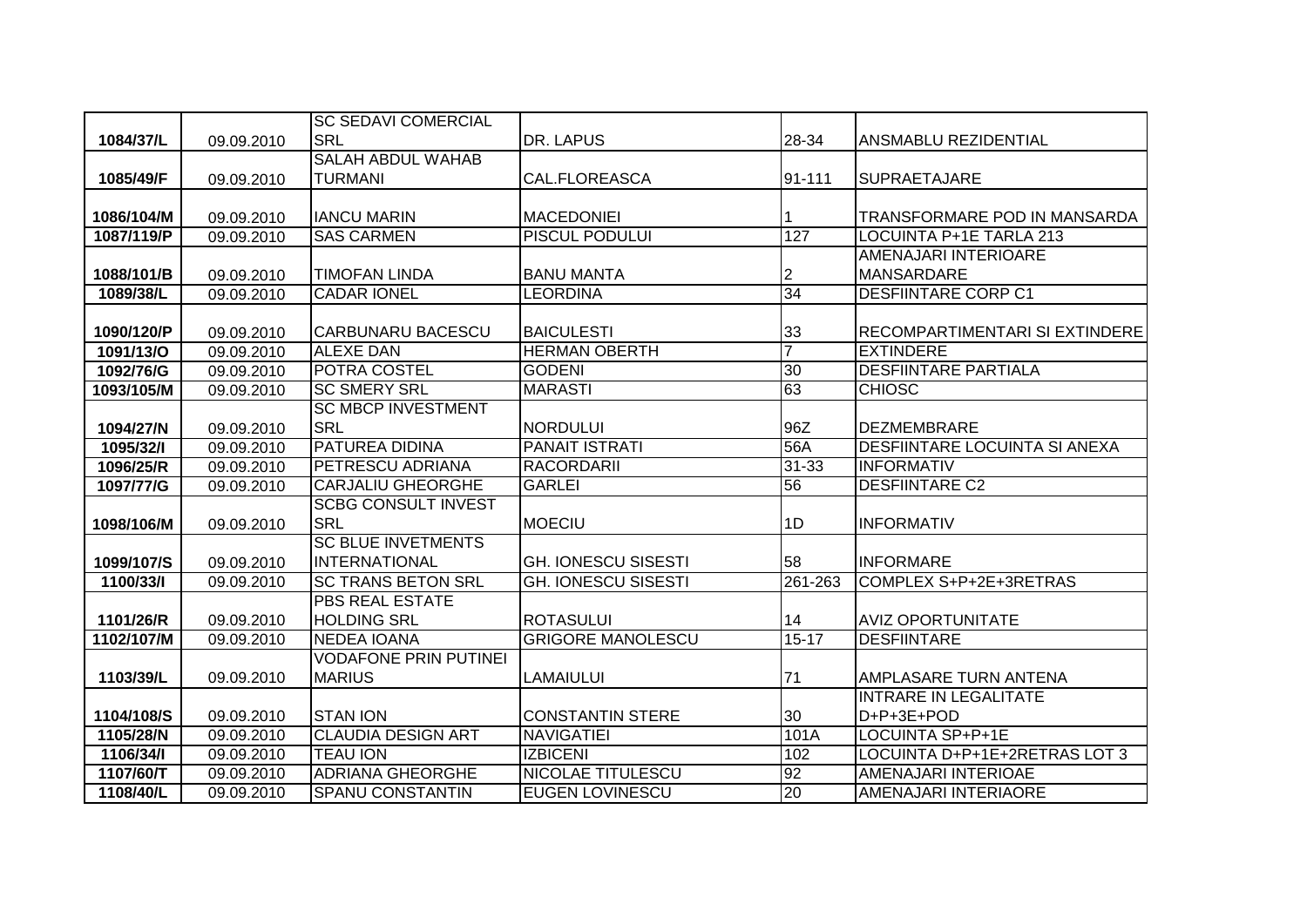|            |            | <b>SC SEDAVI COMERCIAL</b>   |                            |                |                                       |
|------------|------------|------------------------------|----------------------------|----------------|---------------------------------------|
| 1084/37/L  | 09.09.2010 | <b>SRL</b>                   | DR. LAPUS                  | 28-34          | ANSMABLU REZIDENTIAL                  |
|            |            | <b>SALAH ABDUL WAHAB</b>     |                            |                |                                       |
| 1085/49/F  | 09.09.2010 | <b>TURMANI</b>               | CAL.FLOREASCA              | 91-111         | <b>SUPRAETAJARE</b>                   |
|            |            |                              |                            |                |                                       |
| 1086/104/M | 09.09.2010 | <b>IANCU MARIN</b>           | <b>MACEDONIEI</b>          |                | TRANSFORMARE POD IN MANSARDA          |
| 1087/119/P | 09.09.2010 | <b>SAS CARMEN</b>            | <b>PISCUL PODULUI</b>      | 127            | LOCUINTA P+1E TARLA 213               |
|            |            |                              |                            |                | AMENAJARI INTERIOARE                  |
| 1088/101/B | 09.09.2010 | <b>TIMOFAN LINDA</b>         | <b>BANU MANTA</b>          | 2              | <b>MANSARDARE</b>                     |
| 1089/38/L  | 09.09.2010 | <b>CADAR IONEL</b>           | <b>LEORDINA</b>            | 34             | <b>DESFIINTARE CORP C1</b>            |
|            |            |                              |                            |                |                                       |
| 1090/120/P | 09.09.2010 | <b>CARBUNARU BACESCU</b>     | <b>BAICULESTI</b>          | 33             | <b>RECOMPARTIMENTARI SI EXTINDERE</b> |
| 1091/13/0  | 09.09.2010 | <b>ALEXE DAN</b>             | <b>HERMAN OBERTH</b>       | $\overline{7}$ | <b>EXTINDERE</b>                      |
| 1092/76/G  | 09.09.2010 | POTRA COSTEL                 | <b>GODENI</b>              | 30             | <b>DESFIINTARE PARTIALA</b>           |
| 1093/105/M | 09.09.2010 | <b>SC SMERY SRL</b>          | <b>MARASTI</b>             | 63             | <b>CHIOSC</b>                         |
|            |            | <b>SC MBCP INVESTMENT</b>    |                            |                |                                       |
| 1094/27/N  | 09.09.2010 | <b>SRL</b>                   | <b>NORDULUI</b>            | 96Z            | <b>DEZMEMBRARE</b>                    |
| 1095/32/I  | 09.09.2010 | <b>PATUREA DIDINA</b>        | <b>PANAIT ISTRATI</b>      | 56A            | <b>DESFIINTARE LOCUINTA SI ANEXA</b>  |
| 1096/25/R  | 09.09.2010 | PETRESCU ADRIANA             | <b>RACORDARII</b>          | 31-33          | <b>INFORMATIV</b>                     |
| 1097/77/G  | 09.09.2010 | <b>CARJALIU GHEORGHE</b>     | <b>GARLEI</b>              | 56             | <b>DESFIINTARE C2</b>                 |
|            |            | <b>SCBG CONSULT INVEST</b>   |                            |                |                                       |
| 1098/106/M | 09.09.2010 | <b>SRL</b>                   | <b>MOECIU</b>              | l1D            | <b>INFORMATIV</b>                     |
|            |            | <b>SC BLUE INVETMENTS</b>    |                            |                |                                       |
| 1099/107/S | 09.09.2010 | <b>INTERNATIONAL</b>         | <b>GH. IONESCU SISESTI</b> | 58             | <b>INFORMARE</b>                      |
| 1100/33/I  | 09.09.2010 | <b>SC TRANS BETON SRL</b>    | <b>GH. IONESCU SISESTI</b> | 261-263        | COMPLEX S+P+2E+3RETRAS                |
|            |            | <b>PBS REAL ESTATE</b>       |                            |                |                                       |
| 1101/26/R  | 09.09.2010 | <b>HOLDING SRL</b>           | <b>ROTASULUI</b>           | 14             | <b>AVIZ OPORTUNITATE</b>              |
| 1102/107/M | 09.09.2010 | <b>NEDEA IOANA</b>           | <b>GRIGORE MANOLESCU</b>   | $15 - 17$      | <b>DESFIINTARE</b>                    |
|            |            | <b>VODAFONE PRIN PUTINEI</b> |                            |                |                                       |
| 1103/39/L  | 09.09.2010 | <b>MARIUS</b>                | LAMAIULUI                  | 71             | AMPLASARE TURN ANTENA                 |
|            |            |                              |                            |                | <b>INTRARE IN LEGALITATE</b>          |
| 1104/108/S | 09.09.2010 | <b>STAN ION</b>              | <b>CONSTANTIN STERE</b>    | 30             | D+P+3E+POD                            |
| 1105/28/N  | 09.09.2010 | <b>CLAUDIA DESIGN ART</b>    | <b>NAVIGATIEI</b>          | 101A           | <b>LOCUINTA SP+P+1E</b>               |
| 1106/34/1  | 09.09.2010 | <b>TEAU ION</b>              | <b>IZBICENI</b>            | 102            | LOCUINTA D+P+1E+2RETRAS LOT 3         |
| 1107/60/T  | 09.09.2010 | <b>ADRIANA GHEORGHE</b>      | <b>NICOLAE TITULESCU</b>   | 92             | AMENAJARI INTERIOAE                   |
| 1108/40/L  | 09.09.2010 | <b>SPANU CONSTANTIN</b>      | <b>EUGEN LOVINESCU</b>     | 20             | AMENAJARI INTERIAORE                  |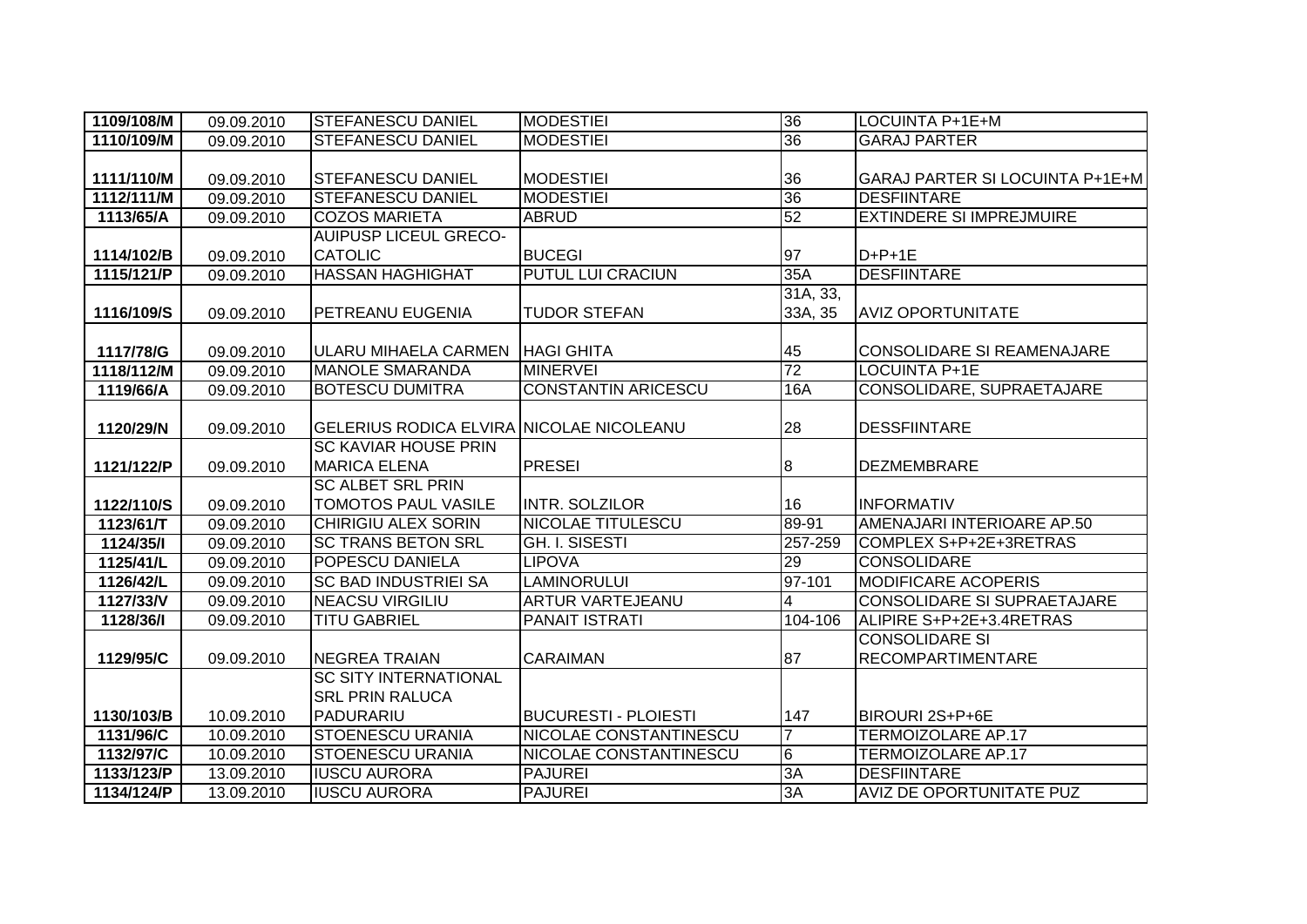| 1109/108/M | 09.09.2010 | <b>STEFANESCU DANIEL</b>                        | <b>MODESTIEI</b>            | 36              | LOCUINTA P+1E+M                    |
|------------|------------|-------------------------------------------------|-----------------------------|-----------------|------------------------------------|
| 1110/109/M | 09.09.2010 | <b>STEFANESCU DANIEL</b>                        | <b>MODESTIEI</b>            | 36              | <b>GARAJ PARTER</b>                |
|            |            |                                                 |                             |                 |                                    |
| 1111/110/M | 09.09.2010 | <b>STEFANESCU DANIEL</b>                        | <b>MODESTIEI</b>            | 36              | GARAJ PARTER SI LOCUINTA P+1E+M    |
| 1112/111/M | 09.09.2010 | <b>STEFANESCU DANIEL</b>                        | <b>MODESTIEI</b>            | 36              | <b>DESFIINTARE</b>                 |
| 1113/65/A  | 09.09.2010 | <b>COZOS MARIETA</b>                            | <b>ABRUD</b>                | 52              | <b>EXTINDERE SI IMPREJMUIRE</b>    |
|            |            | <b>AUIPUSP LICEUL GRECO-</b>                    |                             |                 |                                    |
| 1114/102/B | 09.09.2010 | <b>CATOLIC</b>                                  | <b>BUCEGI</b>               | 97              | $D+P+1E$                           |
| 1115/121/P | 09.09.2010 | <b>HASSAN HAGHIGHAT</b>                         | <b>PUTUL LUI CRACIUN</b>    | 35A             | <b>DESFIINTARE</b>                 |
|            |            |                                                 |                             | 31A, 33,        |                                    |
| 1116/109/S | 09.09.2010 | <b>PETREANU EUGENIA</b>                         | <b>TUDOR STEFAN</b>         | 33A, 35         | <b>AVIZ OPORTUNITATE</b>           |
|            |            |                                                 |                             |                 |                                    |
| 1117/78/G  | 09.09.2010 | ULARU MIHAELA CARMEN                            | <b>HAGI GHITA</b>           | 45              | <b>CONSOLIDARE SI REAMENAJARE</b>  |
| 1118/112/M | 09.09.2010 | <b>MANOLE SMARANDA</b>                          | <b>MINERVEI</b>             | $\overline{72}$ | <b>LOCUINTA P+1E</b>               |
| 1119/66/A  | 09.09.2010 | <b>BOTESCU DUMITRA</b>                          | <b>CONSTANTIN ARICESCU</b>  | 16A             | CONSOLIDARE, SUPRAETAJARE          |
|            |            |                                                 |                             |                 |                                    |
| 1120/29/N  | 09.09.2010 | <b>GELERIUS RODICA ELVIRA NICOLAE NICOLEANU</b> |                             | 28              | <b>DESSFIINTARE</b>                |
|            |            | <b>SC KAVIAR HOUSE PRIN</b>                     |                             |                 |                                    |
| 1121/122/P | 09.09.2010 | <b>MARICA ELENA</b>                             | <b>PRESEI</b>               | $\overline{8}$  | <b>DEZMEMBRARE</b>                 |
|            |            | <b>SC ALBET SRL PRIN</b>                        |                             |                 |                                    |
| 1122/110/S | 09.09.2010 | <b>TOMOTOS PAUL VASILE</b>                      | INTR. SOLZILOR              | 16              | <b>INFORMATIV</b>                  |
| 1123/61/T  | 09.09.2010 | <b>CHIRIGIU ALEX SORIN</b>                      | <b>NICOLAE TITULESCU</b>    | 89-91           | AMENAJARI INTERIOARE AP.50         |
| 1124/35/1  | 09.09.2010 | <b>SC TRANS BETON SRL</b>                       | <b>GH. I. SISESTI</b>       | 257-259         | COMPLEX S+P+2E+3RETRAS             |
| 1125/41/L  | 09.09.2010 | POPESCU DANIELA                                 | <b>LIPOVA</b>               | 29              | <b>CONSOLIDARE</b>                 |
| 1126/42/L  | 09.09.2010 | <b>SC BAD INDUSTRIEI SA</b>                     | <b>LAMINORULUI</b>          | 97-101          | <b>MODIFICARE ACOPERIS</b>         |
| 1127/33/V  | 09.09.2010 | <b>NEACSU VIRGILIU</b>                          | <b>ARTUR VARTEJEANU</b>     | 4               | <b>CONSOLIDARE SI SUPRAETAJARE</b> |
| 1128/36/1  | 09.09.2010 | <b>TITU GABRIEL</b>                             | <b>PANAIT ISTRATI</b>       | 104-106         | ALIPIRE S+P+2E+3.4RETRAS           |
|            |            |                                                 |                             |                 | <b>CONSOLIDARE SI</b>              |
| 1129/95/C  | 09.09.2010 | <b>NEGREA TRAIAN</b>                            | <b>CARAIMAN</b>             | 87              | <b>RECOMPARTIMENTARE</b>           |
|            |            | <b>SC SITY INTERNATIONAL</b>                    |                             |                 |                                    |
|            |            | <b>SRL PRIN RALUCA</b>                          |                             |                 |                                    |
| 1130/103/B | 10.09.2010 | PADURARIU                                       | <b>BUCURESTI - PLOIESTI</b> | 147             | BIROURI 2S+P+6E                    |
| 1131/96/C  | 10.09.2010 | <b>STOENESCU URANIA</b>                         | NICOLAE CONSTANTINESCU      | $\overline{7}$  | <b>TERMOIZOLARE AP.17</b>          |
| 1132/97/C  | 10.09.2010 | <b>STOENESCU URANIA</b>                         | NICOLAE CONSTANTINESCU      | $\overline{6}$  | <b>TERMOIZOLARE AP.17</b>          |
| 1133/123/P | 13.09.2010 | <b>IUSCU AURORA</b>                             | <b>PAJUREI</b>              | 3A              | <b>DESFIINTARE</b>                 |
| 1134/124/P | 13.09.2010 | <b>IUSCU AURORA</b>                             | <b>PAJUREI</b>              | 3A              | AVIZ DE OPORTUNITATE PUZ           |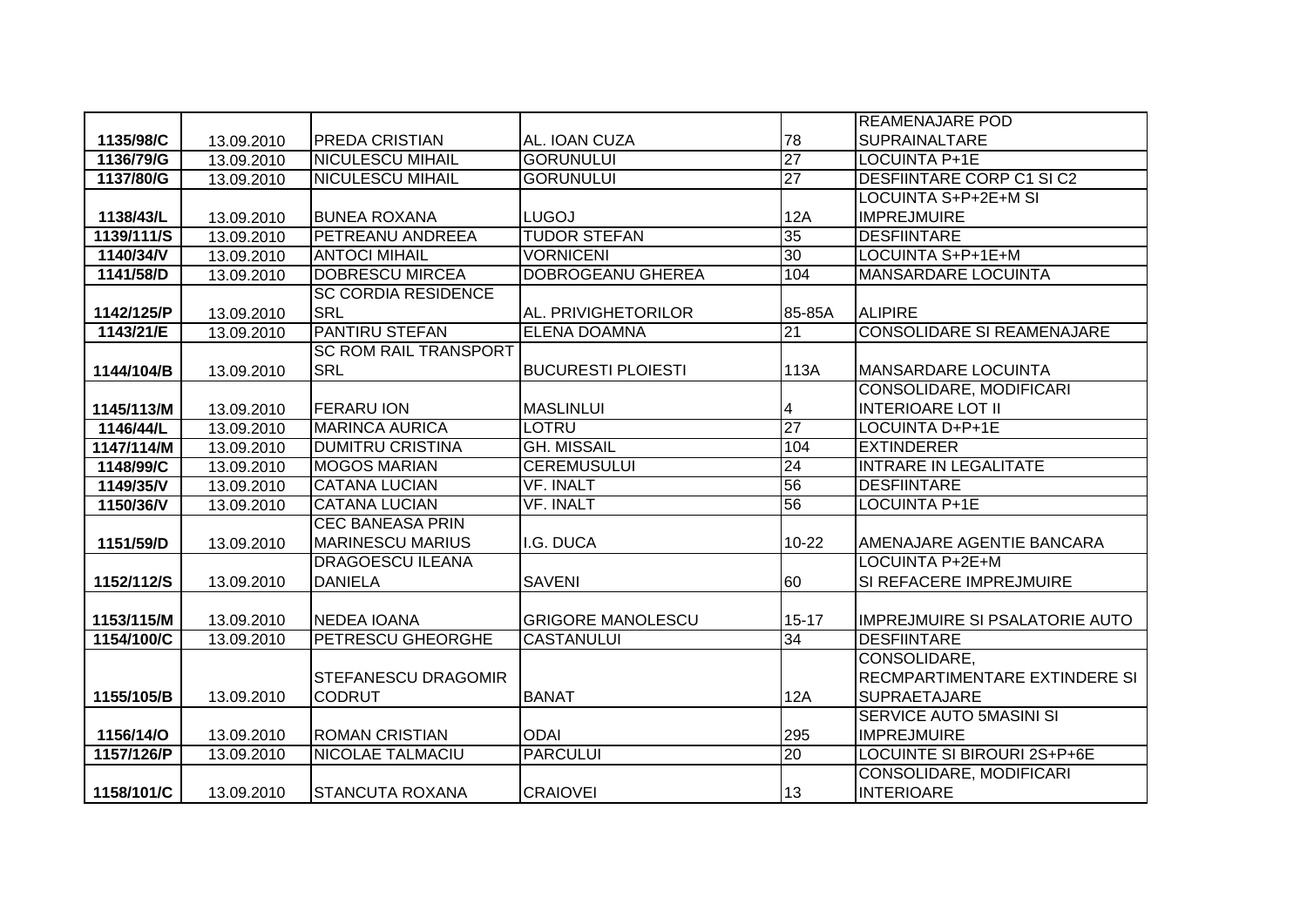|            |            |                              |                           |                 | <b>REAMENAJARE POD</b>                |
|------------|------------|------------------------------|---------------------------|-----------------|---------------------------------------|
| 1135/98/C  | 13.09.2010 | <b>PREDA CRISTIAN</b>        | AL. IOAN CUZA             | 78              | <b>SUPRAINALTARE</b>                  |
| 1136/79/G  | 13.09.2010 | <b>NICULESCU MIHAIL</b>      | <b>GORUNULUI</b>          | 27              | <b>LOCUINTA P+1E</b>                  |
| 1137/80/G  | 13.09.2010 | <b>NICULESCU MIHAIL</b>      | <b>GORUNULUI</b>          | $\overline{27}$ | <b>DESFIINTARE CORP C1 SI C2</b>      |
|            |            |                              |                           |                 | LOCUINTA S+P+2E+M SI                  |
| 1138/43/L  | 13.09.2010 | <b>BUNEA ROXANA</b>          | <b>LUGOJ</b>              | 12A             | <b>IMPREJMUIRE</b>                    |
| 1139/111/S | 13.09.2010 | PETREANU ANDREEA             | <b>TUDOR STEFAN</b>       | 35              | <b>DESFIINTARE</b>                    |
| 1140/34/V  | 13.09.2010 | <b>ANTOCI MIHAIL</b>         | <b>VORNICENI</b>          | 30              | LOCUINTA S+P+1E+M                     |
| 1141/58/D  | 13.09.2010 | <b>DOBRESCU MIRCEA</b>       | <b>DOBROGEANU GHEREA</b>  | 104             | <b>MANSARDARE LOCUINTA</b>            |
|            |            | <b>SC CORDIA RESIDENCE</b>   |                           |                 |                                       |
| 1142/125/P | 13.09.2010 | <b>SRL</b>                   | AL. PRIVIGHETORILOR       | 85-85A          | <b>ALIPIRE</b>                        |
| 1143/21/E  | 13.09.2010 | <b>PANTIRU STEFAN</b>        | <b>ELENA DOAMNA</b>       | 21              | <b>CONSOLIDARE SI REAMENAJARE</b>     |
|            |            | <b>SC ROM RAIL TRANSPORT</b> |                           |                 |                                       |
| 1144/104/B | 13.09.2010 | <b>SRL</b>                   | <b>BUCURESTI PLOIESTI</b> | 113A            | <b>MANSARDARE LOCUINTA</b>            |
|            |            |                              |                           |                 | CONSOLIDARE, MODIFICARI               |
| 1145/113/M | 13.09.2010 | <b>FERARU ION</b>            | <b>MASLINLUI</b>          | 4               | <b>INTERIOARE LOT II</b>              |
| 1146/44/L  | 13.09.2010 | <b>MARINCA AURICA</b>        | LOTRU                     | 27              | <b>LOCUINTA D+P+1E</b>                |
| 1147/114/M | 13.09.2010 | <b>DUMITRU CRISTINA</b>      | <b>GH. MISSAIL</b>        | 104             | <b>EXTINDERER</b>                     |
| 1148/99/C  | 13.09.2010 | <b>MOGOS MARIAN</b>          | <b>CEREMUSULUI</b>        | 24              | <b>INTRARE IN LEGALITATE</b>          |
| 1149/35/V  | 13.09.2010 | <b>CATANA LUCIAN</b>         | <b>VF. INALT</b>          | 56              | <b>DESFIINTARE</b>                    |
| 1150/36/V  | 13.09.2010 | <b>CATANA LUCIAN</b>         | <b>VF. INALT</b>          | 56              | LOCUINTA P+1E                         |
|            |            | <b>CEC BANEASA PRIN</b>      |                           |                 |                                       |
| 1151/59/D  | 13.09.2010 | <b>MARINESCU MARIUS</b>      | I.G. DUCA                 | $10 - 22$       | AMENAJARE AGENTIE BANCARA             |
|            |            | <b>DRAGOESCU ILEANA</b>      |                           |                 | <b>LOCUINTA P+2E+M</b>                |
| 1152/112/S | 13.09.2010 | <b>DANIELA</b>               | <b>SAVENI</b>             | 60              | SI REFACERE IMPREJMUIRE               |
|            |            |                              |                           |                 |                                       |
| 1153/115/M | 13.09.2010 | <b>NEDEA IOANA</b>           | <b>GRIGORE MANOLESCU</b>  | $15 - 17$       | <b>IMPREJMUIRE SI PSALATORIE AUTO</b> |
| 1154/100/C | 13.09.2010 | <b>PETRESCU GHEORGHE</b>     | <b>CASTANULUI</b>         | 34              | <b>DESFIINTARE</b>                    |
|            |            |                              |                           |                 | CONSOLIDARE,                          |
|            |            | <b>STEFANESCU DRAGOMIR</b>   |                           |                 | RECMPARTIMENTARE EXTINDERE SI         |
| 1155/105/B | 13.09.2010 | <b>CODRUT</b>                | <b>BANAT</b>              | 12A             | SUPRAETAJARE                          |
|            |            |                              |                           |                 | <b>SERVICE AUTO 5MASINI SI</b>        |
| 1156/14/O  | 13.09.2010 | <b>ROMAN CRISTIAN</b>        | <b>ODAI</b>               | 295             | <b>IMPREJMUIRE</b>                    |
| 1157/126/P | 13.09.2010 | <b>NICOLAE TALMACIU</b>      | <b>PARCULUI</b>           | 20              | <b>LOCUINTE SI BIROURI 2S+P+6E</b>    |
|            |            |                              |                           |                 | CONSOLIDARE, MODIFICARI               |
| 1158/101/C | 13.09.2010 | <b>STANCUTA ROXANA</b>       | <b>CRAIOVEI</b>           | 13              | <b>INTERIOARE</b>                     |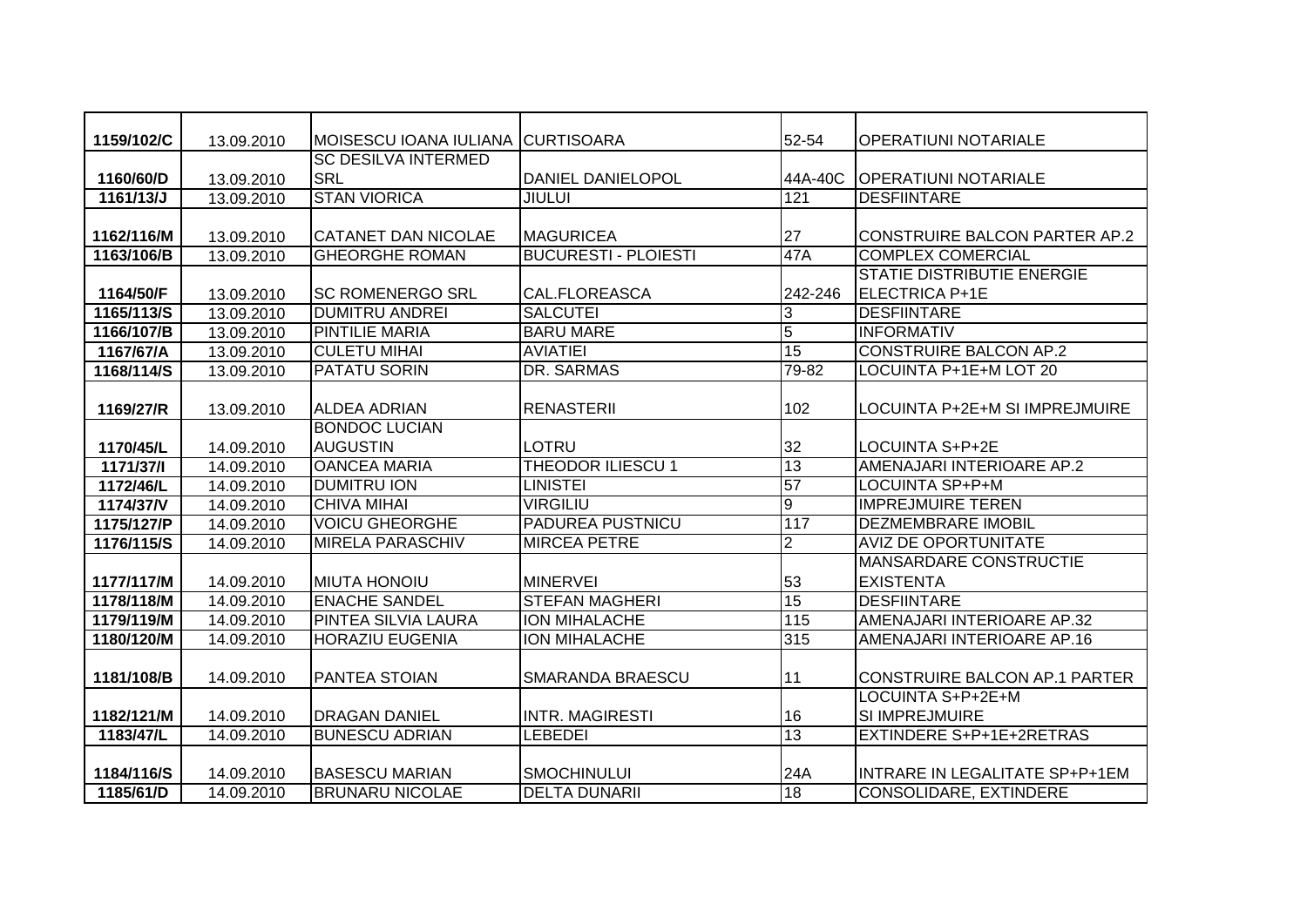| 1159/102/C | 13.09.2010 | MOISESCU IOANA IULIANA     | <b>CURTISOARA</b>           | 52-54          | <b>OPERATIUNI NOTARIALE</b>          |
|------------|------------|----------------------------|-----------------------------|----------------|--------------------------------------|
|            |            | <b>SC DESILVA INTERMED</b> |                             |                |                                      |
| 1160/60/D  | 13.09.2010 | <b>SRL</b>                 | DANIEL DANIELOPOL           | 44A-40C        | <b>OPERATIUNI NOTARIALE</b>          |
| 1161/13/J  | 13.09.2010 | <b>STAN VIORICA</b>        | <b>JIULUI</b>               | 121            | <b>DESFIINTARE</b>                   |
|            |            |                            |                             |                |                                      |
| 1162/116/M | 13.09.2010 | <b>CATANET DAN NICOLAE</b> | <b>MAGURICEA</b>            | 27             | <b>CONSTRUIRE BALCON PARTER AP.2</b> |
| 1163/106/B | 13.09.2010 | <b>GHEORGHE ROMAN</b>      | <b>BUCURESTI - PLOIESTI</b> | 47A            | <b>COMPLEX COMERCIAL</b>             |
|            |            |                            |                             |                | <b>STATIE DISTRIBUTIE ENERGIE</b>    |
| 1164/50/F  | 13.09.2010 | <b>SC ROMENERGO SRL</b>    | CAL.FLOREASCA               | 242-246        | ELECTRICA P+1E                       |
| 1165/113/S | 13.09.2010 | <b>DUMITRU ANDREI</b>      | <b>SALCUTEI</b>             | 3              | <b>DESFIINTARE</b>                   |
| 1166/107/B | 13.09.2010 | <b>PINTILIE MARIA</b>      | <b>BARU MARE</b>            | $\overline{5}$ | <b>INFORMATIV</b>                    |
| 1167/67/A  | 13.09.2010 | <b>CULETU MIHAI</b>        | <b>AVIATIEI</b>             | 15             | <b>CONSTRUIRE BALCON AP.2</b>        |
| 1168/114/S | 13.09.2010 | <b>PATATU SORIN</b>        | DR. SARMAS                  | 79-82          | LOCUINTA P+1E+M LOT 20               |
|            |            |                            |                             |                |                                      |
| 1169/27/R  | 13.09.2010 | <b>ALDEA ADRIAN</b>        | <b>RENASTERII</b>           | 102            | LOCUINTA P+2E+M SI IMPREJMUIRE       |
|            |            | <b>BONDOC LUCIAN</b>       |                             |                |                                      |
| 1170/45/L  | 14.09.2010 | <b>AUGUSTIN</b>            | <b>LOTRU</b>                | 32             | LOCUINTA S+P+2E                      |
| 1171/37/1  | 14.09.2010 | <b>OANCEA MARIA</b>        | THEODOR ILIESCU 1           | 13             | AMENAJARI INTERIOARE AP.2            |
| 1172/46/L  | 14.09.2010 | <b>DUMITRU ION</b>         | <b>LINISTEI</b>             | 57             | LOCUINTA SP+P+M                      |
| 1174/37/V  | 14.09.2010 | <b>CHIVA MIHAI</b>         | <b>VIRGILIU</b>             | 9              | <b>IMPREJMUIRE TEREN</b>             |
| 1175/127/P | 14.09.2010 | <b>VOICU GHEORGHE</b>      | PADUREA PUSTNICU            | 117            | <b>DEZMEMBRARE IMOBIL</b>            |
| 1176/115/S | 14.09.2010 | <b>MIRELA PARASCHIV</b>    | <b>MIRCEA PETRE</b>         | $\overline{2}$ | <b>AVIZ DE OPORTUNITATE</b>          |
|            |            |                            |                             |                | <b>MANSARDARE CONSTRUCTIE</b>        |
| 1177/117/M | 14.09.2010 | <b>MIUTA HONOIU</b>        | <b>MINERVEI</b>             | 53             | <b>EXISTENTA</b>                     |
| 1178/118/M | 14.09.2010 | <b>ENACHE SANDEL</b>       | <b>STEFAN MAGHERI</b>       | 15             | <b>DESFIINTARE</b>                   |
| 1179/119/M | 14.09.2010 | PINTEA SILVIA LAURA        | <b>ION MIHALACHE</b>        | 115            | AMENAJARI INTERIOARE AP.32           |
| 1180/120/M | 14.09.2010 | <b>HORAZIU EUGENIA</b>     | <b>ION MIHALACHE</b>        | 315            | AMENAJARI INTERIOARE AP.16           |
|            |            |                            |                             |                |                                      |
| 1181/108/B | 14.09.2010 | PANTEA STOIAN              | SMARANDA BRAESCU            | 11             | CONSTRUIRE BALCON AP.1 PARTER        |
|            |            |                            |                             |                | LOCUINTA S+P+2E+M                    |
| 1182/121/M | 14.09.2010 | <b>DRAGAN DANIEL</b>       | <b>INTR. MAGIRESTI</b>      | 16             | <b>SI IMPREJMUIRE</b>                |
| 1183/47/L  | 14.09.2010 | <b>BUNESCU ADRIAN</b>      | <b>LEBEDEI</b>              | 13             | <b>EXTINDERE S+P+1E+2RETRAS</b>      |
|            |            |                            |                             |                |                                      |
| 1184/116/S | 14.09.2010 | <b>BASESCU MARIAN</b>      | <b>SMOCHINULUI</b>          | 24A            | INTRARE IN LEGALITATE SP+P+1EM       |
| 1185/61/D  | 14.09.2010 | <b>BRUNARU NICOLAE</b>     | <b>DELTA DUNARII</b>        | 18             | <b>CONSOLIDARE, EXTINDERE</b>        |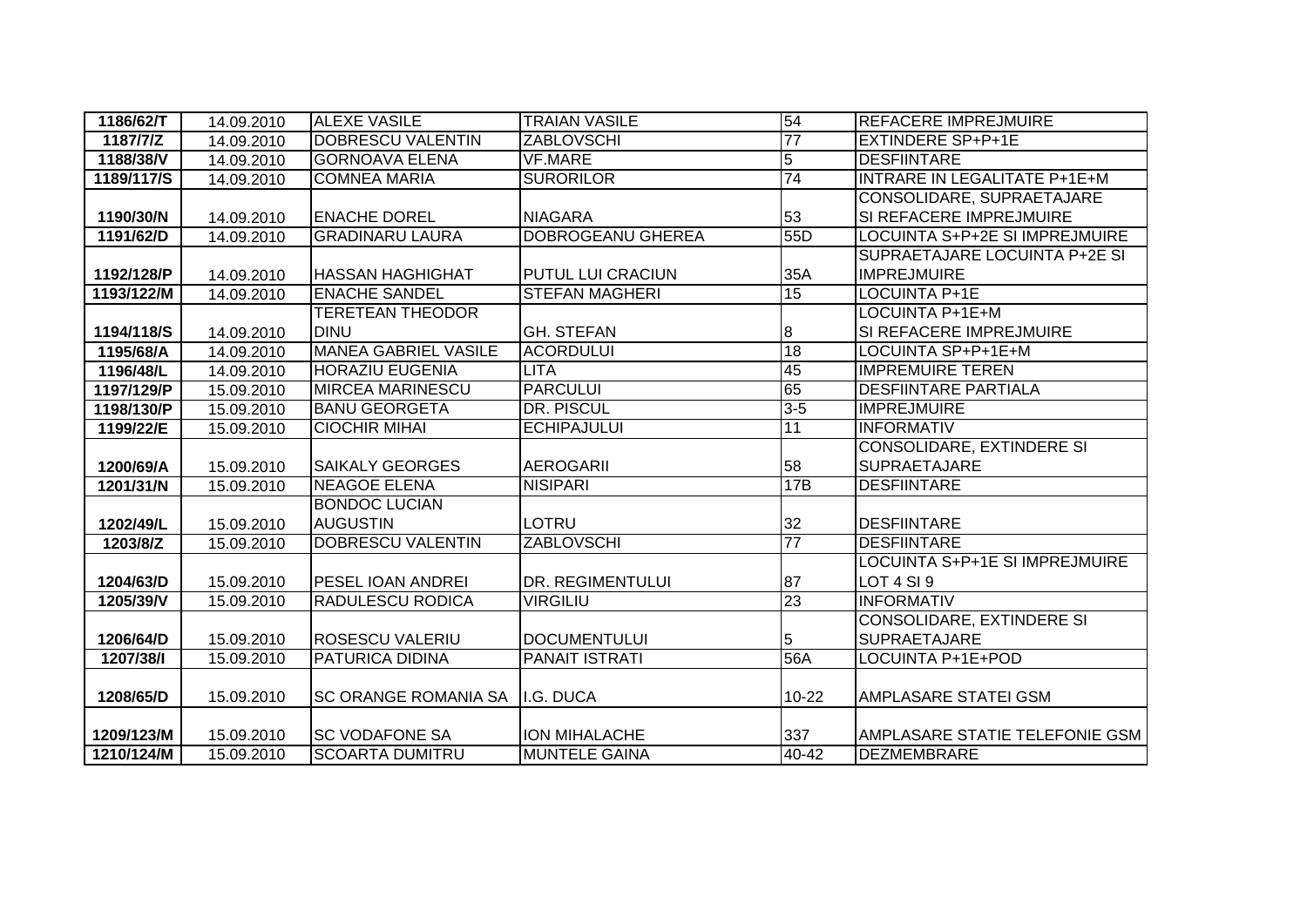| 1186/62/T  | 14.09.2010 | <b>ALEXE VASILE</b>         | <b>TRAIAN VASILE</b>    | 54              | <b>REFACERE IMPREJMUIRE</b>         |
|------------|------------|-----------------------------|-------------------------|-----------------|-------------------------------------|
| 1187/7/Z   | 14.09.2010 | <b>DOBRESCU VALENTIN</b>    | <b>ZABLOVSCHI</b>       | 77              | IEXTINDERE SP+P+1E                  |
| 1188/38/V  | 14.09.2010 | <b>GORNOAVA ELENA</b>       | <b>VF.MARE</b>          | $\overline{5}$  | <b>DESFIINTARE</b>                  |
| 1189/117/S | 14.09.2010 | <b>COMNEA MARIA</b>         | <b>SURORILOR</b>        | 74              | <b>INTRARE IN LEGALITATE P+1E+M</b> |
|            |            |                             |                         |                 | CONSOLIDARE, SUPRAETAJARE           |
| 1190/30/N  | 14.09.2010 | <b>ENACHE DOREL</b>         | <b>NIAGARA</b>          | 53              | SI REFACERE IMPREJMUIRE             |
| 1191/62/D  | 14.09.2010 | <b>GRADINARU LAURA</b>      | DOBROGEANU GHEREA       | 55D             | LOCUINTA S+P+2E SI IMPREJMUIRE      |
|            |            |                             |                         |                 | SUPRAETAJARE LOCUINTA P+2E SI       |
| 1192/128/P | 14.09.2010 | <b>HASSAN HAGHIGHAT</b>     | PUTUL LUI CRACIUN       | 35A             | <b>IMPREJMUIRE</b>                  |
| 1193/122/M | 14.09.2010 | <b>ENACHE SANDEL</b>        | <b>STEFAN MAGHERI</b>   | 15              | <b>LOCUINTA P+1E</b>                |
|            |            | <b>TERETEAN THEODOR</b>     |                         |                 | LOCUINTA P+1E+M                     |
| 1194/118/S | 14.09.2010 | <b>DINU</b>                 | <b>GH. STEFAN</b>       | 8               | <b>SI REFACERE IMPREJMUIRE</b>      |
| 1195/68/A  | 14.09.2010 | <b>MANEA GABRIEL VASILE</b> | <b>ACORDULUI</b>        | 18              | LOCUINTA SP+P+1E+M                  |
| 1196/48/L  | 14.09.2010 | <b>HORAZIU EUGENIA</b>      | <b>LITA</b>             | 45              | <b>IMPREMUIRE TEREN</b>             |
| 1197/129/P | 15.09.2010 | <b>MIRCEA MARINESCU</b>     | <b>PARCULUI</b>         | 65              | <b>DESFIINTARE PARTIALA</b>         |
| 1198/130/P | 15.09.2010 | <b>BANU GEORGETA</b>        | <b>DR. PISCUL</b>       | $3 - 5$         | <b>IMPREJMUIRE</b>                  |
| 1199/22/E  | 15.09.2010 | <b>CIOCHIR MIHAI</b>        | <b>ECHIPAJULUI</b>      | 11              | <b>INFORMATIV</b>                   |
|            |            |                             |                         |                 | <b>CONSOLIDARE, EXTINDERE SI</b>    |
| 1200/69/A  | 15.09.2010 | <b>SAIKALY GEORGES</b>      | <b>AEROGARII</b>        | 58              | <b>SUPRAETAJARE</b>                 |
| 1201/31/N  | 15.09.2010 | <b>NEAGOE ELENA</b>         | <b>NISIPARI</b>         | 17B             | <b>DESFIINTARE</b>                  |
|            |            | <b>BONDOC LUCIAN</b>        |                         |                 |                                     |
| 1202/49/L  | 15.09.2010 | <b>AUGUSTIN</b>             | LOTRU                   | 32              | <b>DESFIINTARE</b>                  |
| 1203/8/Z   | 15.09.2010 | <b>DOBRESCU VALENTIN</b>    | <b>ZABLOVSCHI</b>       | $\overline{77}$ | <b>DESFIINTARE</b>                  |
|            |            |                             |                         |                 | LOCUINTA S+P+1E SI IMPREJMUIRE      |
| 1204/63/D  | 15.09.2010 | <b>PESEL IOAN ANDREI</b>    | <b>DR. REGIMENTULUI</b> | 87              | LOT 4 SI 9                          |
| 1205/39/V  | 15.09.2010 | <b>RADULESCU RODICA</b>     | <b>VIRGILIU</b>         | 23              | <b>INFORMATIV</b>                   |
|            |            |                             |                         |                 | <b>CONSOLIDARE, EXTINDERE SI</b>    |
| 1206/64/D  | 15.09.2010 | <b>ROSESCU VALERIU</b>      | <b>DOCUMENTULUI</b>     | 5               | <b>SUPRAETAJARE</b>                 |
| 1207/38/1  | 15.09.2010 | <b>PATURICA DIDINA</b>      | <b>PANAIT ISTRATI</b>   | 56A             | <b>LOCUINTA P+1E+POD</b>            |
|            |            |                             |                         |                 |                                     |
| 1208/65/D  | 15.09.2010 | <b>SC ORANGE ROMANIA SA</b> | II.G. DUCA              | 10-22           | <b>AMPLASARE STATEI GSM</b>         |
|            |            |                             |                         |                 |                                     |
| 1209/123/M | 15.09.2010 | <b>SC VODAFONE SA</b>       | ION MIHALACHE           | 337             | AMPLASARE STATIE TELEFONIE GSM      |
| 1210/124/M | 15.09.2010 | <b>SCOARTA DUMITRU</b>      | <b>MUNTELE GAINA</b>    | 40-42           | <b>DEZMEMBRARE</b>                  |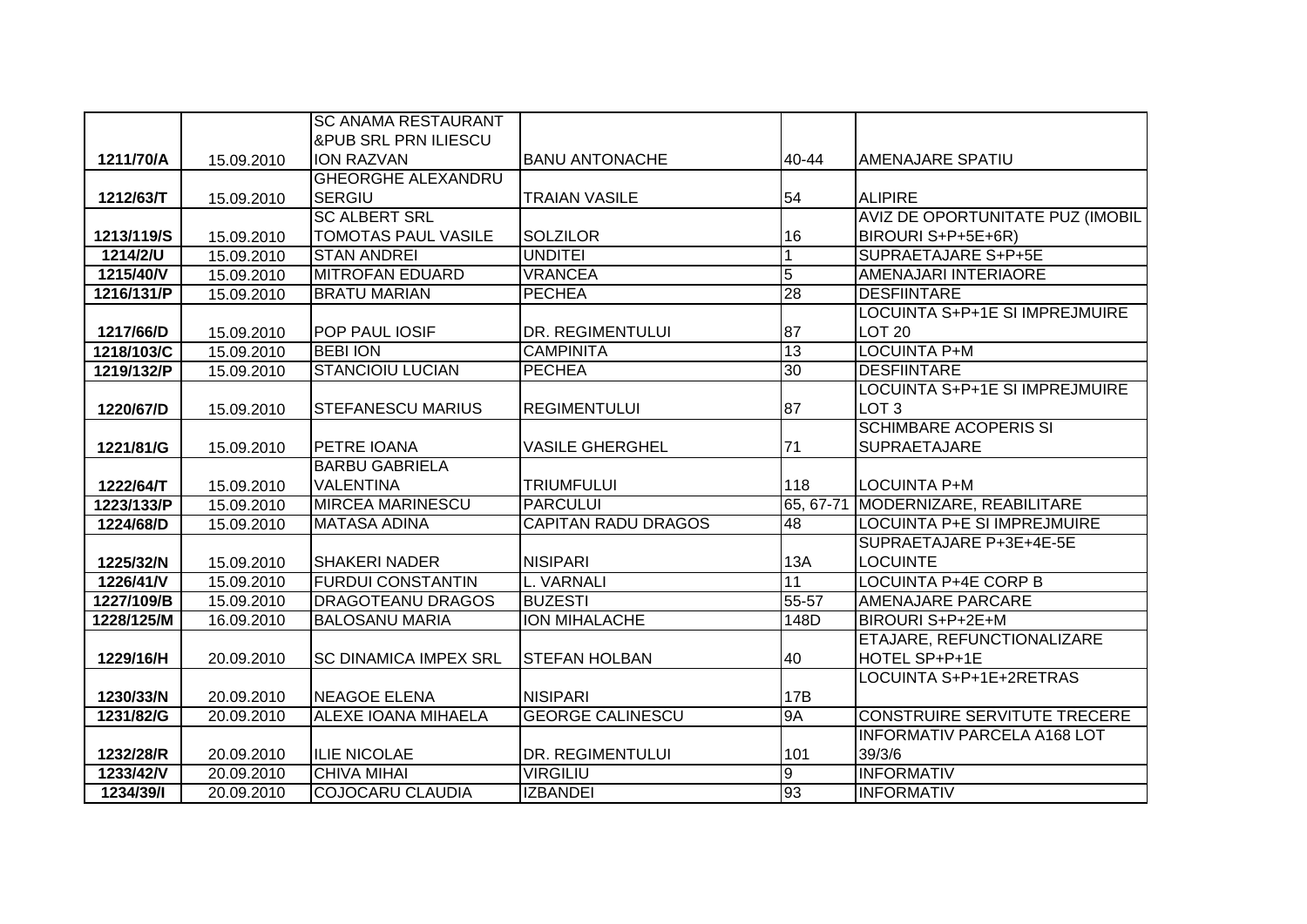|            |            | <b>SC ANAMA RESTAURANT</b>      |                            |                |                                     |
|------------|------------|---------------------------------|----------------------------|----------------|-------------------------------------|
|            |            | <b>&amp;PUB SRL PRN ILIESCU</b> |                            |                |                                     |
| 1211/70/A  | 15.09.2010 | <b>ION RAZVAN</b>               | <b>BANU ANTONACHE</b>      | 40-44          | <b>AMENAJARE SPATIU</b>             |
|            |            | <b>GHEORGHE ALEXANDRU</b>       |                            |                |                                     |
| 1212/63/T  | 15.09.2010 | <b>SERGIU</b>                   | <b>TRAIAN VASILE</b>       | 54             | <b>ALIPIRE</b>                      |
|            |            | <b>SC ALBERT SRL</b>            |                            |                | AVIZ DE OPORTUNITATE PUZ (IMOBIL    |
| 1213/119/S | 15.09.2010 | <b>TOMOTAS PAUL VASILE</b>      | <b>SOLZILOR</b>            | 16             | BIROURI S+P+5E+6R)                  |
| 1214/2/U   | 15.09.2010 | <b>STAN ANDREI</b>              | <b>UNDITEI</b>             |                | <b>SUPRAETAJARE S+P+5E</b>          |
| 1215/40/V  | 15.09.2010 | <b>MITROFAN EDUARD</b>          | <b>VRANCEA</b>             | $\overline{5}$ | AMENAJARI INTERIAORE                |
| 1216/131/P | 15.09.2010 | <b>BRATU MARIAN</b>             | <b>PECHEA</b>              | 28             | <b>DESFIINTARE</b>                  |
|            |            |                                 |                            |                | LOCUINTA S+P+1E SI IMPREJMUIRE      |
| 1217/66/D  | 15.09.2010 | <b>POP PAUL IOSIF</b>           | DR. REGIMENTULUI           | 87             | <b>LOT 20</b>                       |
| 1218/103/C | 15.09.2010 | <b>BEBI ION</b>                 | <b>CAMPINITA</b>           | 13             | <b>LOCUINTA P+M</b>                 |
| 1219/132/P | 15.09.2010 | <b>STANCIOIU LUCIAN</b>         | <b>PECHEA</b>              | 30             | <b>DESFIINTARE</b>                  |
|            |            |                                 |                            |                | LOCUINTA S+P+1E SI IMPREJMUIRE      |
| 1220/67/D  | 15.09.2010 | <b>STEFANESCU MARIUS</b>        | <b>REGIMENTULUI</b>        | 87             | LOT <sub>3</sub>                    |
|            |            |                                 |                            |                | <b>SCHIMBARE ACOPERIS SI</b>        |
| 1221/81/G  | 15.09.2010 | PETRE IOANA                     | <b>VASILE GHERGHEL</b>     | 71             | <b>SUPRAETAJARE</b>                 |
|            |            | <b>BARBU GABRIELA</b>           |                            |                |                                     |
| 1222/64/T  | 15.09.2010 | <b>VALENTINA</b>                | <b>TRIUMFULUI</b>          | 118            | <b>LOCUINTA P+M</b>                 |
| 1223/133/P | 15.09.2010 | <b>MIRCEA MARINESCU</b>         | <b>PARCULUI</b>            | 65, 67-71      | MODERNIZARE, REABILITARE            |
| 1224/68/D  | 15.09.2010 | <b>MATASA ADINA</b>             | <b>CAPITAN RADU DRAGOS</b> | 48             | LOCUINTA P+E SI IMPREJMUIRE         |
|            |            |                                 |                            |                | SUPRAETAJARE P+3E+4E-5E             |
| 1225/32/N  | 15.09.2010 | <b>SHAKERI NADER</b>            | <b>NISIPARI</b>            | 13A            | <b>LOCUINTE</b>                     |
| 1226/41/V  | 15.09.2010 | <b>FURDUI CONSTANTIN</b>        | L. VARNALI                 | 11             | <b>LOCUINTA P+4E CORP B</b>         |
| 1227/109/B | 15.09.2010 | <b>DRAGOTEANU DRAGOS</b>        | <b>BUZESTI</b>             | $55 - 57$      | <b>AMENAJARE PARCARE</b>            |
| 1228/125/M | 16.09.2010 | <b>BALOSANU MARIA</b>           | <b>ION MIHALACHE</b>       | 148D           | BIROURI S+P+2E+M                    |
|            |            |                                 |                            |                | ETAJARE, REFUNCTIONALIZARE          |
| 1229/16/H  | 20.09.2010 | <b>SC DINAMICA IMPEX SRL</b>    | <b>STEFAN HOLBAN</b>       | 40             | HOTEL SP+P+1E                       |
|            |            |                                 |                            |                | LOCUINTA S+P+1E+2RETRAS             |
| 1230/33/N  | 20.09.2010 | NEAGOE ELENA                    | <b>NISIPARI</b>            | 17B            |                                     |
| 1231/82/G  | 20.09.2010 | <b>ALEXE IOANA MIHAELA</b>      | <b>GEORGE CALINESCU</b>    | <b>9A</b>      | <b>CONSTRUIRE SERVITUTE TRECERE</b> |
|            |            |                                 |                            |                | <b>INFORMATIV PARCELA A168 LOT</b>  |
|            |            |                                 |                            |                |                                     |
| 1232/28/R  | 20.09.2010 | <b>ILIE NICOLAE</b>             | DR. REGIMENTULUI           | 101            | 39/3/6                              |
| 1233/42/V  | 20.09.2010 | <b>CHIVA MIHAI</b>              | <b>VIRGILIU</b>            | Θ<br>93        | <b>INFORMATIV</b>                   |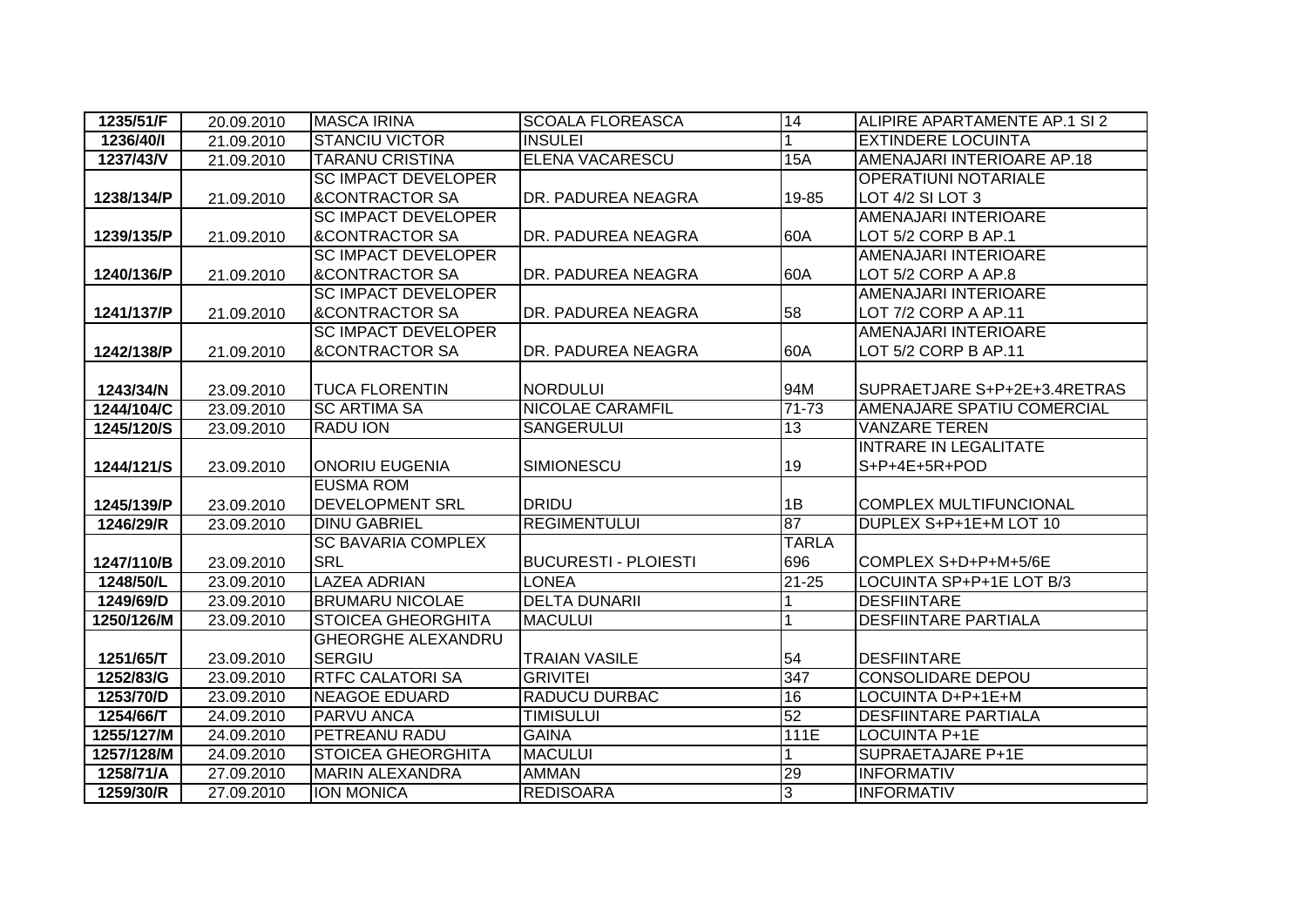| 1235/51/F  | 20.09.2010 | <b>MASCA IRINA</b>         | <b>SCOALA FLOREASCA</b>     | 14           | ALIPIRE APARTAMENTE AP.1 SI 2 |
|------------|------------|----------------------------|-----------------------------|--------------|-------------------------------|
| 1236/40/1  | 21.09.2010 | <b>STANCIU VICTOR</b>      | <b>INSULEI</b>              | 1            | <b>EXTINDERE LOCUINTA</b>     |
| 1237/43/V  | 21.09.2010 | <b>TARANU CRISTINA</b>     | <b>ELENA VACARESCU</b>      | 15A          | AMENAJARI INTERIOARE AP.18    |
|            |            | <b>SC IMPACT DEVELOPER</b> |                             |              | <b>OPERATIUNI NOTARIALE</b>   |
| 1238/134/P | 21.09.2010 | <b>&amp;CONTRACTOR SA</b>  | DR. PADUREA NEAGRA          | 19-85        | LOT 4/2 SI LOT 3              |
|            |            | <b>SC IMPACT DEVELOPER</b> |                             |              | AMENAJARI INTERIOARE          |
| 1239/135/P | 21.09.2010 | <b>&amp;CONTRACTOR SA</b>  | DR. PADUREA NEAGRA          | 60A          | LOT 5/2 CORP B AP.1           |
|            |            | <b>SC IMPACT DEVELOPER</b> |                             |              | AMENAJARI INTERIOARE          |
| 1240/136/P | 21.09.2010 | <b>&amp;CONTRACTOR SA</b>  | DR. PADUREA NEAGRA          | 60A          | LOT 5/2 CORP A AP.8           |
|            |            | <b>SC IMPACT DEVELOPER</b> |                             |              | AMENAJARI INTERIOARE          |
| 1241/137/P | 21.09.2010 | <b>&amp;CONTRACTOR SA</b>  | DR. PADUREA NEAGRA          | 58           | LOT 7/2 CORP A AP.11          |
|            |            | <b>SC IMPACT DEVELOPER</b> |                             |              | AMENAJARI INTERIOARE          |
| 1242/138/P | 21.09.2010 | <b>&amp;CONTRACTOR SA</b>  | DR. PADUREA NEAGRA          | 60A          | LOT 5/2 CORP B AP.11          |
|            |            |                            |                             |              |                               |
| 1243/34/N  | 23.09.2010 | <b>TUCA FLORENTIN</b>      | <b>NORDULUI</b>             | 94M          | SUPRAETJARE S+P+2E+3.4RETRAS  |
| 1244/104/C | 23.09.2010 | <b>SC ARTIMA SA</b>        | <b>NICOLAE CARAMFIL</b>     | 71-73        | AMENAJARE SPATIU COMERCIAL    |
| 1245/120/S | 23.09.2010 | <b>RADU ION</b>            | <b>SANGERULUI</b>           | 13           | <b>VANZARE TEREN</b>          |
|            |            |                            |                             |              | <b>INTRARE IN LEGALITATE</b>  |
| 1244/121/S | 23.09.2010 | <b>ONORIU EUGENIA</b>      | <b>SIMIONESCU</b>           | 19           | S+P+4E+5R+POD                 |
|            |            | <b>EUSMA ROM</b>           |                             |              |                               |
| 1245/139/P | 23.09.2010 | <b>DEVELOPMENT SRL</b>     | <b>DRIDU</b>                | 1B           | <b>COMPLEX MULTIFUNCIONAL</b> |
| 1246/29/R  | 23.09.2010 | <b>DINU GABRIEL</b>        | <b>REGIMENTULUI</b>         | 87           | DUPLEX S+P+1E+M LOT 10        |
|            |            | <b>SC BAVARIA COMPLEX</b>  |                             | <b>TARLA</b> |                               |
| 1247/110/B | 23.09.2010 | <b>SRL</b>                 | <b>BUCURESTI - PLOIESTI</b> | 696          | COMPLEX S+D+P+M+5/6E          |
| 1248/50/L  | 23.09.2010 | <b>LAZEA ADRIAN</b>        | <b>LONEA</b>                | $21 - 25$    | LOCUINTA SP+P+1E LOT B/3      |
| 1249/69/D  | 23.09.2010 | <b>BRUMARU NICOLAE</b>     | <b>DELTA DUNARII</b>        |              | <b>DESFIINTARE</b>            |
| 1250/126/M | 23.09.2010 | <b>STOICEA GHEORGHITA</b>  | <b>MACULUI</b>              |              | <b>DESFIINTARE PARTIALA</b>   |
|            |            | <b>GHEORGHE ALEXANDRU</b>  |                             |              |                               |
| 1251/65/T  | 23.09.2010 | <b>SERGIU</b>              | <b>TRAIAN VASILE</b>        | 54           | <b>DESFIINTARE</b>            |
| 1252/83/G  | 23.09.2010 | <b>RTFC CALATORI SA</b>    | <b>GRIVITEI</b>             | 347          | <b>CONSOLIDARE DEPOU</b>      |
| 1253/70/D  | 23.09.2010 | <b>NEAGOE EDUARD</b>       | <b>RADUCU DURBAC</b>        | 16           | LOCUINTA D+P+1E+M             |
| 1254/66/T  | 24.09.2010 | <b>PARVU ANCA</b>          | <b>TIMISULUI</b>            | 52           | <b>DESFIINTARE PARTIALA</b>   |
| 1255/127/M | 24.09.2010 | <b>PETREANU RADU</b>       | <b>GAINA</b>                | 111E         | <b>LOCUINTA P+1E</b>          |
| 1257/128/M | 24.09.2010 | <b>STOICEA GHEORGHITA</b>  | <b>MACULUI</b>              |              | <b>SUPRAETAJARE P+1E</b>      |
| 1258/71/A  | 27.09.2010 | <b>MARIN ALEXANDRA</b>     | AMMAN                       | 29           | <b>INFORMATIV</b>             |
| 1259/30/R  | 27.09.2010 | <b>ION MONICA</b>          | <b>REDISOARA</b>            | 3            | <b>INFORMATIV</b>             |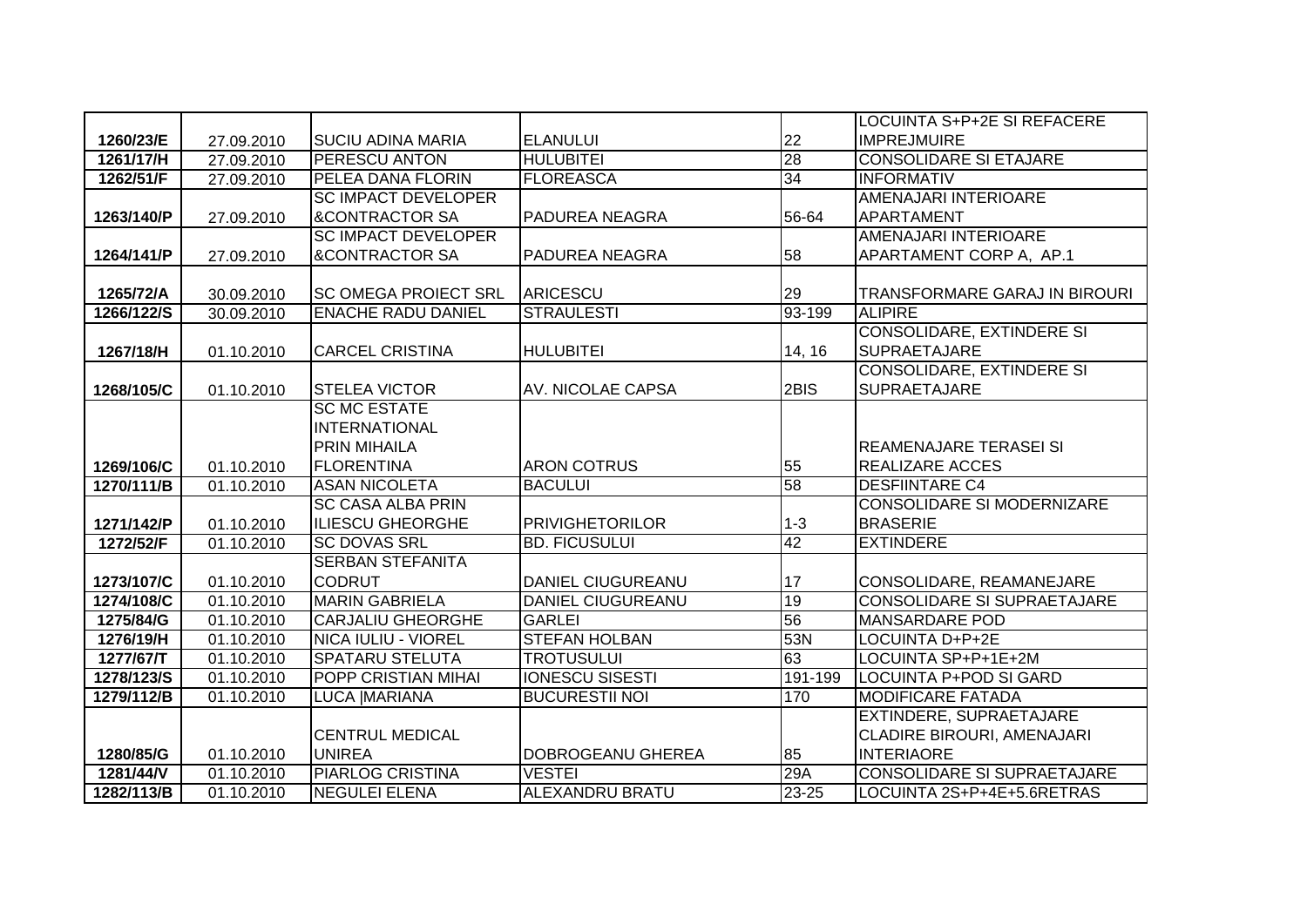|            |            |                             |                          |           | <b>LOCUINTA S+P+2E SI REFACERE</b> |
|------------|------------|-----------------------------|--------------------------|-----------|------------------------------------|
| 1260/23/E  | 27.09.2010 | <b>SUCIU ADINA MARIA</b>    | <b>ELANULUI</b>          | 22        | <b>IMPREJMUIRE</b>                 |
| 1261/17/H  | 27.09.2010 | PERESCU ANTON               | <b>HULUBITEI</b>         | 28        | <b>CONSOLIDARE SI ETAJARE</b>      |
| 1262/51/F  | 27.09.2010 | PELEA DANA FLORIN           | <b>FLOREASCA</b>         | 34        | <b>INFORMATIV</b>                  |
|            |            | <b>SC IMPACT DEVELOPER</b>  |                          |           | AMENAJARI INTERIOARE               |
| 1263/140/P | 27.09.2010 | <b>&amp;CONTRACTOR SA</b>   | <b>PADUREA NEAGRA</b>    | 56-64     | APARTAMENT                         |
|            |            | <b>SC IMPACT DEVELOPER</b>  |                          |           | <b>AMENAJARI INTERIOARE</b>        |
| 1264/141/P | 27.09.2010 | <b>&amp;CONTRACTOR SA</b>   | PADUREA NEAGRA           | 58        | APARTAMENT CORP A, AP.1            |
|            |            |                             |                          |           |                                    |
| 1265/72/A  | 30.09.2010 | <b>SC OMEGA PROIECT SRL</b> | ARICESCU                 | 29        | TRANSFORMARE GARAJ IN BIROURI      |
| 1266/122/S | 30.09.2010 | <b>ENACHE RADU DANIEL</b>   | <b>STRAULESTI</b>        | 93-199    | <b>ALIPIRE</b>                     |
|            |            |                             |                          |           | <b>CONSOLIDARE, EXTINDERE SI</b>   |
| 1267/18/H  | 01.10.2010 | <b>CARCEL CRISTINA</b>      | <b>HULUBITEI</b>         | 14, 16    | <b>SUPRAETAJARE</b>                |
|            |            |                             |                          |           | <b>CONSOLIDARE, EXTINDERE SI</b>   |
| 1268/105/C | 01.10.2010 | <b>STELEA VICTOR</b>        | AV. NICOLAE CAPSA        | 2BIS      | <b>SUPRAETAJARE</b>                |
|            |            | <b>SC MC ESTATE</b>         |                          |           |                                    |
|            |            | <b>INTERNATIONAL</b>        |                          |           |                                    |
|            |            | <b>PRIN MIHAILA</b>         |                          |           | <b>REAMENAJARE TERASEI SI</b>      |
| 1269/106/C | 01.10.2010 | <b>FLORENTINA</b>           | <b>ARON COTRUS</b>       | 55        | <b>REALIZARE ACCES</b>             |
| 1270/111/B | 01.10.2010 | <b>ASAN NICOLETA</b>        | <b>BACULUI</b>           | 58        | <b>DESFIINTARE C4</b>              |
|            |            | <b>SC CASA ALBA PRIN</b>    |                          |           | <b>CONSOLIDARE SI MODERNIZARE</b>  |
| 1271/142/P | 01.10.2010 | <b>ILIESCU GHEORGHE</b>     | <b>PRIVIGHETORILOR</b>   | $1 - 3$   | <b>BRASERIE</b>                    |
| 1272/52/F  | 01.10.2010 | <b>SC DOVAS SRL</b>         | <b>BD. FICUSULUI</b>     | 42        | <b>EXTINDERE</b>                   |
|            |            | <b>SERBAN STEFANITA</b>     |                          |           |                                    |
| 1273/107/C | 01.10.2010 | <b>CODRUT</b>               | <b>DANIEL CIUGUREANU</b> | 17        | CONSOLIDARE, REAMANEJARE           |
| 1274/108/C | 01.10.2010 | <b>MARIN GABRIELA</b>       | <b>DANIEL CIUGUREANU</b> | 19        | <b>CONSOLIDARE SI SUPRAETAJARE</b> |
| 1275/84/G  | 01.10.2010 | <b>CARJALIU GHEORGHE</b>    | <b>GARLEI</b>            | 56        | <b>MANSARDARE POD</b>              |
| 1276/19/H  | 01.10.2010 | <b>NICA IULIU - VIOREL</b>  | <b>STEFAN HOLBAN</b>     | 53N       | <b>LOCUINTA D+P+2E</b>             |
| 1277/67/T  | 01.10.2010 | <b>SPATARU STELUTA</b>      | <b>TROTUSULUI</b>        | 63        | LOCUINTA SP+P+1E+2M                |
| 1278/123/S | 01.10.2010 | <b>POPP CRISTIAN MIHAI</b>  | <b>IONESCU SISESTI</b>   | 191-199   | <b>LOCUINTA P+POD SI GARD</b>      |
| 1279/112/B | 01.10.2010 | LUCA   MARIANA              | <b>BUCURESTII NOI</b>    | 170       | <b>MODIFICARE FATADA</b>           |
|            |            |                             |                          |           | EXTINDERE, SUPRAETAJARE            |
|            |            | <b>CENTRUL MEDICAL</b>      |                          |           | <b>CLADIRE BIROURI, AMENAJARI</b>  |
| 1280/85/G  | 01.10.2010 | <b>UNIREA</b>               | <b>DOBROGEANU GHEREA</b> | 85        | <b>INTERIAORE</b>                  |
| 1281/44/V  | 01.10.2010 | <b>PIARLOG CRISTINA</b>     | <b>VESTEI</b>            | 29A       | <b>CONSOLIDARE SI SUPRAETAJARE</b> |
| 1282/113/B | 01.10.2010 | <b>NEGULEI ELENA</b>        | ALEXANDRU BRATU          | $23 - 25$ | LOCUINTA 2S+P+4E+5.6RETRAS         |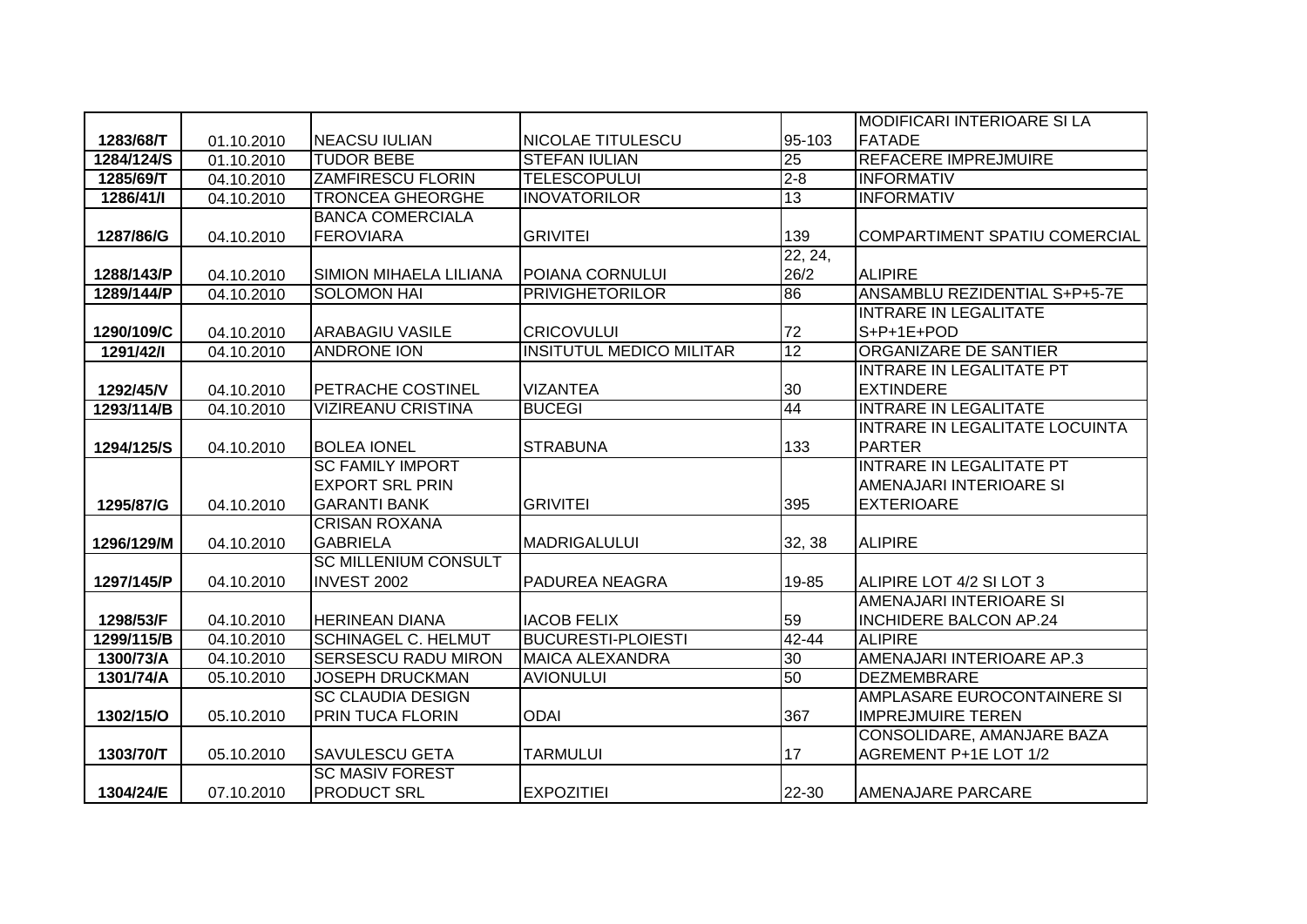|            |            |                             |                                 |           | <b>MODIFICARI INTERIOARE SI LA</b> |
|------------|------------|-----------------------------|---------------------------------|-----------|------------------------------------|
| 1283/68/T  | 01.10.2010 | <b>NEACSU IULIAN</b>        | <b>NICOLAE TITULESCU</b>        | 95-103    | <b>FATADE</b>                      |
| 1284/124/S | 01.10.2010 | <b>TUDOR BEBE</b>           | <b>STEFAN IULIAN</b>            | 25        | <b>REFACERE IMPREJMUIRE</b>        |
| 1285/69/T  | 04.10.2010 | <b>ZAMFIRESCU FLORIN</b>    | <b>TELESCOPULUI</b>             | $2 - 8$   | <b>INFORMATIV</b>                  |
| 1286/41/I  | 04.10.2010 | <b>TRONCEA GHEORGHE</b>     | <b>INOVATORILOR</b>             | 13        | <b>INFORMATIV</b>                  |
|            |            | <b>BANCA COMERCIALA</b>     |                                 |           |                                    |
| 1287/86/G  | 04.10.2010 | <b>FEROVIARA</b>            | <b>GRIVITEI</b>                 | 139       | COMPARTIMENT SPATIU COMERCIAL      |
|            |            |                             |                                 | 22, 24,   |                                    |
| 1288/143/P | 04.10.2010 | SIMION MIHAELA LILIANA      | POIANA CORNULUI                 | 26/2      | <b>ALIPIRE</b>                     |
| 1289/144/P | 04.10.2010 | <b>SOLOMON HAI</b>          | <b>PRIVIGHETORILOR</b>          | 86        | ANSAMBLU REZIDENTIAL S+P+5-7E      |
|            |            |                             |                                 |           | <b>INTRARE IN LEGALITATE</b>       |
| 1290/109/C | 04.10.2010 | <b>ARABAGIU VASILE</b>      | <b>CRICOVULUI</b>               | 72        | S+P+1E+POD                         |
| 1291/42/1  | 04.10.2010 | <b>ANDRONE ION</b>          | <b>INSITUTUL MEDICO MILITAR</b> | 12        | ORGANIZARE DE SANTIER              |
|            |            |                             |                                 |           | <b>INTRARE IN LEGALITATE PT</b>    |
| 1292/45/V  | 04.10.2010 | <b>PETRACHE COSTINEL</b>    | <b>VIZANTEA</b>                 | 30        | <b>EXTINDERE</b>                   |
| 1293/114/B | 04.10.2010 | <b>VIZIREANU CRISTINA</b>   | <b>BUCEGI</b>                   | 44        | <b>INTRARE IN LEGALITATE</b>       |
|            |            |                             |                                 |           | INTRARE IN LEGALITATE LOCUINTA     |
| 1294/125/S | 04.10.2010 | <b>BOLEA IONEL</b>          | <b>STRABUNA</b>                 | 133       | <b>PARTER</b>                      |
|            |            | <b>SC FAMILY IMPORT</b>     |                                 |           | <b>INTRARE IN LEGALITATE PT</b>    |
|            |            | <b>EXPORT SRL PRIN</b>      |                                 |           | AMENAJARI INTERIOARE SI            |
| 1295/87/G  | 04.10.2010 | <b>GARANTI BANK</b>         | <b>GRIVITEI</b>                 | 395       | <b>EXTERIOARE</b>                  |
|            |            | <b>CRISAN ROXANA</b>        |                                 |           |                                    |
| 1296/129/M | 04.10.2010 | <b>GABRIELA</b>             | <b>MADRIGALULUI</b>             | 32, 38    | <b>ALIPIRE</b>                     |
|            |            | <b>SC MILLENIUM CONSULT</b> |                                 |           |                                    |
| 1297/145/P | 04.10.2010 | INVEST 2002                 | PADUREA NEAGRA                  | 19-85     | ALIPIRE LOT 4/2 SI LOT 3           |
|            |            |                             |                                 |           | AMENAJARI INTERIOARE SI            |
| 1298/53/F  | 04.10.2010 | <b>HERINEAN DIANA</b>       | <b>IACOB FELIX</b>              | 59        | <b>INCHIDERE BALCON AP.24</b>      |
| 1299/115/B | 04.10.2010 | <b>SCHINAGEL C. HELMUT</b>  | <b>BUCURESTI-PLOIESTI</b>       | $42 - 44$ | <b>ALIPIRE</b>                     |
| 1300/73/A  | 04.10.2010 | <b>SERSESCU RADU MIRON</b>  | <b>MAICA ALEXANDRA</b>          | 30        | AMENAJARI INTERIOARE AP.3          |
| 1301/74/A  | 05.10.2010 | <b>JOSEPH DRUCKMAN</b>      | <b>AVIONULUI</b>                | 50        | <b>DEZMEMBRARE</b>                 |
|            |            | <b>SC CLAUDIA DESIGN</b>    |                                 |           | AMPLASARE EUROCONTAINERE SI        |
| 1302/15/O  | 05.10.2010 | PRIN TUCA FLORIN            | <b>ODAI</b>                     | 367       | <b>IMPREJMUIRE TEREN</b>           |
|            |            |                             |                                 |           | CONSOLIDARE, AMANJARE BAZA         |
| 1303/70/T  | 05.10.2010 | <b>SAVULESCU GETA</b>       | <b>TARMULUI</b>                 | 17        | AGREMENT P+1E LOT 1/2              |
|            |            | <b>SC MASIV FOREST</b>      |                                 |           |                                    |
| 1304/24/E  | 07.10.2010 | <b>PRODUCT SRL</b>          | <b>EXPOZITIEI</b>               | 22-30     | AMENAJARE PARCARE                  |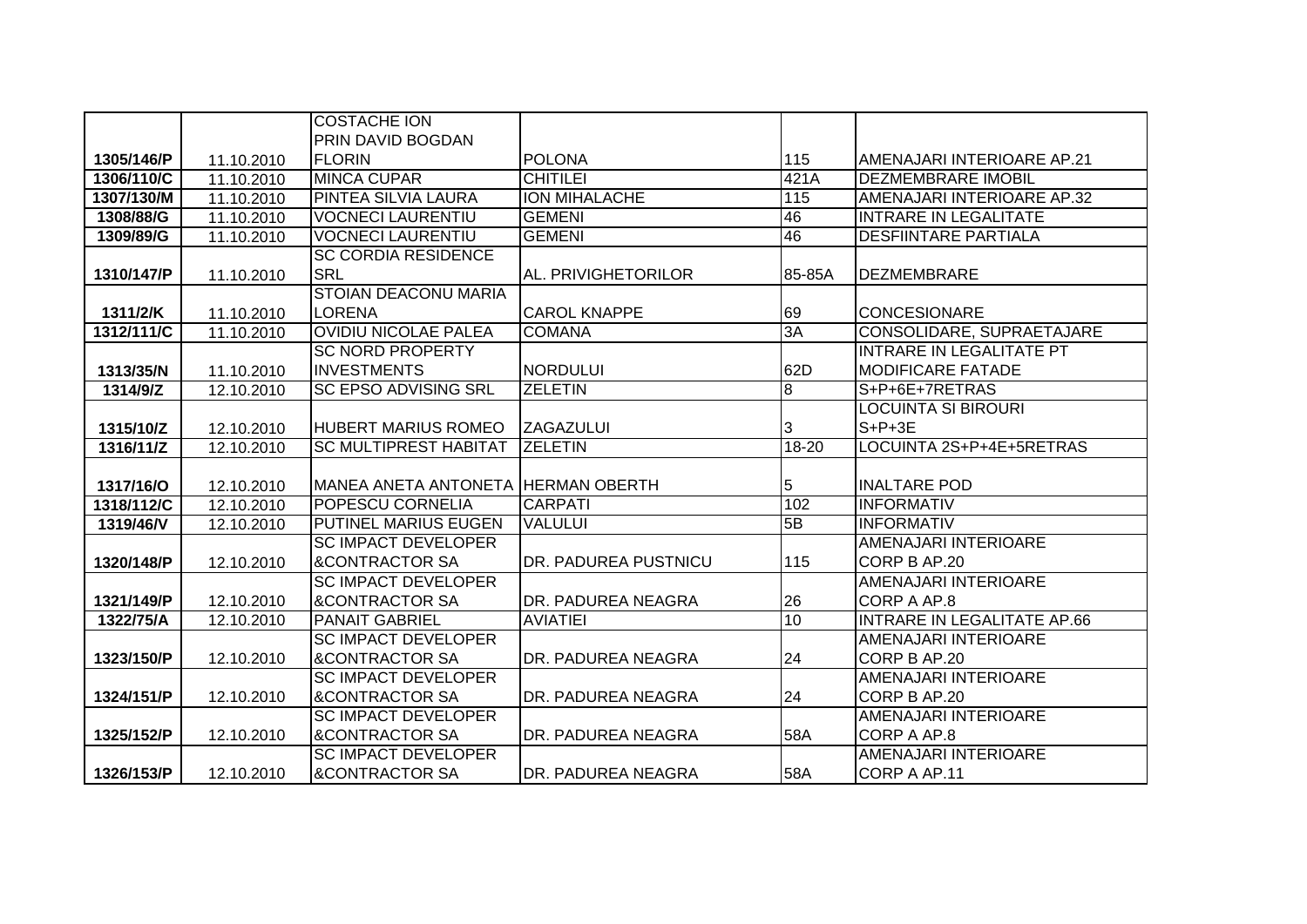|            |            | <b>COSTACHE ION</b>          |                      |                  |                                    |
|------------|------------|------------------------------|----------------------|------------------|------------------------------------|
|            |            | <b>PRIN DAVID BOGDAN</b>     |                      |                  |                                    |
| 1305/146/P | 11.10.2010 | <b>FLORIN</b>                | <b>POLONA</b>        | 115              | AMENAJARI INTERIOARE AP.21         |
| 1306/110/C | 11.10.2010 | <b>MINCA CUPAR</b>           | <b>CHITILEI</b>      | 421A             | <b>DEZMEMBRARE IMOBIL</b>          |
| 1307/130/M | 11.10.2010 | <b>PINTEA SILVIA LAURA</b>   | <b>ION MIHALACHE</b> | $\overline{115}$ | AMENAJARI INTERIOARE AP.32         |
| 1308/88/G  | 11.10.2010 | <b>VOCNECI LAURENTIU</b>     | <b>GEMENI</b>        | 46               | <b>INTRARE IN LEGALITATE</b>       |
| 1309/89/G  | 11.10.2010 | <b>VOCNECI LAURENTIU</b>     | <b>GEMENI</b>        | 46               | <b>DESFIINTARE PARTIALA</b>        |
|            |            | <b>SC CORDIA RESIDENCE</b>   |                      |                  |                                    |
| 1310/147/P | 11.10.2010 | <b>SRL</b>                   | AL. PRIVIGHETORILOR  | 85-85A           | <b>DEZMEMBRARE</b>                 |
|            |            | <b>STOIAN DEACONU MARIA</b>  |                      |                  |                                    |
| 1311/2/K   | 11.10.2010 | <b>LORENA</b>                | <b>CAROL KNAPPE</b>  | 69               | <b>CONCESIONARE</b>                |
| 1312/111/C | 11.10.2010 | <b>OVIDIU NICOLAE PALEA</b>  | <b>COMANA</b>        | 3A               | CONSOLIDARE, SUPRAETAJARE          |
|            |            | <b>SC NORD PROPERTY</b>      |                      |                  | <b>INTRARE IN LEGALITATE PT</b>    |
| 1313/35/N  | 11.10.2010 | <b>INVESTMENTS</b>           | <b>NORDULUI</b>      | 62D              | <b>MODIFICARE FATADE</b>           |
| 1314/9/Z   | 12.10.2010 | <b>SC EPSO ADVISING SRL</b>  | <b>ZELETIN</b>       | 8                | S+P+6E+7RETRAS                     |
|            |            |                              |                      |                  | LOCUINTA SI BIROURI                |
| 1315/10/Z  | 12.10.2010 | <b>HUBERT MARIUS ROMEO</b>   | <b>ZAGAZULUI</b>     | 3                | $S+P+3E$                           |
| 1316/11/Z  | 12.10.2010 | <b>SC MULTIPREST HABITAT</b> | <b>ZELETIN</b>       | 18-20            | LOCUINTA 2S+P+4E+5RETRAS           |
|            |            |                              |                      |                  |                                    |
| 1317/16/O  | 12.10.2010 | <b>MANEA ANETA ANTONETA</b>  | <b>HERMAN OBERTH</b> | 5                | <b>INALTARE POD</b>                |
| 1318/112/C | 12.10.2010 | <b>POPESCU CORNELIA</b>      | <b>CARPATI</b>       | 102              | <b>INFORMATIV</b>                  |
| 1319/46/V  | 12.10.2010 | PUTINEL MARIUS EUGEN         | <b>VALULUI</b>       | 5B               | <b>INFORMATIV</b>                  |
|            |            | <b>SC IMPACT DEVELOPER</b>   |                      |                  | AMENAJARI INTERIOARE               |
| 1320/148/P | 12.10.2010 | <b>&amp;CONTRACTOR SA</b>    | DR. PADUREA PUSTNICU | 115              | CORP B AP.20                       |
|            |            | <b>SC IMPACT DEVELOPER</b>   |                      |                  | <b>AMENAJARI INTERIOARE</b>        |
| 1321/149/P | 12.10.2010 | <b>&amp;CONTRACTOR SA</b>    | DR. PADUREA NEAGRA   | 26               | CORP A AP.8                        |
| 1322/75/A  | 12.10.2010 | <b>PANAIT GABRIEL</b>        | <b>AVIATIEI</b>      | 10               | <b>INTRARE IN LEGALITATE AP.66</b> |
|            |            | <b>SC IMPACT DEVELOPER</b>   |                      |                  | AMENAJARI INTERIOARE               |
| 1323/150/P | 12.10.2010 | <b>&amp;CONTRACTOR SA</b>    | DR. PADUREA NEAGRA   | 24               | CORP B AP.20                       |
|            |            | <b>SC IMPACT DEVELOPER</b>   |                      |                  | AMENAJARI INTERIOARE               |
| 1324/151/P | 12.10.2010 | <b>&amp;CONTRACTOR SA</b>    | DR. PADUREA NEAGRA   | 24               | CORP B AP.20                       |
|            |            | <b>SC IMPACT DEVELOPER</b>   |                      |                  | AMENAJARI INTERIOARE               |
| 1325/152/P | 12.10.2010 | <b>&amp;CONTRACTOR SA</b>    | DR. PADUREA NEAGRA   | 58A              | CORP A AP.8                        |
|            |            | <b>SC IMPACT DEVELOPER</b>   |                      |                  | AMENAJARI INTERIOARE               |
| 1326/153/P | 12.10.2010 | <b>&amp;CONTRACTOR SA</b>    | DR. PADUREA NEAGRA   | 58A              | CORP A AP.11                       |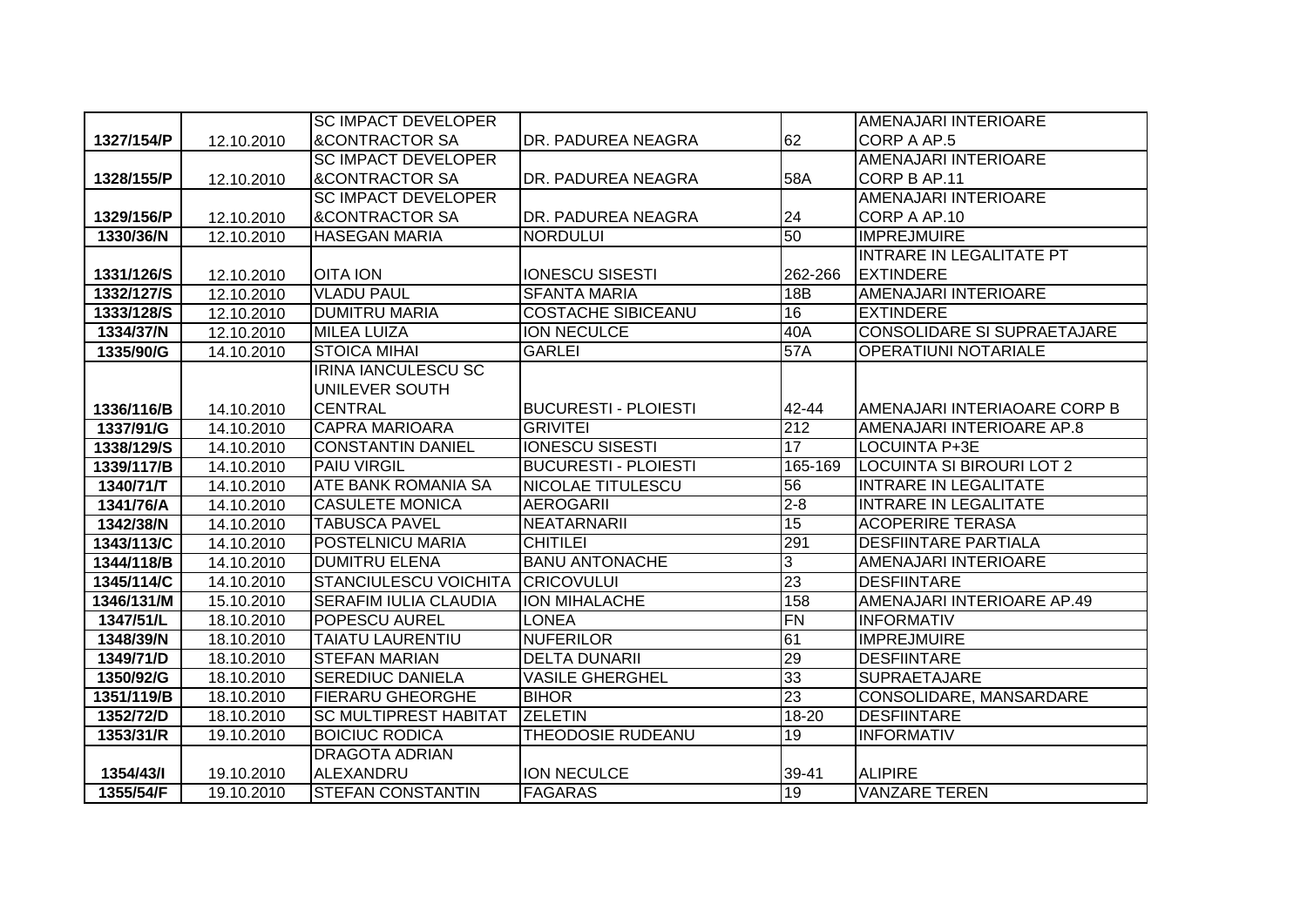|            |            | <b>SC IMPACT DEVELOPER</b>   |                             |           | AMENAJARI INTERIOARE               |
|------------|------------|------------------------------|-----------------------------|-----------|------------------------------------|
| 1327/154/P | 12.10.2010 | <b>&amp;CONTRACTOR SA</b>    | DR. PADUREA NEAGRA          | 62        | CORP A AP.5                        |
|            |            | <b>SC IMPACT DEVELOPER</b>   |                             |           | AMENAJARI INTERIOARE               |
| 1328/155/P | 12.10.2010 | <b>&amp;CONTRACTOR SA</b>    | DR. PADUREA NEAGRA          | 58A       | CORP B AP.11                       |
|            |            | <b>SC IMPACT DEVELOPER</b>   |                             |           | AMENAJARI INTERIOARE               |
| 1329/156/P | 12.10.2010 | <b>&amp;CONTRACTOR SA</b>    | DR. PADUREA NEAGRA          | 24        | CORP A AP.10                       |
| 1330/36/N  | 12.10.2010 | <b>HASEGAN MARIA</b>         | <b>NORDULUI</b>             | 50        | <b>IMPREJMUIRE</b>                 |
|            |            |                              |                             |           | <b>INTRARE IN LEGALITATE PT</b>    |
| 1331/126/S | 12.10.2010 | <b>OITA ION</b>              | <b>IONESCU SISESTI</b>      | 262-266   | <b>EXTINDERE</b>                   |
| 1332/127/S | 12.10.2010 | <b>VLADU PAUL</b>            | <b>SFANTA MARIA</b>         | 18B       | <b>AMENAJARI INTERIOARE</b>        |
| 1333/128/S | 12.10.2010 | <b>IDUMITRU MARIA</b>        | <b>COSTACHE SIBICEANU</b>   | 16        | <b>EXTINDERE</b>                   |
| 1334/37/N  | 12.10.2010 | <b>MILEA LUIZA</b>           | <b>ION NECULCE</b>          | 40A       | <b>CONSOLIDARE SI SUPRAETAJARE</b> |
| 1335/90/G  | 14.10.2010 | <b>STOICA MIHAI</b>          | <b>GARLEI</b>               | 57A       | <b>OPERATIUNI NOTARIALE</b>        |
|            |            | <b>IRINA IANCULESCU SC</b>   |                             |           |                                    |
|            |            | UNILEVER SOUTH               |                             |           |                                    |
| 1336/116/B | 14.10.2010 | <b>CENTRAL</b>               | <b>BUCURESTI - PLOIESTI</b> | 42-44     | AMENAJARI INTERIAOARE CORP B       |
| 1337/91/G  | 14.10.2010 | <b>CAPRA MARIOARA</b>        | <b>GRIVITEI</b>             | 212       | AMENAJARI INTERIOARE AP.8          |
| 1338/129/S | 14.10.2010 | <b>CONSTANTIN DANIEL</b>     | <b>IONESCU SISESTI</b>      | 17        | <b>LOCUINTA P+3E</b>               |
| 1339/117/B | 14.10.2010 | <b>PAIU VIRGIL</b>           | <b>BUCURESTI - PLOIESTI</b> | 165-169   | LOCUINTA SI BIROURI LOT 2          |
| 1340/71/T  | 14.10.2010 | <b>ATE BANK ROMANIA SA</b>   | NICOLAE TITULESCU           | 56        | <b>INTRARE IN LEGALITATE</b>       |
| 1341/76/A  | 14.10.2010 | <b>CASULETE MONICA</b>       | <b>AEROGARII</b>            | $2 - 8$   | <b>INTRARE IN LEGALITATE</b>       |
| 1342/38/N  | 14.10.2010 | <b>TABUSCA PAVEL</b>         | <b>NEATARNARII</b>          | 15        | <b>ACOPERIRE TERASA</b>            |
| 1343/113/C | 14.10.2010 | <b>POSTELNICU MARIA</b>      | <b>CHITILEI</b>             | 291       | <b>DESFIINTARE PARTIALA</b>        |
| 1344/118/B | 14.10.2010 | <b>DUMITRU ELENA</b>         | <b>BANU ANTONACHE</b>       | 3         | AMENAJARI INTERIOARE               |
| 1345/114/C | 14.10.2010 | <b>STANCIULESCU VOICHITA</b> | <b>CRICOVULUI</b>           | 23        | <b>DESFIINTARE</b>                 |
| 1346/131/M | 15.10.2010 | <b>SERAFIM IULIA CLAUDIA</b> | <b>ION MIHALACHE</b>        | 158       | AMENAJARI INTERIOARE AP.49         |
| 1347/51/L  | 18.10.2010 | <b>POPESCU AUREL</b>         | <b>LONEA</b>                | FN        | <b>INFORMATIV</b>                  |
| 1348/39/N  | 18.10.2010 | <b>TAIATU LAURENTIU</b>      | <b>NUFERILOR</b>            | 61        | <b>IMPREJMUIRE</b>                 |
| 1349/71/D  | 18.10.2010 | <b>STEFAN MARIAN</b>         | <b>DELTA DUNARII</b>        | 29        | <b>DESFIINTARE</b>                 |
| 1350/92/G  | 18.10.2010 | <b>SEREDIUC DANIELA</b>      | <b>VASILE GHERGHEL</b>      | 33        | <b>SUPRAETAJARE</b>                |
| 1351/119/B | 18.10.2010 | <b>FIERARU GHEORGHE</b>      | <b>BIHOR</b>                | 23        | CONSOLIDARE, MANSARDARE            |
| 1352/72/D  | 18.10.2010 | <b>SC MULTIPREST HABITAT</b> | <b>ZELETIN</b>              | $18 - 20$ | <b>DESFIINTARE</b>                 |
| 1353/31/R  | 19.10.2010 | <b>BOICIUC RODICA</b>        | <b>THEODOSIE RUDEANU</b>    | 19        | <b>INFORMATIV</b>                  |
|            |            | <b>DRAGOTA ADRIAN</b>        |                             |           |                                    |
| 1354/43/1  |            | ALEXANDRU                    | <b>ION NECULCE</b>          | 39-41     | <b>ALIPIRE</b>                     |
|            | 19.10.2010 |                              |                             |           |                                    |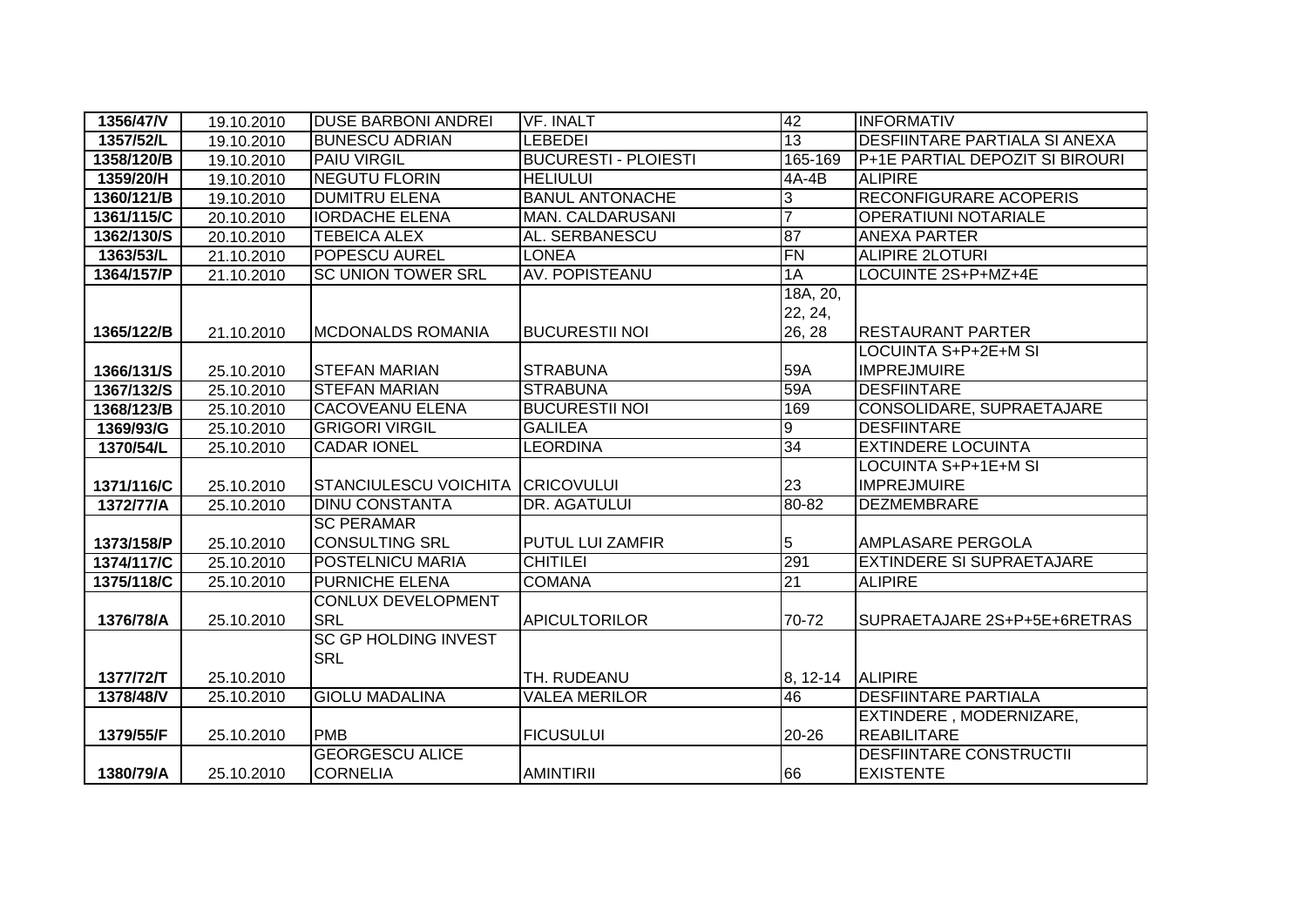| 1356/47/V  | 19.10.2010 | <b>DUSE BARBONI ANDREI</b>                 | <b>VF. INALT</b>            | 42                            | <b>INFORMATIV</b>                          |
|------------|------------|--------------------------------------------|-----------------------------|-------------------------------|--------------------------------------------|
| 1357/52/L  | 19.10.2010 | <b>BUNESCU ADRIAN</b>                      | <b>LEBEDEI</b>              | 13                            | <b>DESFIINTARE PARTIALA SI ANEXA</b>       |
| 1358/120/B | 19.10.2010 | <b>PAIU VIRGIL</b>                         | <b>BUCURESTI - PLOIESTI</b> | 165-169                       | P+1E PARTIAL DEPOZIT SI BIROURI            |
| 1359/20/H  | 19.10.2010 | <b>NEGUTU FLORIN</b>                       | <b>HELIULUI</b>             | 4A-4B                         | <b>ALIPIRE</b>                             |
| 1360/121/B | 19.10.2010 | <b>DUMITRU ELENA</b>                       | <b>BANUL ANTONACHE</b>      | 3                             | <b>RECONFIGURARE ACOPERIS</b>              |
| 1361/115/C | 20.10.2010 | <b>IORDACHE ELENA</b>                      | <b>MAN. CALDARUSANI</b>     | $\overline{7}$                | <b>OPERATIUNI NOTARIALE</b>                |
| 1362/130/S | 20.10.2010 | <b>TEBEICA ALEX</b>                        | AL. SERBANESCU              | 87                            | <b>ANEXA PARTER</b>                        |
| 1363/53/L  | 21.10.2010 | <b>POPESCU AUREL</b>                       | LONEA                       | FN                            | <b>ALIPIRE 2LOTURI</b>                     |
| 1364/157/P | 21.10.2010 | <b>SC UNION TOWER SRL</b>                  | <b>AV. POPISTEANU</b>       | 1A                            | LOCUINTE 2S+P+MZ+4E                        |
| 1365/122/B | 21.10.2010 | <b>MCDONALDS ROMANIA</b>                   | <b>BUCURESTII NOI</b>       | 18A, 20,<br>22, 24,<br>26, 28 | <b>RESTAURANT PARTER</b>                   |
|            |            |                                            |                             |                               | LOCUINTA S+P+2E+M SI                       |
| 1366/131/S | 25.10.2010 | <b>STEFAN MARIAN</b>                       | <b>STRABUNA</b>             | 59A                           | <b>IMPREJMUIRE</b>                         |
| 1367/132/S | 25.10.2010 | <b>STEFAN MARIAN</b>                       | <b>STRABUNA</b>             | 59A                           | <b>DESFIINTARE</b>                         |
| 1368/123/B | 25.10.2010 | <b>CACOVEANU ELENA</b>                     | <b>BUCURESTII NOI</b>       | 169                           | CONSOLIDARE, SUPRAETAJARE                  |
| 1369/93/G  | 25.10.2010 | <b>GRIGORI VIRGIL</b>                      | <b>GALILEA</b>              | 9                             | <b>DESFIINTARE</b>                         |
| 1370/54/L  | 25.10.2010 | <b>CADAR IONEL</b>                         | <b>LEORDINA</b>             | 34                            | <b>EXTINDERE LOCUINTA</b>                  |
| 1371/116/C | 25.10.2010 | <b>STANCIULESCU VOICHITA</b>               | <b>CRICOVULUI</b>           | 23                            | LOCUINTA S+P+1E+M SI<br><b>IMPREJMUIRE</b> |
| 1372/77/A  | 25.10.2010 | <b>DINU CONSTANTA</b>                      | DR. AGATULUI                | 80-82                         | <b>DEZMEMBRARE</b>                         |
| 1373/158/P | 25.10.2010 | <b>SC PERAMAR</b><br><b>CONSULTING SRL</b> | PUTUL LUI ZAMFIR            | 5                             | <b>AMPLASARE PERGOLA</b>                   |
| 1374/117/C | 25.10.2010 | POSTELNICU MARIA                           | <b>CHITILEI</b>             | 291                           | <b>EXTINDERE SI SUPRAETAJARE</b>           |
| 1375/118/C | 25.10.2010 | <b>PURNICHE ELENA</b>                      | <b>COMANA</b>               | 21                            | <b>ALIPIRE</b>                             |
| 1376/78/A  | 25.10.2010 | <b>CONLUX DEVELOPMENT</b><br><b>SRL</b>    | <b>APICULTORILOR</b>        | 70-72                         | SUPRAETAJARE 2S+P+5E+6RETRAS               |
| 1377/72/T  | 25.10.2010 | <b>SC GP HOLDING INVEST</b><br><b>SRL</b>  | TH. RUDEANU                 | 8, 12-14                      | <b>ALIPIRE</b>                             |
| 1378/48/V  | 25.10.2010 | <b>GIOLU MADALINA</b>                      | <b>VALEA MERILOR</b>        | 46                            | <b>DESFIINTARE PARTIALA</b>                |
|            |            |                                            |                             |                               | EXTINDERE, MODERNIZARE,                    |
| 1379/55/F  | 25.10.2010 | <b>PMB</b>                                 | <b>FICUSULUI</b>            | 20-26                         | <b>REABILITARE</b>                         |
|            |            | <b>GEORGESCU ALICE</b>                     |                             |                               | <b>DESFIINTARE CONSTRUCTII</b>             |
| 1380/79/A  | 25.10.2010 | <b>CORNELIA</b>                            | <b>AMINTIRII</b>            | 66                            | <b>EXISTENTE</b>                           |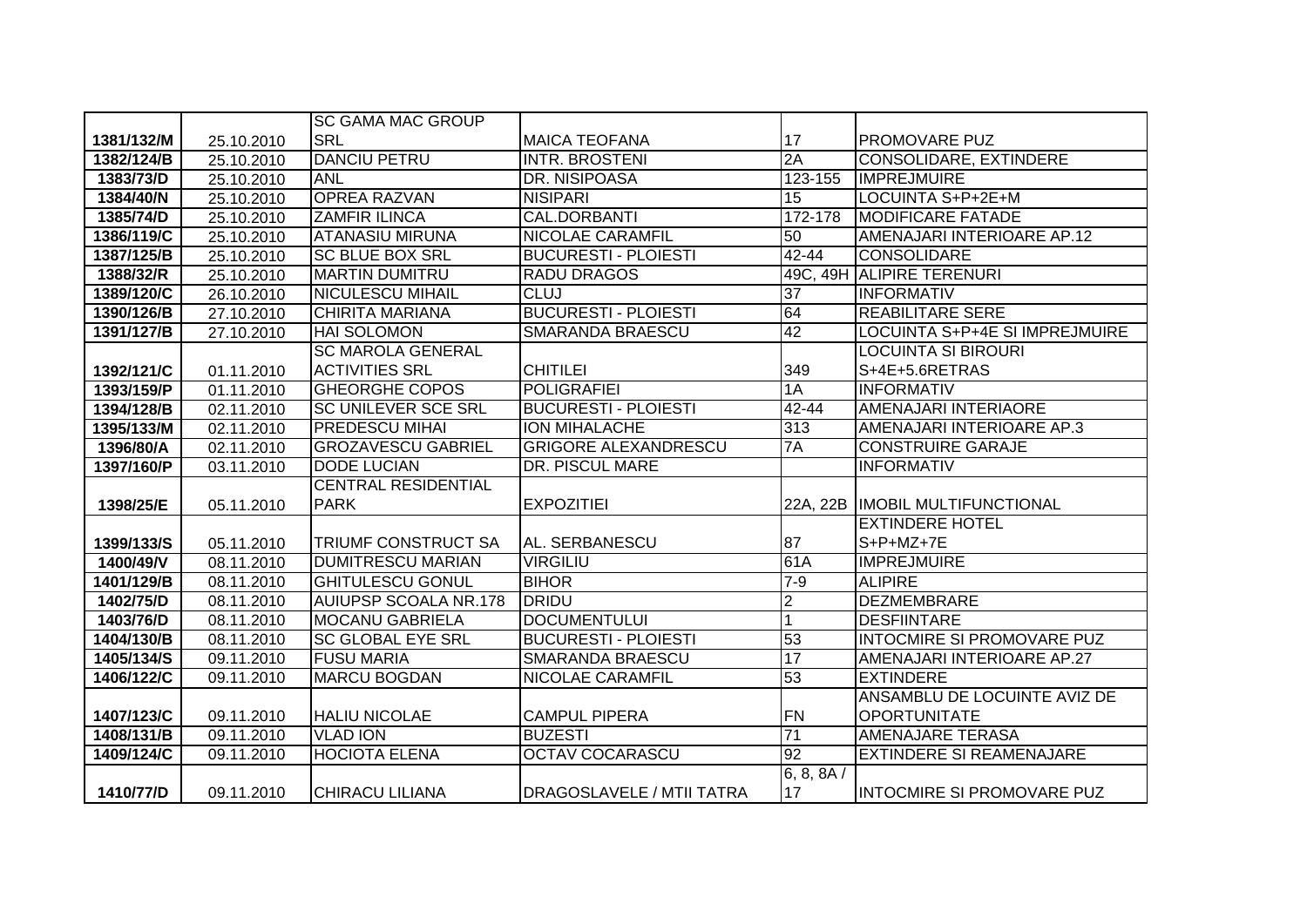|            |            | <b>SC GAMA MAC GROUP</b>     |                                  |                 |                                   |
|------------|------------|------------------------------|----------------------------------|-----------------|-----------------------------------|
| 1381/132/M | 25.10.2010 | <b>SRL</b>                   | <b>MAICA TEOFANA</b>             | 17              | PROMOVARE PUZ                     |
| 1382/124/B | 25.10.2010 | <b>DANCIU PETRU</b>          | <b>INTR. BROSTENI</b>            | 2A              | <b>CONSOLIDARE, EXTINDERE</b>     |
| 1383/73/D  | 25.10.2010 | <b>ANL</b>                   | DR. NISIPOASA                    | $123 - 155$     | <b>IMPREJMUIRE</b>                |
| 1384/40/N  | 25.10.2010 | <b>OPREA RAZVAN</b>          | <b>NISIPARI</b>                  | 15              | LOCUINTA S+P+2E+M                 |
| 1385/74/D  | 25.10.2010 | <b>ZAMFIR ILINCA</b>         | <b>CAL.DORBANTI</b>              | 172-178         | <b>MODIFICARE FATADE</b>          |
| 1386/119/C | 25.10.2010 | <b>ATANASIU MIRUNA</b>       | <b>NICOLAE CARAMFIL</b>          | 50              | AMENAJARI INTERIOARE AP.12        |
| 1387/125/B | 25.10.2010 | <b>SC BLUE BOX SRL</b>       | <b>BUCURESTI - PLOIESTI</b>      | $42 - 44$       | <b>CONSOLIDARE</b>                |
| 1388/32/R  | 25.10.2010 | <b>MARTIN DUMITRU</b>        | <b>RADU DRAGOS</b>               |                 | 49C, 49H ALIPIRE TERENURI         |
| 1389/120/C | 26.10.2010 | <b>NICULESCU MIHAIL</b>      | <b>CLUJ</b>                      | $\overline{37}$ | <b>INFORMATIV</b>                 |
| 1390/126/B | 27.10.2010 | <b>CHIRITA MARIANA</b>       | <b>BUCURESTI - PLOIESTI</b>      | 64              | <b>REABILITARE SERE</b>           |
| 1391/127/B | 27.10.2010 | <b>HAI SOLOMON</b>           | <b>SMARANDA BRAESCU</b>          | 42              | LOCUINTA S+P+4E SI IMPREJMUIRE    |
|            |            | <b>SC MAROLA GENERAL</b>     |                                  |                 | LOCUINTA SI BIROURI               |
| 1392/121/C | 01.11.2010 | <b>ACTIVITIES SRL</b>        | <b>CHITILEI</b>                  | 349             | S+4E+5.6RETRAS                    |
| 1393/159/P | 01.11.2010 | <b>GHEORGHE COPOS</b>        | <b>POLIGRAFIEI</b>               | 1A              | <b>INFORMATIV</b>                 |
| 1394/128/B | 02.11.2010 | <b>SC UNILEVER SCE SRL</b>   | <b>BUCURESTI - PLOIESTI</b>      | $42 - 44$       | <b>AMENAJARI INTERIAORE</b>       |
| 1395/133/M | 02.11.2010 | <b>PREDESCU MIHAI</b>        | <b>ION MIHALACHE</b>             | 313             | AMENAJARI INTERIOARE AP.3         |
| 1396/80/A  | 02.11.2010 | <b>GROZAVESCU GABRIEL</b>    | <b>GRIGORE ALEXANDRESCU</b>      | 7A              | <b>CONSTRUIRE GARAJE</b>          |
| 1397/160/P | 03.11.2010 | <b>DODE LUCIAN</b>           | <b>DR. PISCUL MARE</b>           |                 | <b>INFORMATIV</b>                 |
|            |            | <b>CENTRAL RESIDENTIAL</b>   |                                  |                 |                                   |
| 1398/25/E  | 05.11.2010 | <b>PARK</b>                  | <b>EXPOZITIEI</b>                | 22A, 22B        | <b>IMOBIL MULTIFUNCTIONAL</b>     |
|            |            |                              |                                  |                 | <b>EXTINDERE HOTEL</b>            |
| 1399/133/S | 05.11.2010 | TRIUMF CONSTRUCT SA          | AL. SERBANESCU                   | 87              | S+P+MZ+7E                         |
| 1400/49/V  | 08.11.2010 | <b>DUMITRESCU MARIAN</b>     | <b>VIRGILIU</b>                  | 61A             | <b>IMPREJMUIRE</b>                |
| 1401/129/B | 08.11.2010 | <b>GHITULESCU GONUL</b>      | <b>BIHOR</b>                     | $7-9$           | <b>ALIPIRE</b>                    |
| 1402/75/D  | 08.11.2010 | <b>AUIUPSP SCOALA NR.178</b> | <b>DRIDU</b>                     | $\overline{2}$  | <b>DEZMEMBRARE</b>                |
| 1403/76/D  | 08.11.2010 | <b>MOCANU GABRIELA</b>       | <b>DOCUMENTULUI</b>              | 1               | <b>DESFIINTARE</b>                |
| 1404/130/B | 08.11.2010 | <b>SC GLOBAL EYE SRL</b>     | <b>BUCURESTI - PLOIESTI</b>      | 53              | <b>INTOCMIRE SI PROMOVARE PUZ</b> |
| 1405/134/S | 09.11.2010 | <b>FUSU MARIA</b>            | SMARANDA BRAESCU                 | 17              | AMENAJARI INTERIOARE AP.27        |
| 1406/122/C | 09.11.2010 | <b>MARCU BOGDAN</b>          | NICOLAE CARAMFIL                 | 53              | <b>EXTINDERE</b>                  |
|            |            |                              |                                  |                 | ANSAMBLU DE LOCUINTE AVIZ DE      |
| 1407/123/C | 09.11.2010 | <b>HALIU NICOLAE</b>         | <b>CAMPUL PIPERA</b>             | FN              | <b>OPORTUNITATE</b>               |
| 1408/131/B | 09.11.2010 | <b>VLAD ION</b>              | <b>BUZESTI</b>                   | $\overline{71}$ | <b>AMENAJARE TERASA</b>           |
| 1409/124/C | 09.11.2010 | <b>HOCIOTA ELENA</b>         | <b>OCTAV COCARASCU</b>           | 92              | <b>EXTINDERE SI REAMENAJARE</b>   |
|            |            |                              |                                  | 6, 8, 8A/       |                                   |
| 1410/77/D  | 09.11.2010 | <b>CHIRACU LILIANA</b>       | <b>DRAGOSLAVELE / MTII TATRA</b> | 17              | <b>INTOCMIRE SI PROMOVARE PUZ</b> |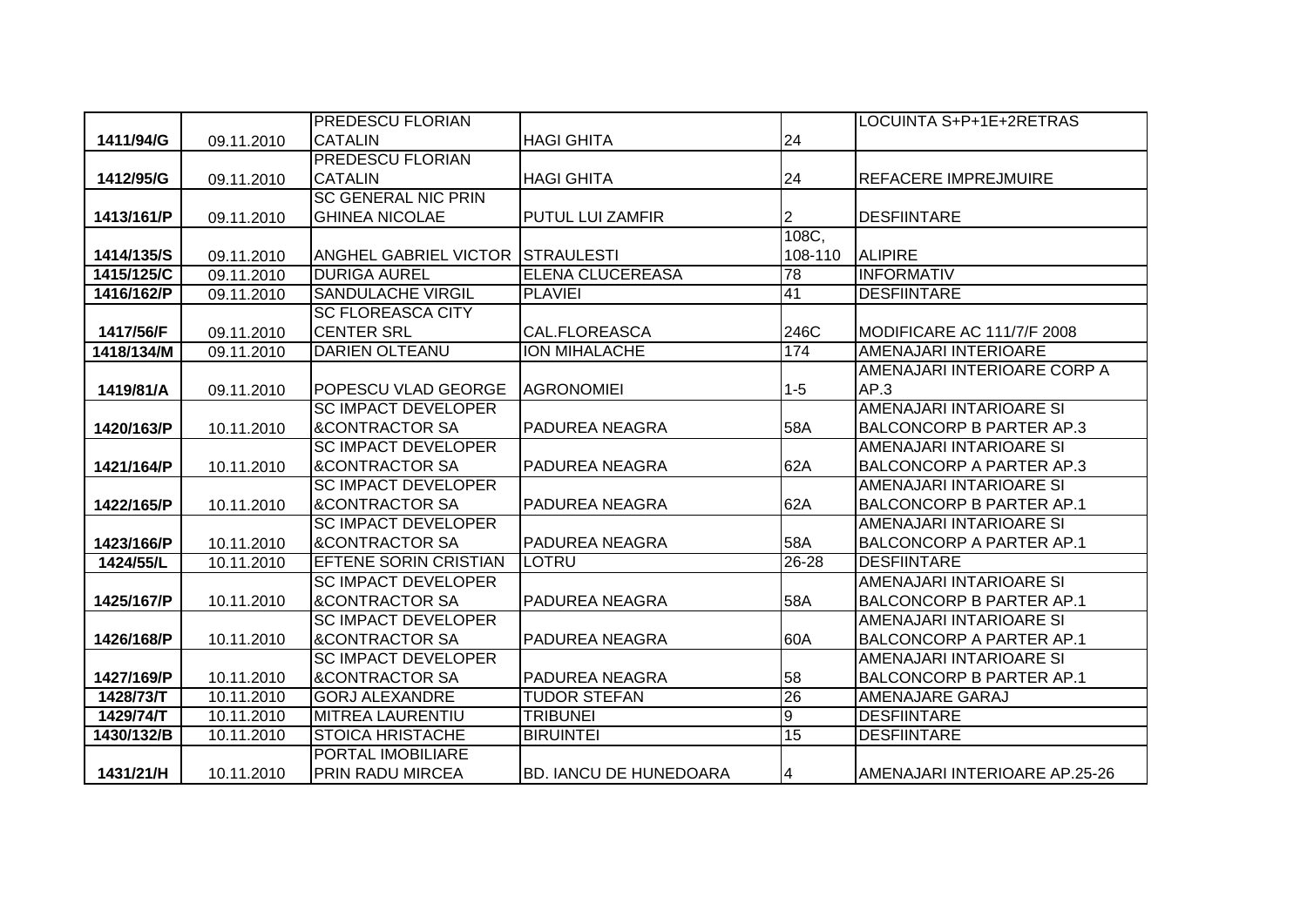|            |            | <b>PREDESCU FLORIAN</b>          |                               |           | LOCUINTA S+P+1E+2RETRAS         |
|------------|------------|----------------------------------|-------------------------------|-----------|---------------------------------|
| 1411/94/G  | 09.11.2010 | <b>CATALIN</b>                   | <b>HAGI GHITA</b>             | 24        |                                 |
|            |            | <b>PREDESCU FLORIAN</b>          |                               |           |                                 |
| 1412/95/G  | 09.11.2010 | <b>CATALIN</b>                   | <b>HAGI GHITA</b>             | 24        | <b>REFACERE IMPREJMUIRE</b>     |
|            |            | <b>SC GENERAL NIC PRIN</b>       |                               |           |                                 |
| 1413/161/P | 09.11.2010 | <b>GHINEA NICOLAE</b>            | <b>PUTUL LUI ZAMFIR</b>       | 2         | <b>DESFIINTARE</b>              |
|            |            |                                  |                               | 108C,     |                                 |
| 1414/135/S | 09.11.2010 | ANGHEL GABRIEL VICTOR STRAULESTI |                               | 108-110   | <b>ALIPIRE</b>                  |
| 1415/125/C | 09.11.2010 | <b>DURIGA AUREL</b>              | ELENA CLUCEREASA              | 78        | <b>INFORMATIV</b>               |
| 1416/162/P | 09.11.2010 | <b>SANDULACHE VIRGIL</b>         | <b>PLAVIEI</b>                | 41        | <b>DESFIINTARE</b>              |
|            |            | <b>SC FLOREASCA CITY</b>         |                               |           |                                 |
| 1417/56/F  | 09.11.2010 | <b>CENTER SRL</b>                | CAL.FLOREASCA                 | 246C      | MODIFICARE AC 111/7/F 2008      |
| 1418/134/M | 09.11.2010 | <b>DARIEN OLTEANU</b>            | <b>ION MIHALACHE</b>          | 174       | AMENAJARI INTERIOARE            |
|            |            |                                  |                               |           | AMENAJARI INTERIOARE CORP A     |
| 1419/81/A  | 09.11.2010 | POPESCU VLAD GEORGE              | <b>AGRONOMIEI</b>             | $1-5$     | AP.3                            |
|            |            | <b>SC IMPACT DEVELOPER</b>       |                               |           | AMENAJARI INTARIOARE SI         |
| 1420/163/P | 10.11.2010 | <b>&amp;CONTRACTOR SA</b>        | PADUREA NEAGRA                | 58A       | <b>BALCONCORP B PARTER AP.3</b> |
|            |            | <b>SC IMPACT DEVELOPER</b>       |                               |           | AMENAJARI INTARIOARE SI         |
| 1421/164/P | 10.11.2010 | <b>&amp;CONTRACTOR SA</b>        | <b>PADUREA NEAGRA</b>         | 62A       | <b>BALCONCORP A PARTER AP.3</b> |
|            |            | <b>SC IMPACT DEVELOPER</b>       |                               |           | AMENAJARI INTARIOARE SI         |
| 1422/165/P | 10.11.2010 | <b>&amp;CONTRACTOR SA</b>        | PADUREA NEAGRA                | 62A       | <b>BALCONCORP B PARTER AP.1</b> |
|            |            | <b>SC IMPACT DEVELOPER</b>       |                               |           | AMENAJARI INTARIOARE SI         |
| 1423/166/P | 10.11.2010 | <b>&amp;CONTRACTOR SA</b>        | PADUREA NEAGRA                | 58A       | <b>BALCONCORP A PARTER AP.1</b> |
| 1424/55/L  | 10.11.2010 | <b>EFTENE SORIN CRISTIAN</b>     | <b>LOTRU</b>                  | $26 - 28$ | <b>DESFIINTARE</b>              |
|            |            | <b>SC IMPACT DEVELOPER</b>       |                               |           | AMENAJARI INTARIOARE SI         |
| 1425/167/P | 10.11.2010 | <b>&amp;CONTRACTOR SA</b>        | PADUREA NEAGRA                | 58A       | <b>BALCONCORP B PARTER AP.1</b> |
|            |            | <b>SC IMPACT DEVELOPER</b>       |                               |           | AMENAJARI INTARIOARE SI         |
| 1426/168/P | 10.11.2010 | <b>&amp;CONTRACTOR SA</b>        | <b>PADUREA NEAGRA</b>         | 60A       | <b>BALCONCORP A PARTER AP.1</b> |
|            |            | <b>SC IMPACT DEVELOPER</b>       |                               |           | AMENAJARI INTARIOARE SI         |
| 1427/169/P | 10.11.2010 | <b>&amp;CONTRACTOR SA</b>        | PADUREA NEAGRA                | 58        | <b>BALCONCORP B PARTER AP.1</b> |
| 1428/73/T  | 10.11.2010 | <b>GORJ ALEXANDRE</b>            | <b>TUDOR STEFAN</b>           | 26        | <b>AMENAJARE GARAJ</b>          |
| 1429/74/T  | 10.11.2010 | <b>MITREA LAURENTIU</b>          | <b>TRIBUNEI</b>               | ю         | <b>DESFIINTARE</b>              |
| 1430/132/B | 10.11.2010 | <b>STOICA HRISTACHE</b>          | <b>BIRUINTEI</b>              | 15        | <b>DESFIINTARE</b>              |
|            |            | PORTAL IMOBILIARE                |                               |           |                                 |
| 1431/21/H  | 10.11.2010 | <b>PRIN RADU MIRCEA</b>          | <b>BD. IANCU DE HUNEDOARA</b> | 4         | AMENAJARI INTERIOARE AP.25-26   |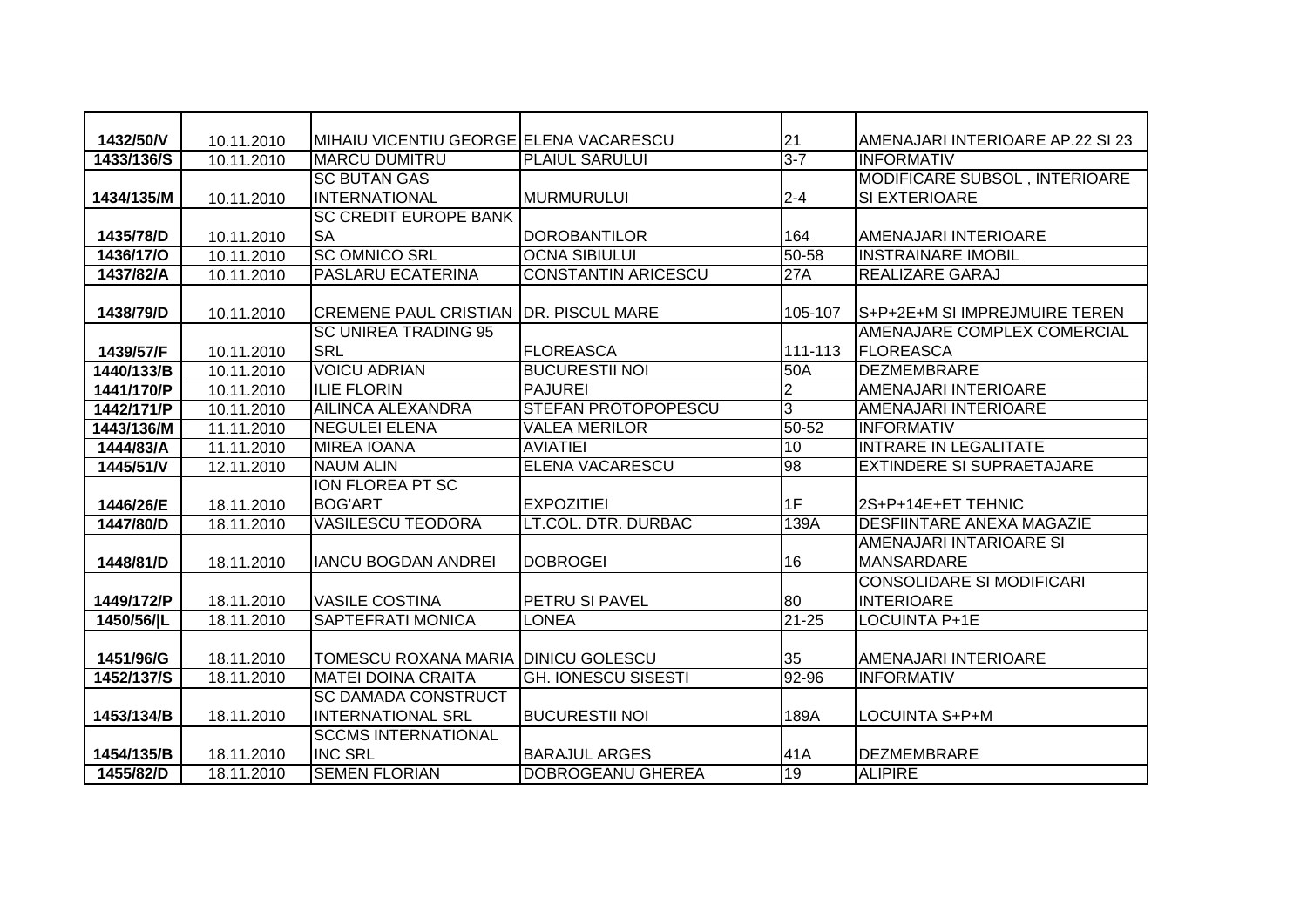| 1432/50/V  | 10.11.2010 | MIHAIU VICENTIU GEORGE ELENA VACARESCU       |                            | 21             | AMENAJARI INTERIOARE AP.22 SI 23 |
|------------|------------|----------------------------------------------|----------------------------|----------------|----------------------------------|
| 1433/136/S | 10.11.2010 | <b>MARCU DUMITRU</b>                         | <b>PLAIUL SARULUI</b>      | $3 - 7$        | <b>INFORMATIV</b>                |
|            |            | <b>SC BUTAN GAS</b>                          |                            |                | MODIFICARE SUBSOL, INTERIOARE    |
| 1434/135/M | 10.11.2010 | <b>INTERNATIONAL</b>                         | MURMURULUI                 | $2 - 4$        | SI EXTERIOARE                    |
|            |            | <b>SC CREDIT EUROPE BANK</b>                 |                            |                |                                  |
| 1435/78/D  | 10.11.2010 | <b>SA</b>                                    | <b>DOROBANTILOR</b>        | 164            | AMENAJARI INTERIOARE             |
| 1436/17/0  | 10.11.2010 | <b>SC OMNICO SRL</b>                         | <b>OCNA SIBIULUI</b>       | $50 - 58$      | <b>INSTRAINARE IMOBIL</b>        |
| 1437/82/A  | 10.11.2010 | <b>PASLARU ECATERINA</b>                     | <b>CONSTANTIN ARICESCU</b> | 27A            | <b>REALIZARE GARAJ</b>           |
|            |            |                                              |                            |                |                                  |
| 1438/79/D  | 10.11.2010 | <b>CREMENE PAUL CRISTIAN DR. PISCUL MARE</b> |                            | 105-107        | S+P+2E+M SI IMPREJMUIRE TEREN    |
|            |            | <b>SC UNIREA TRADING 95</b>                  |                            |                | AMENAJARE COMPLEX COMERCIAL      |
| 1439/57/F  | 10.11.2010 | <b>SRL</b>                                   | <b>FLOREASCA</b>           | 111-113        | FLOREASCA                        |
| 1440/133/B | 10.11.2010 | <b>VOICU ADRIAN</b>                          | <b>BUCURESTII NOI</b>      | 50A            | <b>DEZMEMBRARE</b>               |
| 1441/170/P | 10.11.2010 | <b>ILIE FLORIN</b>                           | <b>PAJUREI</b>             | $\overline{2}$ | AMENAJARI INTERIOARE             |
| 1442/171/P | 10.11.2010 | <b>AILINCA ALEXANDRA</b>                     | <b>STEFAN PROTOPOPESCU</b> | 3              | AMENAJARI INTERIOARE             |
| 1443/136/M | 11.11.2010 | <b>NEGULEI ELENA</b>                         | <b>VALEA MERILOR</b>       | $50 - 52$      | <b>INFORMATIV</b>                |
| 1444/83/A  | 11.11.2010 | <b>MIREA IOANA</b>                           | <b>AVIATIEI</b>            | 10             | <b>INTRARE IN LEGALITATE</b>     |
| 1445/51/V  | 12.11.2010 | <b>NAUM ALIN</b>                             | <b>ELENA VACARESCU</b>     | 86             | <b>EXTINDERE SI SUPRAETAJARE</b> |
|            |            | ION FLOREA PT SC                             |                            |                |                                  |
| 1446/26/E  | 18.11.2010 | <b>BOG'ART</b>                               | <b>EXPOZITIEI</b>          | 1F             | 2S+P+14E+ET TEHNIC               |
| 1447/80/D  | 18.11.2010 | <b>VASILESCU TEODORA</b>                     | LT.COL. DTR. DURBAC        | 139A           | <b>DESFIINTARE ANEXA MAGAZIE</b> |
|            |            |                                              |                            |                | AMENAJARI INTARIOARE SI          |
| 1448/81/D  | 18.11.2010 | <b>IANCU BOGDAN ANDREI</b>                   | <b>DOBROGEI</b>            | 16             | <b>MANSARDARE</b>                |
|            |            |                                              |                            |                | <b>CONSOLIDARE SI MODIFICARI</b> |
| 1449/172/P | 18.11.2010 | <b>VASILE COSTINA</b>                        | PETRU SI PAVEL             | 80             | <b>INTERIOARE</b>                |
| 1450/56/ L | 18.11.2010 | <b>SAPTEFRATI MONICA</b>                     | <b>LONEA</b>               | $21 - 25$      | <b>LOCUINTA P+1E</b>             |
|            |            |                                              |                            |                |                                  |
| 1451/96/G  | 18.11.2010 | TOMESCU ROXANA MARIA DINICU GOLESCU          |                            | 35             | AMENAJARI INTERIOARE             |
| 1452/137/S | 18.11.2010 | <b>MATEI DOINA CRAITA</b>                    | <b>GH. IONESCU SISESTI</b> | $92 - 96$      | <b>INFORMATIV</b>                |
|            |            | <b>SC DAMADA CONSTRUCT</b>                   |                            |                |                                  |
| 1453/134/B | 18.11.2010 | <b>INTERNATIONAL SRL</b>                     | <b>BUCURESTII NOI</b>      | 189A           | LOCUINTA S+P+M                   |
|            |            | <b>SCCMS INTERNATIONAL</b>                   |                            |                |                                  |
| 1454/135/B | 18.11.2010 | <b>INC SRL</b>                               | <b>BARAJUL ARGES</b>       | 41A            | <b>DEZMEMBRARE</b>               |
| 1455/82/D  | 18.11.2010 | <b>SEMEN FLORIAN</b>                         | DOBROGEANU GHEREA          | 19             | <b>ALIPIRE</b>                   |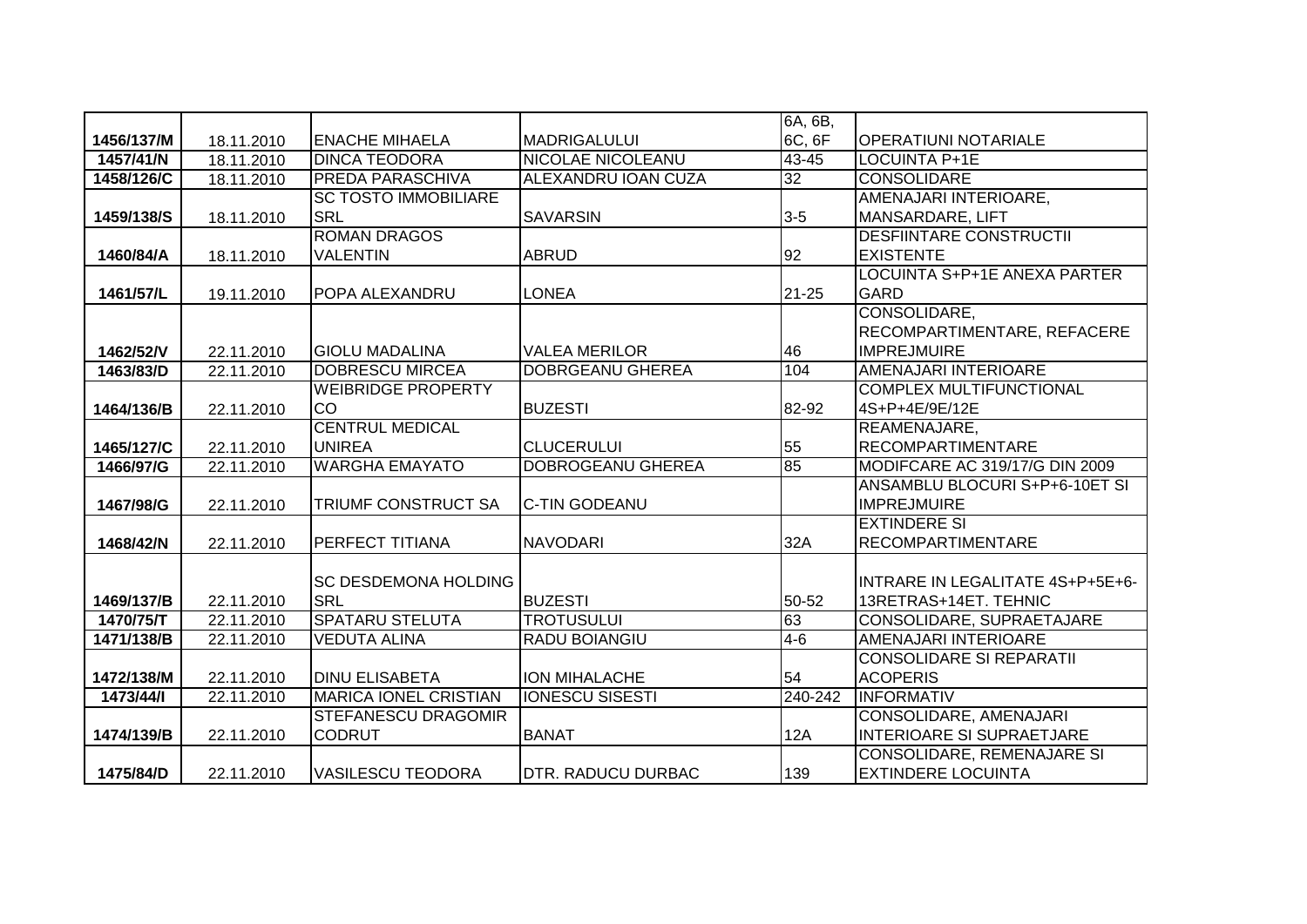|            |            |                              |                          | 6A, 6B,   |                                     |
|------------|------------|------------------------------|--------------------------|-----------|-------------------------------------|
| 1456/137/M | 18.11.2010 | <b>IENACHE MIHAELA</b>       | MADRIGALULUI             | 6C, 6F    | <b>OPERATIUNI NOTARIALE</b>         |
| 1457/41/N  | 18.11.2010 | <b>DINCA TEODORA</b>         | <b>NICOLAE NICOLEANU</b> | $43 - 45$ | <b>LOCUINTA P+1E</b>                |
| 1458/126/C | 18.11.2010 | PREDA PARASCHIVA             | ALEXANDRU IOAN CUZA      | 32        | <b>CONSOLIDARE</b>                  |
|            |            | <b>SC TOSTO IMMOBILIARE</b>  |                          |           | AMENAJARI INTERIOARE,               |
| 1459/138/S | 18.11.2010 | <b>SRL</b>                   | <b>SAVARSIN</b>          | $3-5$     | <b>MANSARDARE, LIFT</b>             |
|            |            | <b>ROMAN DRAGOS</b>          |                          |           | <b>DESFIINTARE CONSTRUCTII</b>      |
| 1460/84/A  | 18.11.2010 | <b>VALENTIN</b>              | <b>ABRUD</b>             | 92        | <b>EXISTENTE</b>                    |
|            |            |                              |                          |           | <b>LOCUINTA S+P+1E ANEXA PARTER</b> |
| 1461/57/L  | 19.11.2010 | POPA ALEXANDRU               | <b>LONEA</b>             | $21 - 25$ | <b>GARD</b>                         |
|            |            |                              |                          |           | CONSOLIDARE,                        |
|            |            |                              |                          |           | RECOMPARTIMENTARE, REFACERE         |
| 1462/52/V  | 22.11.2010 | <b>GIOLU MADALINA</b>        | <b>VALEA MERILOR</b>     | 46        | <b>IMPREJMUIRE</b>                  |
| 1463/83/D  | 22.11.2010 | <b>DOBRESCU MIRCEA</b>       | DOBRGEANU GHEREA         | 104       | <b>AMENAJARI INTERIOARE</b>         |
|            |            | <b>WEIBRIDGE PROPERTY</b>    |                          |           | <b>COMPLEX MULTIFUNCTIONAL</b>      |
| 1464/136/B | 22.11.2010 | CO                           | <b>BUZESTI</b>           | 82-92     | 4S+P+4E/9E/12E                      |
|            |            | <b>CENTRUL MEDICAL</b>       |                          |           | REAMENAJARE,                        |
| 1465/127/C | 22.11.2010 | <b>UNIREA</b>                | <b>CLUCERULUI</b>        | 55        | <b>RECOMPARTIMENTARE</b>            |
| 1466/97/G  | 22.11.2010 | <b>WARGHA EMAYATO</b>        | <b>DOBROGEANU GHEREA</b> | 85        | MODIFCARE AC 319/17/G DIN 2009      |
|            |            |                              |                          |           | ANSAMBLU BLOCURI S+P+6-10ET SI      |
| 1467/98/G  | 22.11.2010 | TRIUMF CONSTRUCT SA          | <b>C-TIN GODEANU</b>     |           | <b>IMPREJMUIRE</b>                  |
|            |            |                              |                          |           | <b>EXTINDERE SI</b>                 |
| 1468/42/N  | 22.11.2010 | <b>PERFECT TITIANA</b>       | <b>NAVODARI</b>          | 32A       | <b>RECOMPARTIMENTARE</b>            |
|            |            |                              |                          |           |                                     |
|            |            | <b>SC DESDEMONA HOLDING</b>  |                          |           | INTRARE IN LEGALITATE 4S+P+5E+6-    |
| 1469/137/B | 22.11.2010 | <b>SRL</b>                   | <b>BUZESTI</b>           | 50-52     | 13RETRAS+14ET. TEHNIC               |
| 1470/75/T  | 22.11.2010 | <b>SPATARU STELUTA</b>       | <b>TROTUSULUI</b>        | 63        | CONSOLIDARE, SUPRAETAJARE           |
| 1471/138/B | 22.11.2010 | <b>VEDUTA ALINA</b>          | RADU BOIANGIU            | $4 - 6$   | AMENAJARI INTERIOARE                |
|            |            |                              |                          |           | <b>CONSOLIDARE SI REPARATII</b>     |
| 1472/138/M | 22.11.2010 | <b>DINU ELISABETA</b>        | ION MIHALACHE            | 54        | <b>ACOPERIS</b>                     |
| 1473/44/1  | 22.11.2010 | <b>MARICA IONEL CRISTIAN</b> | <b>IONESCU SISESTI</b>   | 240-242   | <b>INFORMATIV</b>                   |
|            |            | <b>STEFANESCU DRAGOMIR</b>   |                          |           | CONSOLIDARE, AMENAJARI              |
| 1474/139/B | 22.11.2010 | <b>CODRUT</b>                | <b>BANAT</b>             | 12A       | <b>INTERIOARE SI SUPRAETJARE</b>    |
|            |            |                              |                          |           | <b>CONSOLIDARE, REMENAJARE SI</b>   |
| 1475/84/D  | 22.11.2010 | <b>VASILESCU TEODORA</b>     | DTR. RADUCU DURBAC       | 139       | <b>EXTINDERE LOCUINTA</b>           |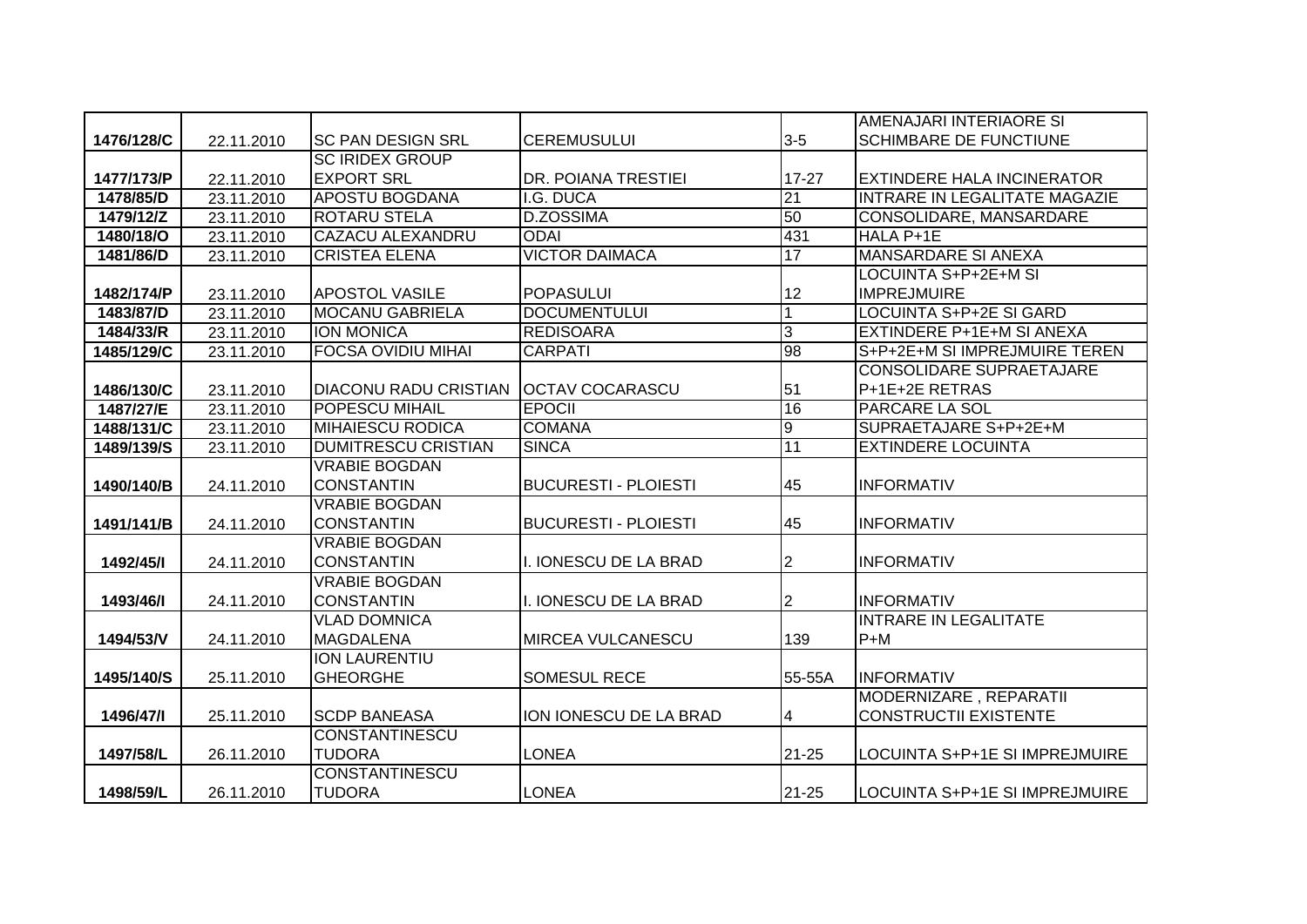|            |            |                              |                             |                | AMENAJARI INTERIAORE SI              |
|------------|------------|------------------------------|-----------------------------|----------------|--------------------------------------|
| 1476/128/C | 22.11.2010 | <b>SC PAN DESIGN SRL</b>     | <b>CEREMUSULUI</b>          | $3-5$          | <b>SCHIMBARE DE FUNCTIUNE</b>        |
|            |            | <b>SC IRIDEX GROUP</b>       |                             |                |                                      |
| 1477/173/P | 22.11.2010 | <b>EXPORT SRL</b>            | <b>DR. POIANA TRESTIEI</b>  | $17 - 27$      | <b>EXTINDERE HALA INCINERATOR</b>    |
| 1478/85/D  | 23.11.2010 | <b>APOSTU BOGDANA</b>        | I.G. DUCA                   | 21             | <b>INTRARE IN LEGALITATE MAGAZIE</b> |
| 1479/12/Z  | 23.11.2010 | <b>ROTARU STELA</b>          | <b>D.ZOSSIMA</b>            | 50             | CONSOLIDARE, MANSARDARE              |
| 1480/18/O  | 23.11.2010 | <b>CAZACU ALEXANDRU</b>      | <b>ODAI</b>                 | 431            | HALA P+1E                            |
| 1481/86/D  | 23.11.2010 | <b>CRISTEA ELENA</b>         | <b>VICTOR DAIMACA</b>       | 17             | <b>MANSARDARE SI ANEXA</b>           |
|            |            |                              |                             |                | <b>LOCUINTA S+P+2E+M SI</b>          |
| 1482/174/P | 23.11.2010 | <b>APOSTOL VASILE</b>        | <b>POPASULUI</b>            | 12             | <b>IMPREJMUIRE</b>                   |
| 1483/87/D  | 23.11.2010 | <b>MOCANU GABRIELA</b>       | <b>DOCUMENTULUI</b>         | 1              | <b>LOCUINTA S+P+2E SI GARD</b>       |
| 1484/33/R  | 23.11.2010 | <b>ION MONICA</b>            | <b>REDISOARA</b>            | 3              | EXTINDERE P+1E+M SI ANEXA            |
| 1485/129/C | 23.11.2010 | <b>FOCSA OVIDIU MIHAI</b>    | <b>CARPATI</b>              | 98             | S+P+2E+M SI IMPREJMUIRE TEREN        |
|            |            |                              |                             |                | <b>CONSOLIDARE SUPRAETAJARE</b>      |
| 1486/130/C | 23.11.2010 | <b>DIACONU RADU CRISTIAN</b> | <b>OCTAV COCARASCU</b>      | 51             | P+1E+2E RETRAS                       |
| 1487/27/E  | 23.11.2010 | POPESCU MIHAIL               | <b>EPOCII</b>               | 16             | <b>PARCARE LA SOL</b>                |
| 1488/131/C | 23.11.2010 | <b>MIHAIESCU RODICA</b>      | <b>COMANA</b>               | $\overline{9}$ | SUPRAETAJARE S+P+2E+M                |
| 1489/139/S | 23.11.2010 | <b>DUMITRESCU CRISTIAN</b>   | <b>SINCA</b>                | 11             | <b>EXTINDERE LOCUINTA</b>            |
|            |            | <b>VRABIE BOGDAN</b>         |                             |                |                                      |
| 1490/140/B | 24.11.2010 | <b>CONSTANTIN</b>            | <b>BUCURESTI - PLOIESTI</b> | 45             | <b>INFORMATIV</b>                    |
|            |            | <b>VRABIE BOGDAN</b>         |                             |                |                                      |
| 1491/141/B | 24.11.2010 | <b>CONSTANTIN</b>            | <b>BUCURESTI - PLOIESTI</b> | 45             | <b>INFORMATIV</b>                    |
|            |            | <b>VRABIE BOGDAN</b>         |                             |                |                                      |
| 1492/45/1  | 24.11.2010 | <b>CONSTANTIN</b>            | I. IONESCU DE LA BRAD       | 2              | <b>INFORMATIV</b>                    |
|            |            | <b>VRABIE BOGDAN</b>         |                             |                |                                      |
| 1493/46/1  | 24.11.2010 | <b>CONSTANTIN</b>            | I. IONESCU DE LA BRAD       | 2              | <b>INFORMATIV</b>                    |
|            |            | <b>VLAD DOMNICA</b>          |                             |                | <b>INTRARE IN LEGALITATE</b>         |
| 1494/53/V  | 24.11.2010 | <b>MAGDALENA</b>             | <b>MIRCEA VULCANESCU</b>    | 139            | $P+M$                                |
|            |            | ION LAURENTIU                |                             |                |                                      |
| 1495/140/S | 25.11.2010 | <b>GHEORGHE</b>              | <b>SOMESUL RECE</b>         | 55-55A         | <b>INFORMATIV</b>                    |
|            |            |                              |                             |                | MODERNIZARE, REPARATII               |
| 1496/47/1  | 25.11.2010 | <b>SCDP BANEASA</b>          | ION IONESCU DE LA BRAD      | 4              | <b>CONSTRUCTII EXISTENTE</b>         |
|            |            | <b>CONSTANTINESCU</b>        |                             |                |                                      |
| 1497/58/L  | 26.11.2010 | <b>TUDORA</b>                | <b>LONEA</b>                | $21 - 25$      | LOCUINTA S+P+1E SI IMPREJMUIRE       |
|            |            | <b>CONSTANTINESCU</b>        |                             |                |                                      |
| 1498/59/L  | 26.11.2010 | <b>TUDORA</b>                | <b>LONEA</b>                | $21 - 25$      | LOCUINTA S+P+1E SI IMPREJMUIRE       |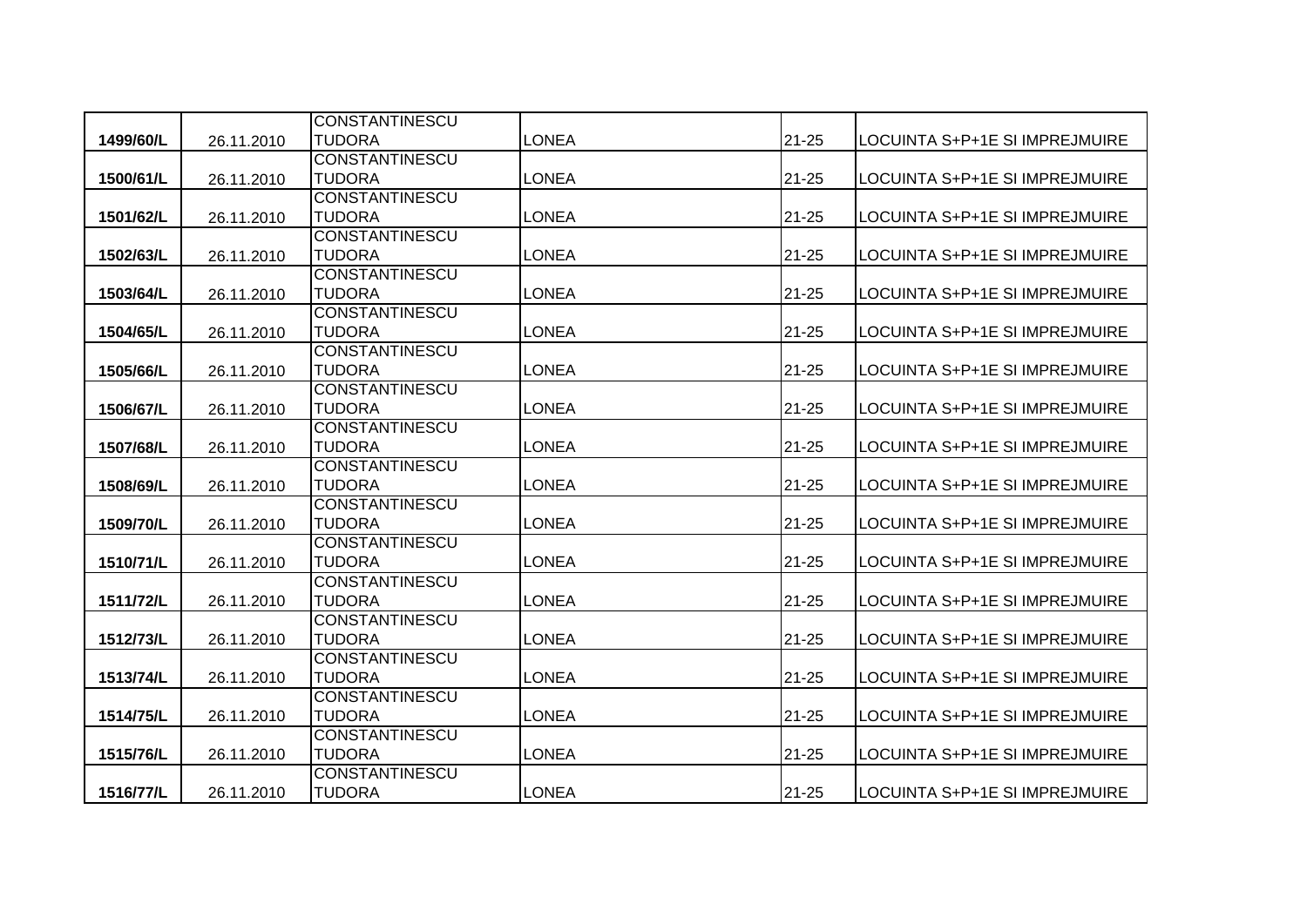|           |            | <b>CONSTANTINESCU</b>                  |              |           |                                |
|-----------|------------|----------------------------------------|--------------|-----------|--------------------------------|
| 1499/60/L | 26.11.2010 | <b>TUDORA</b>                          | LONEA        | $21 - 25$ | LOCUINTA S+P+1E SI IMPREJMUIRE |
|           |            | <b>CONSTANTINESCU</b>                  |              |           |                                |
| 1500/61/L | 26.11.2010 | <b>TUDORA</b>                          | <b>LONEA</b> | $21 - 25$ | LOCUINTA S+P+1E SI IMPREJMUIRE |
|           |            | <b>CONSTANTINESCU</b>                  |              |           |                                |
| 1501/62/L | 26.11.2010 | <b>TUDORA</b>                          | <b>LONEA</b> | $21 - 25$ | LOCUINTA S+P+1E SI IMPREJMUIRE |
|           |            | <b>CONSTANTINESCU</b>                  |              |           |                                |
| 1502/63/L | 26.11.2010 | <b>TUDORA</b>                          | <b>LONEA</b> | $21 - 25$ | LOCUINTA S+P+1E SI IMPREJMUIRE |
|           |            | <b>CONSTANTINESCU</b>                  |              |           |                                |
| 1503/64/L | 26.11.2010 | <b>TUDORA</b>                          | <b>LONEA</b> | $21 - 25$ | LOCUINTA S+P+1E SI IMPREJMUIRE |
|           |            | <b>CONSTANTINESCU</b>                  |              |           |                                |
| 1504/65/L | 26.11.2010 | <b>TUDORA</b>                          | <b>LONEA</b> | $21 - 25$ | LOCUINTA S+P+1E SI IMPREJMUIRE |
|           |            | <b>CONSTANTINESCU</b>                  |              |           |                                |
| 1505/66/L | 26.11.2010 | <b>TUDORA</b>                          | <b>LONEA</b> | $21 - 25$ | LOCUINTA S+P+1E SI IMPREJMUIRE |
|           |            | <b>CONSTANTINESCU</b>                  |              |           |                                |
| 1506/67/L | 26.11.2010 | <b>TUDORA</b><br><b>CONSTANTINESCU</b> | <b>LONEA</b> | 21-25     | LOCUINTA S+P+1E SI IMPREJMUIRE |
| 1507/68/L | 26.11.2010 | <b>TUDORA</b>                          | <b>LONEA</b> | 21-25     | LOCUINTA S+P+1E SI IMPREJMUIRE |
|           |            | <b>CONSTANTINESCU</b>                  |              |           |                                |
| 1508/69/L | 26.11.2010 | <b>TUDORA</b>                          | <b>LONEA</b> | $21 - 25$ | LOCUINTA S+P+1E SI IMPREJMUIRE |
|           |            | <b>CONSTANTINESCU</b>                  |              |           |                                |
| 1509/70/L | 26.11.2010 | <b>TUDORA</b>                          | <b>LONEA</b> | $21 - 25$ | LOCUINTA S+P+1E SI IMPREJMUIRE |
|           |            | <b>CONSTANTINESCU</b>                  |              |           |                                |
| 1510/71/L | 26.11.2010 | <b>TUDORA</b>                          | <b>LONEA</b> | $21 - 25$ | LOCUINTA S+P+1E SI IMPREJMUIRE |
|           |            | <b>CONSTANTINESCU</b>                  |              |           |                                |
| 1511/72/L | 26.11.2010 | <b>TUDORA</b>                          | <b>LONEA</b> | $21 - 25$ | LOCUINTA S+P+1E SI IMPREJMUIRE |
|           |            | <b>CONSTANTINESCU</b>                  |              |           |                                |
| 1512/73/L | 26.11.2010 | <b>TUDORA</b>                          | <b>LONEA</b> | $21 - 25$ | LOCUINTA S+P+1E SI IMPREJMUIRE |
|           |            | <b>CONSTANTINESCU</b>                  |              |           |                                |
| 1513/74/L | 26.11.2010 | <b>TUDORA</b>                          | <b>LONEA</b> | $21 - 25$ | LOCUINTA S+P+1E SI IMPREJMUIRE |
|           |            | <b>CONSTANTINESCU</b>                  |              |           |                                |
| 1514/75/L | 26.11.2010 | <b>TUDORA</b>                          | <b>LONEA</b> | $21 - 25$ | LOCUINTA S+P+1E SI IMPREJMUIRE |
|           |            | <b>CONSTANTINESCU</b>                  |              |           |                                |
| 1515/76/L | 26.11.2010 | <b>TUDORA</b>                          | <b>LONEA</b> | $21 - 25$ | LOCUINTA S+P+1E SI IMPREJMUIRE |
|           |            | <b>CONSTANTINESCU</b>                  |              |           |                                |
| 1516/77/L | 26.11.2010 | <b>TUDORA</b>                          | <b>LONEA</b> | $21 - 25$ | LOCUINTA S+P+1E SI IMPREJMUIRE |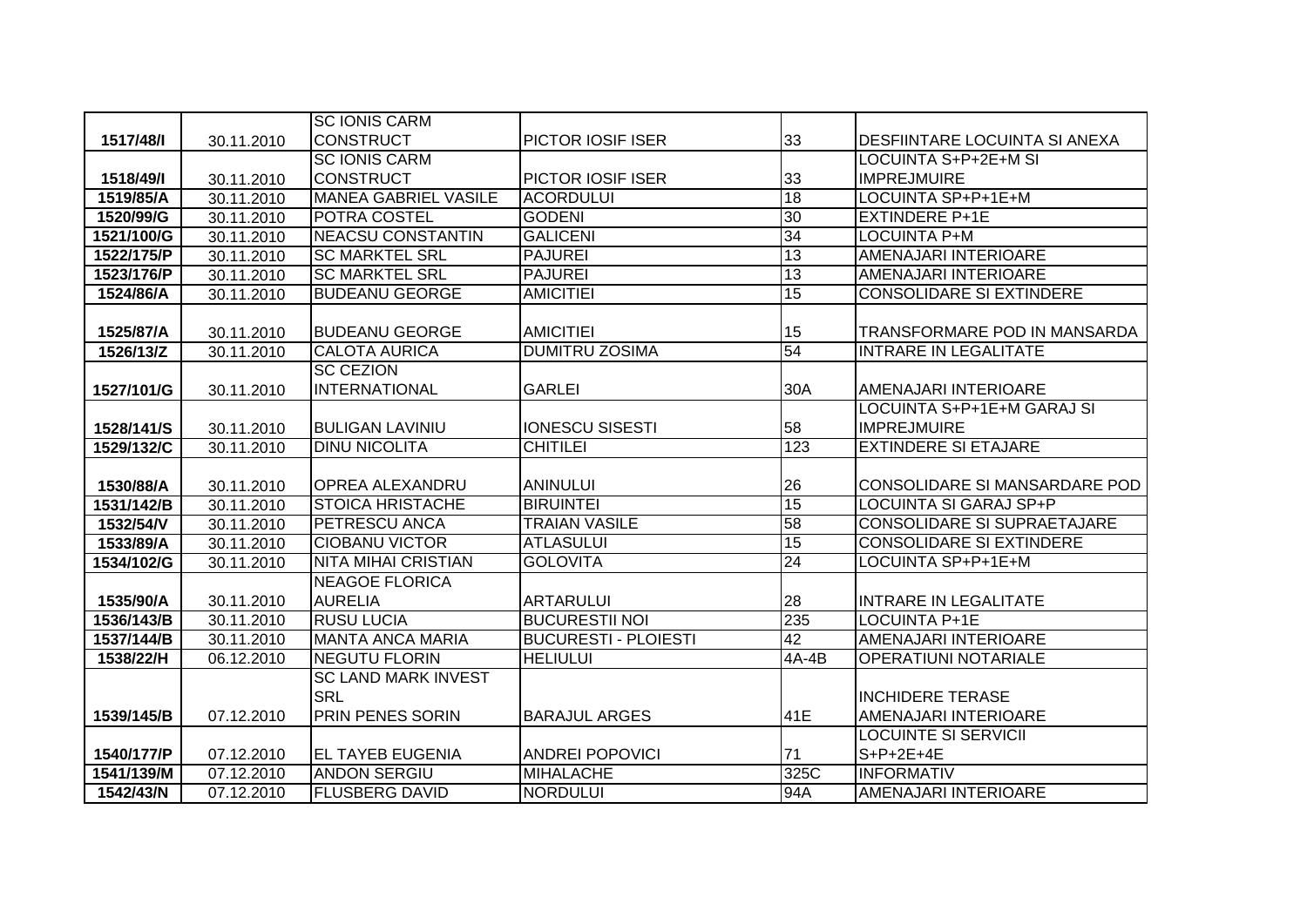|            |            | <b>SC IONIS CARM</b>                         |                                     |                 |                                           |
|------------|------------|----------------------------------------------|-------------------------------------|-----------------|-------------------------------------------|
| 1517/48/1  | 30.11.2010 | <b>CONSTRUCT</b>                             | PICTOR IOSIF ISER                   | 33              | <b>DESFIINTARE LOCUINTA SI ANEXA</b>      |
|            |            | <b>SC IONIS CARM</b>                         |                                     |                 | LOCUINTA S+P+2E+M SI                      |
| 1518/49/1  | 30.11.2010 | <b>CONSTRUCT</b>                             | PICTOR IOSIF ISER                   | 33              | <b>IMPREJMUIRE</b>                        |
| 1519/85/A  | 30.11.2010 | <b>MANEA GABRIEL VASILE</b>                  | <b>ACORDULUI</b>                    | 18              | LOCUINTA SP+P+1E+M                        |
| 1520/99/G  | 30.11.2010 | POTRA COSTEL                                 | <b>GODENI</b>                       | 30              | <b>EXTINDERE P+1E</b>                     |
| 1521/100/G | 30.11.2010 | <b>NEACSU CONSTANTIN</b>                     | <b>GALICENI</b>                     | 34              | <b>LOCUINTA P+M</b>                       |
| 1522/175/P | 30.11.2010 | <b>SC MARKTEL SRL</b>                        | <b>PAJUREI</b>                      | 13              | AMENAJARI INTERIOARE                      |
| 1523/176/P | 30.11.2010 | <b>SC MARKTEL SRL</b>                        | <b>PAJUREI</b>                      | 13              | AMENAJARI INTERIOARE                      |
| 1524/86/A  | 30.11.2010 | <b>BUDEANU GEORGE</b>                        | <b>AMICITIEI</b>                    | 15              | <b>CONSOLIDARE SI EXTINDERE</b>           |
|            |            |                                              |                                     |                 |                                           |
| 1525/87/A  | 30.11.2010 | <b>BUDEANU GEORGE</b>                        | <b>AMICITIEI</b>                    | 15              | TRANSFORMARE POD IN MANSARDA              |
| 1526/13/Z  | 30.11.2010 | <b>CALOTA AURICA</b>                         | <b>DUMITRU ZOSIMA</b>               | 54              | <b>INTRARE IN LEGALITATE</b>              |
|            |            | <b>SC CEZION</b>                             |                                     |                 |                                           |
| 1527/101/G | 30.11.2010 | <b>INTERNATIONAL</b>                         | <b>GARLEI</b>                       | 30A             | <b>AMENAJARI INTERIOARE</b>               |
|            |            |                                              |                                     |                 | LOCUINTA S+P+1E+M GARAJ SI                |
| 1528/141/S | 30.11.2010 | <b>BULIGAN LAVINIU</b>                       | <b>IONESCU SISESTI</b>              | 58              | <b>IMPREJMUIRE</b>                        |
| 1529/132/C | 30.11.2010 | <b>DINU NICOLITA</b>                         | <b>CHITILEI</b>                     | 123             | <b>EXTINDERE SI ETAJARE</b>               |
|            |            |                                              |                                     |                 |                                           |
|            |            | <b>OPREA ALEXANDRU</b>                       | <b>ANINULUI</b>                     | 26              | CONSOLIDARE SI MANSARDARE POD             |
| 1530/88/A  | 30.11.2010 |                                              |                                     |                 |                                           |
| 1531/142/B | 30.11.2010 | <b>STOICA HRISTACHE</b>                      | <b>BIRUINTEI</b>                    | 15              | LOCUINTA SI GARAJ SP+P                    |
| 1532/54/V  | 30.11.2010 | PETRESCU ANCA                                | <b>TRAIAN VASILE</b>                | 58              | CONSOLIDARE SI SUPRAETAJARE               |
| 1533/89/A  | 30.11.2010 | <b>CIOBANU VICTOR</b>                        | <b>ATLASULUI</b>                    | 15              | <b>CONSOLIDARE SI EXTINDERE</b>           |
| 1534/102/G | 30.11.2010 | <b>NITA MIHAI CRISTIAN</b>                   | <b>GOLOVITA</b>                     | $\overline{24}$ | LOCUINTA SP+P+1E+M                        |
|            |            | <b>NEAGOE FLORICA</b>                        |                                     |                 |                                           |
| 1535/90/A  | 30.11.2010 | <b>AURELIA</b>                               | <b>ARTARULUI</b>                    | 28              | <b>INTRARE IN LEGALITATE</b>              |
| 1536/143/B | 30.11.2010 | <b>RUSU LUCIA</b>                            | <b>BUCURESTII NOI</b>               | 235             | <b>LOCUINTA P+1E</b>                      |
| 1537/144/B | 30.11.2010 | <b>MANTA ANCA MARIA</b>                      | <b>BUCURESTI - PLOIESTI</b>         | 42              | <b>AMENAJARI INTERIOARE</b>               |
| 1538/22/H  | 06.12.2010 | <b>NEGUTU FLORIN</b>                         | <b>HELIULUI</b>                     | 4A-4B           | <b>OPERATIUNI NOTARIALE</b>               |
|            |            | <b>SC LAND MARK INVEST</b>                   |                                     |                 |                                           |
|            |            | <b>SRL</b>                                   |                                     |                 | <b>INCHIDERE TERASE</b>                   |
| 1539/145/B | 07.12.2010 | PRIN PENES SORIN                             | <b>BARAJUL ARGES</b>                | 41E             | AMENAJARI INTERIOARE                      |
|            |            |                                              |                                     |                 | <b>LOCUINTE SI SERVICII</b>               |
| 1540/177/P | 07.12.2010 | <b>EL TAYEB EUGENIA</b>                      | <b>ANDREI POPOVICI</b>              | 71              | $S+P+2E+4E$                               |
| 1541/139/M | 07.12.2010 | <b>ANDON SERGIU</b><br><b>FLUSBERG DAVID</b> | <b>MIHALACHE</b><br><b>NORDULUI</b> | 325C<br>94A     | <b>INFORMATIV</b><br>AMENAJARI INTERIOARE |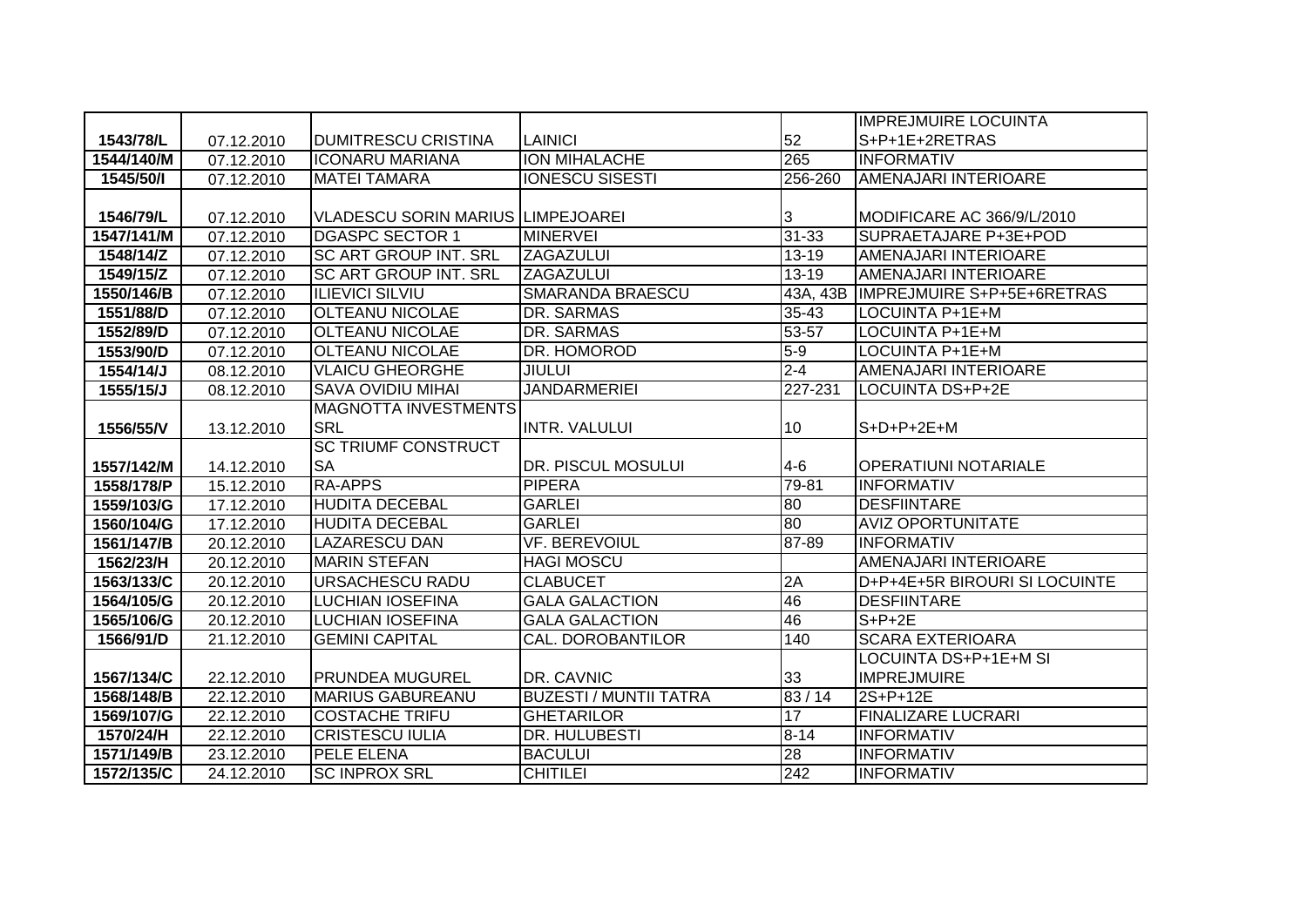|            |                          |                                          |                               |           | <b>IMPREJMUIRE LOCUINTA</b>         |
|------------|--------------------------|------------------------------------------|-------------------------------|-----------|-------------------------------------|
| 1543/78/L  | 07.12.2010               | DUMITRESCU CRISTINA                      | <b>LAINICI</b>                | 52        | S+P+1E+2RETRAS                      |
| 1544/140/M | 07.12.2010               | <b>ICONARU MARIANA</b>                   | <b>ION MIHALACHE</b>          | 265       | <b>INFORMATIV</b>                   |
| 1545/50/1  | 07.12.2010               | <b>MATEI TAMARA</b>                      | <b>IONESCU SISESTI</b>        | 256-260   | <b>AMENAJARI INTERIOARE</b>         |
|            |                          |                                          |                               |           |                                     |
| 1546/79/L  | 07.12.2010               | <b>VLADESCU SORIN MARIUS LIMPEJOAREI</b> |                               | 3         | MODIFICARE AC 366/9/L/2010          |
| 1547/141/M | 07.12.2010               | <b>DGASPC SECTOR 1</b>                   | <b>MINERVEI</b>               | $31 - 33$ | SUPRAETAJARE P+3E+POD               |
| 1548/14/Z  | 07.12.2010               | <b>SC ART GROUP INT. SRL</b>             | <b>ZAGAZULUI</b>              | $13 - 19$ | AMENAJARI INTERIOARE                |
| 1549/15/Z  | $\overline{07}$ .12.2010 | SC ART GROUP INT. SRL                    | ZAGAZULUI                     | $13 - 19$ | AMENAJARI INTERIOARE                |
| 1550/146/B | 07.12.2010               | <b>ILIEVICI SILVIU</b>                   | <b>SMARANDA BRAESCU</b>       |           | 43A, 43B IMPREJMUIRE S+P+5E+6RETRAS |
| 1551/88/D  | 07.12.2010               | <b>OLTEANU NICOLAE</b>                   | DR. SARMAS                    | 35-43     | LOCUINTA P+1E+M                     |
| 1552/89/D  | 07.12.2010               | <b>OLTEANU NICOLAE</b>                   | DR. SARMAS                    | 53-57     | LOCUINTA P+1E+M                     |
| 1553/90/D  | 07.12.2010               | <b>OLTEANU NICOLAE</b>                   | DR. HOMOROD                   | $5-9$     | LOCUINTA P+1E+M                     |
| 1554/14/J  | 08.12.2010               | <b>VLAICU GHEORGHE</b>                   | <b>JIULUI</b>                 | $2 - 4$   | AMENAJARI INTERIOARE                |
| 1555/15/J  | 08.12.2010               | <b>SAVA OVIDIU MIHAI</b>                 | <b>JANDARMERIEI</b>           | 227-231   | LOCUINTA DS+P+2E                    |
|            |                          | <b>MAGNOTTA INVESTMENTS</b>              |                               |           |                                     |
| 1556/55/V  | 13.12.2010               | <b>SRL</b>                               | <b>INTR. VALULUI</b>          | 10        | $S+D+P+2E+M$                        |
|            |                          | <b>SC TRIUMF CONSTRUCT</b>               |                               |           |                                     |
| 1557/142/M | 14.12.2010               | <b>SA</b>                                | DR. PISCUL MOSULUI            | $4-6$     | <b>OPERATIUNI NOTARIALE</b>         |
| 1558/178/P | 15.12.2010               | <b>RA-APPS</b>                           | <b>PIPERA</b>                 | 79-81     | <b>INFORMATIV</b>                   |
| 1559/103/G | 17.12.2010               | <b>HUDITA DECEBAL</b>                    | <b>GARLEI</b>                 | 80        | <b>DESFIINTARE</b>                  |
| 1560/104/G | 17.12.2010               | <b>HUDITA DECEBAL</b>                    | <b>GARLEI</b>                 | 80        | <b>AVIZ OPORTUNITATE</b>            |
| 1561/147/B | 20.12.2010               | LAZARESCU DAN                            | <b>VF. BEREVOIUL</b>          | 87-89     | <b>INFORMATIV</b>                   |
| 1562/23/H  | 20.12.2010               | <b>MARIN STEFAN</b>                      | <b>HAGI MOSCU</b>             |           | AMENAJARI INTERIOARE                |
| 1563/133/C | 20.12.2010               | <b>URSACHESCU RADU</b>                   | <b>CLABUCET</b>               | 2A        | D+P+4E+5R BIROURI SI LOCUINTE       |
| 1564/105/G | 20.12.2010               | <b>LUCHIAN IOSEFINA</b>                  | <b>GALA GALACTION</b>         | 46        | <b>DESFIINTARE</b>                  |
| 1565/106/G | 20.12.2010               | <b>LUCHIAN IOSEFINA</b>                  | <b>GALA GALACTION</b>         | 46        | $S+P+2E$                            |
| 1566/91/D  | 21.12.2010               | <b>GEMINI CAPITAL</b>                    | CAL. DOROBANTILOR             | 140       | <b>SCARA EXTERIOARA</b>             |
|            |                          |                                          |                               |           | LOCUINTA DS+P+1E+M SI               |
| 1567/134/C | 22.12.2010               | <b>PRUNDEA MUGUREL</b>                   | DR. CAVNIC                    | 33        | <b>IMPREJMUIRE</b>                  |
| 1568/148/B | 22.12.2010               | <b>MARIUS GABUREANU</b>                  | <b>BUZESTI / MUNTII TATRA</b> | 83/14     | 2S+P+12E                            |
| 1569/107/G | 22.12.2010               | <b>COSTACHE TRIFU</b>                    | <b>GHETARILOR</b>             | 17        | <b>FINALIZARE LUCRARI</b>           |
| 1570/24/H  | 22.12.2010               | <b>CRISTESCU IULIA</b>                   | DR. HULUBESTI                 | $8 - 14$  | <b>INFORMATIV</b>                   |
| 1571/149/B | 23.12.2010               | <b>PELE ELENA</b>                        | <b>BACULUI</b>                | 28        | <b>INFORMATIV</b>                   |
| 1572/135/C | 24.12.2010               | <b>SC INPROX SRL</b>                     | <b>CHITILEI</b>               | 242       | <b>INFORMATIV</b>                   |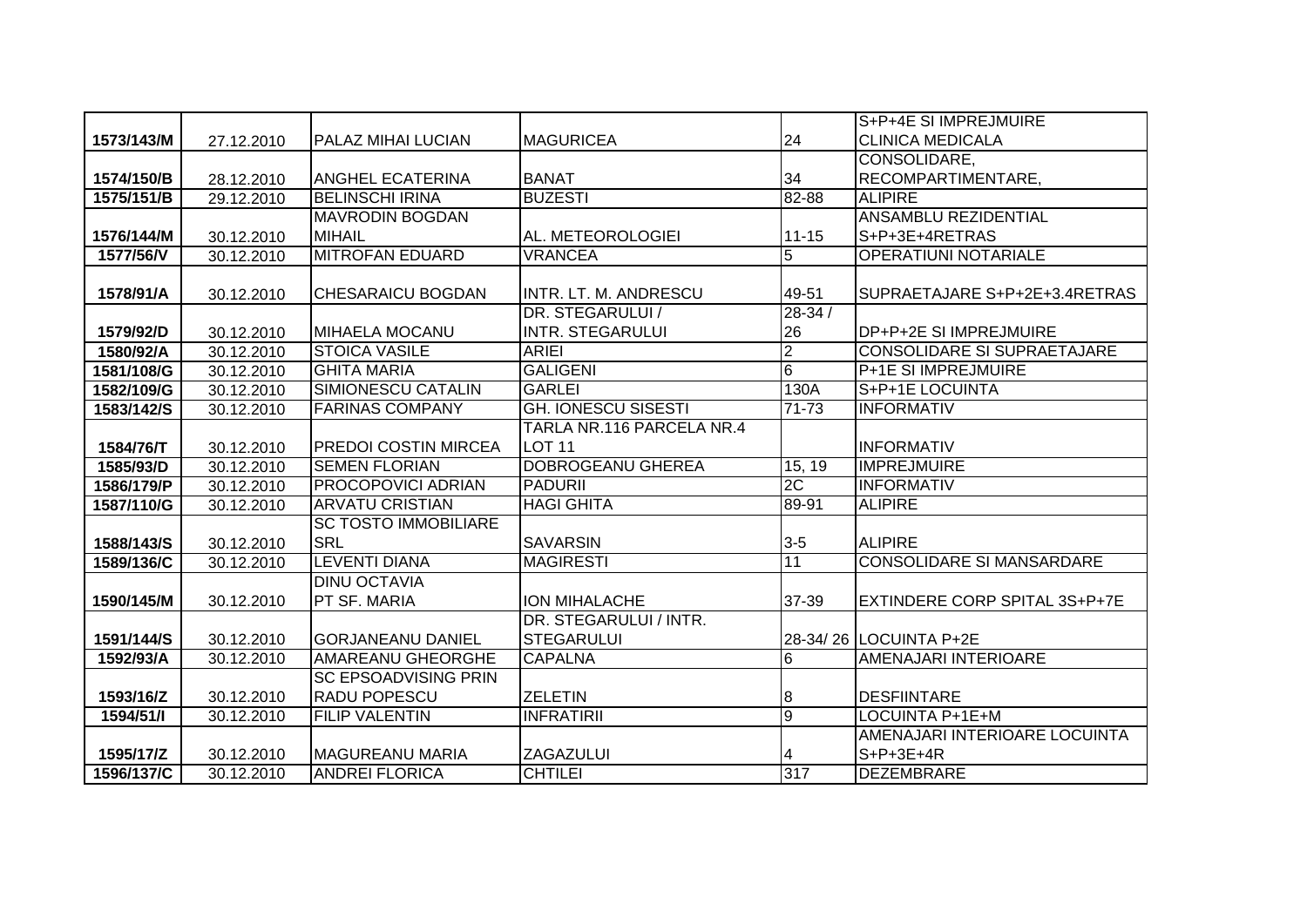|            |            |                             |                            |                | S+P+4E SI IMPREJMUIRE                |
|------------|------------|-----------------------------|----------------------------|----------------|--------------------------------------|
| 1573/143/M | 27.12.2010 | IPALAZ MIHAI LUCIAN         | <b>MAGURICEA</b>           | 24             | <b>CLINICA MEDICALA</b>              |
|            |            |                             |                            |                | CONSOLIDARE,                         |
| 1574/150/B | 28.12.2010 | <b>ANGHEL ECATERINA</b>     | <b>BANAT</b>               | 34             | RECOMPARTIMENTARE.                   |
| 1575/151/B | 29.12.2010 | <b>BELINSCHI IRINA</b>      | <b>BUZESTI</b>             | 82-88          | <b>ALIPIRE</b>                       |
|            |            | <b>MAVRODIN BOGDAN</b>      |                            |                | <b>ANSAMBLU REZIDENTIAL</b>          |
| 1576/144/M | 30.12.2010 | <b>MIHAIL</b>               | AL. METEOROLOGIEI          | $11 - 15$      | S+P+3E+4RETRAS                       |
| 1577/56/V  | 30.12.2010 | <b>MITROFAN EDUARD</b>      | <b>VRANCEA</b>             | 5              | <b>OPERATIUNI NOTARIALE</b>          |
|            |            |                             |                            |                |                                      |
| 1578/91/A  | 30.12.2010 | <b>CHESARAICU BOGDAN</b>    | INTR. LT. M. ANDRESCU      | 49-51          | SUPRAETAJARE S+P+2E+3.4RETRAS        |
|            |            |                             | DR. STEGARULUI /           | $28 - 34/$     |                                      |
| 1579/92/D  | 30.12.2010 | <b>MIHAELA MOCANU</b>       | INTR. STEGARULUI           | 26             | DP+P+2E SI IMPREJMUIRE               |
| 1580/92/A  | 30.12.2010 | <b>STOICA VASILE</b>        | <b>ARIEI</b>               | $\overline{2}$ | <b>CONSOLIDARE SI SUPRAETAJARE</b>   |
| 1581/108/G | 30.12.2010 | <b>GHITA MARIA</b>          | <b>GALIGENI</b>            | 6              | <b>P+1E SI IMPREJMUIRE</b>           |
| 1582/109/G | 30.12.2010 | <b>SIMIONESCU CATALIN</b>   | <b>GARLEI</b>              | 130A           | S+P+1E LOCUINTA                      |
| 1583/142/S | 30.12.2010 | <b>FARINAS COMPANY</b>      | <b>GH. IONESCU SISESTI</b> | $71 - 73$      | <b>INFORMATIV</b>                    |
|            |            |                             | TARLA NR.116 PARCELA NR.4  |                |                                      |
| 1584/76/T  | 30.12.2010 | <b>PREDOI COSTIN MIRCEA</b> | <b>LOT 11</b>              |                | <b>INFORMATIV</b>                    |
| 1585/93/D  | 30.12.2010 | <b>SEMEN FLORIAN</b>        | DOBROGEANU GHEREA          | 15, 19         | <b>IMPREJMUIRE</b>                   |
| 1586/179/P | 30.12.2010 | PROCOPOVICI ADRIAN          | <b>PADURII</b>             | 2C             | <b>INFORMATIV</b>                    |
| 1587/110/G | 30.12.2010 | <b>ARVATU CRISTIAN</b>      | <b>HAGI GHITA</b>          | 89-91          | <b>ALIPIRE</b>                       |
|            |            | <b>SC TOSTO IMMOBILIARE</b> |                            |                |                                      |
| 1588/143/S | 30.12.2010 | <b>SRL</b>                  | <b>SAVARSIN</b>            | $3-5$          | <b>ALIPIRE</b>                       |
| 1589/136/C | 30.12.2010 | <b>LEVENTI DIANA</b>        | <b>MAGIRESTI</b>           | 11             | <b>CONSOLIDARE SI MANSARDARE</b>     |
|            |            | <b>DINU OCTAVIA</b>         |                            |                |                                      |
| 1590/145/M | 30.12.2010 | PT SF. MARIA                | ION MIHALACHE              | 37-39          | <b>EXTINDERE CORP SPITAL 3S+P+7E</b> |
|            |            |                             | DR. STEGARULUI / INTR.     |                |                                      |
| 1591/144/S | 30.12.2010 | <b>GORJANEANU DANIEL</b>    | <b>STEGARULUI</b>          |                | 28-34/26 LOCUINTA P+2E               |
| 1592/93/A  | 30.12.2010 | <b>AMAREANU GHEORGHE</b>    | <b>CAPALNA</b>             | $\overline{6}$ | AMENAJARI INTERIOARE                 |
|            |            | <b>SC EPSOADVISING PRIN</b> |                            |                |                                      |
| 1593/16/Z  | 30.12.2010 | <b>RADU POPESCU</b>         | <b>ZELETIN</b>             | 8              | <b>DESFIINTARE</b>                   |
| 1594/51/1  | 30.12.2010 | <b>FILIP VALENTIN</b>       | <b>INFRATIRII</b>          | $\overline{9}$ | LOCUINTA P+1E+M                      |
|            |            |                             |                            |                | AMENAJARI INTERIOARE LOCUINTA        |
| 1595/17/Z  | 30.12.2010 | <b>IMAGUREANU MARIA</b>     | ZAGAZULUI                  | 4              | $S+P+3E+4R$                          |
| 1596/137/C | 30.12.2010 | <b>ANDREI FLORICA</b>       | <b>CHTILEI</b>             | 317            | <b>DEZEMBRARE</b>                    |